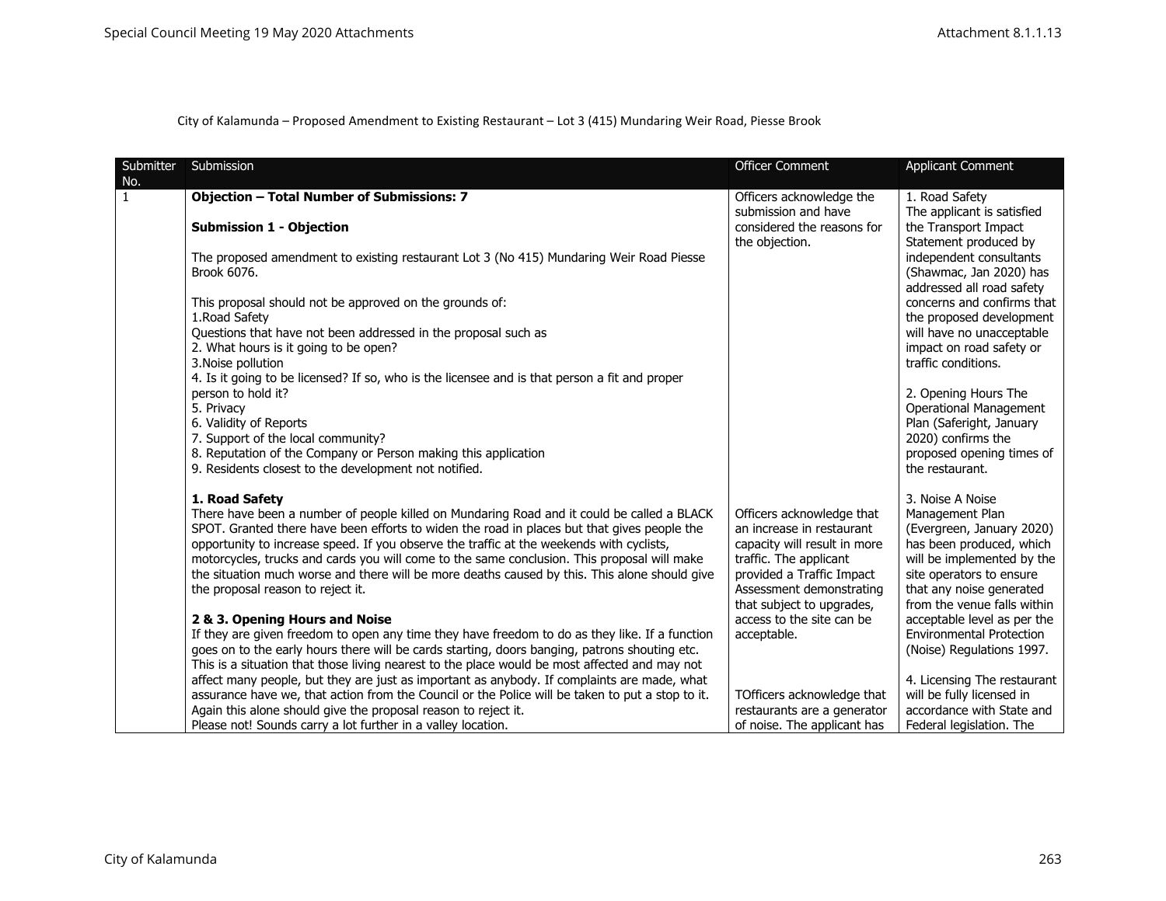| Submitter           | Submission                                                                                                                                                                                   | <b>Officer Comment</b>                                     | <b>Applicant Comment</b>                               |
|---------------------|----------------------------------------------------------------------------------------------------------------------------------------------------------------------------------------------|------------------------------------------------------------|--------------------------------------------------------|
| No.<br>$\mathbf{1}$ | <b>Objection - Total Number of Submissions: 7</b>                                                                                                                                            | Officers acknowledge the                                   | 1. Road Safety                                         |
|                     |                                                                                                                                                                                              | submission and have                                        | The applicant is satisfied                             |
|                     | <b>Submission 1 - Objection</b>                                                                                                                                                              | considered the reasons for                                 | the Transport Impact                                   |
|                     |                                                                                                                                                                                              | the objection.                                             | Statement produced by                                  |
|                     | The proposed amendment to existing restaurant Lot 3 (No 415) Mundaring Weir Road Piesse                                                                                                      |                                                            | independent consultants                                |
|                     | Brook 6076.                                                                                                                                                                                  |                                                            | (Shawmac, Jan 2020) has                                |
|                     |                                                                                                                                                                                              |                                                            | addressed all road safety                              |
|                     | This proposal should not be approved on the grounds of:                                                                                                                                      |                                                            | concerns and confirms that                             |
|                     | 1. Road Safety<br>Questions that have not been addressed in the proposal such as                                                                                                             |                                                            | the proposed development<br>will have no unacceptable  |
|                     | 2. What hours is it going to be open?                                                                                                                                                        |                                                            | impact on road safety or                               |
|                     | 3. Noise pollution                                                                                                                                                                           |                                                            | traffic conditions.                                    |
|                     | 4. Is it going to be licensed? If so, who is the licensee and is that person a fit and proper                                                                                                |                                                            |                                                        |
|                     | person to hold it?                                                                                                                                                                           |                                                            | 2. Opening Hours The                                   |
|                     | 5. Privacy                                                                                                                                                                                   |                                                            | <b>Operational Management</b>                          |
|                     | 6. Validity of Reports                                                                                                                                                                       |                                                            | Plan (Saferight, January                               |
|                     | 7. Support of the local community?<br>8. Reputation of the Company or Person making this application                                                                                         |                                                            | 2020) confirms the<br>proposed opening times of        |
|                     | 9. Residents closest to the development not notified.                                                                                                                                        |                                                            | the restaurant.                                        |
|                     |                                                                                                                                                                                              |                                                            |                                                        |
|                     | 1. Road Safety                                                                                                                                                                               |                                                            | 3. Noise A Noise                                       |
|                     | There have been a number of people killed on Mundaring Road and it could be called a BLACK                                                                                                   | Officers acknowledge that                                  | Management Plan                                        |
|                     | SPOT. Granted there have been efforts to widen the road in places but that gives people the                                                                                                  | an increase in restaurant                                  | (Evergreen, January 2020)                              |
|                     | opportunity to increase speed. If you observe the traffic at the weekends with cyclists,                                                                                                     | capacity will result in more                               | has been produced, which                               |
|                     | motorcycles, trucks and cards you will come to the same conclusion. This proposal will make<br>the situation much worse and there will be more deaths caused by this. This alone should give | traffic. The applicant                                     | will be implemented by the                             |
|                     | the proposal reason to reject it.                                                                                                                                                            | provided a Traffic Impact<br>Assessment demonstrating      | site operators to ensure<br>that any noise generated   |
|                     |                                                                                                                                                                                              | that subject to upgrades,                                  | from the venue falls within                            |
|                     | 2 & 3. Opening Hours and Noise                                                                                                                                                               | access to the site can be                                  | acceptable level as per the                            |
|                     | If they are given freedom to open any time they have freedom to do as they like. If a function                                                                                               | acceptable.                                                | <b>Environmental Protection</b>                        |
|                     | goes on to the early hours there will be cards starting, doors banging, patrons shouting etc.                                                                                                |                                                            | (Noise) Regulations 1997.                              |
|                     | This is a situation that those living nearest to the place would be most affected and may not                                                                                                |                                                            |                                                        |
|                     | affect many people, but they are just as important as anybody. If complaints are made, what                                                                                                  |                                                            | 4. Licensing The restaurant                            |
|                     | assurance have we, that action from the Council or the Police will be taken to put a stop to it.                                                                                             | TOfficers acknowledge that                                 | will be fully licensed in<br>accordance with State and |
|                     | Again this alone should give the proposal reason to reject it.<br>Please not! Sounds carry a lot further in a valley location.                                                               | restaurants are a generator<br>of noise. The applicant has | Federal legislation. The                               |
|                     |                                                                                                                                                                                              |                                                            |                                                        |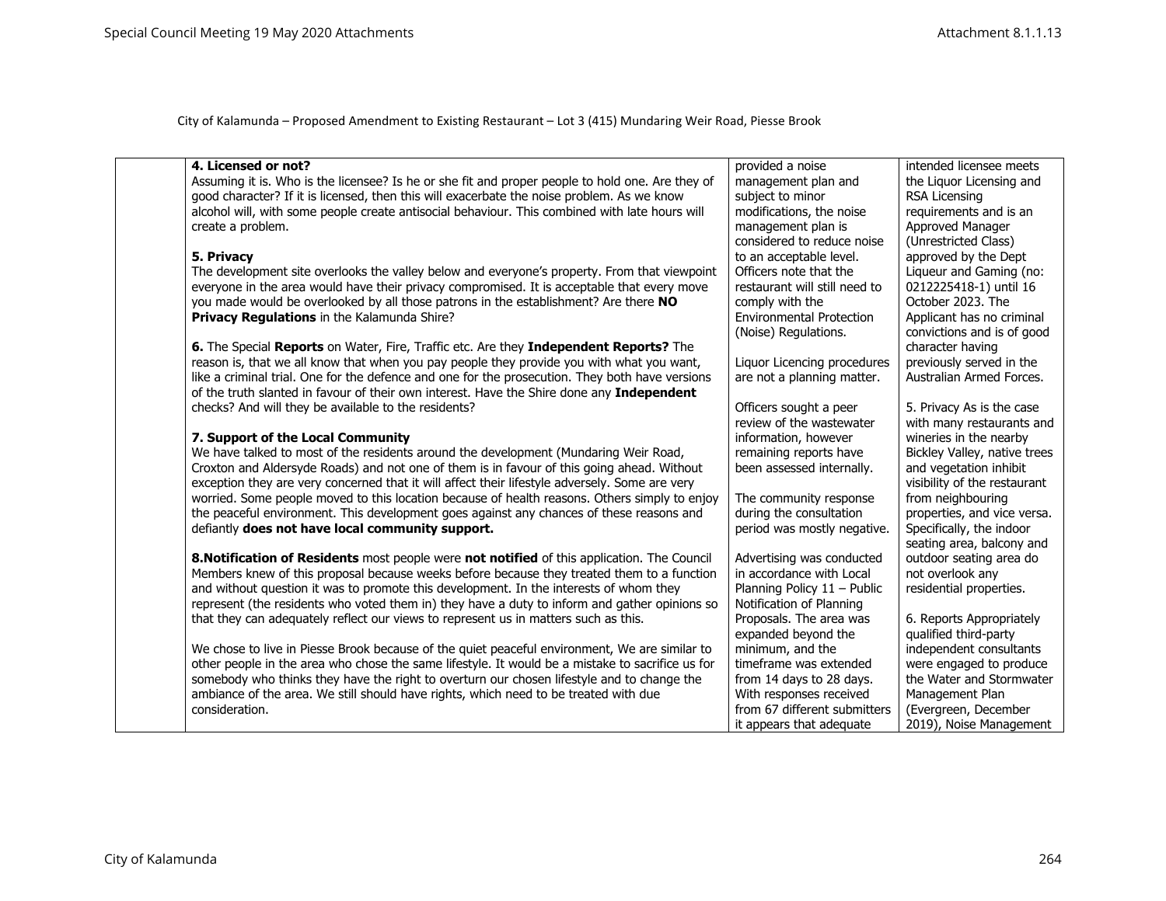| 4. Licensed or not?                                                                              | provided a noise                | intended licensee meets      |
|--------------------------------------------------------------------------------------------------|---------------------------------|------------------------------|
| Assuming it is. Who is the licensee? Is he or she fit and proper people to hold one. Are they of | management plan and             | the Liquor Licensing and     |
| good character? If it is licensed, then this will exacerbate the noise problem. As we know       | subject to minor                | <b>RSA Licensing</b>         |
| alcohol will, with some people create antisocial behaviour. This combined with late hours will   | modifications, the noise        | requirements and is an       |
| create a problem.                                                                                | management plan is              | Approved Manager             |
|                                                                                                  | considered to reduce noise      | (Unrestricted Class)         |
| 5. Privacy                                                                                       | to an acceptable level.         | approved by the Dept         |
| The development site overlooks the valley below and everyone's property. From that viewpoint     | Officers note that the          | Liqueur and Gaming (no:      |
| everyone in the area would have their privacy compromised. It is acceptable that every move      | restaurant will still need to   | 0212225418-1) until 16       |
| you made would be overlooked by all those patrons in the establishment? Are there NO             | comply with the                 | October 2023. The            |
| <b>Privacy Regulations in the Kalamunda Shire?</b>                                               | <b>Environmental Protection</b> | Applicant has no criminal    |
|                                                                                                  | (Noise) Regulations.            | convictions and is of good   |
| 6. The Special Reports on Water, Fire, Traffic etc. Are they Independent Reports? The            |                                 | character having             |
| reason is, that we all know that when you pay people they provide you with what you want,        | Liquor Licencing procedures     | previously served in the     |
| like a criminal trial. One for the defence and one for the prosecution. They both have versions  | are not a planning matter.      | Australian Armed Forces.     |
| of the truth slanted in favour of their own interest. Have the Shire done any Independent        |                                 |                              |
| checks? And will they be available to the residents?                                             | Officers sought a peer          | 5. Privacy As is the case    |
|                                                                                                  | review of the wastewater        | with many restaurants and    |
| 7. Support of the Local Community                                                                | information, however            | wineries in the nearby       |
| We have talked to most of the residents around the development (Mundaring Weir Road,             | remaining reports have          | Bickley Valley, native trees |
| Croxton and Aldersyde Roads) and not one of them is in favour of this going ahead. Without       | been assessed internally.       | and vegetation inhibit       |
| exception they are very concerned that it will affect their lifestyle adversely. Some are very   |                                 | visibility of the restaurant |
| worried. Some people moved to this location because of health reasons. Others simply to enjoy    | The community response          | from neighbouring            |
| the peaceful environment. This development goes against any chances of these reasons and         | during the consultation         | properties, and vice versa.  |
| defiantly does not have local community support.                                                 | period was mostly negative.     | Specifically, the indoor     |
|                                                                                                  |                                 | seating area, balcony and    |
| 8. Notification of Residents most people were not notified of this application. The Council      | Advertising was conducted       | outdoor seating area do      |
| Members knew of this proposal because weeks before because they treated them to a function       | in accordance with Local        | not overlook any             |
| and without question it was to promote this development. In the interests of whom they           | Planning Policy 11 - Public     | residential properties.      |
| represent (the residents who voted them in) they have a duty to inform and gather opinions so    | Notification of Planning        |                              |
| that they can adequately reflect our views to represent us in matters such as this.              | Proposals. The area was         | 6. Reports Appropriately     |
|                                                                                                  | expanded beyond the             | qualified third-party        |
| We chose to live in Piesse Brook because of the quiet peaceful environment, We are similar to    | minimum, and the                | independent consultants      |
| other people in the area who chose the same lifestyle. It would be a mistake to sacrifice us for | timeframe was extended          | were engaged to produce      |
| somebody who thinks they have the right to overturn our chosen lifestyle and to change the       | from 14 days to 28 days.        | the Water and Stormwater     |
| ambiance of the area. We still should have rights, which need to be treated with due             | With responses received         | Management Plan              |
| consideration.                                                                                   | from 67 different submitters    | (Evergreen, December         |
|                                                                                                  | it appears that adequate        | 2019), Noise Management      |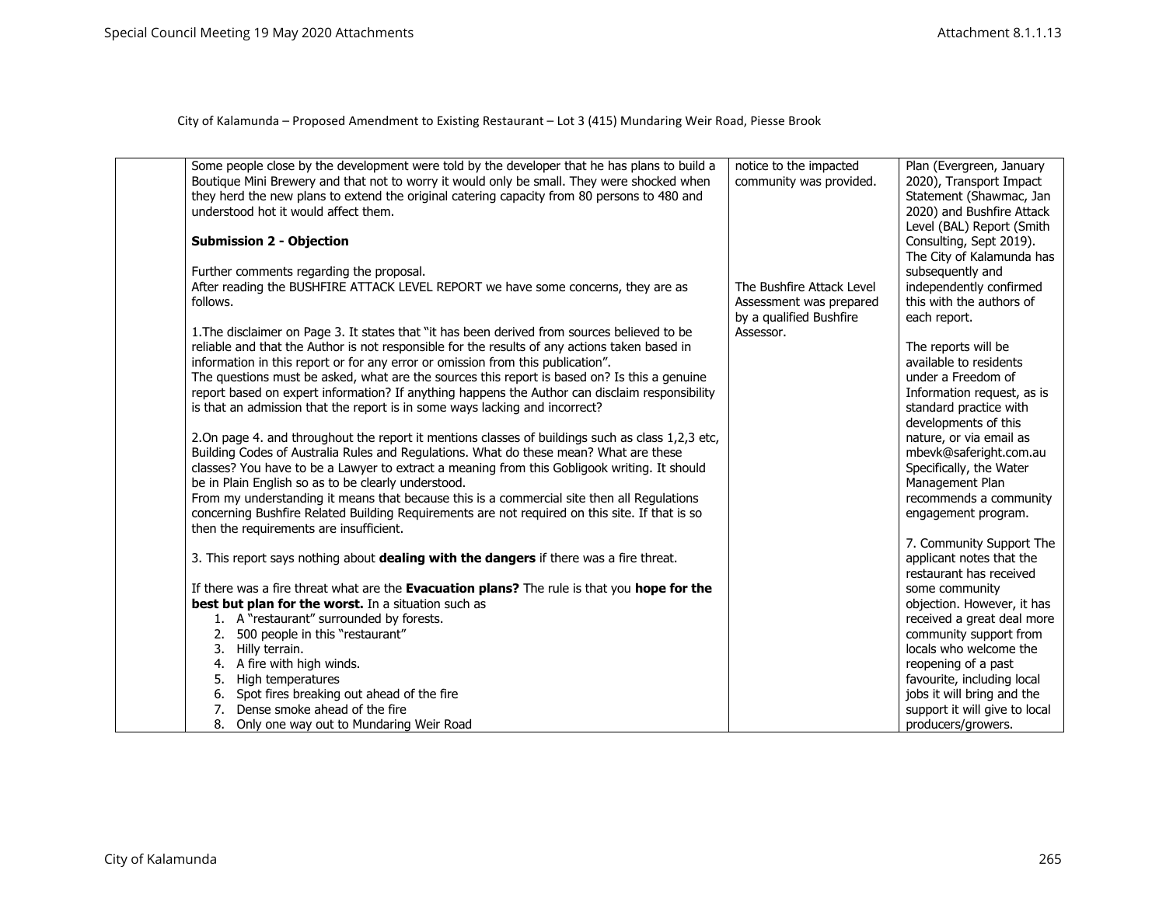| Some people close by the development were told by the developer that he has plans to build a<br>Boutique Mini Brewery and that not to worry it would only be small. They were shocked when<br>they herd the new plans to extend the original catering capacity from 80 persons to 480 and<br>understood hot it would affect them.<br><b>Submission 2 - Objection</b>                                                                                                                                                                                                                                                                                                                                                                                                                                                                                                                                                                                                                                                                                                                                                                                             | notice to the impacted<br>community was provided.                               | Plan (Evergreen, January<br>2020), Transport Impact<br>Statement (Shawmac, Jan<br>2020) and Bushfire Attack<br>Level (BAL) Report (Smith<br>Consulting, Sept 2019).<br>The City of Kalamunda has                                                                                                        |
|------------------------------------------------------------------------------------------------------------------------------------------------------------------------------------------------------------------------------------------------------------------------------------------------------------------------------------------------------------------------------------------------------------------------------------------------------------------------------------------------------------------------------------------------------------------------------------------------------------------------------------------------------------------------------------------------------------------------------------------------------------------------------------------------------------------------------------------------------------------------------------------------------------------------------------------------------------------------------------------------------------------------------------------------------------------------------------------------------------------------------------------------------------------|---------------------------------------------------------------------------------|---------------------------------------------------------------------------------------------------------------------------------------------------------------------------------------------------------------------------------------------------------------------------------------------------------|
| Further comments regarding the proposal.<br>After reading the BUSHFIRE ATTACK LEVEL REPORT we have some concerns, they are as<br>follows.                                                                                                                                                                                                                                                                                                                                                                                                                                                                                                                                                                                                                                                                                                                                                                                                                                                                                                                                                                                                                        | The Bushfire Attack Level<br>Assessment was prepared<br>by a qualified Bushfire | subsequently and<br>independently confirmed<br>this with the authors of<br>each report.                                                                                                                                                                                                                 |
| 1. The disclaimer on Page 3. It states that "it has been derived from sources believed to be<br>reliable and that the Author is not responsible for the results of any actions taken based in<br>information in this report or for any error or omission from this publication".<br>The questions must be asked, what are the sources this report is based on? Is this a genuine<br>report based on expert information? If anything happens the Author can disclaim responsibility<br>is that an admission that the report is in some ways lacking and incorrect?<br>2.On page 4. and throughout the report it mentions classes of buildings such as class 1,2,3 etc,<br>Building Codes of Australia Rules and Regulations. What do these mean? What are these<br>classes? You have to be a Lawyer to extract a meaning from this Gobligook writing. It should<br>be in Plain English so as to be clearly understood.<br>From my understanding it means that because this is a commercial site then all Regulations<br>concerning Bushfire Related Building Requirements are not required on this site. If that is so<br>then the requirements are insufficient. | Assessor.                                                                       | The reports will be<br>available to residents<br>under a Freedom of<br>Information request, as is<br>standard practice with<br>developments of this<br>nature, or via email as<br>mbevk@saferight.com.au<br>Specifically, the Water<br>Management Plan<br>recommends a community<br>engagement program. |
| 3. This report says nothing about dealing with the dangers if there was a fire threat.                                                                                                                                                                                                                                                                                                                                                                                                                                                                                                                                                                                                                                                                                                                                                                                                                                                                                                                                                                                                                                                                           |                                                                                 | 7. Community Support The<br>applicant notes that the<br>restaurant has received                                                                                                                                                                                                                         |
| If there was a fire threat what are the Evacuation plans? The rule is that you hope for the                                                                                                                                                                                                                                                                                                                                                                                                                                                                                                                                                                                                                                                                                                                                                                                                                                                                                                                                                                                                                                                                      |                                                                                 | some community                                                                                                                                                                                                                                                                                          |
| best but plan for the worst. In a situation such as<br>1. A "restaurant" surrounded by forests.                                                                                                                                                                                                                                                                                                                                                                                                                                                                                                                                                                                                                                                                                                                                                                                                                                                                                                                                                                                                                                                                  |                                                                                 | objection. However, it has<br>received a great deal more                                                                                                                                                                                                                                                |
| 500 people in this "restaurant"<br>2.                                                                                                                                                                                                                                                                                                                                                                                                                                                                                                                                                                                                                                                                                                                                                                                                                                                                                                                                                                                                                                                                                                                            |                                                                                 | community support from                                                                                                                                                                                                                                                                                  |
| 3. Hilly terrain.                                                                                                                                                                                                                                                                                                                                                                                                                                                                                                                                                                                                                                                                                                                                                                                                                                                                                                                                                                                                                                                                                                                                                |                                                                                 | locals who welcome the                                                                                                                                                                                                                                                                                  |
| A fire with high winds.<br>4.                                                                                                                                                                                                                                                                                                                                                                                                                                                                                                                                                                                                                                                                                                                                                                                                                                                                                                                                                                                                                                                                                                                                    |                                                                                 | reopening of a past                                                                                                                                                                                                                                                                                     |
| High temperatures<br>5.                                                                                                                                                                                                                                                                                                                                                                                                                                                                                                                                                                                                                                                                                                                                                                                                                                                                                                                                                                                                                                                                                                                                          |                                                                                 | favourite, including local                                                                                                                                                                                                                                                                              |
| 6. Spot fires breaking out ahead of the fire                                                                                                                                                                                                                                                                                                                                                                                                                                                                                                                                                                                                                                                                                                                                                                                                                                                                                                                                                                                                                                                                                                                     |                                                                                 | jobs it will bring and the                                                                                                                                                                                                                                                                              |
| Dense smoke ahead of the fire<br>7.                                                                                                                                                                                                                                                                                                                                                                                                                                                                                                                                                                                                                                                                                                                                                                                                                                                                                                                                                                                                                                                                                                                              |                                                                                 | support it will give to local                                                                                                                                                                                                                                                                           |
| 8. Only one way out to Mundaring Weir Road                                                                                                                                                                                                                                                                                                                                                                                                                                                                                                                                                                                                                                                                                                                                                                                                                                                                                                                                                                                                                                                                                                                       |                                                                                 | producers/growers.                                                                                                                                                                                                                                                                                      |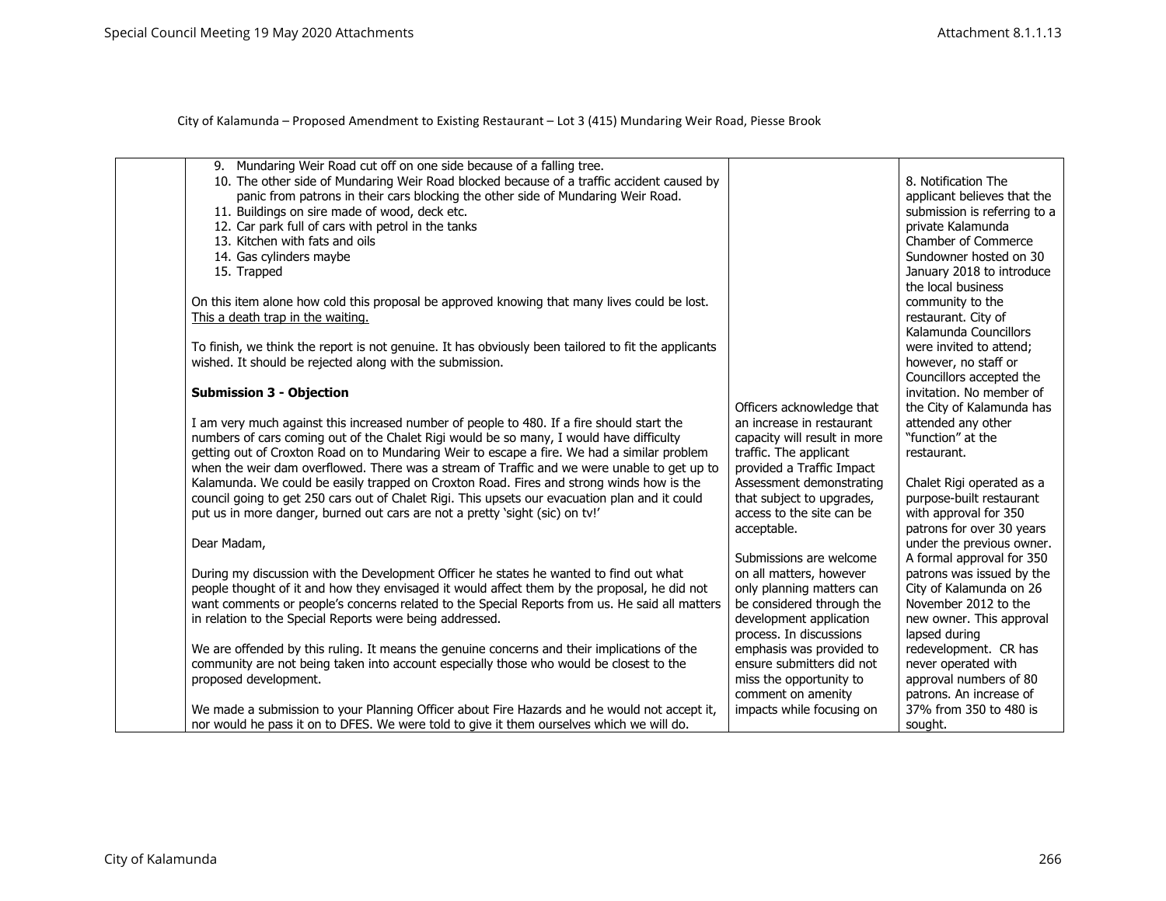| 9. Mundaring Weir Road cut off on one side because of a falling tree.<br>10. The other side of Mundaring Weir Road blocked because of a traffic accident caused by<br>panic from patrons in their cars blocking the other side of Mundaring Weir Road.<br>11. Buildings on sire made of wood, deck etc.<br>12. Car park full of cars with petrol in the tanks<br>13. Kitchen with fats and oils<br>14. Gas cylinders maybe<br>15. Trapped<br>On this item alone how cold this proposal be approved knowing that many lives could be lost.<br>This a death trap in the waiting.<br>To finish, we think the report is not genuine. It has obviously been tailored to fit the applicants<br>wished. It should be rejected along with the submission.<br><b>Submission 3 - Objection</b>                                                                                                                                                                                                                                                    |                                                                                                                                                                                                                                                                                                                                                                                                                          | 8. Notification The<br>applicant believes that the<br>submission is referring to a<br>private Kalamunda<br>Chamber of Commerce<br>Sundowner hosted on 30<br>January 2018 to introduce<br>the local business<br>community to the<br>restaurant. City of<br>Kalamunda Councillors<br>were invited to attend;<br>however, no staff or<br>Councillors accepted the<br>invitation. No member of |
|-----------------------------------------------------------------------------------------------------------------------------------------------------------------------------------------------------------------------------------------------------------------------------------------------------------------------------------------------------------------------------------------------------------------------------------------------------------------------------------------------------------------------------------------------------------------------------------------------------------------------------------------------------------------------------------------------------------------------------------------------------------------------------------------------------------------------------------------------------------------------------------------------------------------------------------------------------------------------------------------------------------------------------------------|--------------------------------------------------------------------------------------------------------------------------------------------------------------------------------------------------------------------------------------------------------------------------------------------------------------------------------------------------------------------------------------------------------------------------|--------------------------------------------------------------------------------------------------------------------------------------------------------------------------------------------------------------------------------------------------------------------------------------------------------------------------------------------------------------------------------------------|
| I am very much against this increased number of people to 480. If a fire should start the<br>numbers of cars coming out of the Chalet Rigi would be so many, I would have difficulty<br>getting out of Croxton Road on to Mundaring Weir to escape a fire. We had a similar problem<br>when the weir dam overflowed. There was a stream of Traffic and we were unable to get up to<br>Kalamunda. We could be easily trapped on Croxton Road. Fires and strong winds how is the<br>council going to get 250 cars out of Chalet Rigi. This upsets our evacuation plan and it could<br>put us in more danger, burned out cars are not a pretty 'sight (sic) on tv!'<br>Dear Madam,<br>During my discussion with the Development Officer he states he wanted to find out what<br>people thought of it and how they envisaged it would affect them by the proposal, he did not<br>want comments or people's concerns related to the Special Reports from us. He said all matters<br>in relation to the Special Reports were being addressed. | Officers acknowledge that<br>an increase in restaurant<br>capacity will result in more<br>traffic. The applicant<br>provided a Traffic Impact<br>Assessment demonstrating<br>that subject to upgrades,<br>access to the site can be<br>acceptable.<br>Submissions are welcome<br>on all matters, however<br>only planning matters can<br>be considered through the<br>development application<br>process. In discussions | the City of Kalamunda has<br>attended any other<br>"function" at the<br>restaurant.<br>Chalet Rigi operated as a<br>purpose-built restaurant<br>with approval for 350<br>patrons for over 30 years<br>under the previous owner.<br>A formal approval for 350<br>patrons was issued by the<br>City of Kalamunda on 26<br>November 2012 to the<br>new owner. This approval<br>lapsed during  |
| We are offended by this ruling. It means the genuine concerns and their implications of the<br>community are not being taken into account especially those who would be closest to the<br>proposed development.                                                                                                                                                                                                                                                                                                                                                                                                                                                                                                                                                                                                                                                                                                                                                                                                                         | emphasis was provided to<br>ensure submitters did not<br>miss the opportunity to<br>comment on amenity                                                                                                                                                                                                                                                                                                                   | redevelopment. CR has<br>never operated with<br>approval numbers of 80<br>patrons. An increase of                                                                                                                                                                                                                                                                                          |
| We made a submission to your Planning Officer about Fire Hazards and he would not accept it,<br>nor would he pass it on to DFES. We were told to give it them ourselves which we will do.                                                                                                                                                                                                                                                                                                                                                                                                                                                                                                                                                                                                                                                                                                                                                                                                                                               | impacts while focusing on                                                                                                                                                                                                                                                                                                                                                                                                | 37% from 350 to 480 is<br>sought.                                                                                                                                                                                                                                                                                                                                                          |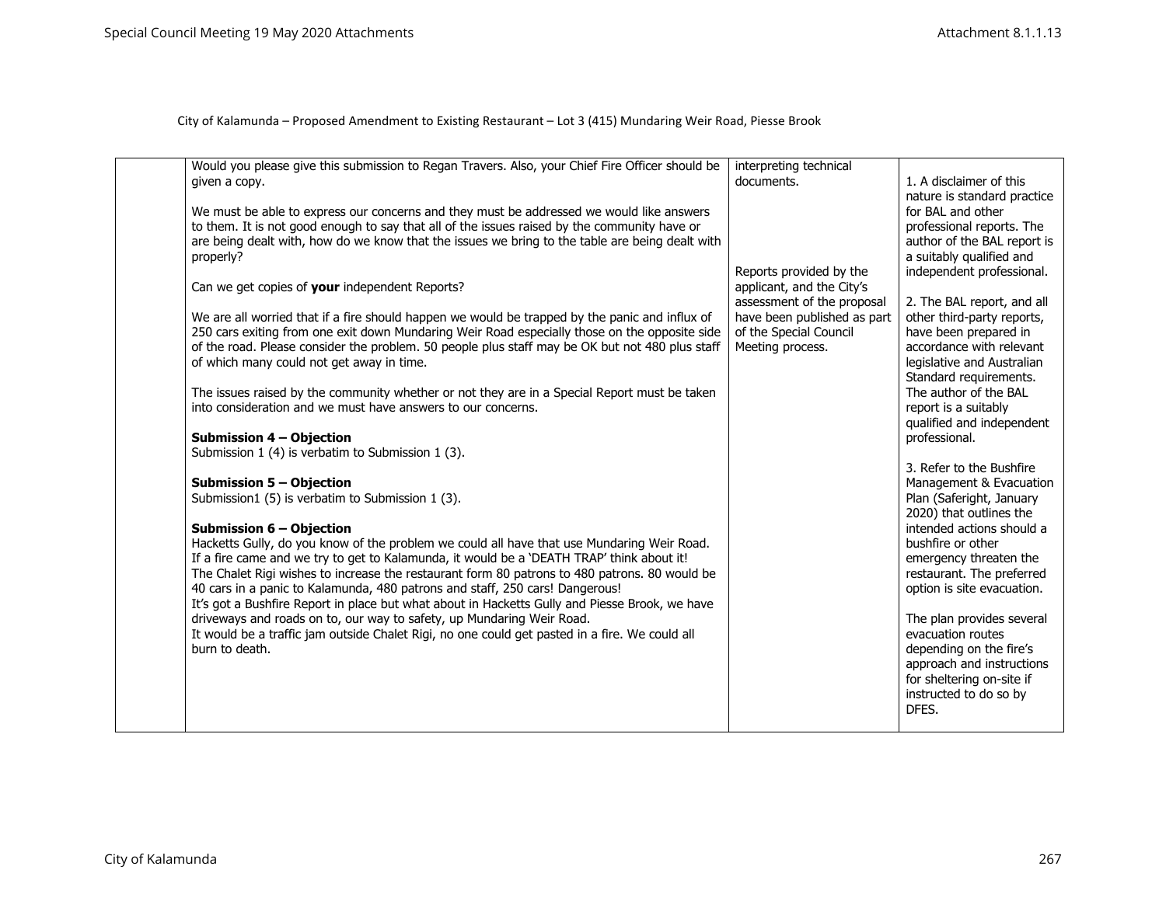| Would you please give this submission to Regan Travers. Also, your Chief Fire Officer should be<br>given a copy.<br>We must be able to express our concerns and they must be addressed we would like answers<br>to them. It is not good enough to say that all of the issues raised by the community have or<br>are being dealt with, how do we know that the issues we bring to the table are being dealt with<br>properly?<br>Can we get copies of your independent Reports?<br>We are all worried that if a fire should happen we would be trapped by the panic and influx of<br>250 cars exiting from one exit down Mundaring Weir Road especially those on the opposite side<br>of the road. Please consider the problem. 50 people plus staff may be OK but not 480 plus staff<br>of which many could not get away in time.<br>The issues raised by the community whether or not they are in a Special Report must be taken<br>into consideration and we must have answers to our concerns.<br>Submission 4 - Objection<br>Submission 1 (4) is verbatim to Submission 1 (3).<br><b>Submission 5 - Objection</b><br>Submission1 (5) is verbatim to Submission 1 (3).<br><b>Submission 6 - Objection</b><br>Hacketts Gully, do you know of the problem we could all have that use Mundaring Weir Road.<br>If a fire came and we try to get to Kalamunda, it would be a 'DEATH TRAP' think about it!<br>The Chalet Rigi wishes to increase the restaurant form 80 patrons to 480 patrons. 80 would be<br>40 cars in a panic to Kalamunda, 480 patrons and staff, 250 cars! Dangerous!<br>It's got a Bushfire Report in place but what about in Hacketts Gully and Piesse Brook, we have<br>driveways and roads on to, our way to safety, up Mundaring Weir Road.<br>It would be a traffic jam outside Chalet Rigi, no one could get pasted in a fire. We could all<br>burn to death. | interpreting technical<br>documents.<br>Reports provided by the<br>applicant, and the City's<br>assessment of the proposal<br>have been published as part<br>of the Special Council<br>Meeting process. | 1. A disclaimer of this<br>nature is standard practice<br>for BAL and other<br>professional reports. The<br>author of the BAL report is<br>a suitably qualified and<br>independent professional.<br>2. The BAL report, and all<br>other third-party reports,<br>have been prepared in<br>accordance with relevant<br>legislative and Australian<br>Standard requirements.<br>The author of the BAL<br>report is a suitably<br>qualified and independent<br>professional.<br>3. Refer to the Bushfire<br>Management & Evacuation<br>Plan (Saferight, January<br>2020) that outlines the<br>intended actions should a<br>bushfire or other<br>emergency threaten the<br>restaurant. The preferred<br>option is site evacuation.<br>The plan provides several<br>evacuation routes<br>depending on the fire's<br>approach and instructions<br>for sheltering on-site if<br>instructed to do so by<br>DFES. |
|-----------------------------------------------------------------------------------------------------------------------------------------------------------------------------------------------------------------------------------------------------------------------------------------------------------------------------------------------------------------------------------------------------------------------------------------------------------------------------------------------------------------------------------------------------------------------------------------------------------------------------------------------------------------------------------------------------------------------------------------------------------------------------------------------------------------------------------------------------------------------------------------------------------------------------------------------------------------------------------------------------------------------------------------------------------------------------------------------------------------------------------------------------------------------------------------------------------------------------------------------------------------------------------------------------------------------------------------------------------------------------------------------------------------------------------------------------------------------------------------------------------------------------------------------------------------------------------------------------------------------------------------------------------------------------------------------------------------------------------------------------------------------------------------------------------------------------------------------------------------------------------------|---------------------------------------------------------------------------------------------------------------------------------------------------------------------------------------------------------|---------------------------------------------------------------------------------------------------------------------------------------------------------------------------------------------------------------------------------------------------------------------------------------------------------------------------------------------------------------------------------------------------------------------------------------------------------------------------------------------------------------------------------------------------------------------------------------------------------------------------------------------------------------------------------------------------------------------------------------------------------------------------------------------------------------------------------------------------------------------------------------------------------|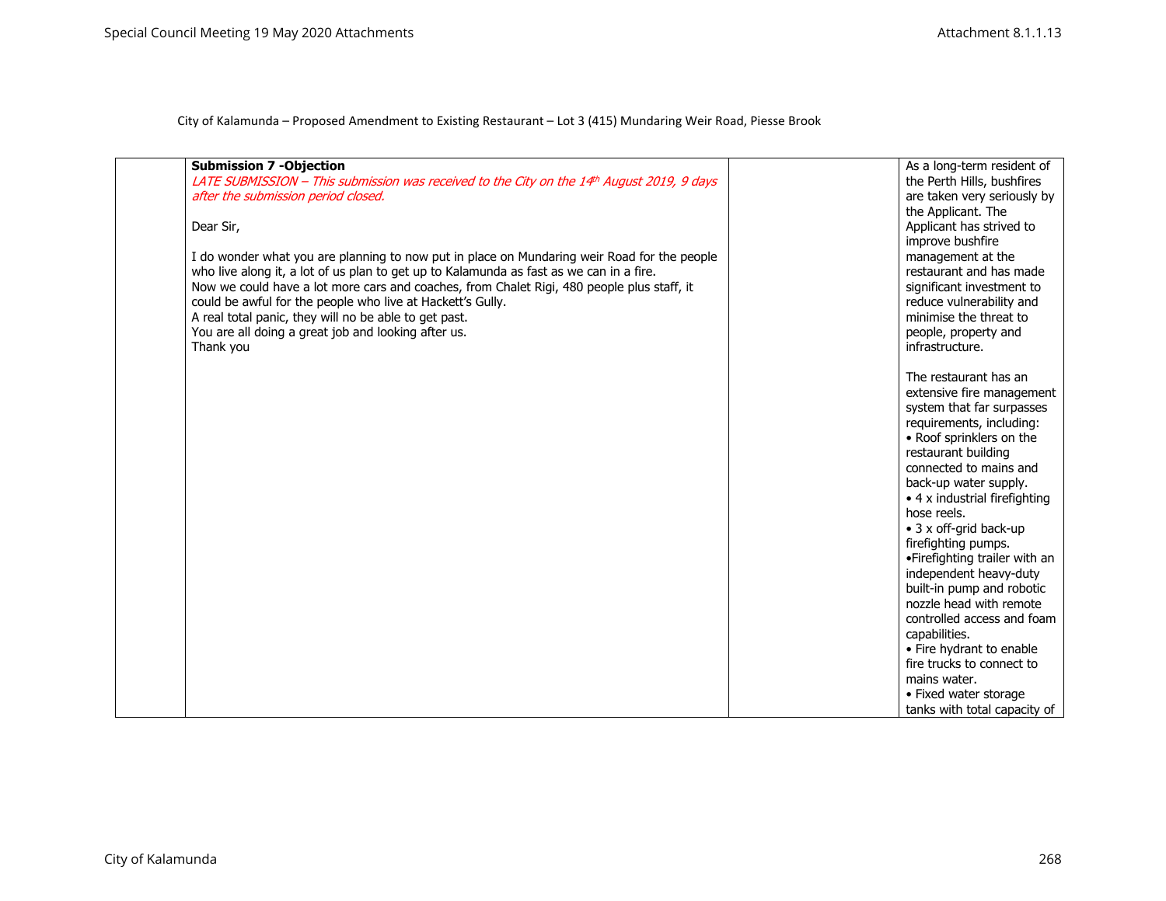| <b>Submission 7 -Objection</b>                                                              | As a long-term resident of            |
|---------------------------------------------------------------------------------------------|---------------------------------------|
| LATE SUBMISSION - This submission was received to the City on the 14th August 2019, 9 days  | the Perth Hills, bushfires            |
| after the submission period closed.                                                         | are taken very seriously by           |
|                                                                                             | the Applicant. The                    |
| Dear Sir,                                                                                   | Applicant has strived to              |
|                                                                                             | improve bushfire                      |
| I do wonder what you are planning to now put in place on Mundaring weir Road for the people | management at the                     |
| who live along it, a lot of us plan to get up to Kalamunda as fast as we can in a fire.     | restaurant and has made               |
| Now we could have a lot more cars and coaches, from Chalet Rigi, 480 people plus staff, it  | significant investment to             |
| could be awful for the people who live at Hackett's Gully.                                  | reduce vulnerability and              |
| A real total panic, they will no be able to get past.                                       | minimise the threat to                |
| You are all doing a great job and looking after us.                                         | people, property and                  |
| Thank you                                                                                   | infrastructure.                       |
|                                                                                             |                                       |
|                                                                                             | The restaurant has an                 |
|                                                                                             | extensive fire management             |
|                                                                                             | system that far surpasses             |
|                                                                                             | requirements, including:              |
|                                                                                             | • Roof sprinklers on the              |
|                                                                                             | restaurant building                   |
|                                                                                             | connected to mains and                |
|                                                                                             | back-up water supply.                 |
|                                                                                             | $\bullet$ 4 x industrial firefighting |
|                                                                                             | hose reels.                           |
|                                                                                             | • 3 x off-grid back-up                |
|                                                                                             | firefighting pumps.                   |
|                                                                                             | •Firefighting trailer with an         |
|                                                                                             | independent heavy-duty                |
|                                                                                             | built-in pump and robotic             |
|                                                                                             | nozzle head with remote               |
|                                                                                             | controlled access and foam            |
|                                                                                             | capabilities.                         |
|                                                                                             | • Fire hydrant to enable              |
|                                                                                             | fire trucks to connect to             |
|                                                                                             | mains water.                          |
|                                                                                             | • Fixed water storage                 |
|                                                                                             | tanks with total capacity of          |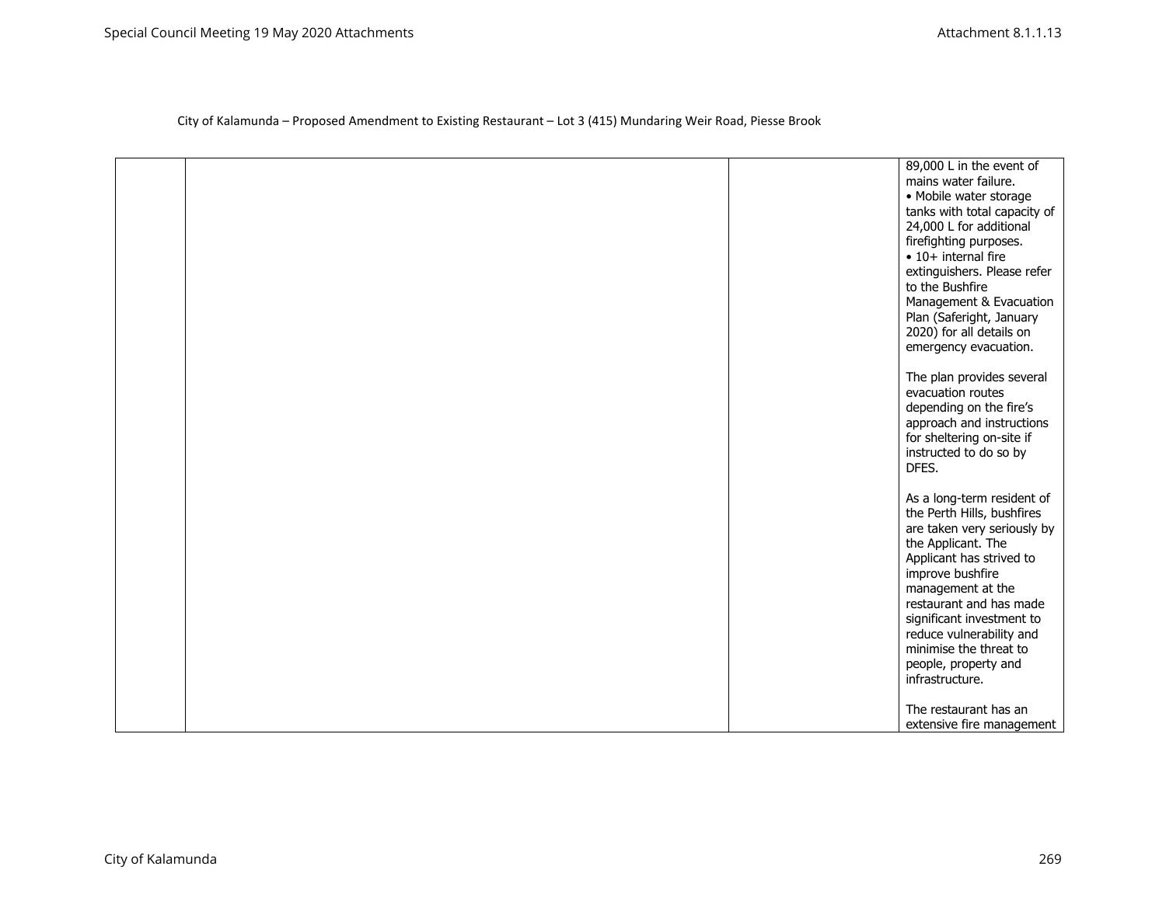| 89,000 L in the event of                       |
|------------------------------------------------|
| mains water failure.                           |
| · Mobile water storage                         |
| tanks with total capacity of                   |
| 24,000 L for additional                        |
| firefighting purposes.                         |
| $\bullet$ 10+ internal fire                    |
|                                                |
| extinguishers. Please refer<br>to the Bushfire |
|                                                |
| Management & Evacuation                        |
| Plan (Saferight, January                       |
| 2020) for all details on                       |
| emergency evacuation.                          |
| The plan provides several                      |
| evacuation routes                              |
| depending on the fire's                        |
| approach and instructions                      |
| for sheltering on-site if                      |
| instructed to do so by                         |
| DFES.                                          |
|                                                |
| As a long-term resident of                     |
| the Perth Hills, bushfires                     |
| are taken very seriously by                    |
| the Applicant. The                             |
| Applicant has strived to                       |
| improve bushfire                               |
| management at the                              |
| restaurant and has made                        |
| significant investment to                      |
| reduce vulnerability and                       |
| minimise the threat to                         |
| people, property and                           |
| infrastructure.                                |
| The restaurant has an                          |
| extensive fire management                      |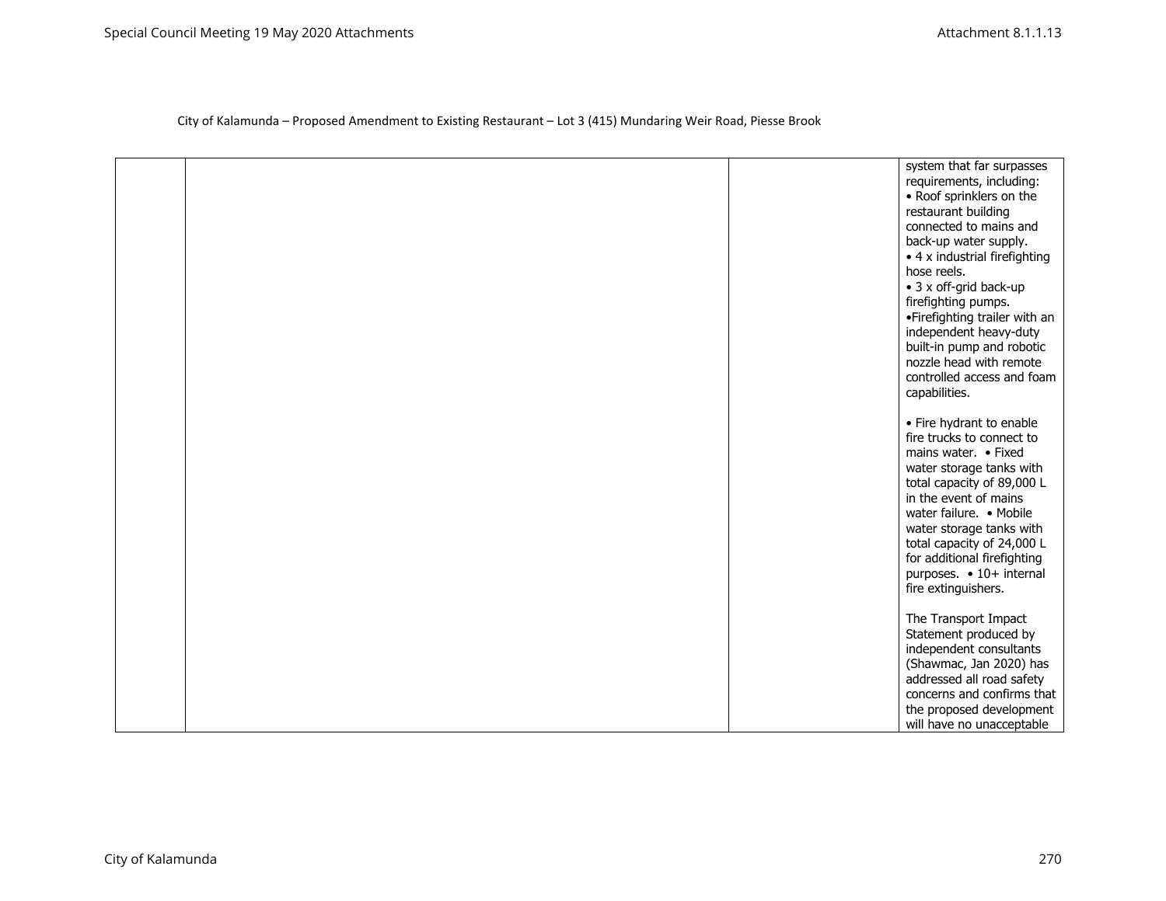|  | system that far surpasses<br>requirements, including:<br>• Roof sprinklers on the<br>restaurant building<br>connected to mains and<br>back-up water supply.<br>• 4 x industrial firefighting<br>hose reels.<br>• 3 x off-grid back-up<br>firefighting pumps.<br>•Firefighting trailer with an<br>independent heavy-duty<br>built-in pump and robotic<br>nozzle head with remote<br>controlled access and foam<br>capabilities. |
|--|--------------------------------------------------------------------------------------------------------------------------------------------------------------------------------------------------------------------------------------------------------------------------------------------------------------------------------------------------------------------------------------------------------------------------------|
|  | • Fire hydrant to enable<br>fire trucks to connect to<br>mains water. • Fixed<br>water storage tanks with<br>total capacity of 89,000 L<br>in the event of mains<br>water failure. • Mobile<br>water storage tanks with<br>total capacity of 24,000 L<br>for additional firefighting<br>purposes. • 10+ internal<br>fire extinguishers.                                                                                        |
|  | The Transport Impact<br>Statement produced by<br>independent consultants<br>(Shawmac, Jan 2020) has<br>addressed all road safety<br>concerns and confirms that<br>the proposed development<br>will have no unacceptable                                                                                                                                                                                                        |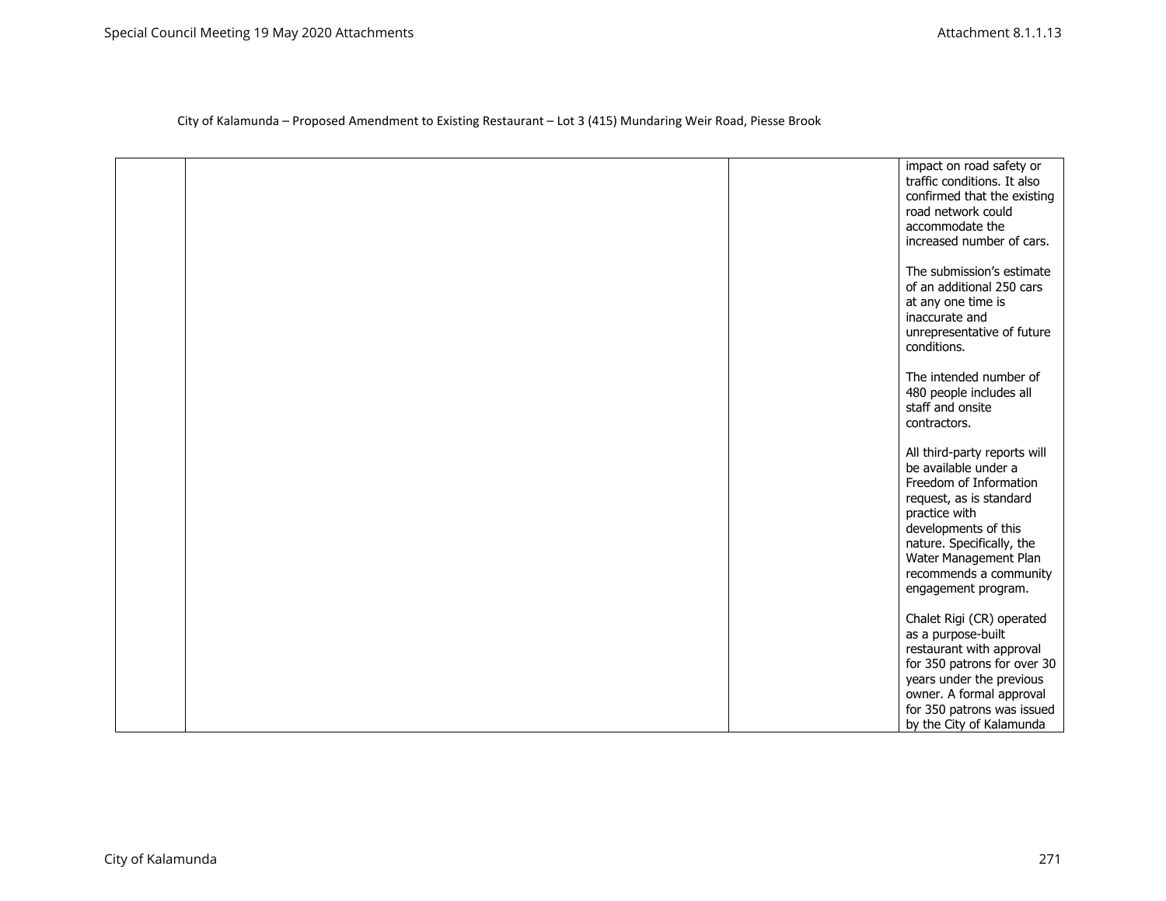|  | impact on road safety or<br>traffic conditions. It also<br>confirmed that the existing<br>road network could<br>accommodate the<br>increased number of cars.                                                                                              |
|--|-----------------------------------------------------------------------------------------------------------------------------------------------------------------------------------------------------------------------------------------------------------|
|  | The submission's estimate<br>of an additional 250 cars<br>at any one time is<br>inaccurate and<br>unrepresentative of future<br>conditions.                                                                                                               |
|  | The intended number of<br>480 people includes all<br>staff and onsite<br>contractors.                                                                                                                                                                     |
|  | All third-party reports will<br>be available under a<br>Freedom of Information<br>request, as is standard<br>practice with<br>developments of this<br>nature. Specifically, the<br>Water Management Plan<br>recommends a community<br>engagement program. |
|  | Chalet Rigi (CR) operated<br>as a purpose-built<br>restaurant with approval<br>for 350 patrons for over 30<br>years under the previous<br>owner. A formal approval<br>for 350 patrons was issued<br>by the City of Kalamunda                              |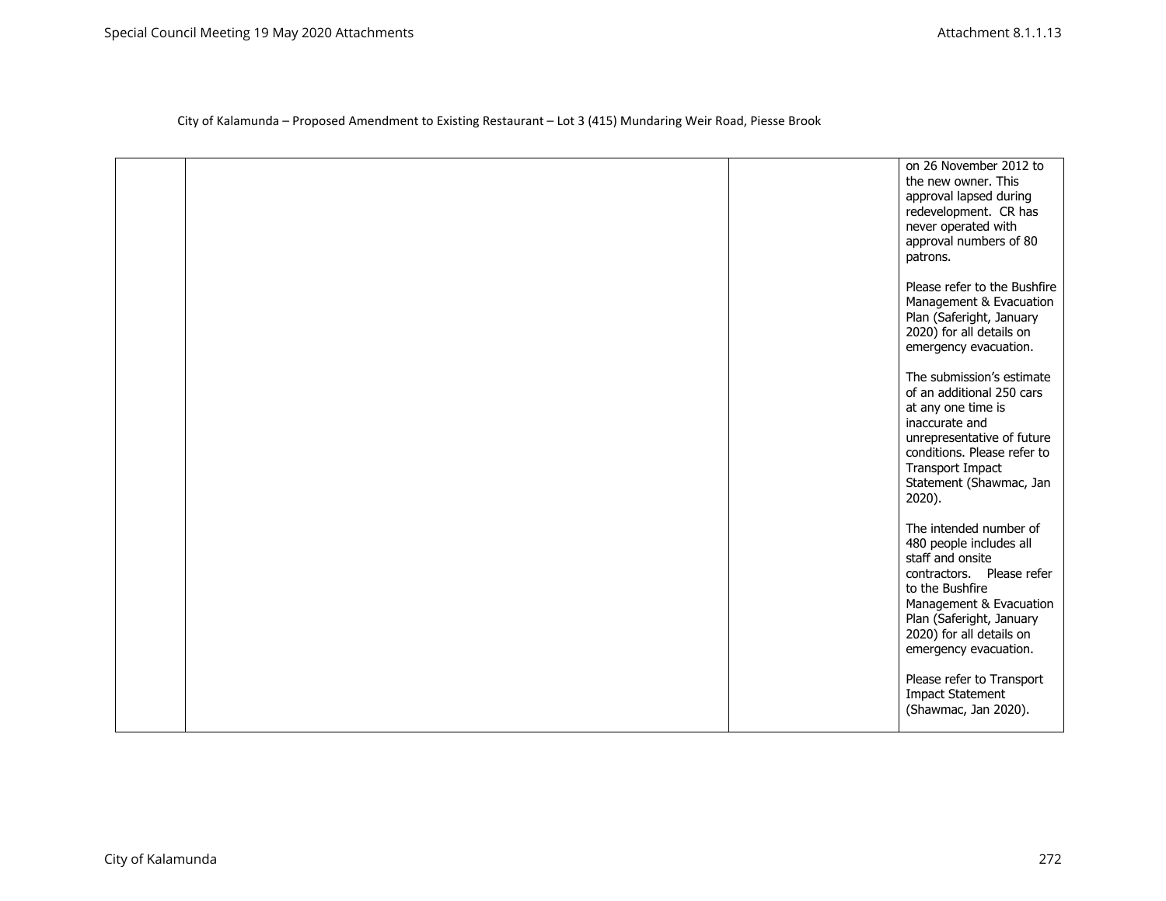|  | on 26 November 2012 to<br>the new owner. This<br>approval lapsed during<br>redevelopment. CR has<br>never operated with<br>approval numbers of 80<br>patrons.                                                                     |
|--|-----------------------------------------------------------------------------------------------------------------------------------------------------------------------------------------------------------------------------------|
|  | Please refer to the Bushfire<br>Management & Evacuation<br>Plan (Saferight, January<br>2020) for all details on<br>emergency evacuation.                                                                                          |
|  | The submission's estimate<br>of an additional 250 cars<br>at any one time is<br>inaccurate and<br>unrepresentative of future<br>conditions. Please refer to<br>Transport Impact<br>Statement (Shawmac, Jan<br>2020).              |
|  | The intended number of<br>480 people includes all<br>staff and onsite<br>contractors. Please refer<br>to the Bushfire<br>Management & Evacuation<br>Plan (Saferight, January<br>2020) for all details on<br>emergency evacuation. |
|  | Please refer to Transport<br><b>Impact Statement</b><br>(Shawmac, Jan 2020).                                                                                                                                                      |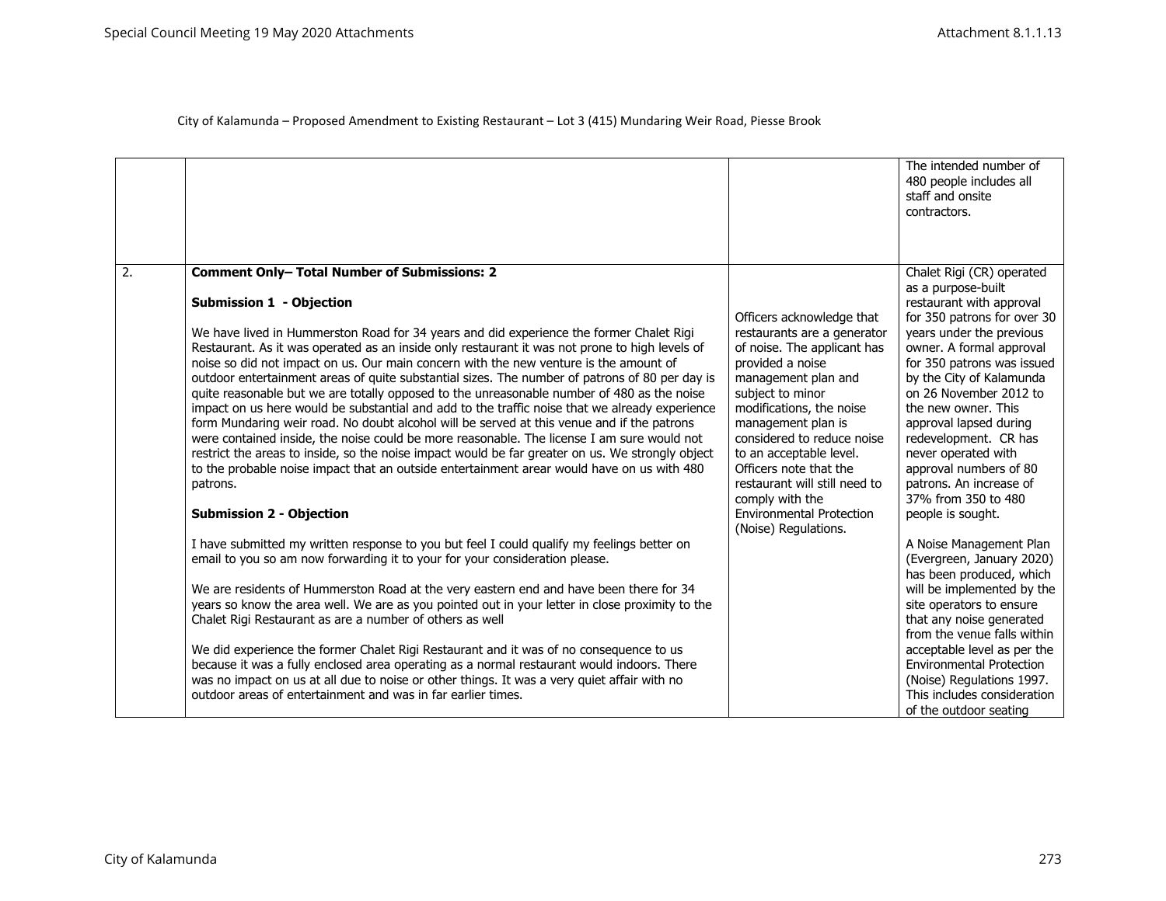|    |                                                                                                                                                                                                                                                                                                                                                                                                                                                                                                                                                                                                                                                                                                                                                                                                                                                                                                                                                                                                                                   |                                                                                                                                                                                                                                                                                                                                                                               | The intended number of<br>480 people includes all<br>staff and onsite<br>contractors.                                                                                                                                                                                                                                                      |
|----|-----------------------------------------------------------------------------------------------------------------------------------------------------------------------------------------------------------------------------------------------------------------------------------------------------------------------------------------------------------------------------------------------------------------------------------------------------------------------------------------------------------------------------------------------------------------------------------------------------------------------------------------------------------------------------------------------------------------------------------------------------------------------------------------------------------------------------------------------------------------------------------------------------------------------------------------------------------------------------------------------------------------------------------|-------------------------------------------------------------------------------------------------------------------------------------------------------------------------------------------------------------------------------------------------------------------------------------------------------------------------------------------------------------------------------|--------------------------------------------------------------------------------------------------------------------------------------------------------------------------------------------------------------------------------------------------------------------------------------------------------------------------------------------|
| 2. | <b>Comment Only- Total Number of Submissions: 2</b><br><b>Submission 1 - Objection</b>                                                                                                                                                                                                                                                                                                                                                                                                                                                                                                                                                                                                                                                                                                                                                                                                                                                                                                                                            | Officers acknowledge that                                                                                                                                                                                                                                                                                                                                                     | Chalet Rigi (CR) operated<br>as a purpose-built<br>restaurant with approval<br>for 350 patrons for over 30                                                                                                                                                                                                                                 |
|    | We have lived in Hummerston Road for 34 years and did experience the former Chalet Rigi<br>Restaurant. As it was operated as an inside only restaurant it was not prone to high levels of<br>noise so did not impact on us. Our main concern with the new venture is the amount of<br>outdoor entertainment areas of quite substantial sizes. The number of patrons of 80 per day is<br>quite reasonable but we are totally opposed to the unreasonable number of 480 as the noise<br>impact on us here would be substantial and add to the traffic noise that we already experience<br>form Mundaring weir road. No doubt alcohol will be served at this venue and if the patrons<br>were contained inside, the noise could be more reasonable. The license I am sure would not<br>restrict the areas to inside, so the noise impact would be far greater on us. We strongly object<br>to the probable noise impact that an outside entertainment arear would have on us with 480<br>patrons.<br><b>Submission 2 - Objection</b> | restaurants are a generator<br>of noise. The applicant has<br>provided a noise<br>management plan and<br>subject to minor<br>modifications, the noise<br>management plan is<br>considered to reduce noise<br>to an acceptable level.<br>Officers note that the<br>restaurant will still need to<br>comply with the<br><b>Environmental Protection</b><br>(Noise) Regulations. | years under the previous<br>owner. A formal approval<br>for 350 patrons was issued<br>by the City of Kalamunda<br>on 26 November 2012 to<br>the new owner. This<br>approval lapsed during<br>redevelopment. CR has<br>never operated with<br>approval numbers of 80<br>patrons. An increase of<br>37% from 350 to 480<br>people is sought. |
|    | I have submitted my written response to you but feel I could qualify my feelings better on<br>email to you so am now forwarding it to your for your consideration please.<br>We are residents of Hummerston Road at the very eastern end and have been there for 34                                                                                                                                                                                                                                                                                                                                                                                                                                                                                                                                                                                                                                                                                                                                                               |                                                                                                                                                                                                                                                                                                                                                                               | A Noise Management Plan<br>(Evergreen, January 2020)<br>has been produced, which<br>will be implemented by the                                                                                                                                                                                                                             |
|    | years so know the area well. We are as you pointed out in your letter in close proximity to the<br>Chalet Rigi Restaurant as are a number of others as well                                                                                                                                                                                                                                                                                                                                                                                                                                                                                                                                                                                                                                                                                                                                                                                                                                                                       |                                                                                                                                                                                                                                                                                                                                                                               | site operators to ensure<br>that any noise generated<br>from the venue falls within                                                                                                                                                                                                                                                        |
|    | We did experience the former Chalet Rigi Restaurant and it was of no consequence to us<br>because it was a fully enclosed area operating as a normal restaurant would indoors. There<br>was no impact on us at all due to noise or other things. It was a very quiet affair with no<br>outdoor areas of entertainment and was in far earlier times.                                                                                                                                                                                                                                                                                                                                                                                                                                                                                                                                                                                                                                                                               |                                                                                                                                                                                                                                                                                                                                                                               | acceptable level as per the<br><b>Environmental Protection</b><br>(Noise) Regulations 1997.<br>This includes consideration<br>of the outdoor seating                                                                                                                                                                                       |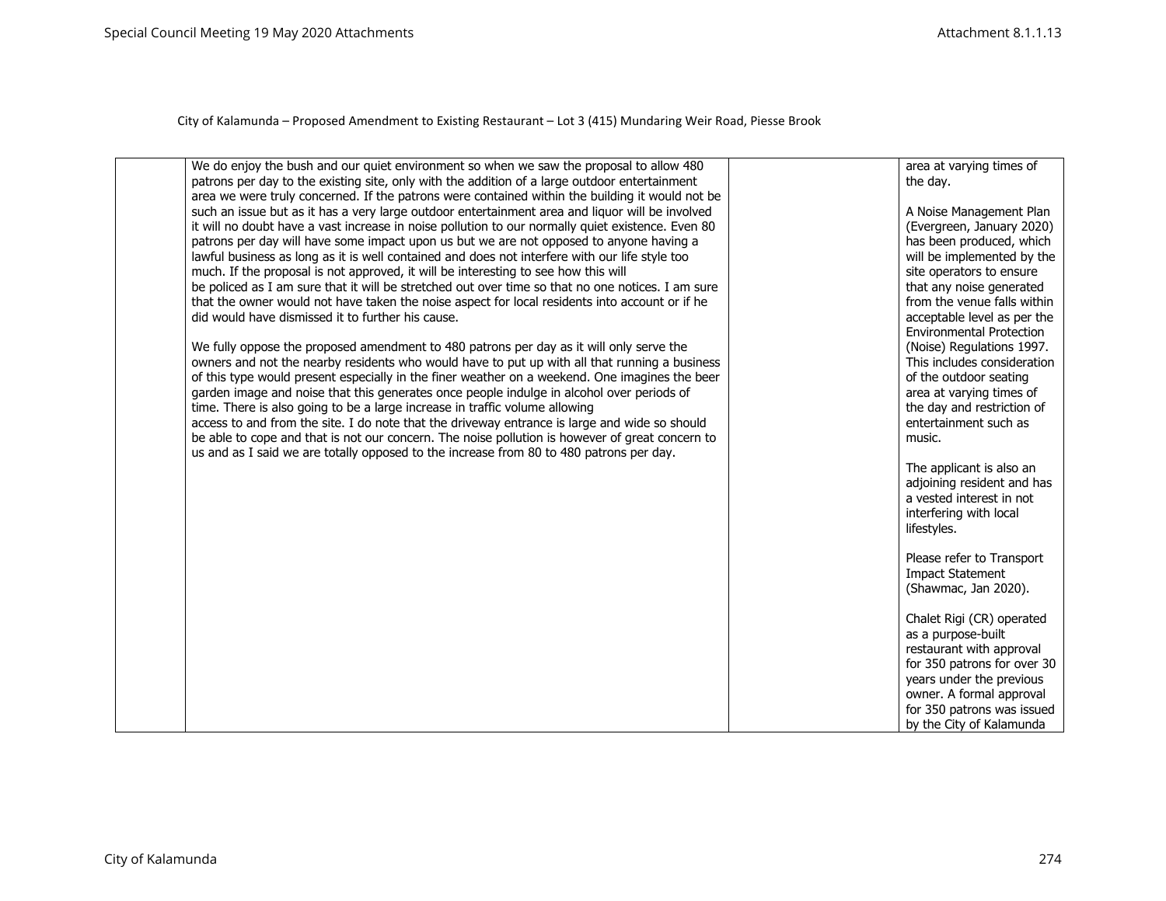| We do enjoy the bush and our quiet environment so when we saw the proposal to allow 480<br>patrons per day to the existing site, only with the addition of a large outdoor entertainment<br>area we were truly concerned. If the patrons were contained within the building it would not be<br>such an issue but as it has a very large outdoor entertainment area and liquor will be involved<br>it will no doubt have a vast increase in noise pollution to our normally quiet existence. Even 80<br>patrons per day will have some impact upon us but we are not opposed to anyone having a<br>lawful business as long as it is well contained and does not interfere with our life style too<br>much. If the proposal is not approved, it will be interesting to see how this will<br>be policed as I am sure that it will be stretched out over time so that no one notices. I am sure<br>that the owner would not have taken the noise aspect for local residents into account or if he<br>did would have dismissed it to further his cause.<br>We fully oppose the proposed amendment to 480 patrons per day as it will only serve the<br>owners and not the nearby residents who would have to put up with all that running a business<br>of this type would present especially in the finer weather on a weekend. One imagines the beer<br>garden image and noise that this generates once people indulge in alcohol over periods of | area at varying times of<br>the day.<br>A Noise Management Plan<br>(Evergreen, January 2020)<br>has been produced, which<br>will be implemented by the<br>site operators to ensure<br>that any noise generated<br>from the venue falls within<br>acceptable level as per the<br><b>Environmental Protection</b><br>(Noise) Regulations 1997.<br>This includes consideration<br>of the outdoor seating<br>area at varying times of |
|-----------------------------------------------------------------------------------------------------------------------------------------------------------------------------------------------------------------------------------------------------------------------------------------------------------------------------------------------------------------------------------------------------------------------------------------------------------------------------------------------------------------------------------------------------------------------------------------------------------------------------------------------------------------------------------------------------------------------------------------------------------------------------------------------------------------------------------------------------------------------------------------------------------------------------------------------------------------------------------------------------------------------------------------------------------------------------------------------------------------------------------------------------------------------------------------------------------------------------------------------------------------------------------------------------------------------------------------------------------------------------------------------------------------------------------------------|-----------------------------------------------------------------------------------------------------------------------------------------------------------------------------------------------------------------------------------------------------------------------------------------------------------------------------------------------------------------------------------------------------------------------------------|
|                                                                                                                                                                                                                                                                                                                                                                                                                                                                                                                                                                                                                                                                                                                                                                                                                                                                                                                                                                                                                                                                                                                                                                                                                                                                                                                                                                                                                                               |                                                                                                                                                                                                                                                                                                                                                                                                                                   |
| time. There is also going to be a large increase in traffic volume allowing<br>access to and from the site. I do note that the driveway entrance is large and wide so should<br>be able to cope and that is not our concern. The noise pollution is however of great concern to<br>us and as I said we are totally opposed to the increase from 80 to 480 patrons per day.                                                                                                                                                                                                                                                                                                                                                                                                                                                                                                                                                                                                                                                                                                                                                                                                                                                                                                                                                                                                                                                                    | the day and restriction of<br>entertainment such as<br>music.                                                                                                                                                                                                                                                                                                                                                                     |
|                                                                                                                                                                                                                                                                                                                                                                                                                                                                                                                                                                                                                                                                                                                                                                                                                                                                                                                                                                                                                                                                                                                                                                                                                                                                                                                                                                                                                                               | The applicant is also an<br>adjoining resident and has<br>a vested interest in not<br>interfering with local<br>lifestyles.                                                                                                                                                                                                                                                                                                       |
|                                                                                                                                                                                                                                                                                                                                                                                                                                                                                                                                                                                                                                                                                                                                                                                                                                                                                                                                                                                                                                                                                                                                                                                                                                                                                                                                                                                                                                               | Please refer to Transport<br><b>Impact Statement</b><br>(Shawmac, Jan 2020).                                                                                                                                                                                                                                                                                                                                                      |
|                                                                                                                                                                                                                                                                                                                                                                                                                                                                                                                                                                                                                                                                                                                                                                                                                                                                                                                                                                                                                                                                                                                                                                                                                                                                                                                                                                                                                                               | Chalet Rigi (CR) operated<br>as a purpose-built<br>restaurant with approval<br>for 350 patrons for over 30<br>years under the previous<br>owner. A formal approval<br>for 350 patrons was issued                                                                                                                                                                                                                                  |
|                                                                                                                                                                                                                                                                                                                                                                                                                                                                                                                                                                                                                                                                                                                                                                                                                                                                                                                                                                                                                                                                                                                                                                                                                                                                                                                                                                                                                                               | by the City of Kalamunda                                                                                                                                                                                                                                                                                                                                                                                                          |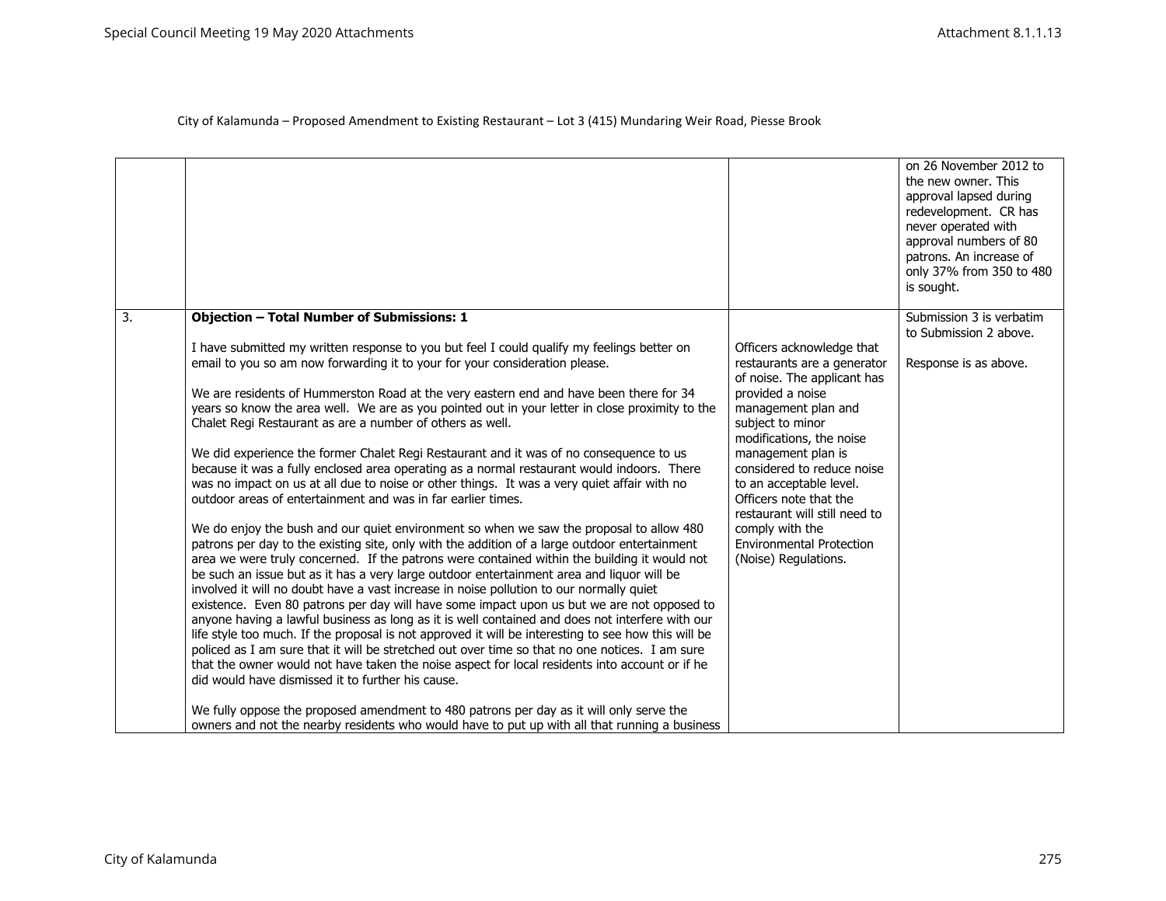|                  |                                                                                                                                                                                                                                                                                                                                                                                                                                                                                                          |                                                                                                                                        | on 26 November 2012 to<br>the new owner. This<br>approval lapsed during<br>redevelopment. CR has<br>never operated with<br>approval numbers of 80<br>patrons. An increase of<br>only 37% from 350 to 480<br>is sought. |
|------------------|----------------------------------------------------------------------------------------------------------------------------------------------------------------------------------------------------------------------------------------------------------------------------------------------------------------------------------------------------------------------------------------------------------------------------------------------------------------------------------------------------------|----------------------------------------------------------------------------------------------------------------------------------------|------------------------------------------------------------------------------------------------------------------------------------------------------------------------------------------------------------------------|
| $\overline{3}$ . | <b>Objection - Total Number of Submissions: 1</b>                                                                                                                                                                                                                                                                                                                                                                                                                                                        |                                                                                                                                        | Submission 3 is verbatim<br>to Submission 2 above.                                                                                                                                                                     |
|                  | I have submitted my written response to you but feel I could qualify my feelings better on<br>email to you so am now forwarding it to your for your consideration please.                                                                                                                                                                                                                                                                                                                                | Officers acknowledge that<br>restaurants are a generator<br>of noise. The applicant has                                                | Response is as above.                                                                                                                                                                                                  |
|                  | We are residents of Hummerston Road at the very eastern end and have been there for 34<br>years so know the area well. We are as you pointed out in your letter in close proximity to the<br>Chalet Regi Restaurant as are a number of others as well.                                                                                                                                                                                                                                                   | provided a noise<br>management plan and<br>subject to minor<br>modifications, the noise                                                |                                                                                                                                                                                                                        |
|                  | We did experience the former Chalet Regi Restaurant and it was of no consequence to us<br>because it was a fully enclosed area operating as a normal restaurant would indoors. There<br>was no impact on us at all due to noise or other things. It was a very quiet affair with no<br>outdoor areas of entertainment and was in far earlier times.                                                                                                                                                      | management plan is<br>considered to reduce noise<br>to an acceptable level.<br>Officers note that the<br>restaurant will still need to |                                                                                                                                                                                                                        |
|                  | We do enjoy the bush and our quiet environment so when we saw the proposal to allow 480<br>patrons per day to the existing site, only with the addition of a large outdoor entertainment<br>area we were truly concerned. If the patrons were contained within the building it would not<br>be such an issue but as it has a very large outdoor entertainment area and liquor will be<br>involved it will no doubt have a vast increase in noise pollution to our normally quiet                         | comply with the<br><b>Environmental Protection</b><br>(Noise) Regulations.                                                             |                                                                                                                                                                                                                        |
|                  | existence. Even 80 patrons per day will have some impact upon us but we are not opposed to<br>anyone having a lawful business as long as it is well contained and does not interfere with our<br>life style too much. If the proposal is not approved it will be interesting to see how this will be<br>policed as I am sure that it will be stretched out over time so that no one notices. I am sure<br>that the owner would not have taken the noise aspect for local residents into account or if he |                                                                                                                                        |                                                                                                                                                                                                                        |
|                  | did would have dismissed it to further his cause.<br>We fully oppose the proposed amendment to 480 patrons per day as it will only serve the                                                                                                                                                                                                                                                                                                                                                             |                                                                                                                                        |                                                                                                                                                                                                                        |
|                  | owners and not the nearby residents who would have to put up with all that running a business                                                                                                                                                                                                                                                                                                                                                                                                            |                                                                                                                                        |                                                                                                                                                                                                                        |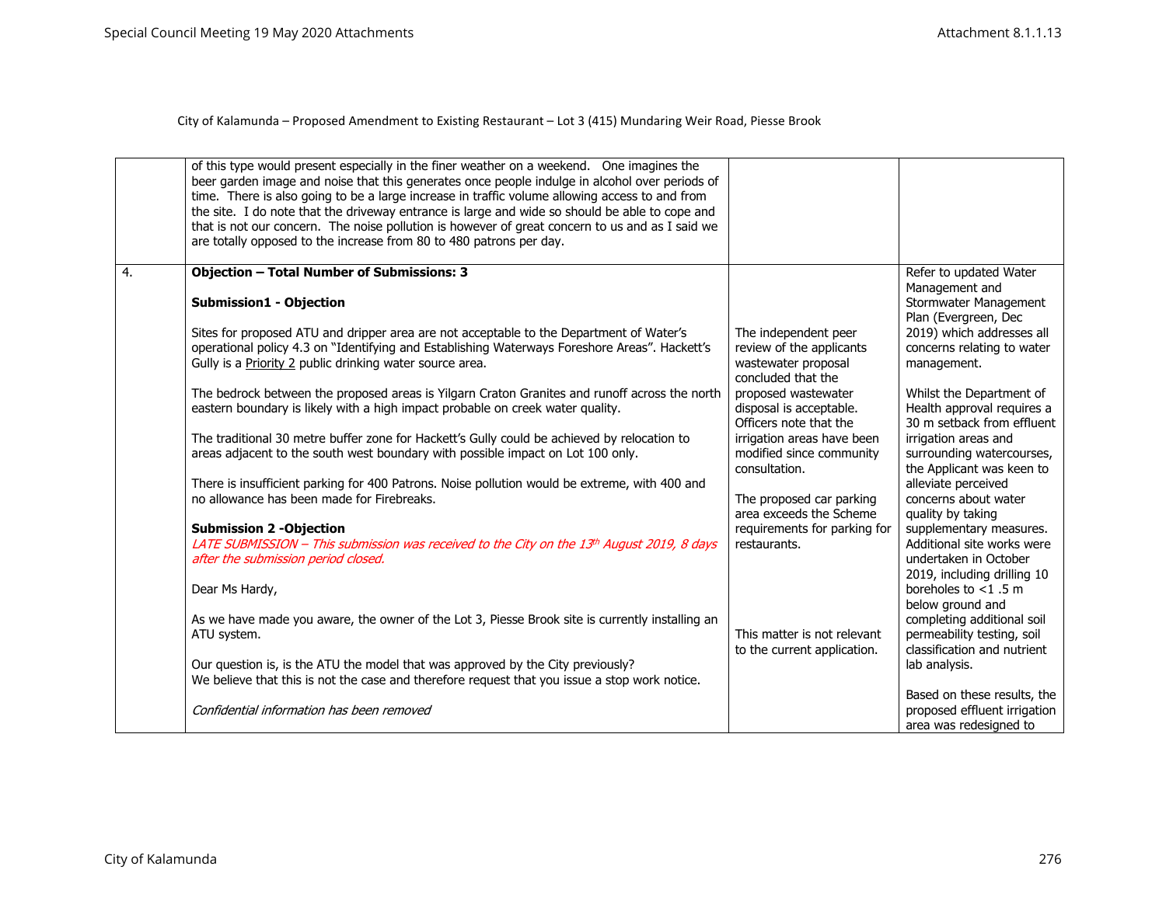|    | of this type would present especially in the finer weather on a weekend. One imagines the<br>beer garden image and noise that this generates once people indulge in alcohol over periods of<br>time. There is also going to be a large increase in traffic volume allowing access to and from<br>the site. I do note that the driveway entrance is large and wide so should be able to cope and<br>that is not our concern. The noise pollution is however of great concern to us and as I said we<br>are totally opposed to the increase from 80 to 480 patrons per day. |                                                                          |                                                                                                             |
|----|---------------------------------------------------------------------------------------------------------------------------------------------------------------------------------------------------------------------------------------------------------------------------------------------------------------------------------------------------------------------------------------------------------------------------------------------------------------------------------------------------------------------------------------------------------------------------|--------------------------------------------------------------------------|-------------------------------------------------------------------------------------------------------------|
|    |                                                                                                                                                                                                                                                                                                                                                                                                                                                                                                                                                                           |                                                                          |                                                                                                             |
| 4. | <b>Objection - Total Number of Submissions: 3</b><br><b>Submission1 - Objection</b>                                                                                                                                                                                                                                                                                                                                                                                                                                                                                       |                                                                          | Refer to updated Water<br>Management and<br>Stormwater Management<br>Plan (Evergreen, Dec                   |
|    | Sites for proposed ATU and dripper area are not acceptable to the Department of Water's<br>operational policy 4.3 on "Identifying and Establishing Waterways Foreshore Areas". Hackett's                                                                                                                                                                                                                                                                                                                                                                                  | The independent peer<br>review of the applicants                         | 2019) which addresses all<br>concerns relating to water                                                     |
|    | Gully is a Priority 2 public drinking water source area.                                                                                                                                                                                                                                                                                                                                                                                                                                                                                                                  | wastewater proposal<br>concluded that the                                | management.                                                                                                 |
|    | The bedrock between the proposed areas is Yilgarn Craton Granites and runoff across the north<br>eastern boundary is likely with a high impact probable on creek water quality.                                                                                                                                                                                                                                                                                                                                                                                           | proposed wastewater<br>disposal is acceptable.<br>Officers note that the | Whilst the Department of<br>Health approval requires a<br>30 m setback from effluent                        |
|    | The traditional 30 metre buffer zone for Hackett's Gully could be achieved by relocation to<br>areas adjacent to the south west boundary with possible impact on Lot 100 only.                                                                                                                                                                                                                                                                                                                                                                                            | irrigation areas have been<br>modified since community<br>consultation.  | irrigation areas and<br>surrounding watercourses,<br>the Applicant was keen to                              |
|    | There is insufficient parking for 400 Patrons. Noise pollution would be extreme, with 400 and<br>no allowance has been made for Firebreaks.                                                                                                                                                                                                                                                                                                                                                                                                                               | The proposed car parking<br>area exceeds the Scheme                      | alleviate perceived<br>concerns about water                                                                 |
|    | <b>Submission 2 -Objection</b>                                                                                                                                                                                                                                                                                                                                                                                                                                                                                                                                            | requirements for parking for                                             | quality by taking<br>supplementary measures.                                                                |
|    | LATE SUBMISSION - This submission was received to the City on the 13th August 2019, 8 days<br>after the submission period closed.                                                                                                                                                                                                                                                                                                                                                                                                                                         | restaurants.                                                             | Additional site works were<br>undertaken in October<br>2019, including drilling 10                          |
|    | Dear Ms Hardy,                                                                                                                                                                                                                                                                                                                                                                                                                                                                                                                                                            |                                                                          | boreholes to $<$ 1.5 m                                                                                      |
|    | As we have made you aware, the owner of the Lot 3, Piesse Brook site is currently installing an<br>ATU system.                                                                                                                                                                                                                                                                                                                                                                                                                                                            | This matter is not relevant<br>to the current application.               | below ground and<br>completing additional soil<br>permeability testing, soil<br>classification and nutrient |
|    | Our question is, is the ATU the model that was approved by the City previously?<br>We believe that this is not the case and therefore request that you issue a stop work notice.                                                                                                                                                                                                                                                                                                                                                                                          |                                                                          | lab analysis.                                                                                               |
|    | Confidential information has been removed                                                                                                                                                                                                                                                                                                                                                                                                                                                                                                                                 |                                                                          | Based on these results, the<br>proposed effluent irrigation<br>area was redesigned to                       |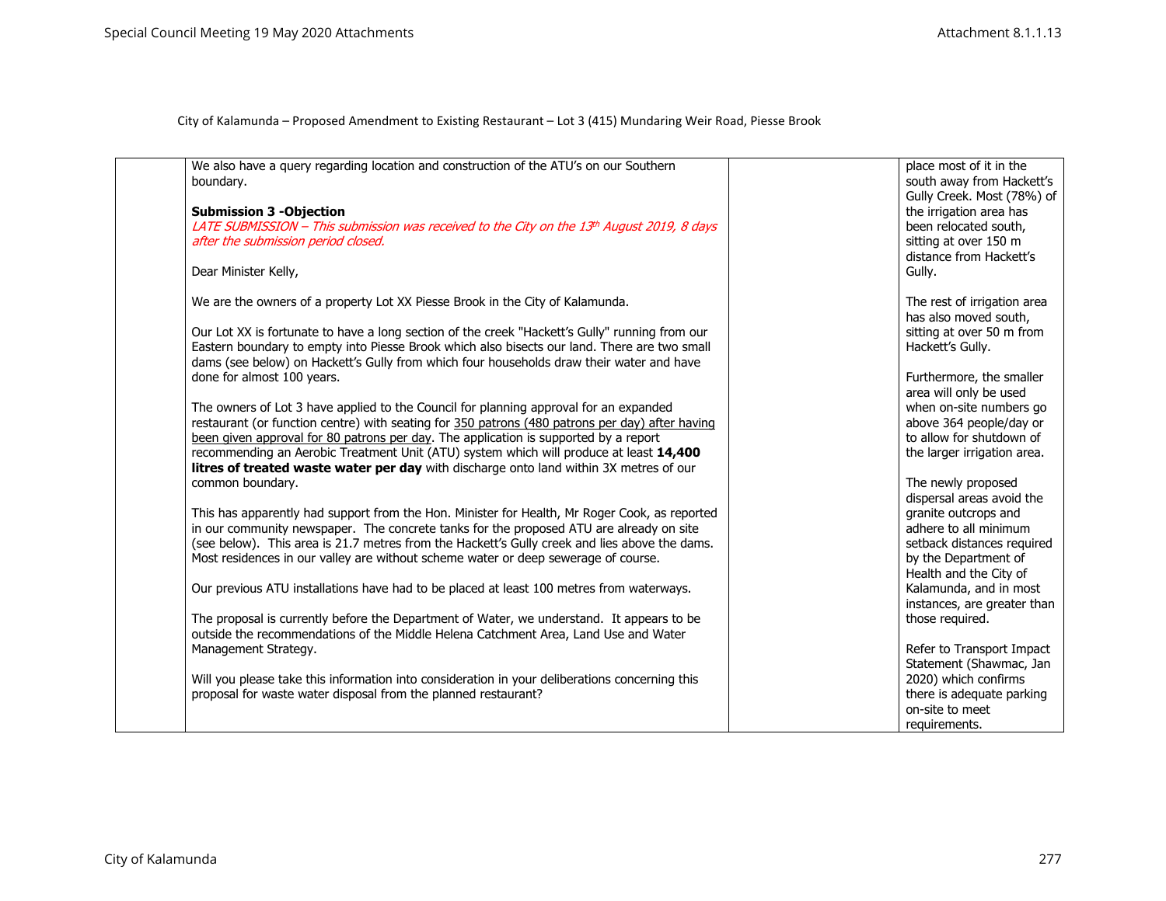| We also have a query regarding location and construction of the ATU's on our Southern<br>boundary.<br><b>Submission 3 -Objection</b><br>LATE SUBMISSION - This submission was received to the City on the 13th August 2019, 8 days<br>after the submission period closed.<br>Dear Minister Kelly,                                                                                                                                                                                                                                                                                                                                                                                                                                                                                                                                                                                                                                                                                                                                                                                                                                                                                                                                                                                                                                                                                                                                                                                                                                                                                                                                                                                                                                                                    | place most of it in the<br>south away from Hackett's<br>Gully Creek. Most (78%) of<br>the irrigation area has<br>been relocated south,<br>sitting at over 150 m<br>distance from Hackett's<br>Gully.                                                                                                                                                                                                                                                                                                                                                                                                                                                      |
|----------------------------------------------------------------------------------------------------------------------------------------------------------------------------------------------------------------------------------------------------------------------------------------------------------------------------------------------------------------------------------------------------------------------------------------------------------------------------------------------------------------------------------------------------------------------------------------------------------------------------------------------------------------------------------------------------------------------------------------------------------------------------------------------------------------------------------------------------------------------------------------------------------------------------------------------------------------------------------------------------------------------------------------------------------------------------------------------------------------------------------------------------------------------------------------------------------------------------------------------------------------------------------------------------------------------------------------------------------------------------------------------------------------------------------------------------------------------------------------------------------------------------------------------------------------------------------------------------------------------------------------------------------------------------------------------------------------------------------------------------------------------|-----------------------------------------------------------------------------------------------------------------------------------------------------------------------------------------------------------------------------------------------------------------------------------------------------------------------------------------------------------------------------------------------------------------------------------------------------------------------------------------------------------------------------------------------------------------------------------------------------------------------------------------------------------|
| We are the owners of a property Lot XX Piesse Brook in the City of Kalamunda.<br>Our Lot XX is fortunate to have a long section of the creek "Hackett's Gully" running from our<br>Eastern boundary to empty into Piesse Brook which also bisects our land. There are two small<br>dams (see below) on Hackett's Gully from which four households draw their water and have<br>done for almost 100 years.<br>The owners of Lot 3 have applied to the Council for planning approval for an expanded<br>restaurant (or function centre) with seating for 350 patrons (480 patrons per day) after having<br>been given approval for 80 patrons per day. The application is supported by a report<br>recommending an Aerobic Treatment Unit (ATU) system which will produce at least 14,400<br>litres of treated waste water per day with discharge onto land within 3X metres of our<br>common boundary.<br>This has apparently had support from the Hon. Minister for Health, Mr Roger Cook, as reported<br>in our community newspaper. The concrete tanks for the proposed ATU are already on site<br>(see below). This area is 21.7 metres from the Hackett's Gully creek and lies above the dams.<br>Most residences in our valley are without scheme water or deep sewerage of course.<br>Our previous ATU installations have had to be placed at least 100 metres from waterways.<br>The proposal is currently before the Department of Water, we understand. It appears to be<br>outside the recommendations of the Middle Helena Catchment Area, Land Use and Water<br>Management Strategy.<br>Will you please take this information into consideration in your deliberations concerning this<br>proposal for waste water disposal from the planned restaurant? | The rest of irrigation area<br>has also moved south,<br>sitting at over 50 m from<br>Hackett's Gully.<br>Furthermore, the smaller<br>area will only be used<br>when on-site numbers go<br>above 364 people/day or<br>to allow for shutdown of<br>the larger irrigation area.<br>The newly proposed<br>dispersal areas avoid the<br>granite outcrops and<br>adhere to all minimum<br>setback distances required<br>by the Department of<br>Health and the City of<br>Kalamunda, and in most<br>instances, are greater than<br>those required.<br>Refer to Transport Impact<br>Statement (Shawmac, Jan<br>2020) which confirms<br>there is adequate parking |
|                                                                                                                                                                                                                                                                                                                                                                                                                                                                                                                                                                                                                                                                                                                                                                                                                                                                                                                                                                                                                                                                                                                                                                                                                                                                                                                                                                                                                                                                                                                                                                                                                                                                                                                                                                      | on-site to meet<br>requirements.                                                                                                                                                                                                                                                                                                                                                                                                                                                                                                                                                                                                                          |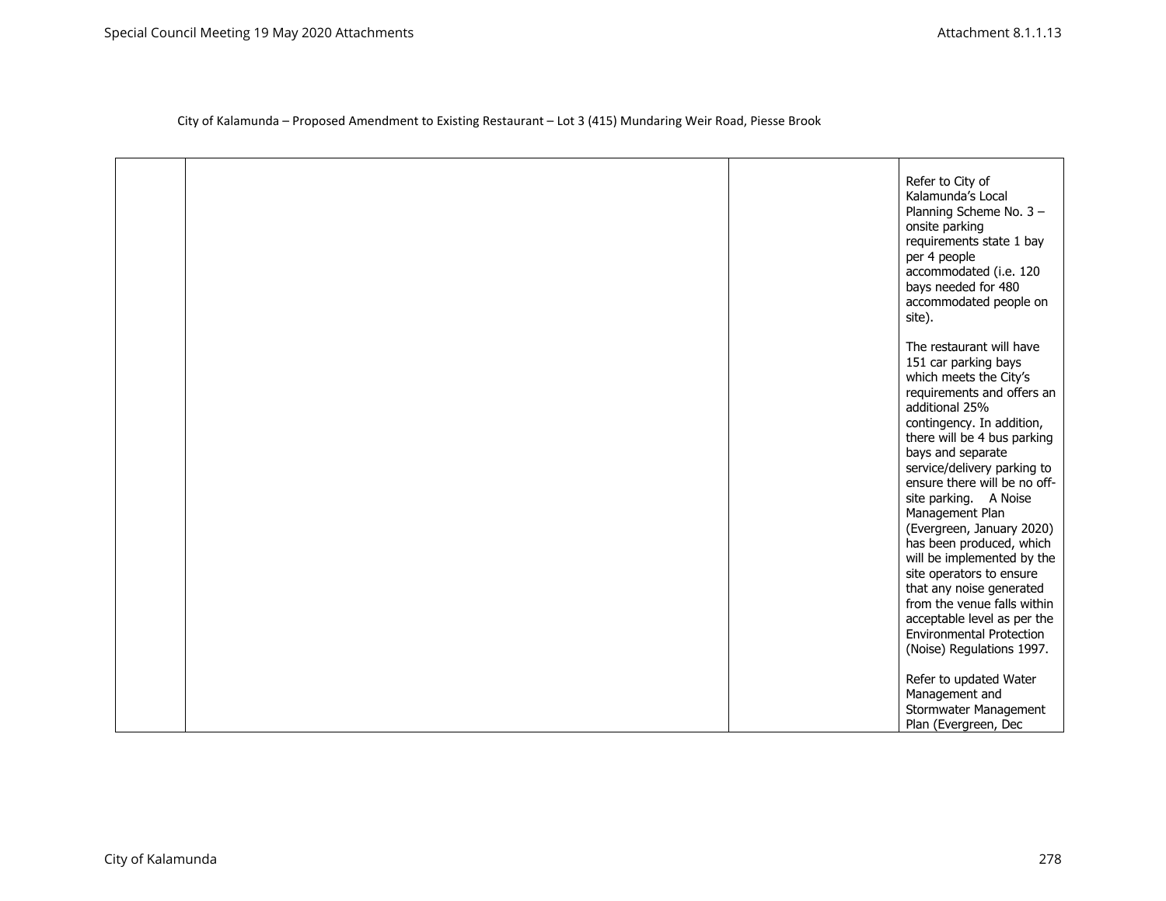|  | Refer to City of<br>Kalamunda's Local<br>Planning Scheme No. 3 -<br>onsite parking<br>requirements state 1 bay<br>per 4 people<br>accommodated (i.e. 120<br>bays needed for 480<br>accommodated people on<br>site).                                                                                                                                                                                                                                                                                                                                                                                 |
|--|-----------------------------------------------------------------------------------------------------------------------------------------------------------------------------------------------------------------------------------------------------------------------------------------------------------------------------------------------------------------------------------------------------------------------------------------------------------------------------------------------------------------------------------------------------------------------------------------------------|
|  | The restaurant will have<br>151 car parking bays<br>which meets the City's<br>requirements and offers an<br>additional 25%<br>contingency. In addition,<br>there will be 4 bus parking<br>bays and separate<br>service/delivery parking to<br>ensure there will be no off-<br>site parking. A Noise<br>Management Plan<br>(Evergreen, January 2020)<br>has been produced, which<br>will be implemented by the<br>site operators to ensure<br>that any noise generated<br>from the venue falls within<br>acceptable level as per the<br><b>Environmental Protection</b><br>(Noise) Regulations 1997. |
|  | Refer to updated Water<br>Management and<br>Stormwater Management<br>Plan (Evergreen, Dec                                                                                                                                                                                                                                                                                                                                                                                                                                                                                                           |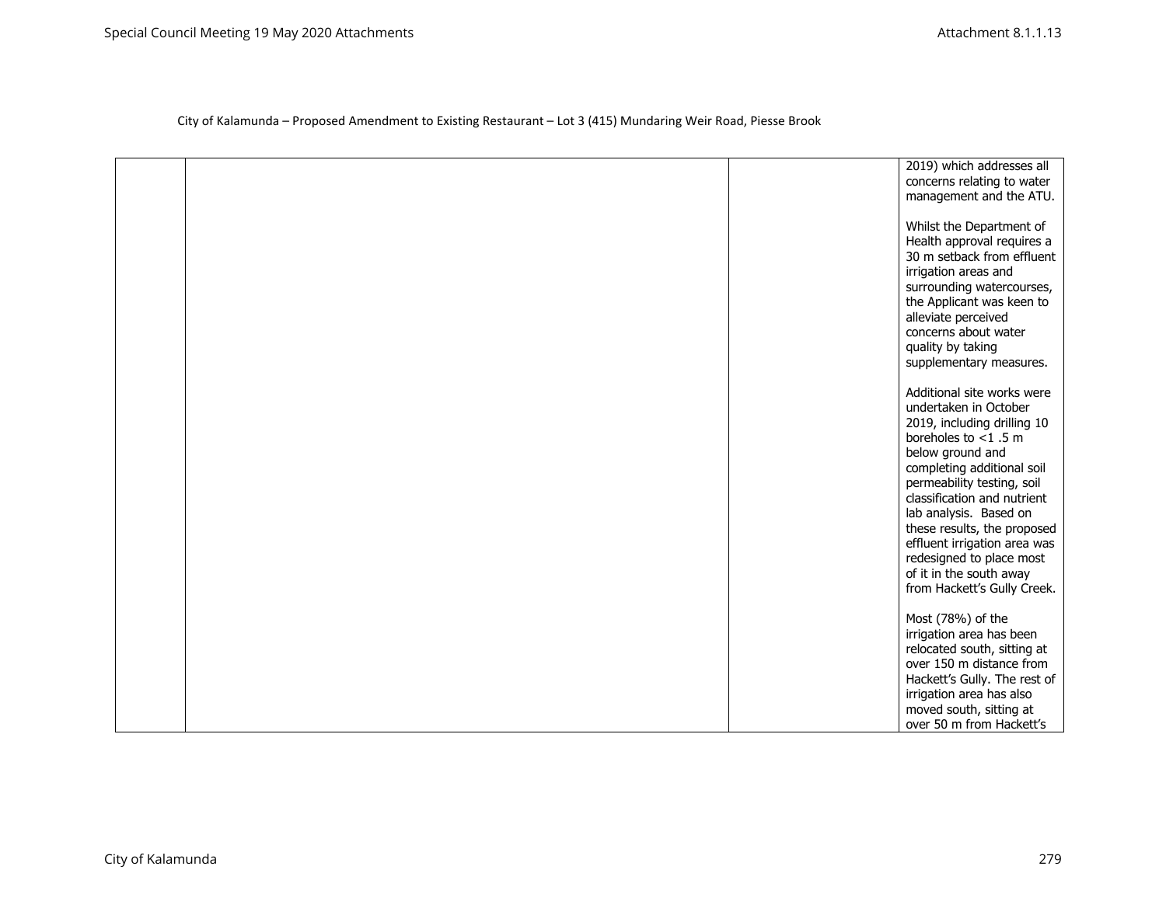|  | 2019) which addresses all<br>concerns relating to water  |
|--|----------------------------------------------------------|
|  | management and the ATU.                                  |
|  | Whilst the Department of<br>Health approval requires a   |
|  | 30 m setback from effluent<br>irrigation areas and       |
|  | surrounding watercourses,<br>the Applicant was keen to   |
|  | alleviate perceived<br>concerns about water              |
|  | quality by taking<br>supplementary measures.             |
|  | Additional site works were                               |
|  | undertaken in October<br>2019, including drilling 10     |
|  | boreholes to $<$ 1.5 m<br>below ground and               |
|  | completing additional soil<br>permeability testing, soil |
|  | classification and nutrient<br>lab analysis. Based on    |
|  | these results, the proposed                              |
|  | effluent irrigation area was<br>redesigned to place most |
|  | of it in the south away<br>from Hackett's Gully Creek.   |
|  | Most (78%) of the                                        |
|  | irrigation area has been<br>relocated south, sitting at  |
|  | over 150 m distance from<br>Hackett's Gully. The rest of |
|  | irrigation area has also<br>moved south, sitting at      |
|  | over 50 m from Hackett's                                 |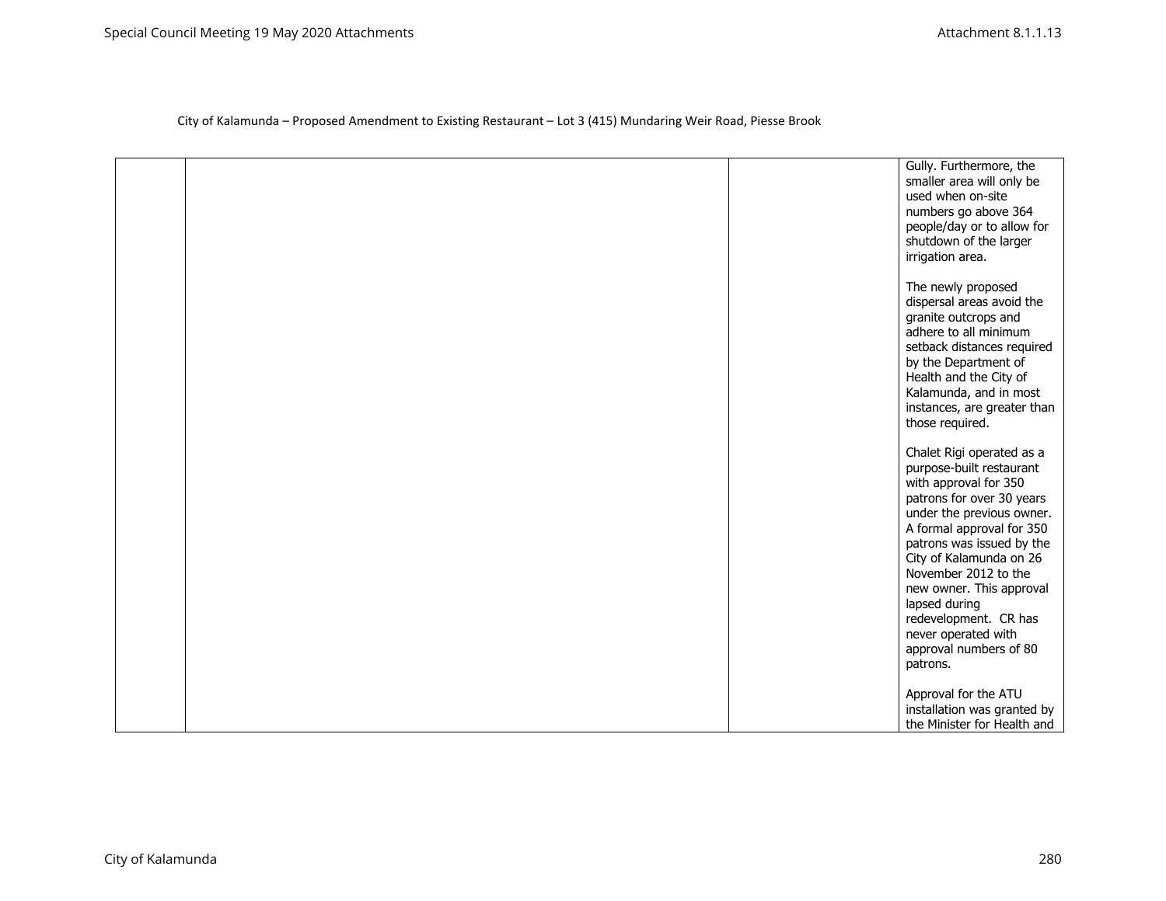|  | Gully. Furthermore, the<br>smaller area will only be<br>used when on-site<br>numbers go above 364<br>people/day or to allow for<br>shutdown of the larger<br>irrigation area.                                                                                                                                                                                                            |
|--|------------------------------------------------------------------------------------------------------------------------------------------------------------------------------------------------------------------------------------------------------------------------------------------------------------------------------------------------------------------------------------------|
|  | The newly proposed<br>dispersal areas avoid the<br>granite outcrops and<br>adhere to all minimum<br>setback distances required<br>by the Department of<br>Health and the City of<br>Kalamunda, and in most<br>instances, are greater than<br>those required.                                                                                                                             |
|  | Chalet Rigi operated as a<br>purpose-built restaurant<br>with approval for 350<br>patrons for over 30 years<br>under the previous owner.<br>A formal approval for 350<br>patrons was issued by the<br>City of Kalamunda on 26<br>November 2012 to the<br>new owner. This approval<br>lapsed during<br>redevelopment. CR has<br>never operated with<br>approval numbers of 80<br>patrons. |
|  | Approval for the ATU<br>installation was granted by<br>the Minister for Health and                                                                                                                                                                                                                                                                                                       |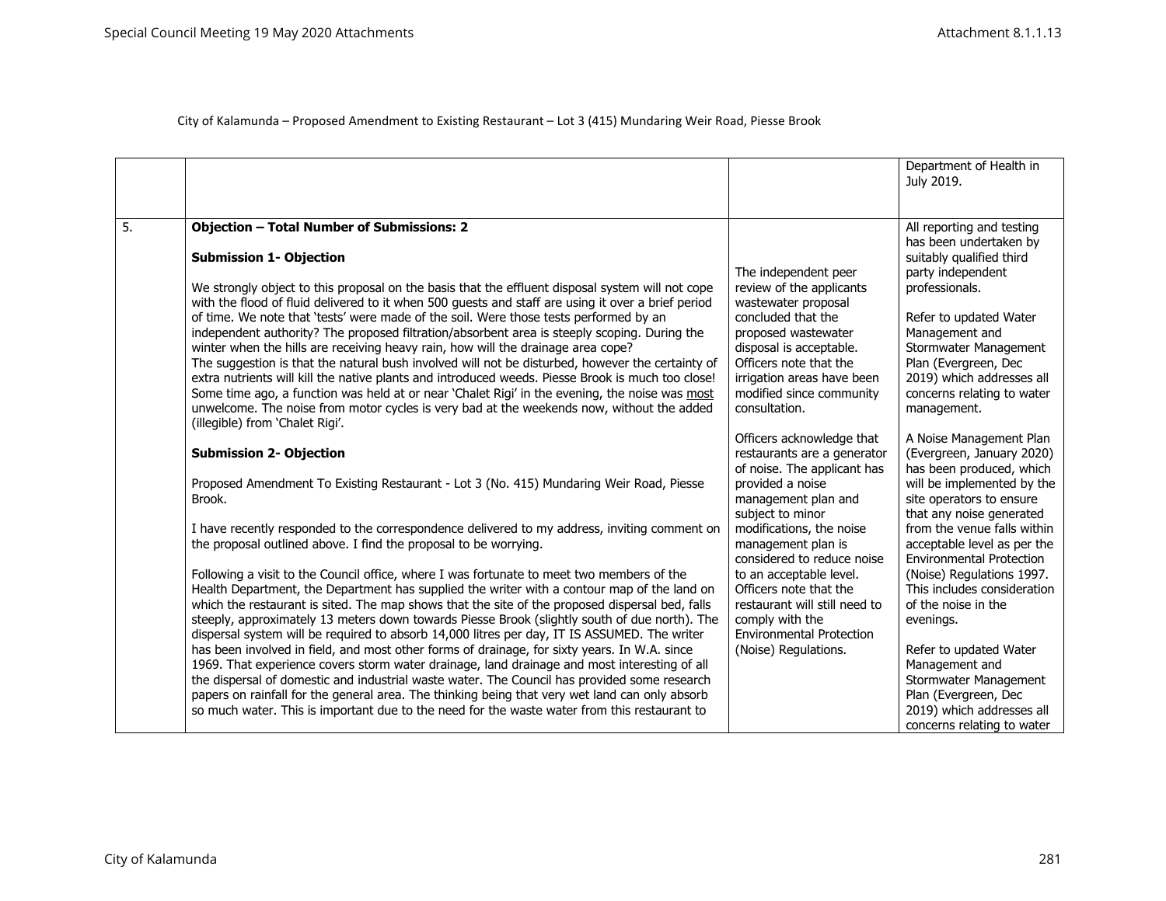|    |                                                                                                                                                                                                                                                                                                                                                                                                                                                                                                                                                                                                                                                                                                                                                                                                                                                                                                                                                                                                                       |                                                                                                                                                                                                                                                      | Department of Health in<br>July 2019.                                                                                                                                                                                                                                                         |
|----|-----------------------------------------------------------------------------------------------------------------------------------------------------------------------------------------------------------------------------------------------------------------------------------------------------------------------------------------------------------------------------------------------------------------------------------------------------------------------------------------------------------------------------------------------------------------------------------------------------------------------------------------------------------------------------------------------------------------------------------------------------------------------------------------------------------------------------------------------------------------------------------------------------------------------------------------------------------------------------------------------------------------------|------------------------------------------------------------------------------------------------------------------------------------------------------------------------------------------------------------------------------------------------------|-----------------------------------------------------------------------------------------------------------------------------------------------------------------------------------------------------------------------------------------------------------------------------------------------|
| 5. | <b>Objection - Total Number of Submissions: 2</b><br><b>Submission 1- Objection</b><br>We strongly object to this proposal on the basis that the effluent disposal system will not cope<br>with the flood of fluid delivered to it when 500 guests and staff are using it over a brief period<br>of time. We note that 'tests' were made of the soil. Were those tests performed by an<br>independent authority? The proposed filtration/absorbent area is steeply scoping. During the<br>winter when the hills are receiving heavy rain, how will the drainage area cope?<br>The suggestion is that the natural bush involved will not be disturbed, however the certainty of<br>extra nutrients will kill the native plants and introduced weeds. Piesse Brook is much too close!<br>Some time ago, a function was held at or near 'Chalet Rigi' in the evening, the noise was most<br>unwelcome. The noise from motor cycles is very bad at the weekends now, without the added<br>(illegible) from 'Chalet Rigi'. | The independent peer<br>review of the applicants<br>wastewater proposal<br>concluded that the<br>proposed wastewater<br>disposal is acceptable.<br>Officers note that the<br>irrigation areas have been<br>modified since community<br>consultation. | All reporting and testing<br>has been undertaken by<br>suitably qualified third<br>party independent<br>professionals.<br>Refer to updated Water<br>Management and<br>Stormwater Management<br>Plan (Evergreen, Dec<br>2019) which addresses all<br>concerns relating to water<br>management. |
|    | <b>Submission 2- Objection</b><br>Proposed Amendment To Existing Restaurant - Lot 3 (No. 415) Mundaring Weir Road, Piesse<br>Brook.                                                                                                                                                                                                                                                                                                                                                                                                                                                                                                                                                                                                                                                                                                                                                                                                                                                                                   | Officers acknowledge that<br>restaurants are a generator<br>of noise. The applicant has<br>provided a noise<br>management plan and                                                                                                                   | A Noise Management Plan<br>(Evergreen, January 2020)<br>has been produced, which<br>will be implemented by the<br>site operators to ensure                                                                                                                                                    |
|    | I have recently responded to the correspondence delivered to my address, inviting comment on<br>the proposal outlined above. I find the proposal to be worrying.<br>Following a visit to the Council office, where I was fortunate to meet two members of the<br>Health Department, the Department has supplied the writer with a contour map of the land on<br>which the restaurant is sited. The map shows that the site of the proposed dispersal bed, falls<br>steeply, approximately 13 meters down towards Piesse Brook (slightly south of due north). The<br>dispersal system will be required to absorb 14,000 litres per day, IT IS ASSUMED. The writer                                                                                                                                                                                                                                                                                                                                                      | subject to minor<br>modifications, the noise<br>management plan is<br>considered to reduce noise<br>to an acceptable level.<br>Officers note that the<br>restaurant will still need to<br>comply with the<br><b>Environmental Protection</b>         | that any noise generated<br>from the venue falls within<br>acceptable level as per the<br><b>Environmental Protection</b><br>(Noise) Regulations 1997.<br>This includes consideration<br>of the noise in the<br>evenings.                                                                     |
|    | has been involved in field, and most other forms of drainage, for sixty years. In W.A. since<br>1969. That experience covers storm water drainage, land drainage and most interesting of all<br>the dispersal of domestic and industrial waste water. The Council has provided some research<br>papers on rainfall for the general area. The thinking being that very wet land can only absorb<br>so much water. This is important due to the need for the waste water from this restaurant to                                                                                                                                                                                                                                                                                                                                                                                                                                                                                                                        | (Noise) Regulations.                                                                                                                                                                                                                                 | Refer to updated Water<br>Management and<br>Stormwater Management<br>Plan (Evergreen, Dec<br>2019) which addresses all<br>concerns relating to water                                                                                                                                          |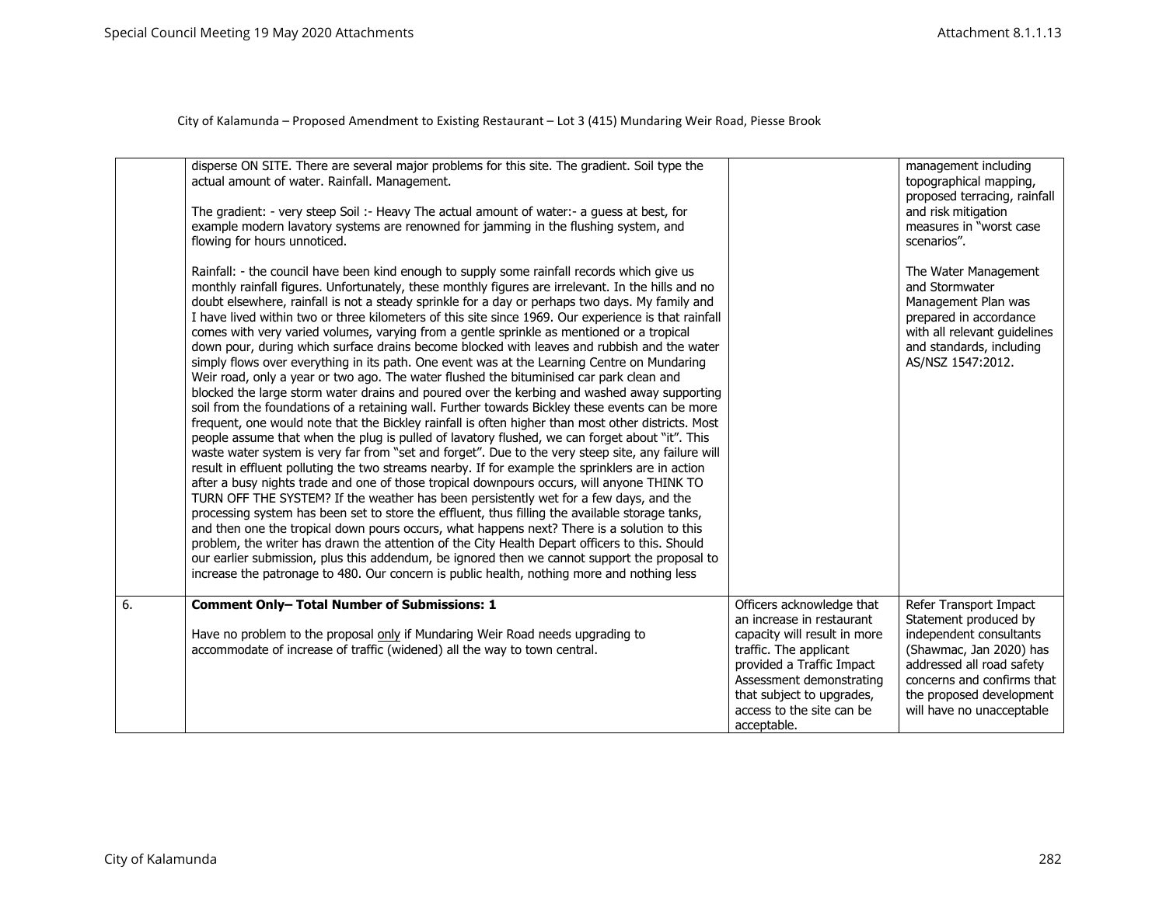|    | disperse ON SITE. There are several major problems for this site. The gradient. Soil type the<br>actual amount of water. Rainfall. Management.<br>The gradient: - very steep Soil :- Heavy The actual amount of water:- a guess at best, for<br>example modern lavatory systems are renowned for jamming in the flushing system, and                                                                                                                                                                                                                                                                                                                                                                                                                                                                                                                                                                                                                                                                                                                                                                                                                                                                                                                                                                                                                                                                                                                                                                                                                                                                                                                                                                                                                                                                                                                                                                                                                                                                                                                                                                             |                                                                                                                                                                                          | management including<br>topographical mapping,<br>proposed terracing, rainfall<br>and risk mitigation<br>measures in "worst case                                         |
|----|------------------------------------------------------------------------------------------------------------------------------------------------------------------------------------------------------------------------------------------------------------------------------------------------------------------------------------------------------------------------------------------------------------------------------------------------------------------------------------------------------------------------------------------------------------------------------------------------------------------------------------------------------------------------------------------------------------------------------------------------------------------------------------------------------------------------------------------------------------------------------------------------------------------------------------------------------------------------------------------------------------------------------------------------------------------------------------------------------------------------------------------------------------------------------------------------------------------------------------------------------------------------------------------------------------------------------------------------------------------------------------------------------------------------------------------------------------------------------------------------------------------------------------------------------------------------------------------------------------------------------------------------------------------------------------------------------------------------------------------------------------------------------------------------------------------------------------------------------------------------------------------------------------------------------------------------------------------------------------------------------------------------------------------------------------------------------------------------------------------|------------------------------------------------------------------------------------------------------------------------------------------------------------------------------------------|--------------------------------------------------------------------------------------------------------------------------------------------------------------------------|
|    | flowing for hours unnoticed.                                                                                                                                                                                                                                                                                                                                                                                                                                                                                                                                                                                                                                                                                                                                                                                                                                                                                                                                                                                                                                                                                                                                                                                                                                                                                                                                                                                                                                                                                                                                                                                                                                                                                                                                                                                                                                                                                                                                                                                                                                                                                     |                                                                                                                                                                                          | scenarios".                                                                                                                                                              |
|    | Rainfall: - the council have been kind enough to supply some rainfall records which give us<br>monthly rainfall figures. Unfortunately, these monthly figures are irrelevant. In the hills and no<br>doubt elsewhere, rainfall is not a steady sprinkle for a day or perhaps two days. My family and<br>I have lived within two or three kilometers of this site since 1969. Our experience is that rainfall<br>comes with very varied volumes, varying from a gentle sprinkle as mentioned or a tropical<br>down pour, during which surface drains become blocked with leaves and rubbish and the water<br>simply flows over everything in its path. One event was at the Learning Centre on Mundaring<br>Weir road, only a year or two ago. The water flushed the bituminised car park clean and<br>blocked the large storm water drains and poured over the kerbing and washed away supporting<br>soil from the foundations of a retaining wall. Further towards Bickley these events can be more<br>frequent, one would note that the Bickley rainfall is often higher than most other districts. Most<br>people assume that when the plug is pulled of lavatory flushed, we can forget about "it". This<br>waste water system is very far from "set and forget". Due to the very steep site, any failure will<br>result in effluent polluting the two streams nearby. If for example the sprinklers are in action<br>after a busy nights trade and one of those tropical downpours occurs, will anyone THINK TO<br>TURN OFF THE SYSTEM? If the weather has been persistently wet for a few days, and the<br>processing system has been set to store the effluent, thus filling the available storage tanks,<br>and then one the tropical down pours occurs, what happens next? There is a solution to this<br>problem, the writer has drawn the attention of the City Health Depart officers to this. Should<br>our earlier submission, plus this addendum, be ignored then we cannot support the proposal to<br>increase the patronage to 480. Our concern is public health, nothing more and nothing less |                                                                                                                                                                                          | The Water Management<br>and Stormwater<br>Management Plan was<br>prepared in accordance<br>with all relevant guidelines<br>and standards, including<br>AS/NSZ 1547:2012. |
| 6. | <b>Comment Only- Total Number of Submissions: 1</b>                                                                                                                                                                                                                                                                                                                                                                                                                                                                                                                                                                                                                                                                                                                                                                                                                                                                                                                                                                                                                                                                                                                                                                                                                                                                                                                                                                                                                                                                                                                                                                                                                                                                                                                                                                                                                                                                                                                                                                                                                                                              | Officers acknowledge that<br>an increase in restaurant                                                                                                                                   | Refer Transport Impact<br>Statement produced by                                                                                                                          |
|    | Have no problem to the proposal only if Mundaring Weir Road needs upgrading to<br>accommodate of increase of traffic (widened) all the way to town central.                                                                                                                                                                                                                                                                                                                                                                                                                                                                                                                                                                                                                                                                                                                                                                                                                                                                                                                                                                                                                                                                                                                                                                                                                                                                                                                                                                                                                                                                                                                                                                                                                                                                                                                                                                                                                                                                                                                                                      | capacity will result in more<br>traffic. The applicant<br>provided a Traffic Impact<br>Assessment demonstrating<br>that subject to upgrades,<br>access to the site can be<br>acceptable. | independent consultants<br>(Shawmac, Jan 2020) has<br>addressed all road safety<br>concerns and confirms that<br>the proposed development<br>will have no unacceptable   |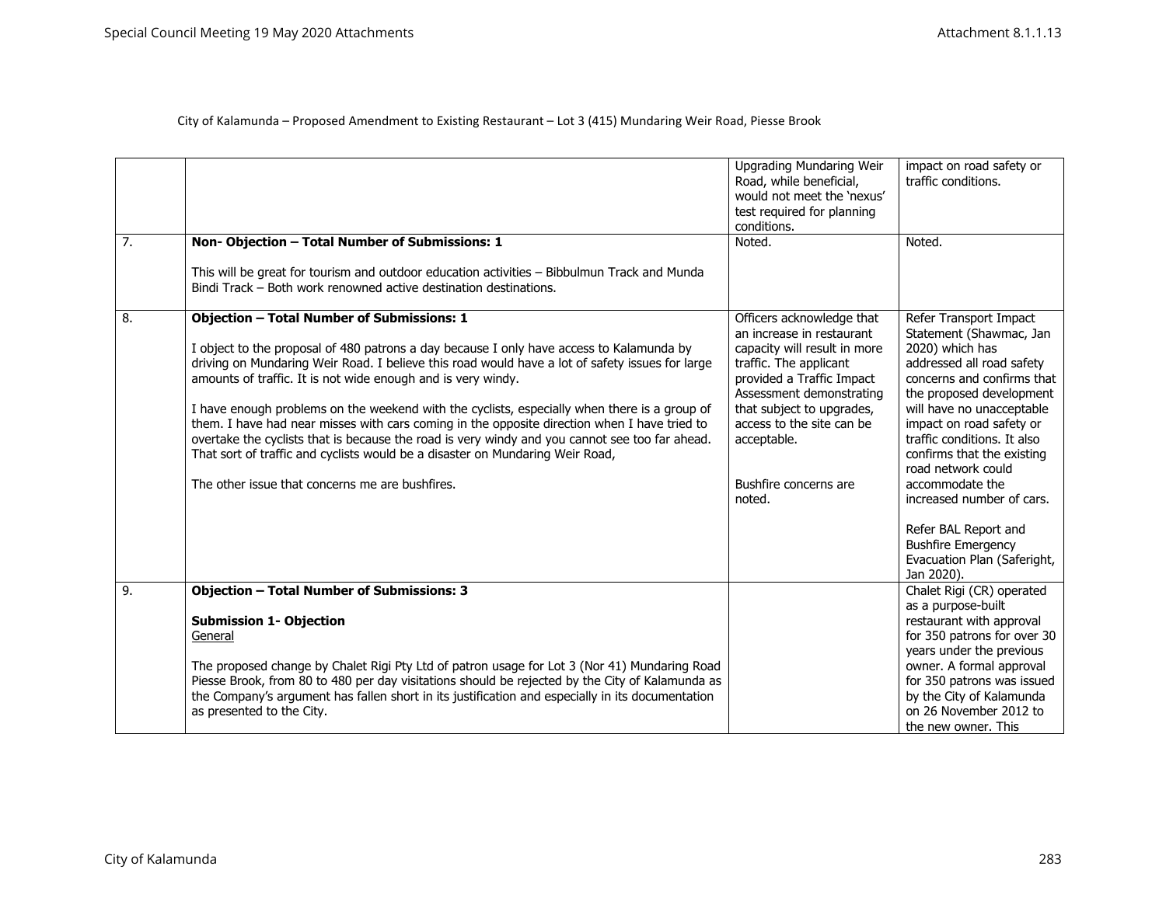| $\overline{7}$ . | Non-Objection - Total Number of Submissions: 1<br>This will be great for tourism and outdoor education activities - Bibbulmun Track and Munda<br>Bindi Track - Both work renowned active destination destinations.                                                                                                                                                                                                                                                                                                                                                                                                                                                                                                                                     | <b>Upgrading Mundaring Weir</b><br>Road, while beneficial,<br>would not meet the 'nexus'<br>test required for planning<br>conditions.<br>Noted.                                                                                                                                       | impact on road safety or<br>traffic conditions.<br>Noted.                                                                                                                                                                                                                                                                                                                                                                                                 |
|------------------|--------------------------------------------------------------------------------------------------------------------------------------------------------------------------------------------------------------------------------------------------------------------------------------------------------------------------------------------------------------------------------------------------------------------------------------------------------------------------------------------------------------------------------------------------------------------------------------------------------------------------------------------------------------------------------------------------------------------------------------------------------|---------------------------------------------------------------------------------------------------------------------------------------------------------------------------------------------------------------------------------------------------------------------------------------|-----------------------------------------------------------------------------------------------------------------------------------------------------------------------------------------------------------------------------------------------------------------------------------------------------------------------------------------------------------------------------------------------------------------------------------------------------------|
| 8.               | <b>Objection - Total Number of Submissions: 1</b><br>I object to the proposal of 480 patrons a day because I only have access to Kalamunda by<br>driving on Mundaring Weir Road. I believe this road would have a lot of safety issues for large<br>amounts of traffic. It is not wide enough and is very windy.<br>I have enough problems on the weekend with the cyclists, especially when there is a group of<br>them. I have had near misses with cars coming in the opposite direction when I have tried to<br>overtake the cyclists that is because the road is very windy and you cannot see too far ahead.<br>That sort of traffic and cyclists would be a disaster on Mundaring Weir Road,<br>The other issue that concerns me are bushfires. | Officers acknowledge that<br>an increase in restaurant<br>capacity will result in more<br>traffic. The applicant<br>provided a Traffic Impact<br>Assessment demonstrating<br>that subject to upgrades,<br>access to the site can be<br>acceptable.<br>Bushfire concerns are<br>noted. | Refer Transport Impact<br>Statement (Shawmac, Jan<br>2020) which has<br>addressed all road safety<br>concerns and confirms that<br>the proposed development<br>will have no unacceptable<br>impact on road safety or<br>traffic conditions. It also<br>confirms that the existing<br>road network could<br>accommodate the<br>increased number of cars.<br>Refer BAL Report and<br><b>Bushfire Emergency</b><br>Evacuation Plan (Saferight,<br>Jan 2020). |
| 9.               | <b>Objection - Total Number of Submissions: 3</b><br><b>Submission 1- Objection</b><br>General<br>The proposed change by Chalet Rigi Pty Ltd of patron usage for Lot 3 (Nor 41) Mundaring Road<br>Piesse Brook, from 80 to 480 per day visitations should be rejected by the City of Kalamunda as<br>the Company's argument has fallen short in its justification and especially in its documentation<br>as presented to the City.                                                                                                                                                                                                                                                                                                                     |                                                                                                                                                                                                                                                                                       | Chalet Rigi (CR) operated<br>as a purpose-built<br>restaurant with approval<br>for 350 patrons for over 30<br>years under the previous<br>owner. A formal approval<br>for 350 patrons was issued<br>by the City of Kalamunda<br>on 26 November 2012 to<br>the new owner. This                                                                                                                                                                             |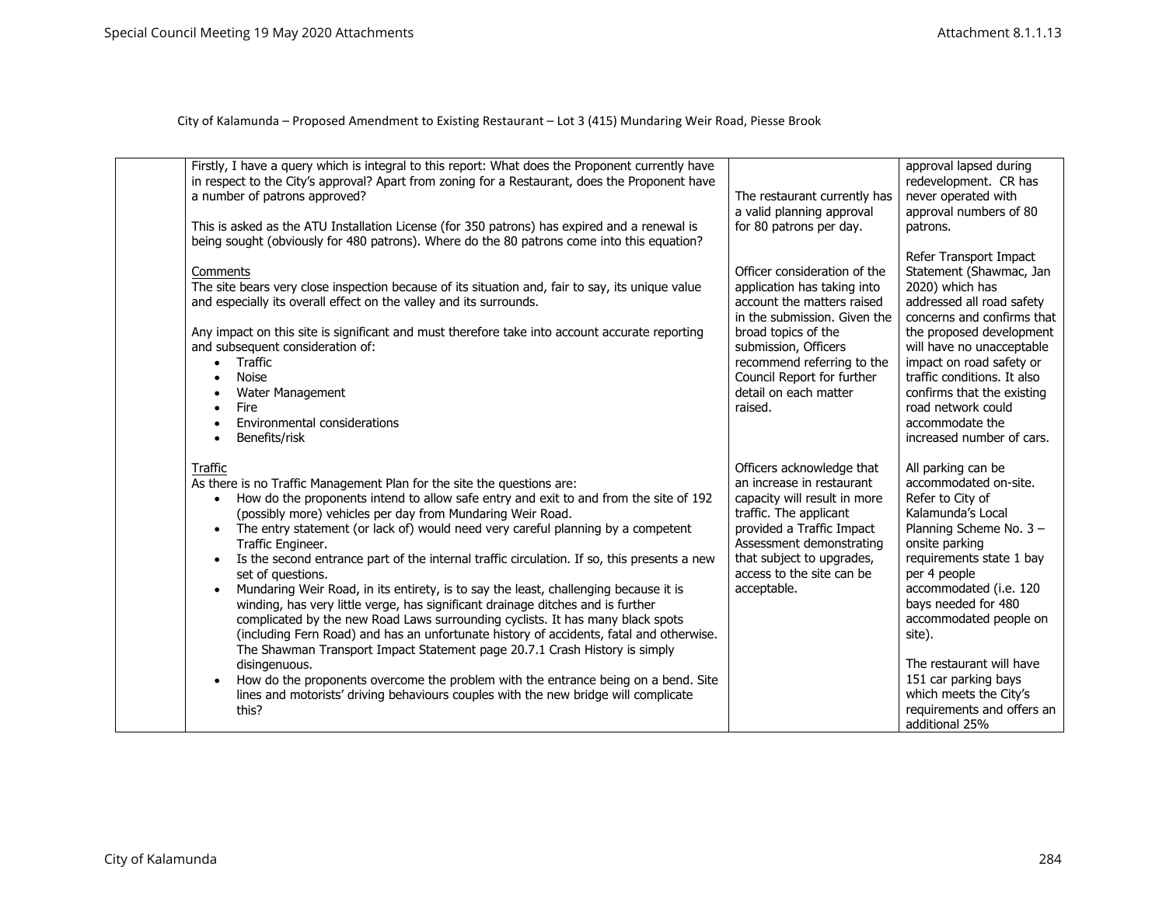| Firstly, I have a query which is integral to this report: What does the Proponent currently have<br>in respect to the City's approval? Apart from zoning for a Restaurant, does the Proponent have<br>a number of patrons approved?<br>This is asked as the ATU Installation License (for 350 patrons) has expired and a renewal is<br>being sought (obviously for 480 patrons). Where do the 80 patrons come into this equation?                                                                                                                                                                                                                                                                                                                                                                                                                                                                                                                                                                                                                                                                                                                         | The restaurant currently has<br>a valid planning approval<br>for 80 patrons per day.                                                                                                                                                                                     | approval lapsed during<br>redevelopment. CR has<br>never operated with<br>approval numbers of 80<br>patrons.                                                                                                                                                                                                                                                                                     |
|-----------------------------------------------------------------------------------------------------------------------------------------------------------------------------------------------------------------------------------------------------------------------------------------------------------------------------------------------------------------------------------------------------------------------------------------------------------------------------------------------------------------------------------------------------------------------------------------------------------------------------------------------------------------------------------------------------------------------------------------------------------------------------------------------------------------------------------------------------------------------------------------------------------------------------------------------------------------------------------------------------------------------------------------------------------------------------------------------------------------------------------------------------------|--------------------------------------------------------------------------------------------------------------------------------------------------------------------------------------------------------------------------------------------------------------------------|--------------------------------------------------------------------------------------------------------------------------------------------------------------------------------------------------------------------------------------------------------------------------------------------------------------------------------------------------------------------------------------------------|
| Comments<br>The site bears very close inspection because of its situation and, fair to say, its unique value<br>and especially its overall effect on the valley and its surrounds.<br>Any impact on this site is significant and must therefore take into account accurate reporting<br>and subsequent consideration of:<br>Traffic<br>$\bullet$<br><b>Noise</b><br>Water Management<br>Fire<br>Environmental considerations<br>Benefits/risk                                                                                                                                                                                                                                                                                                                                                                                                                                                                                                                                                                                                                                                                                                             | Officer consideration of the<br>application has taking into<br>account the matters raised<br>in the submission. Given the<br>broad topics of the<br>submission, Officers<br>recommend referring to the<br>Council Report for further<br>detail on each matter<br>raised. | Refer Transport Impact<br>Statement (Shawmac, Jan<br>2020) which has<br>addressed all road safety<br>concerns and confirms that<br>the proposed development<br>will have no unacceptable<br>impact on road safety or<br>traffic conditions. It also<br>confirms that the existing<br>road network could<br>accommodate the<br>increased number of cars.                                          |
| Traffic<br>As there is no Traffic Management Plan for the site the questions are:<br>How do the proponents intend to allow safe entry and exit to and from the site of 192<br>(possibly more) vehicles per day from Mundaring Weir Road.<br>The entry statement (or lack of) would need very careful planning by a competent<br>$\bullet$<br>Traffic Engineer.<br>Is the second entrance part of the internal traffic circulation. If so, this presents a new<br>set of questions.<br>Mundaring Weir Road, in its entirety, is to say the least, challenging because it is<br>$\bullet$<br>winding, has very little verge, has significant drainage ditches and is further<br>complicated by the new Road Laws surrounding cyclists. It has many black spots<br>(including Fern Road) and has an unfortunate history of accidents, fatal and otherwise.<br>The Shawman Transport Impact Statement page 20.7.1 Crash History is simply<br>disingenuous.<br>How do the proponents overcome the problem with the entrance being on a bend. Site<br>$\bullet$<br>lines and motorists' driving behaviours couples with the new bridge will complicate<br>this? | Officers acknowledge that<br>an increase in restaurant<br>capacity will result in more<br>traffic. The applicant<br>provided a Traffic Impact<br>Assessment demonstrating<br>that subject to upgrades,<br>access to the site can be<br>acceptable.                       | All parking can be<br>accommodated on-site.<br>Refer to City of<br>Kalamunda's Local<br>Planning Scheme No. 3 -<br>onsite parking<br>requirements state 1 bay<br>per 4 people<br>accommodated (i.e. 120<br>bays needed for 480<br>accommodated people on<br>site).<br>The restaurant will have<br>151 car parking bays<br>which meets the City's<br>requirements and offers an<br>additional 25% |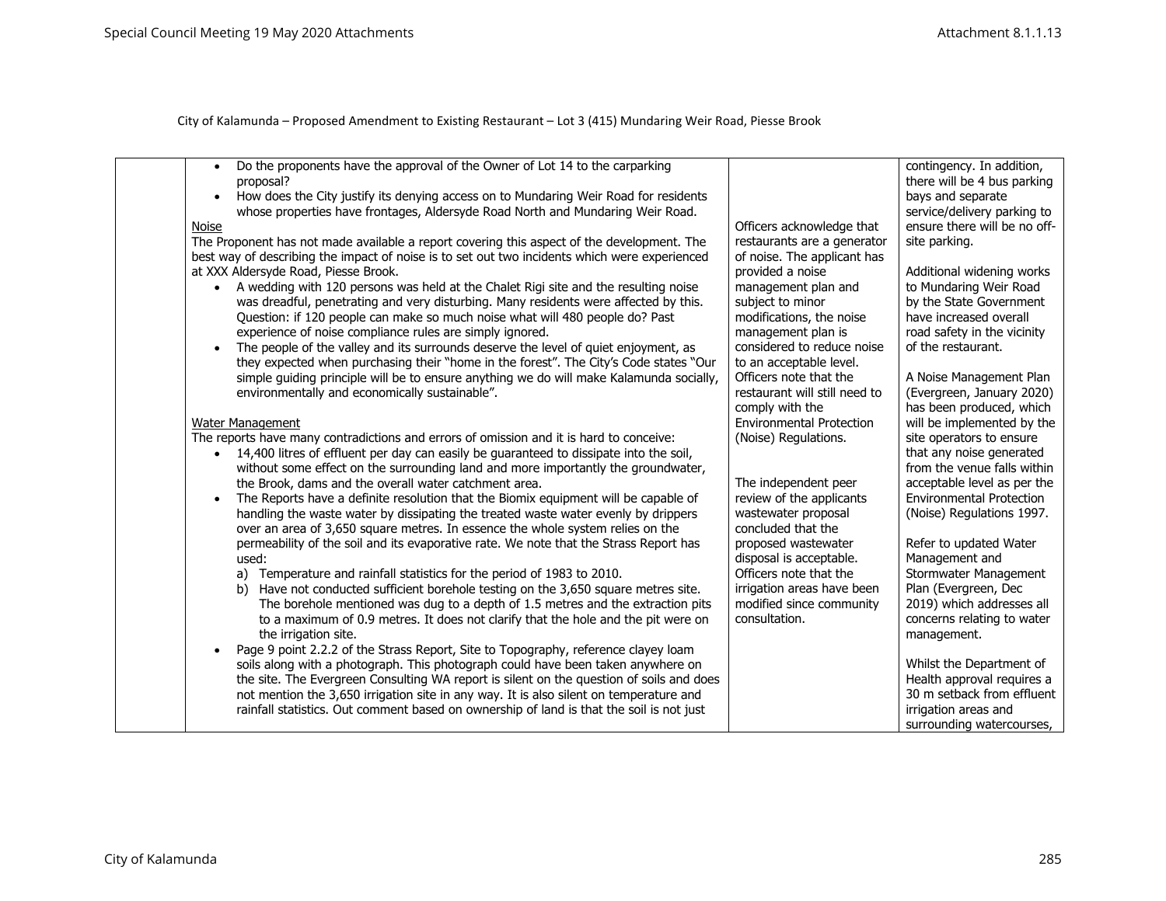| Do the proponents have the approval of the Owner of Lot 14 to the carparking<br>$\bullet$<br>proposal?<br>How does the City justify its denying access on to Mundaring Weir Road for residents<br>$\bullet$<br>whose properties have frontages, Aldersyde Road North and Mundaring Weir Road.<br>Noise<br>The Proponent has not made available a report covering this aspect of the development. The<br>best way of describing the impact of noise is to set out two incidents which were experienced<br>at XXX Aldersyde Road, Piesse Brook.<br>A wedding with 120 persons was held at the Chalet Rigi site and the resulting noise<br>was dreadful, penetrating and very disturbing. Many residents were affected by this.<br>Question: if 120 people can make so much noise what will 480 people do? Past<br>experience of noise compliance rules are simply ignored.<br>The people of the valley and its surrounds deserve the level of quiet enjoyment, as<br>they expected when purchasing their "home in the forest". The City's Code states "Our<br>simple guiding principle will be to ensure anything we do will make Kalamunda socially,<br>environmentally and economically sustainable".<br>Water Management<br>The reports have many contradictions and errors of omission and it is hard to conceive: | Officers acknowledge that<br>restaurants are a generator<br>of noise. The applicant has<br>provided a noise<br>management plan and<br>subject to minor<br>modifications, the noise<br>management plan is<br>considered to reduce noise<br>to an acceptable level.<br>Officers note that the<br>restaurant will still need to<br>comply with the<br><b>Environmental Protection</b><br>(Noise) Regulations. | contingency. In addition,<br>there will be 4 bus parking<br>bays and separate<br>service/delivery parking to<br>ensure there will be no off-<br>site parking.<br>Additional widening works<br>to Mundaring Weir Road<br>by the State Government<br>have increased overall<br>road safety in the vicinity<br>of the restaurant.<br>A Noise Management Plan<br>(Evergreen, January 2020)<br>has been produced, which<br>will be implemented by the<br>site operators to ensure |
|----------------------------------------------------------------------------------------------------------------------------------------------------------------------------------------------------------------------------------------------------------------------------------------------------------------------------------------------------------------------------------------------------------------------------------------------------------------------------------------------------------------------------------------------------------------------------------------------------------------------------------------------------------------------------------------------------------------------------------------------------------------------------------------------------------------------------------------------------------------------------------------------------------------------------------------------------------------------------------------------------------------------------------------------------------------------------------------------------------------------------------------------------------------------------------------------------------------------------------------------------------------------------------------------------------------------|------------------------------------------------------------------------------------------------------------------------------------------------------------------------------------------------------------------------------------------------------------------------------------------------------------------------------------------------------------------------------------------------------------|------------------------------------------------------------------------------------------------------------------------------------------------------------------------------------------------------------------------------------------------------------------------------------------------------------------------------------------------------------------------------------------------------------------------------------------------------------------------------|
| 14,400 litres of effluent per day can easily be guaranteed to dissipate into the soil,<br>without some effect on the surrounding land and more importantly the groundwater,<br>the Brook, dams and the overall water catchment area.<br>The Reports have a definite resolution that the Biomix equipment will be capable of<br>$\bullet$                                                                                                                                                                                                                                                                                                                                                                                                                                                                                                                                                                                                                                                                                                                                                                                                                                                                                                                                                                             | The independent peer<br>review of the applicants                                                                                                                                                                                                                                                                                                                                                           | that any noise generated<br>from the venue falls within<br>acceptable level as per the<br><b>Environmental Protection</b>                                                                                                                                                                                                                                                                                                                                                    |
| handling the waste water by dissipating the treated waste water evenly by drippers<br>over an area of 3,650 square metres. In essence the whole system relies on the<br>permeability of the soil and its evaporative rate. We note that the Strass Report has                                                                                                                                                                                                                                                                                                                                                                                                                                                                                                                                                                                                                                                                                                                                                                                                                                                                                                                                                                                                                                                        | wastewater proposal<br>concluded that the<br>proposed wastewater                                                                                                                                                                                                                                                                                                                                           | (Noise) Regulations 1997.<br>Refer to updated Water                                                                                                                                                                                                                                                                                                                                                                                                                          |
| used:<br>a) Temperature and rainfall statistics for the period of 1983 to 2010.<br>b) Have not conducted sufficient borehole testing on the 3,650 square metres site.<br>The borehole mentioned was dug to a depth of 1.5 metres and the extraction pits<br>to a maximum of 0.9 metres. It does not clarify that the hole and the pit were on<br>the irrigation site.                                                                                                                                                                                                                                                                                                                                                                                                                                                                                                                                                                                                                                                                                                                                                                                                                                                                                                                                                | disposal is acceptable.<br>Officers note that the<br>irrigation areas have been<br>modified since community<br>consultation.                                                                                                                                                                                                                                                                               | Management and<br>Stormwater Management<br>Plan (Evergreen, Dec<br>2019) which addresses all<br>concerns relating to water<br>management.                                                                                                                                                                                                                                                                                                                                    |
| Page 9 point 2.2.2 of the Strass Report, Site to Topography, reference clayey loam<br>soils along with a photograph. This photograph could have been taken anywhere on<br>the site. The Evergreen Consulting WA report is silent on the question of soils and does<br>not mention the 3,650 irrigation site in any way. It is also silent on temperature and<br>rainfall statistics. Out comment based on ownership of land is that the soil is not just                                                                                                                                                                                                                                                                                                                                                                                                                                                                                                                                                                                                                                                                                                                                                                                                                                                             |                                                                                                                                                                                                                                                                                                                                                                                                            | Whilst the Department of<br>Health approval requires a<br>30 m setback from effluent<br>irrigation areas and<br>surrounding watercourses,                                                                                                                                                                                                                                                                                                                                    |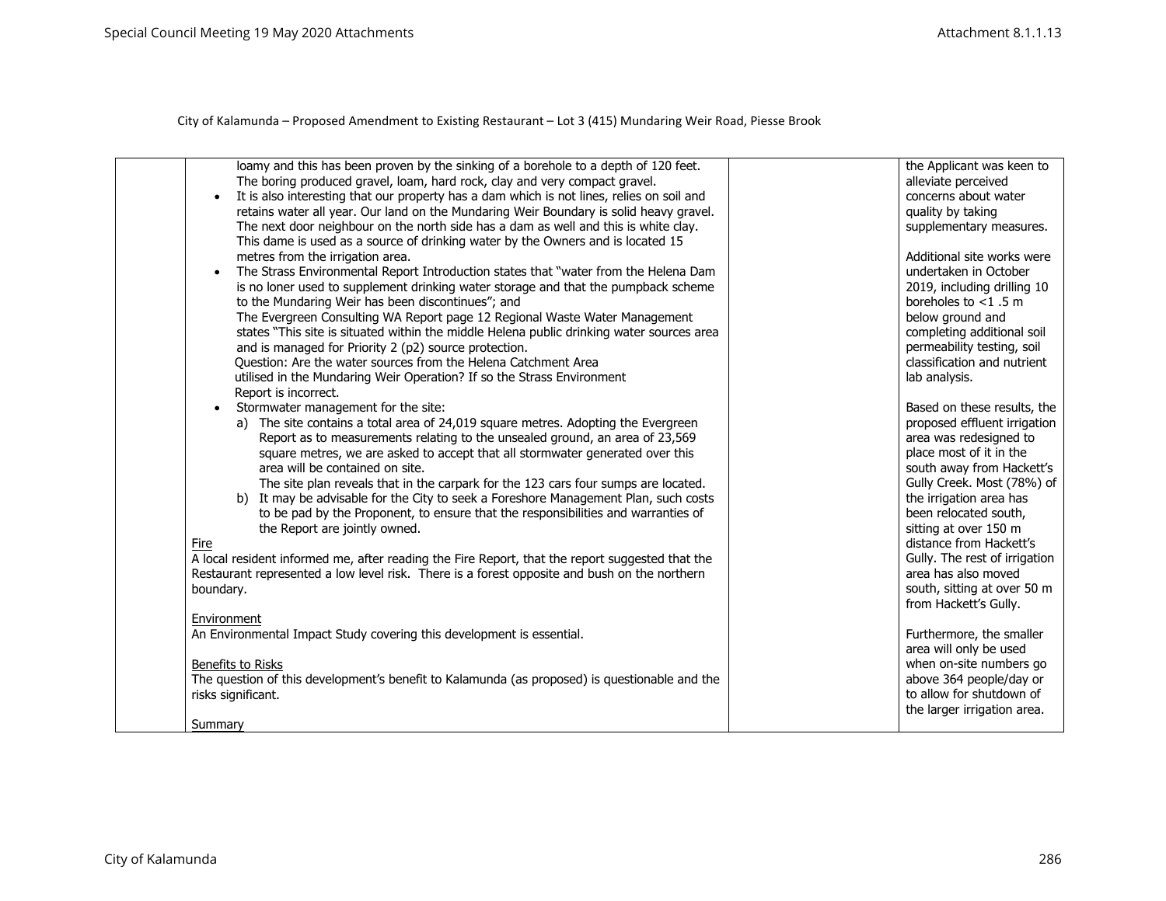| loamy and this has been proven by the sinking of a borehole to a depth of 120 feet.<br>The boring produced gravel, loam, hard rock, clay and very compact gravel.<br>It is also interesting that our property has a dam which is not lines, relies on soil and<br>retains water all year. Our land on the Mundaring Weir Boundary is solid heavy gravel.<br>The next door neighbour on the north side has a dam as well and this is white clay.<br>This dame is used as a source of drinking water by the Owners and is located 15<br>metres from the irrigation area.<br>The Strass Environmental Report Introduction states that "water from the Helena Dam<br>is no loner used to supplement drinking water storage and that the pumpback scheme<br>to the Mundaring Weir has been discontinues"; and<br>The Evergreen Consulting WA Report page 12 Regional Waste Water Management<br>states "This site is situated within the middle Helena public drinking water sources area<br>and is managed for Priority 2 (p2) source protection.<br>Question: Are the water sources from the Helena Catchment Area<br>utilised in the Mundaring Weir Operation? If so the Strass Environment<br>Report is incorrect.<br>Stormwater management for the site:<br>a) The site contains a total area of 24,019 square metres. Adopting the Evergreen<br>Report as to measurements relating to the unsealed ground, an area of 23,569<br>square metres, we are asked to accept that all stormwater generated over this<br>area will be contained on site.<br>The site plan reveals that in the carpark for the 123 cars four sumps are located.<br>b) It may be advisable for the City to seek a Foreshore Management Plan, such costs<br>to be pad by the Proponent, to ensure that the responsibilities and warranties of<br>the Report are jointly owned.<br>Fire<br>A local resident informed me, after reading the Fire Report, that the report suggested that the<br>Restaurant represented a low level risk. There is a forest opposite and bush on the northern<br>boundary.<br>Environment<br>An Environmental Impact Study covering this development is essential. | the Applicant was keen to<br>alleviate perceived<br>concerns about water<br>quality by taking<br>supplementary measures.<br>Additional site works were<br>undertaken in October<br>2019, including drilling 10<br>boreholes to $<$ 1.5 m<br>below ground and<br>completing additional soil<br>permeability testing, soil<br>classification and nutrient<br>lab analysis.<br>Based on these results, the<br>proposed effluent irrigation<br>area was redesigned to<br>place most of it in the<br>south away from Hackett's<br>Gully Creek. Most (78%) of<br>the irrigation area has<br>been relocated south,<br>sitting at over 150 m<br>distance from Hackett's<br>Gully. The rest of irrigation<br>area has also moved<br>south, sitting at over 50 m<br>from Hackett's Gully.<br>Furthermore, the smaller<br>area will only be used |
|---------------------------------------------------------------------------------------------------------------------------------------------------------------------------------------------------------------------------------------------------------------------------------------------------------------------------------------------------------------------------------------------------------------------------------------------------------------------------------------------------------------------------------------------------------------------------------------------------------------------------------------------------------------------------------------------------------------------------------------------------------------------------------------------------------------------------------------------------------------------------------------------------------------------------------------------------------------------------------------------------------------------------------------------------------------------------------------------------------------------------------------------------------------------------------------------------------------------------------------------------------------------------------------------------------------------------------------------------------------------------------------------------------------------------------------------------------------------------------------------------------------------------------------------------------------------------------------------------------------------------------------------------------------------------------------------------------------------------------------------------------------------------------------------------------------------------------------------------------------------------------------------------------------------------------------------------------------------------------------------------------------------------------------------------------------------------------------------------------------------------------------------------------------------|---------------------------------------------------------------------------------------------------------------------------------------------------------------------------------------------------------------------------------------------------------------------------------------------------------------------------------------------------------------------------------------------------------------------------------------------------------------------------------------------------------------------------------------------------------------------------------------------------------------------------------------------------------------------------------------------------------------------------------------------------------------------------------------------------------------------------------------|
| Benefits to Risks<br>The question of this development's benefit to Kalamunda (as proposed) is questionable and the<br>risks significant.<br>Summary                                                                                                                                                                                                                                                                                                                                                                                                                                                                                                                                                                                                                                                                                                                                                                                                                                                                                                                                                                                                                                                                                                                                                                                                                                                                                                                                                                                                                                                                                                                                                                                                                                                                                                                                                                                                                                                                                                                                                                                                                 | when on-site numbers go<br>above 364 people/day or<br>to allow for shutdown of<br>the larger irrigation area.                                                                                                                                                                                                                                                                                                                                                                                                                                                                                                                                                                                                                                                                                                                         |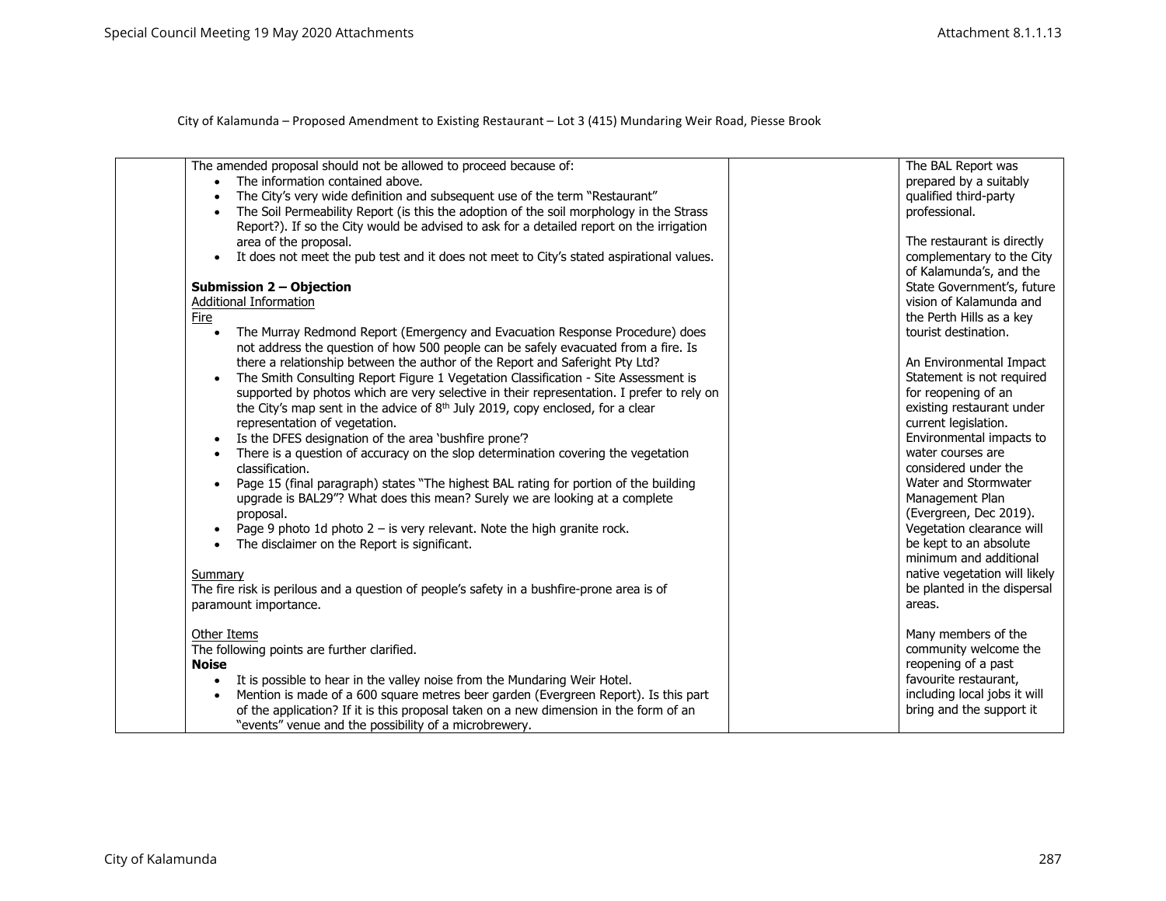| The amended proposal should not be allowed to proceed because of:<br>• The information contained above.<br>The City's very wide definition and subsequent use of the term "Restaurant"<br>The Soil Permeability Report (is this the adoption of the soil morphology in the Strass<br>Report?). If so the City would be advised to ask for a detailed report on the irrigation<br>area of the proposal.<br>It does not meet the pub test and it does not meet to City's stated aspirational values.<br>$\bullet$<br>Submission 2 - Objection<br><b>Additional Information</b><br>Fire<br>The Murray Redmond Report (Emergency and Evacuation Response Procedure) does<br>not address the question of how 500 people can be safely evacuated from a fire. Is<br>there a relationship between the author of the Report and Saferight Pty Ltd?<br>The Smith Consulting Report Figure 1 Vegetation Classification - Site Assessment is<br>supported by photos which are very selective in their representation. I prefer to rely on<br>the City's map sent in the advice of $8th$ July 2019, copy enclosed, for a clear<br>representation of vegetation.<br>Is the DFES designation of the area 'bushfire prone'?<br>There is a question of accuracy on the slop determination covering the vegetation<br>$\bullet$<br>classification.<br>Page 15 (final paragraph) states "The highest BAL rating for portion of the building<br>upgrade is BAL29"? What does this mean? Surely we are looking at a complete<br>proposal.<br>Page 9 photo 1d photo $2 - i$ s very relevant. Note the high granite rock.<br>The disclaimer on the Report is significant.<br>$\bullet$<br>Summary<br>The fire risk is perilous and a question of people's safety in a bushfire-prone area is of<br>paramount importance.<br>Other Items | The BAL Report was<br>prepared by a suitably<br>qualified third-party<br>professional.<br>The restaurant is directly<br>complementary to the City<br>of Kalamunda's, and the<br>State Government's, future<br>vision of Kalamunda and<br>the Perth Hills as a key<br>tourist destination.<br>An Environmental Impact<br>Statement is not required<br>for reopening of an<br>existing restaurant under<br>current legislation.<br>Environmental impacts to<br>water courses are<br>considered under the<br>Water and Stormwater<br>Management Plan<br>(Evergreen, Dec 2019).<br>Vegetation clearance will<br>be kept to an absolute<br>minimum and additional<br>native vegetation will likely<br>be planted in the dispersal<br>areas.<br>Many members of the |
|-------------------------------------------------------------------------------------------------------------------------------------------------------------------------------------------------------------------------------------------------------------------------------------------------------------------------------------------------------------------------------------------------------------------------------------------------------------------------------------------------------------------------------------------------------------------------------------------------------------------------------------------------------------------------------------------------------------------------------------------------------------------------------------------------------------------------------------------------------------------------------------------------------------------------------------------------------------------------------------------------------------------------------------------------------------------------------------------------------------------------------------------------------------------------------------------------------------------------------------------------------------------------------------------------------------------------------------------------------------------------------------------------------------------------------------------------------------------------------------------------------------------------------------------------------------------------------------------------------------------------------------------------------------------------------------------------------------------------------------------------------------------------------------------------------------------|---------------------------------------------------------------------------------------------------------------------------------------------------------------------------------------------------------------------------------------------------------------------------------------------------------------------------------------------------------------------------------------------------------------------------------------------------------------------------------------------------------------------------------------------------------------------------------------------------------------------------------------------------------------------------------------------------------------------------------------------------------------|
| The following points are further clarified.<br><b>Noise</b><br>It is possible to hear in the valley noise from the Mundaring Weir Hotel.                                                                                                                                                                                                                                                                                                                                                                                                                                                                                                                                                                                                                                                                                                                                                                                                                                                                                                                                                                                                                                                                                                                                                                                                                                                                                                                                                                                                                                                                                                                                                                                                                                                                          | community welcome the<br>reopening of a past<br>favourite restaurant,                                                                                                                                                                                                                                                                                                                                                                                                                                                                                                                                                                                                                                                                                         |
| Mention is made of a 600 square metres beer garden (Evergreen Report). Is this part<br>$\bullet$<br>of the application? If it is this proposal taken on a new dimension in the form of an<br>"events" venue and the possibility of a microbrewery.                                                                                                                                                                                                                                                                                                                                                                                                                                                                                                                                                                                                                                                                                                                                                                                                                                                                                                                                                                                                                                                                                                                                                                                                                                                                                                                                                                                                                                                                                                                                                                | including local jobs it will<br>bring and the support it                                                                                                                                                                                                                                                                                                                                                                                                                                                                                                                                                                                                                                                                                                      |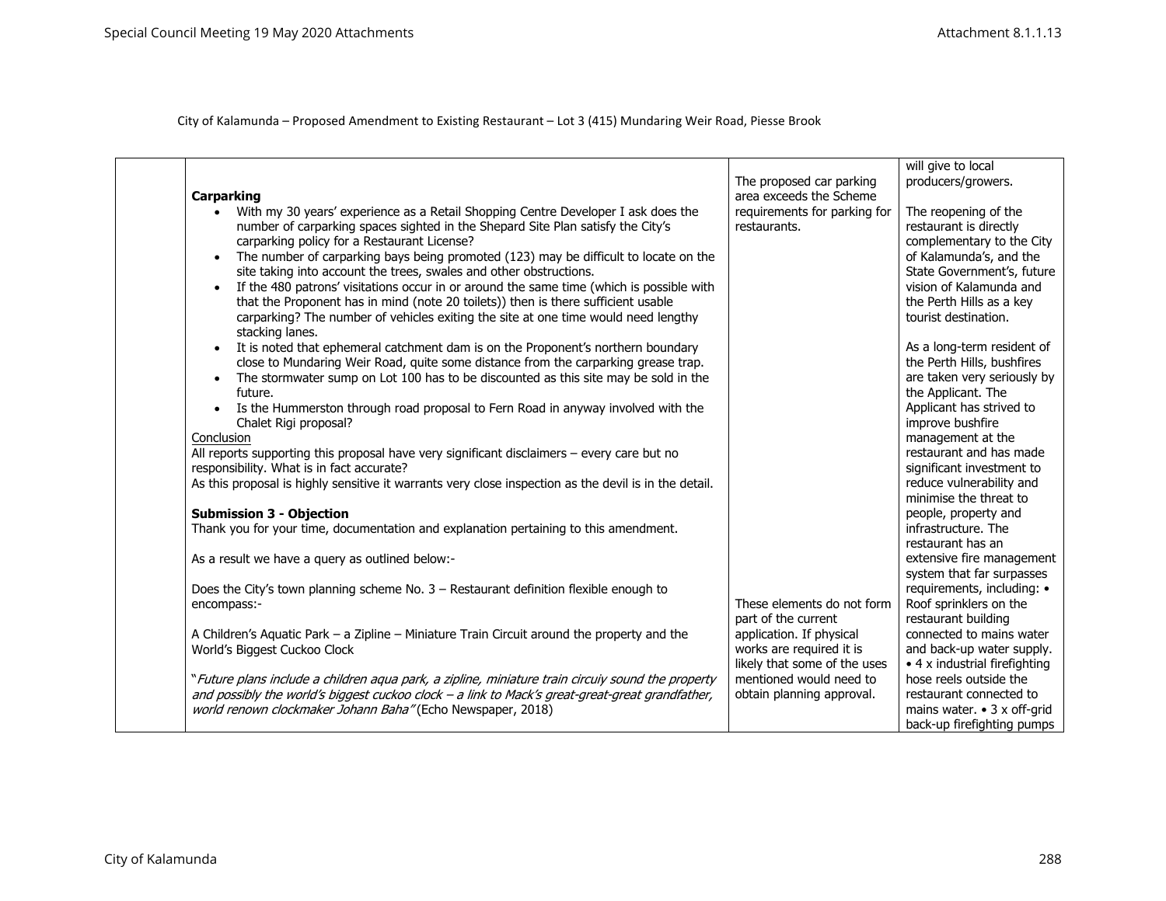| <b>Carparking</b><br>With my 30 years' experience as a Retail Shopping Centre Developer I ask does the<br>$\bullet$<br>number of carparking spaces sighted in the Shepard Site Plan satisfy the City's<br>carparking policy for a Restaurant License?<br>The number of carparking bays being promoted (123) may be difficult to locate on the<br>$\bullet$                | The proposed car parking<br>area exceeds the Scheme<br>requirements for parking for<br>restaurants. | will give to local<br>producers/growers.<br>The reopening of the<br>restaurant is directly<br>complementary to the City<br>of Kalamunda's, and the |
|---------------------------------------------------------------------------------------------------------------------------------------------------------------------------------------------------------------------------------------------------------------------------------------------------------------------------------------------------------------------------|-----------------------------------------------------------------------------------------------------|----------------------------------------------------------------------------------------------------------------------------------------------------|
| site taking into account the trees, swales and other obstructions.<br>If the 480 patrons' visitations occur in or around the same time (which is possible with<br>$\bullet$<br>that the Proponent has in mind (note 20 toilets)) then is there sufficient usable<br>carparking? The number of vehicles exiting the site at one time would need lengthy<br>stacking lanes. |                                                                                                     | State Government's, future<br>vision of Kalamunda and<br>the Perth Hills as a key<br>tourist destination.                                          |
| It is noted that ephemeral catchment dam is on the Proponent's northern boundary<br>close to Mundaring Weir Road, quite some distance from the carparking grease trap.<br>The stormwater sump on Lot 100 has to be discounted as this site may be sold in the<br>future.<br>Is the Hummerston through road proposal to Fern Road in anyway involved with the<br>$\bullet$ |                                                                                                     | As a long-term resident of<br>the Perth Hills, bushfires<br>are taken very seriously by<br>the Applicant. The<br>Applicant has strived to          |
| Chalet Rigi proposal?<br>Conclusion<br>All reports supporting this proposal have very significant disclaimers - every care but no<br>responsibility. What is in fact accurate?                                                                                                                                                                                            |                                                                                                     | improve bushfire<br>management at the<br>restaurant and has made<br>significant investment to                                                      |
| As this proposal is highly sensitive it warrants very close inspection as the devil is in the detail.<br><b>Submission 3 - Objection</b>                                                                                                                                                                                                                                  |                                                                                                     | reduce vulnerability and<br>minimise the threat to<br>people, property and                                                                         |
| Thank you for your time, documentation and explanation pertaining to this amendment.                                                                                                                                                                                                                                                                                      |                                                                                                     | infrastructure. The<br>restaurant has an                                                                                                           |
| As a result we have a query as outlined below:-                                                                                                                                                                                                                                                                                                                           |                                                                                                     | extensive fire management<br>system that far surpasses                                                                                             |
| Does the City's town planning scheme No. $3$ – Restaurant definition flexible enough to<br>encompass:-                                                                                                                                                                                                                                                                    | These elements do not form<br>part of the current                                                   | requirements, including: •<br>Roof sprinklers on the<br>restaurant building                                                                        |
| A Children's Aquatic Park - a Zipline - Miniature Train Circuit around the property and the<br>World's Biggest Cuckoo Clock                                                                                                                                                                                                                                               | application. If physical<br>works are required it is<br>likely that some of the uses                | connected to mains water<br>and back-up water supply.<br>$\bullet$ 4 x industrial firefighting                                                     |
| "Future plans include a children aqua park, a zipline, miniature train circuiy sound the property<br>and possibly the world's biggest cuckoo clock - a link to Mack's great-great-great grandfather,<br>world renown clockmaker Johann Baha" (Echo Newspaper, 2018)                                                                                                       | mentioned would need to<br>obtain planning approval.                                                | hose reels outside the<br>restaurant connected to<br>mains water. $\bullet$ 3 x off-grid<br>back-up firefighting pumps                             |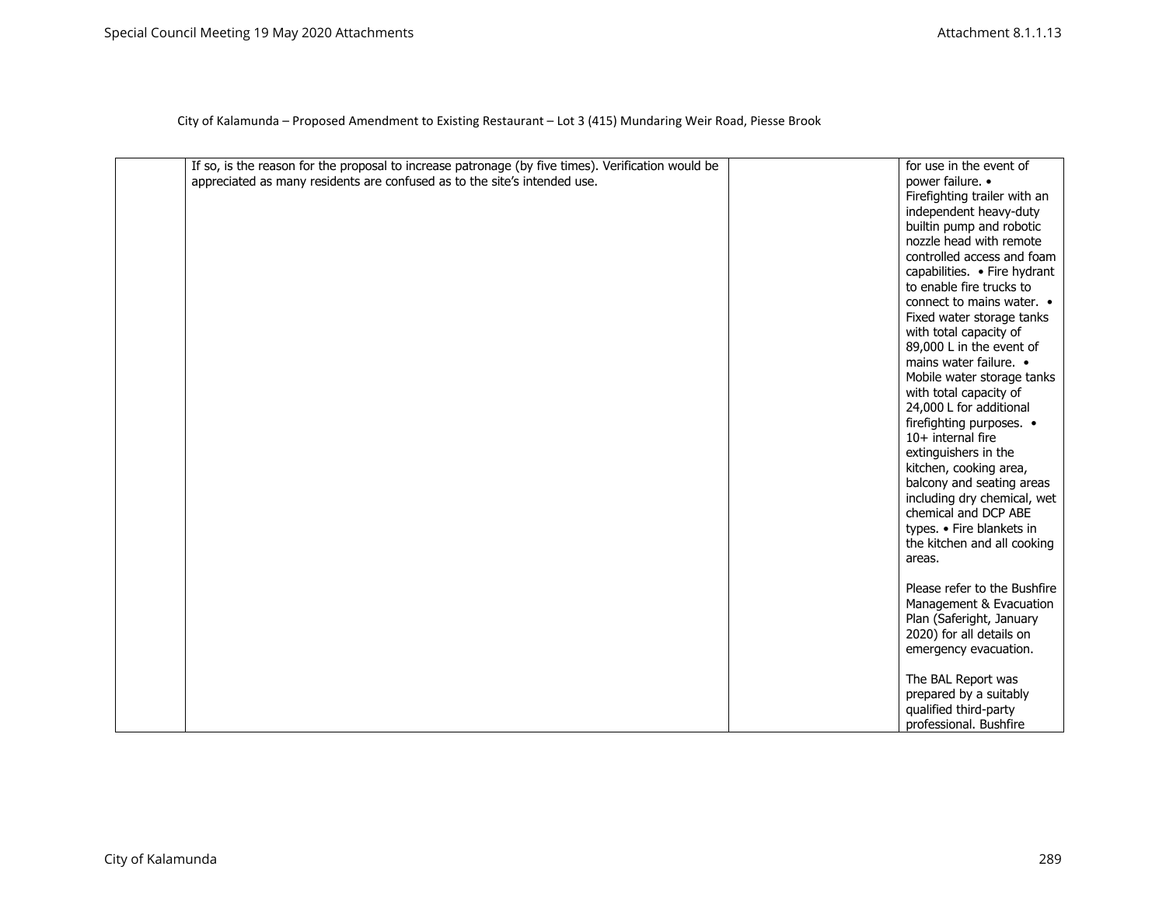| If so, is the reason for the proposal to increase patronage (by five times). Verification would be | for use in the event of      |
|----------------------------------------------------------------------------------------------------|------------------------------|
|                                                                                                    |                              |
| appreciated as many residents are confused as to the site's intended use.                          | power failure. •             |
|                                                                                                    | Firefighting trailer with an |
|                                                                                                    | independent heavy-duty       |
|                                                                                                    | builtin pump and robotic     |
|                                                                                                    | nozzle head with remote      |
|                                                                                                    | controlled access and foam   |
|                                                                                                    | capabilities. • Fire hydrant |
|                                                                                                    | to enable fire trucks to     |
|                                                                                                    | connect to mains water. •    |
|                                                                                                    | Fixed water storage tanks    |
|                                                                                                    | with total capacity of       |
|                                                                                                    | 89,000 L in the event of     |
|                                                                                                    | mains water failure. •       |
|                                                                                                    | Mobile water storage tanks   |
|                                                                                                    | with total capacity of       |
|                                                                                                    | 24,000 L for additional      |
|                                                                                                    |                              |
|                                                                                                    | firefighting purposes. •     |
|                                                                                                    | 10+ internal fire            |
|                                                                                                    | extinguishers in the         |
|                                                                                                    | kitchen, cooking area,       |
|                                                                                                    | balcony and seating areas    |
|                                                                                                    | including dry chemical, wet  |
|                                                                                                    | chemical and DCP ABE         |
|                                                                                                    | types. • Fire blankets in    |
|                                                                                                    | the kitchen and all cooking  |
|                                                                                                    | areas.                       |
|                                                                                                    |                              |
|                                                                                                    | Please refer to the Bushfire |
|                                                                                                    | Management & Evacuation      |
|                                                                                                    | Plan (Saferight, January     |
|                                                                                                    | 2020) for all details on     |
|                                                                                                    | emergency evacuation.        |
|                                                                                                    |                              |
|                                                                                                    | The BAL Report was           |
|                                                                                                    | prepared by a suitably       |
|                                                                                                    | qualified third-party        |
|                                                                                                    | professional. Bushfire       |
|                                                                                                    |                              |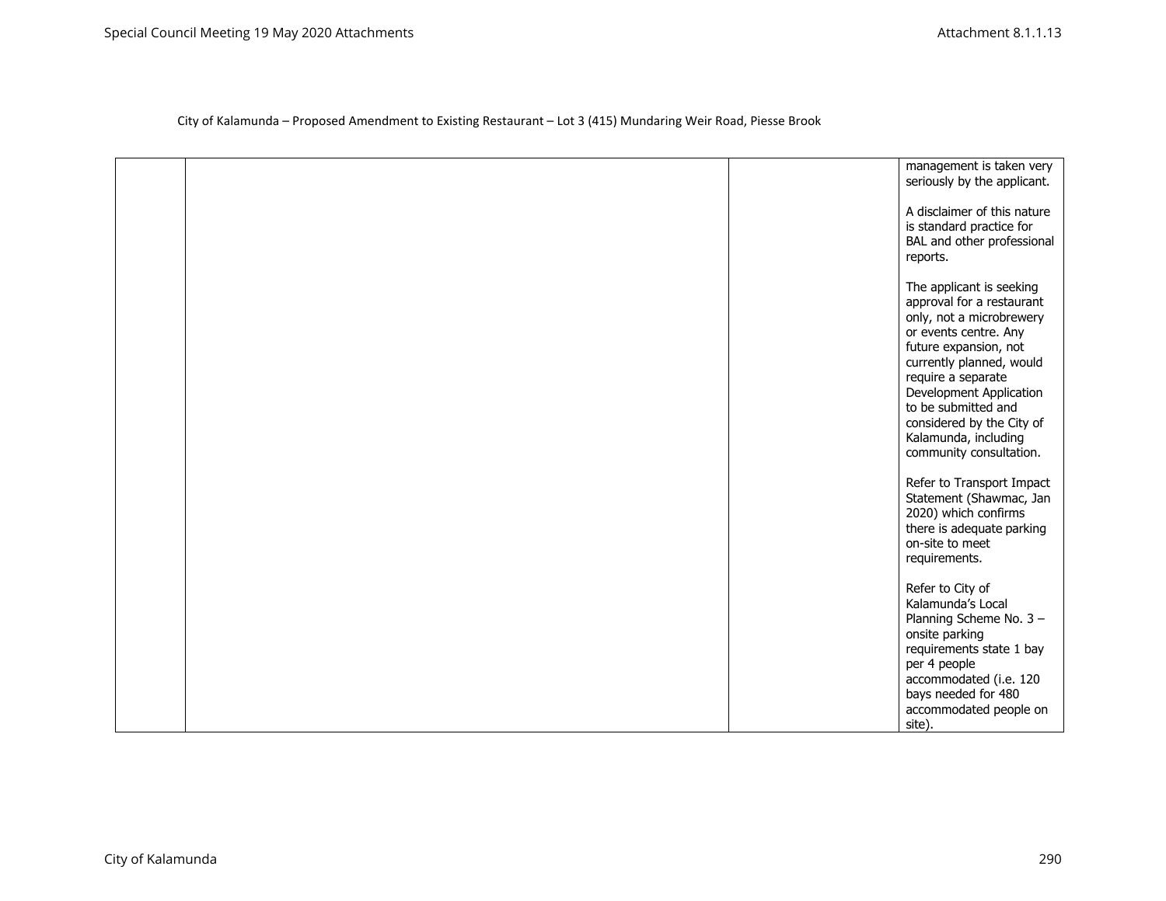| management is taken very<br>seriously by the applicant.                                                                                                                                                                                                                                                                 |
|-------------------------------------------------------------------------------------------------------------------------------------------------------------------------------------------------------------------------------------------------------------------------------------------------------------------------|
| A disclaimer of this nature<br>is standard practice for<br>BAL and other professional<br>reports.                                                                                                                                                                                                                       |
| The applicant is seeking<br>approval for a restaurant<br>only, not a microbrewery<br>or events centre. Any<br>future expansion, not<br>currently planned, would<br>require a separate<br>Development Application<br>to be submitted and<br>considered by the City of<br>Kalamunda, including<br>community consultation. |
| Refer to Transport Impact<br>Statement (Shawmac, Jan<br>2020) which confirms<br>there is adequate parking<br>on-site to meet<br>requirements.                                                                                                                                                                           |
| Refer to City of<br>Kalamunda's Local<br>Planning Scheme No. 3-<br>onsite parking<br>requirements state 1 bay<br>per 4 people<br>accommodated (i.e. 120<br>bays needed for 480<br>accommodated people on<br>site).                                                                                                      |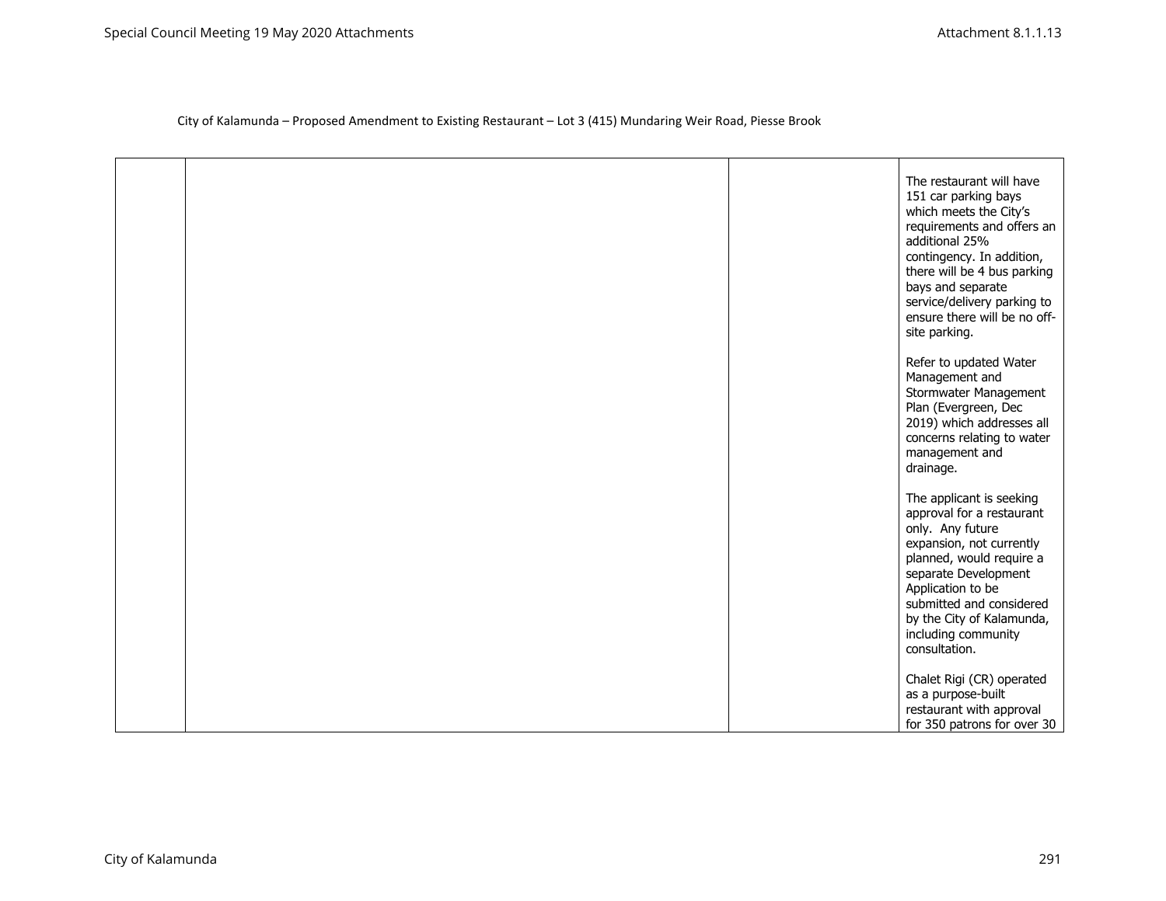|  | The restaurant will have<br>151 car parking bays<br>which meets the City's<br>requirements and offers an<br>additional 25%<br>contingency. In addition,<br>there will be 4 bus parking<br>bays and separate<br>service/delivery parking to<br>ensure there will be no off-<br>site parking. |
|--|---------------------------------------------------------------------------------------------------------------------------------------------------------------------------------------------------------------------------------------------------------------------------------------------|
|  | Refer to updated Water<br>Management and<br>Stormwater Management<br>Plan (Evergreen, Dec<br>2019) which addresses all<br>concerns relating to water<br>management and<br>drainage.                                                                                                         |
|  | The applicant is seeking<br>approval for a restaurant<br>only. Any future<br>expansion, not currently<br>planned, would require a<br>separate Development<br>Application to be<br>submitted and considered<br>by the City of Kalamunda,<br>including community<br>consultation.             |
|  | Chalet Rigi (CR) operated<br>as a purpose-built<br>restaurant with approval<br>for 350 patrons for over 30                                                                                                                                                                                  |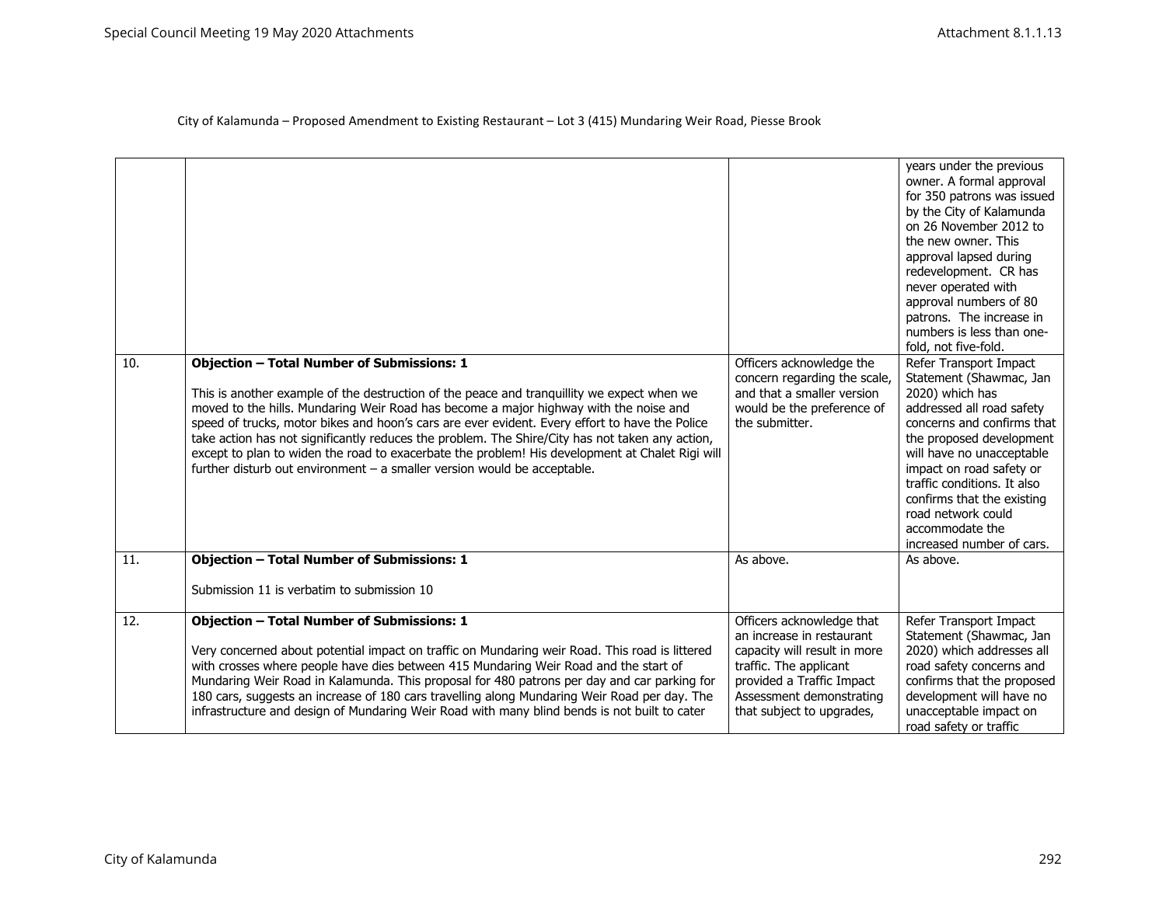| 10.<br>11. | <b>Objection - Total Number of Submissions: 1</b><br>This is another example of the destruction of the peace and tranquillity we expect when we<br>moved to the hills. Mundaring Weir Road has become a major highway with the noise and<br>speed of trucks, motor bikes and hoon's cars are ever evident. Every effort to have the Police<br>take action has not significantly reduces the problem. The Shire/City has not taken any action,<br>except to plan to widen the road to exacerbate the problem! His development at Chalet Rigi will<br>further disturb out environment $-$ a smaller version would be acceptable.<br><b>Objection - Total Number of Submissions: 1</b><br>Submission 11 is verbatim to submission 10 | Officers acknowledge the<br>concern regarding the scale,<br>and that a smaller version<br>would be the preference of<br>the submitter.<br>As above.                                                    | years under the previous<br>owner. A formal approval<br>for 350 patrons was issued<br>by the City of Kalamunda<br>on 26 November 2012 to<br>the new owner. This<br>approval lapsed during<br>redevelopment. CR has<br>never operated with<br>approval numbers of 80<br>patrons. The increase in<br>numbers is less than one-<br>fold, not five-fold.<br>Refer Transport Impact<br>Statement (Shawmac, Jan<br>2020) which has<br>addressed all road safety<br>concerns and confirms that<br>the proposed development<br>will have no unacceptable<br>impact on road safety or<br>traffic conditions. It also<br>confirms that the existing<br>road network could<br>accommodate the<br>increased number of cars.<br>As above. |
|------------|-----------------------------------------------------------------------------------------------------------------------------------------------------------------------------------------------------------------------------------------------------------------------------------------------------------------------------------------------------------------------------------------------------------------------------------------------------------------------------------------------------------------------------------------------------------------------------------------------------------------------------------------------------------------------------------------------------------------------------------|--------------------------------------------------------------------------------------------------------------------------------------------------------------------------------------------------------|------------------------------------------------------------------------------------------------------------------------------------------------------------------------------------------------------------------------------------------------------------------------------------------------------------------------------------------------------------------------------------------------------------------------------------------------------------------------------------------------------------------------------------------------------------------------------------------------------------------------------------------------------------------------------------------------------------------------------|
| 12.        | <b>Objection - Total Number of Submissions: 1</b><br>Very concerned about potential impact on traffic on Mundaring weir Road. This road is littered<br>with crosses where people have dies between 415 Mundaring Weir Road and the start of<br>Mundaring Weir Road in Kalamunda. This proposal for 480 patrons per day and car parking for<br>180 cars, suggests an increase of 180 cars travelling along Mundaring Weir Road per day. The<br>infrastructure and design of Mundaring Weir Road with many blind bends is not built to cater                                                                                                                                                                                        | Officers acknowledge that<br>an increase in restaurant<br>capacity will result in more<br>traffic. The applicant<br>provided a Traffic Impact<br>Assessment demonstrating<br>that subject to upgrades, | Refer Transport Impact<br>Statement (Shawmac, Jan<br>2020) which addresses all<br>road safety concerns and<br>confirms that the proposed<br>development will have no<br>unacceptable impact on<br>road safety or traffic                                                                                                                                                                                                                                                                                                                                                                                                                                                                                                     |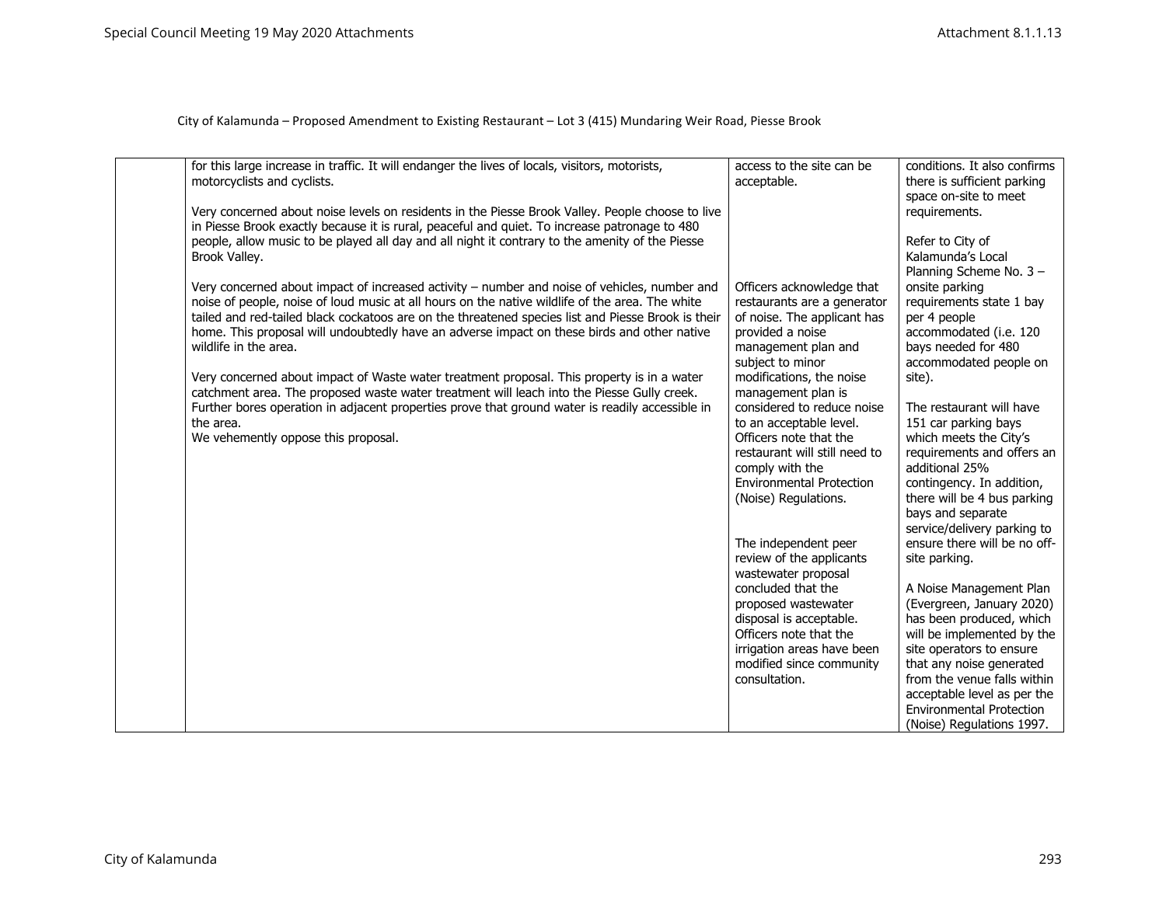| for this large increase in traffic. It will endanger the lives of locals, visitors, motorists,                                                                                                   | access to the site can be                         | conditions. It also confirms                                |
|--------------------------------------------------------------------------------------------------------------------------------------------------------------------------------------------------|---------------------------------------------------|-------------------------------------------------------------|
| motorcyclists and cyclists.                                                                                                                                                                      | acceptable.                                       | there is sufficient parking                                 |
|                                                                                                                                                                                                  |                                                   | space on-site to meet                                       |
| Very concerned about noise levels on residents in the Piesse Brook Valley. People choose to live                                                                                                 |                                                   | requirements.                                               |
| in Piesse Brook exactly because it is rural, peaceful and quiet. To increase patronage to 480<br>people, allow music to be played all day and all night it contrary to the amenity of the Piesse |                                                   | Refer to City of                                            |
| Brook Valley.                                                                                                                                                                                    |                                                   | Kalamunda's Local                                           |
|                                                                                                                                                                                                  |                                                   | Planning Scheme No. 3 -                                     |
| Very concerned about impact of increased activity - number and noise of vehicles, number and                                                                                                     | Officers acknowledge that                         | onsite parking                                              |
| noise of people, noise of loud music at all hours on the native wildlife of the area. The white                                                                                                  | restaurants are a generator                       | requirements state 1 bay                                    |
| tailed and red-tailed black cockatoos are on the threatened species list and Piesse Brook is their                                                                                               | of noise. The applicant has                       | per 4 people                                                |
| home. This proposal will undoubtedly have an adverse impact on these birds and other native<br>wildlife in the area.                                                                             | provided a noise<br>management plan and           | accommodated (i.e. 120<br>bays needed for 480               |
|                                                                                                                                                                                                  | subject to minor                                  | accommodated people on                                      |
| Very concerned about impact of Waste water treatment proposal. This property is in a water                                                                                                       | modifications, the noise                          | site).                                                      |
| catchment area. The proposed waste water treatment will leach into the Piesse Gully creek.                                                                                                       | management plan is                                |                                                             |
| Further bores operation in adjacent properties prove that ground water is readily accessible in                                                                                                  | considered to reduce noise                        | The restaurant will have                                    |
| the area.<br>We vehemently oppose this proposal.                                                                                                                                                 | to an acceptable level.<br>Officers note that the | 151 car parking bays                                        |
|                                                                                                                                                                                                  | restaurant will still need to                     | which meets the City's<br>requirements and offers an        |
|                                                                                                                                                                                                  | comply with the                                   | additional 25%                                              |
|                                                                                                                                                                                                  | <b>Environmental Protection</b>                   | contingency. In addition,                                   |
|                                                                                                                                                                                                  | (Noise) Regulations.                              | there will be 4 bus parking                                 |
|                                                                                                                                                                                                  |                                                   | bays and separate                                           |
|                                                                                                                                                                                                  | The independent peer                              | service/delivery parking to<br>ensure there will be no off- |
|                                                                                                                                                                                                  | review of the applicants                          | site parking.                                               |
|                                                                                                                                                                                                  | wastewater proposal                               |                                                             |
|                                                                                                                                                                                                  | concluded that the                                | A Noise Management Plan                                     |
|                                                                                                                                                                                                  | proposed wastewater                               | (Evergreen, January 2020)                                   |
|                                                                                                                                                                                                  | disposal is acceptable.<br>Officers note that the | has been produced, which<br>will be implemented by the      |
|                                                                                                                                                                                                  | irrigation areas have been                        | site operators to ensure                                    |
|                                                                                                                                                                                                  | modified since community                          | that any noise generated                                    |
|                                                                                                                                                                                                  | consultation.                                     | from the venue falls within                                 |
|                                                                                                                                                                                                  |                                                   | acceptable level as per the                                 |
|                                                                                                                                                                                                  |                                                   | <b>Environmental Protection</b>                             |
|                                                                                                                                                                                                  |                                                   | (Noise) Regulations 1997.                                   |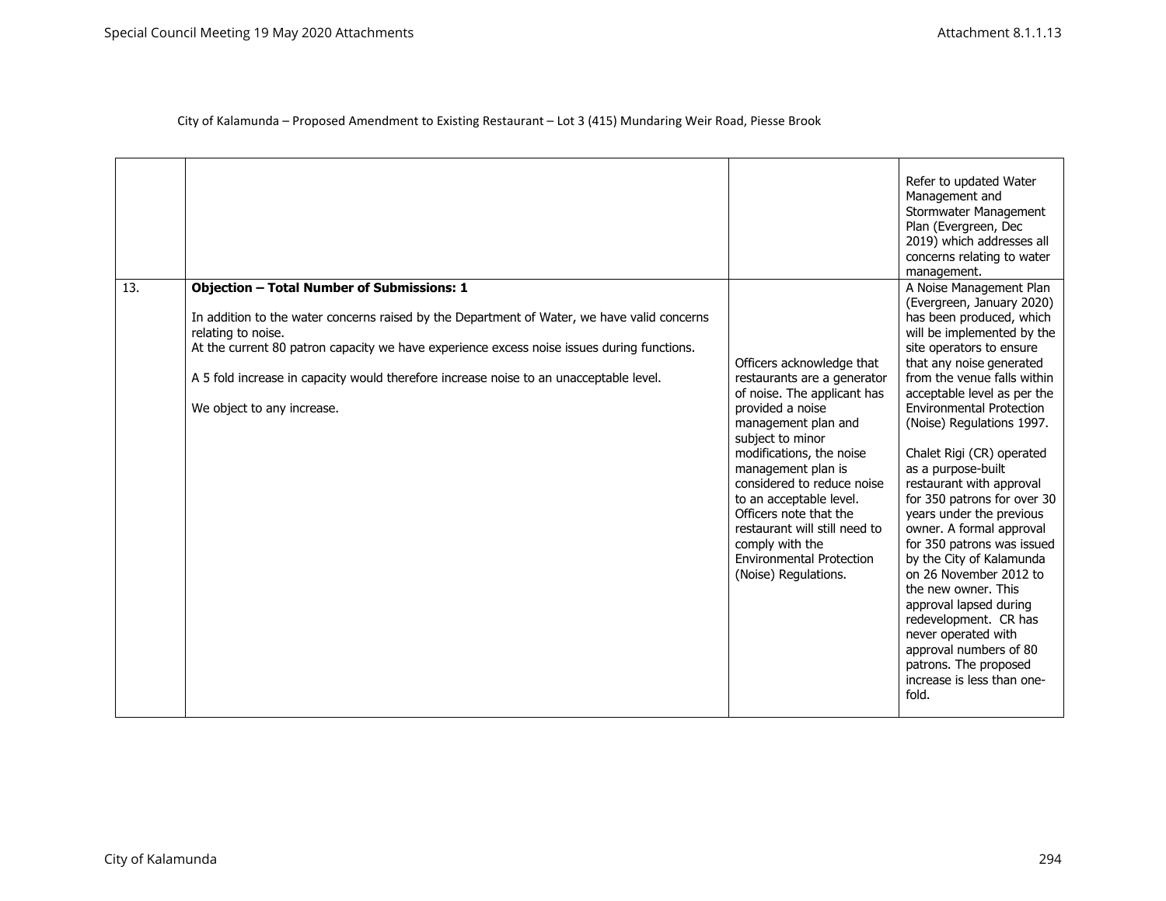|     |                                                                                                                                                                                                                                                                                                                                                                                              |                                                                                                                                                                                                                                                                                                                                                                                                            | Refer to updated Water<br>Management and<br>Stormwater Management<br>Plan (Evergreen, Dec<br>2019) which addresses all<br>concerns relating to water<br>management.                                                                                                                                                                                                                                                                                                                                                                                                                                                                                                                                                                                       |
|-----|----------------------------------------------------------------------------------------------------------------------------------------------------------------------------------------------------------------------------------------------------------------------------------------------------------------------------------------------------------------------------------------------|------------------------------------------------------------------------------------------------------------------------------------------------------------------------------------------------------------------------------------------------------------------------------------------------------------------------------------------------------------------------------------------------------------|-----------------------------------------------------------------------------------------------------------------------------------------------------------------------------------------------------------------------------------------------------------------------------------------------------------------------------------------------------------------------------------------------------------------------------------------------------------------------------------------------------------------------------------------------------------------------------------------------------------------------------------------------------------------------------------------------------------------------------------------------------------|
| 13. | <b>Objection - Total Number of Submissions: 1</b><br>In addition to the water concerns raised by the Department of Water, we have valid concerns<br>relating to noise.<br>At the current 80 patron capacity we have experience excess noise issues during functions.<br>A 5 fold increase in capacity would therefore increase noise to an unacceptable level.<br>We object to any increase. | Officers acknowledge that<br>restaurants are a generator<br>of noise. The applicant has<br>provided a noise<br>management plan and<br>subject to minor<br>modifications, the noise<br>management plan is<br>considered to reduce noise<br>to an acceptable level.<br>Officers note that the<br>restaurant will still need to<br>comply with the<br><b>Environmental Protection</b><br>(Noise) Regulations. | A Noise Management Plan<br>(Evergreen, January 2020)<br>has been produced, which<br>will be implemented by the<br>site operators to ensure<br>that any noise generated<br>from the venue falls within<br>acceptable level as per the<br><b>Environmental Protection</b><br>(Noise) Regulations 1997.<br>Chalet Rigi (CR) operated<br>as a purpose-built<br>restaurant with approval<br>for 350 patrons for over 30<br>years under the previous<br>owner. A formal approval<br>for 350 patrons was issued<br>by the City of Kalamunda<br>on 26 November 2012 to<br>the new owner. This<br>approval lapsed during<br>redevelopment. CR has<br>never operated with<br>approval numbers of 80<br>patrons. The proposed<br>increase is less than one-<br>fold. |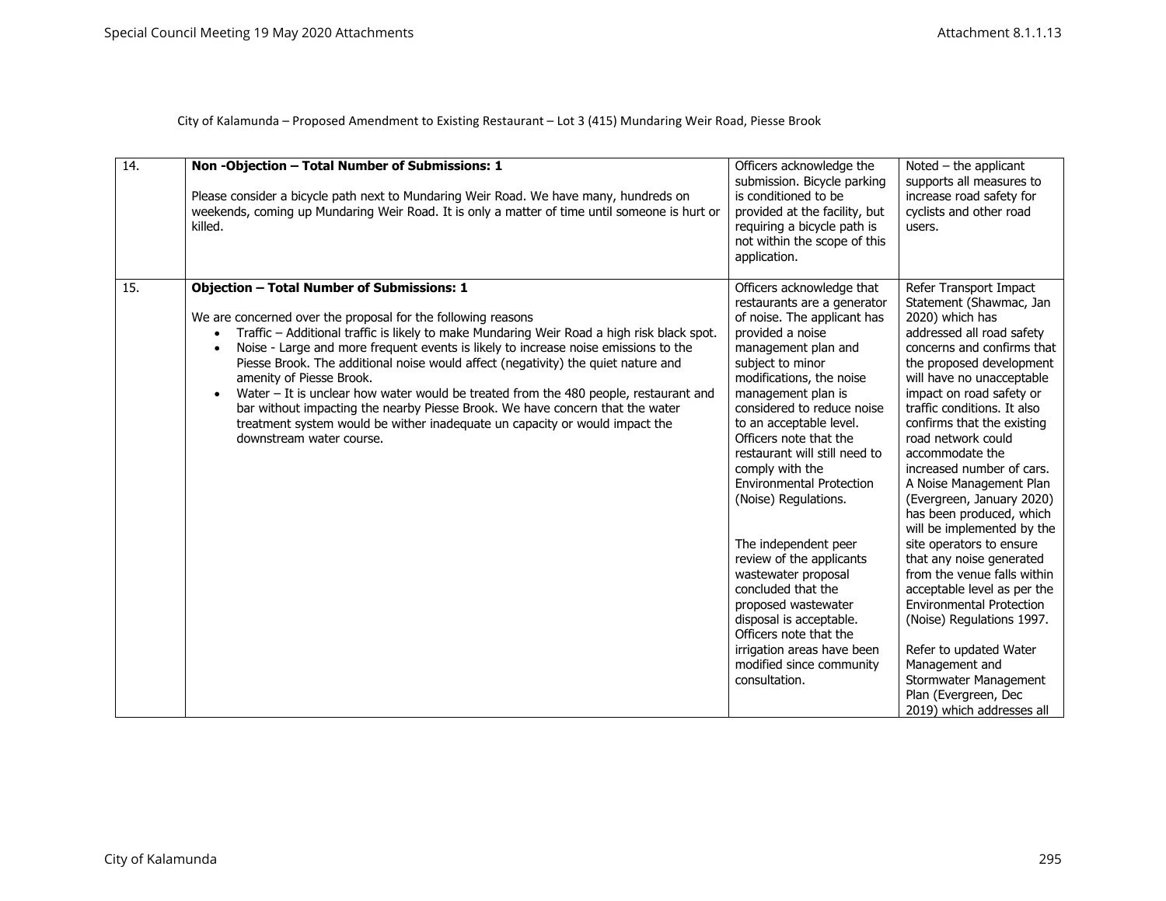| 14. | Non-Objection - Total Number of Submissions: 1<br>Please consider a bicycle path next to Mundaring Weir Road. We have many, hundreds on<br>weekends, coming up Mundaring Weir Road. It is only a matter of time until someone is hurt or<br>killed.                                                                                                                                                                                                                                                                                                                                                                                                                                                                                                  | Officers acknowledge the<br>submission. Bicycle parking<br>is conditioned to be<br>provided at the facility, but<br>requiring a bicycle path is                                                                                                                                                                                                                                                                                                                                                                                                                                                                                                                    | Noted $-$ the applicant<br>supports all measures to<br>increase road safety for<br>cyclists and other road<br>users.                                                                                                                                                                                                                                                                                                                                                                                                                                                                                                                                                                                                                                                                      |
|-----|------------------------------------------------------------------------------------------------------------------------------------------------------------------------------------------------------------------------------------------------------------------------------------------------------------------------------------------------------------------------------------------------------------------------------------------------------------------------------------------------------------------------------------------------------------------------------------------------------------------------------------------------------------------------------------------------------------------------------------------------------|--------------------------------------------------------------------------------------------------------------------------------------------------------------------------------------------------------------------------------------------------------------------------------------------------------------------------------------------------------------------------------------------------------------------------------------------------------------------------------------------------------------------------------------------------------------------------------------------------------------------------------------------------------------------|-------------------------------------------------------------------------------------------------------------------------------------------------------------------------------------------------------------------------------------------------------------------------------------------------------------------------------------------------------------------------------------------------------------------------------------------------------------------------------------------------------------------------------------------------------------------------------------------------------------------------------------------------------------------------------------------------------------------------------------------------------------------------------------------|
|     |                                                                                                                                                                                                                                                                                                                                                                                                                                                                                                                                                                                                                                                                                                                                                      | not within the scope of this<br>application.                                                                                                                                                                                                                                                                                                                                                                                                                                                                                                                                                                                                                       |                                                                                                                                                                                                                                                                                                                                                                                                                                                                                                                                                                                                                                                                                                                                                                                           |
| 15. | <b>Objection - Total Number of Submissions: 1</b><br>We are concerned over the proposal for the following reasons<br>Traffic – Additional traffic is likely to make Mundaring Weir Road a high risk black spot.<br>$\bullet$<br>Noise - Large and more frequent events is likely to increase noise emissions to the<br>$\bullet$<br>Piesse Brook. The additional noise would affect (negativity) the quiet nature and<br>amenity of Piesse Brook.<br>Water $-$ It is unclear how water would be treated from the 480 people, restaurant and<br>$\bullet$<br>bar without impacting the nearby Piesse Brook. We have concern that the water<br>treatment system would be wither inadequate un capacity or would impact the<br>downstream water course. | Officers acknowledge that<br>restaurants are a generator<br>of noise. The applicant has<br>provided a noise<br>management plan and<br>subject to minor<br>modifications, the noise<br>management plan is<br>considered to reduce noise<br>to an acceptable level.<br>Officers note that the<br>restaurant will still need to<br>comply with the<br><b>Environmental Protection</b><br>(Noise) Regulations.<br>The independent peer<br>review of the applicants<br>wastewater proposal<br>concluded that the<br>proposed wastewater<br>disposal is acceptable.<br>Officers note that the<br>irrigation areas have been<br>modified since community<br>consultation. | Refer Transport Impact<br>Statement (Shawmac, Jan<br>2020) which has<br>addressed all road safety<br>concerns and confirms that<br>the proposed development<br>will have no unacceptable<br>impact on road safety or<br>traffic conditions. It also<br>confirms that the existing<br>road network could<br>accommodate the<br>increased number of cars.<br>A Noise Management Plan<br>(Evergreen, January 2020)<br>has been produced, which<br>will be implemented by the<br>site operators to ensure<br>that any noise generated<br>from the venue falls within<br>acceptable level as per the<br><b>Environmental Protection</b><br>(Noise) Regulations 1997.<br>Refer to updated Water<br>Management and<br>Stormwater Management<br>Plan (Evergreen, Dec<br>2019) which addresses all |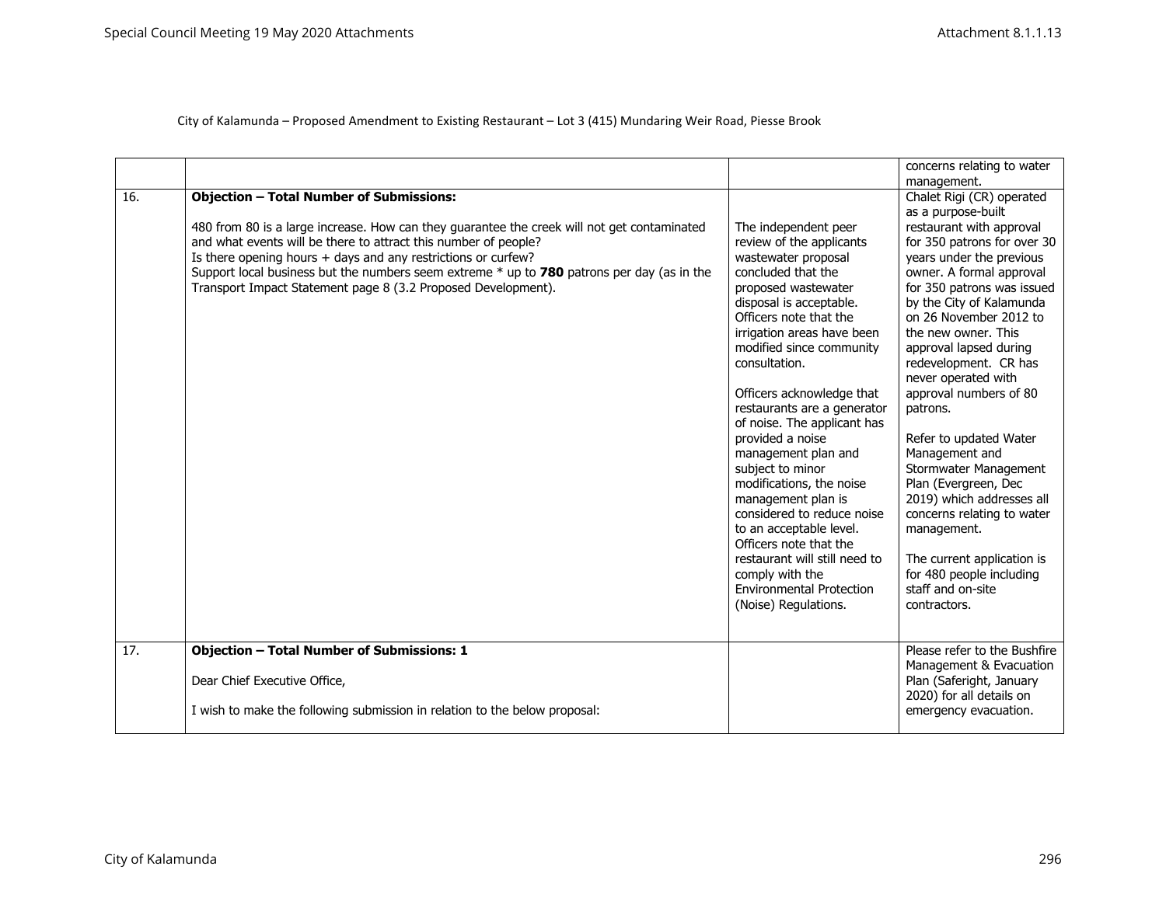|     |                                                                                              |                                 | concerns relating to water               |
|-----|----------------------------------------------------------------------------------------------|---------------------------------|------------------------------------------|
| 16. | <b>Objection - Total Number of Submissions:</b>                                              |                                 | management.<br>Chalet Rigi (CR) operated |
|     |                                                                                              |                                 | as a purpose-built                       |
|     | 480 from 80 is a large increase. How can they guarantee the creek will not get contaminated  | The independent peer            | restaurant with approval                 |
|     | and what events will be there to attract this number of people?                              | review of the applicants        | for 350 patrons for over 30              |
|     | Is there opening hours + days and any restrictions or curfew?                                | wastewater proposal             | years under the previous                 |
|     | Support local business but the numbers seem extreme $*$ up to 780 patrons per day (as in the | concluded that the              | owner. A formal approval                 |
|     | Transport Impact Statement page 8 (3.2 Proposed Development).                                | proposed wastewater             | for 350 patrons was issued               |
|     |                                                                                              | disposal is acceptable.         | by the City of Kalamunda                 |
|     |                                                                                              | Officers note that the          | on 26 November 2012 to                   |
|     |                                                                                              | irrigation areas have been      | the new owner. This                      |
|     |                                                                                              | modified since community        | approval lapsed during                   |
|     |                                                                                              | consultation.                   | redevelopment. CR has                    |
|     |                                                                                              |                                 | never operated with                      |
|     |                                                                                              | Officers acknowledge that       | approval numbers of 80                   |
|     |                                                                                              | restaurants are a generator     | patrons.                                 |
|     |                                                                                              | of noise. The applicant has     |                                          |
|     |                                                                                              | provided a noise                | Refer to updated Water                   |
|     |                                                                                              | management plan and             | Management and                           |
|     |                                                                                              | subject to minor                | Stormwater Management                    |
|     |                                                                                              | modifications, the noise        | Plan (Evergreen, Dec                     |
|     |                                                                                              | management plan is              | 2019) which addresses all                |
|     |                                                                                              | considered to reduce noise      | concerns relating to water               |
|     |                                                                                              | to an acceptable level.         | management.                              |
|     |                                                                                              | Officers note that the          |                                          |
|     |                                                                                              | restaurant will still need to   | The current application is               |
|     |                                                                                              | comply with the                 | for 480 people including                 |
|     |                                                                                              | <b>Environmental Protection</b> | staff and on-site                        |
|     |                                                                                              | (Noise) Regulations.            | contractors.                             |
|     |                                                                                              |                                 |                                          |
|     |                                                                                              |                                 |                                          |
| 17. | <b>Objection - Total Number of Submissions: 1</b>                                            |                                 | Please refer to the Bushfire             |
|     |                                                                                              |                                 | Management & Evacuation                  |
|     | Dear Chief Executive Office,                                                                 |                                 | Plan (Saferight, January                 |
|     |                                                                                              |                                 | 2020) for all details on                 |
|     | I wish to make the following submission in relation to the below proposal:                   |                                 | emergency evacuation.                    |
|     |                                                                                              |                                 |                                          |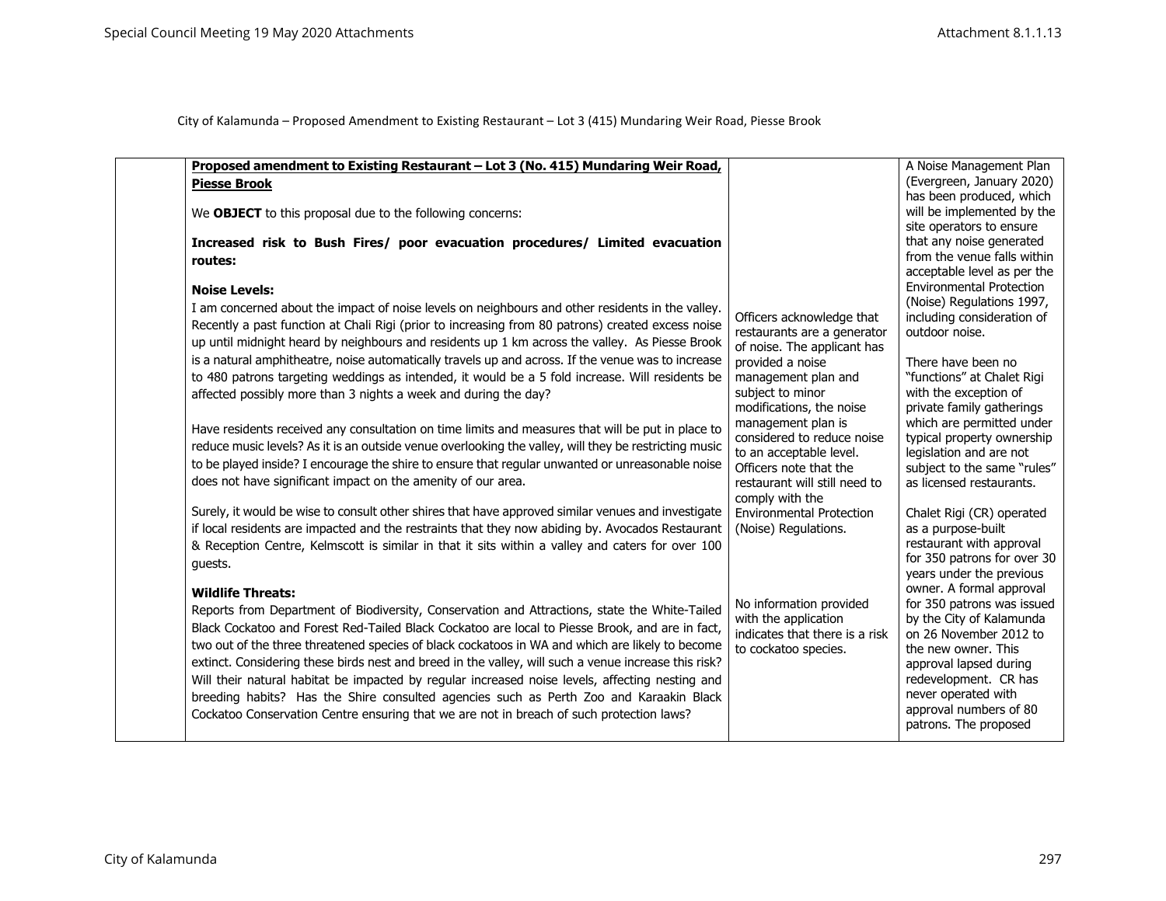| Proposed amendment to Existing Restaurant - Lot 3 (No. 415) Mundaring Weir Road,                      |                                                       | A Noise Management Plan                                        |
|-------------------------------------------------------------------------------------------------------|-------------------------------------------------------|----------------------------------------------------------------|
| <b>Piesse Brook</b>                                                                                   |                                                       | (Evergreen, January 2020)                                      |
|                                                                                                       |                                                       | has been produced, which                                       |
| We OBJECT to this proposal due to the following concerns:                                             |                                                       | will be implemented by the                                     |
|                                                                                                       |                                                       | site operators to ensure                                       |
| Increased risk to Bush Fires/ poor evacuation procedures/ Limited evacuation                          |                                                       | that any noise generated                                       |
| routes:                                                                                               |                                                       | from the venue falls within                                    |
|                                                                                                       |                                                       | acceptable level as per the<br><b>Environmental Protection</b> |
| <b>Noise Levels:</b>                                                                                  |                                                       | (Noise) Regulations 1997,                                      |
| I am concerned about the impact of noise levels on neighbours and other residents in the valley.      | Officers acknowledge that                             | including consideration of                                     |
| Recently a past function at Chali Rigi (prior to increasing from 80 patrons) created excess noise     | restaurants are a generator                           | outdoor noise.                                                 |
| up until midnight heard by neighbours and residents up 1 km across the valley. As Piesse Brook        | of noise. The applicant has                           |                                                                |
| is a natural amphitheatre, noise automatically travels up and across. If the venue was to increase    | provided a noise                                      | There have been no                                             |
| to 480 patrons targeting weddings as intended, it would be a 5 fold increase. Will residents be       | management plan and                                   | "functions" at Chalet Rigi                                     |
| affected possibly more than 3 nights a week and during the day?                                       | subject to minor                                      | with the exception of                                          |
|                                                                                                       | modifications, the noise                              | private family gatherings                                      |
| Have residents received any consultation on time limits and measures that will be put in place to     | management plan is                                    | which are permitted under                                      |
| reduce music levels? As it is an outside venue overlooking the valley, will they be restricting music | considered to reduce noise<br>to an acceptable level. | typical property ownership<br>legislation and are not          |
| to be played inside? I encourage the shire to ensure that regular unwanted or unreasonable noise      | Officers note that the                                | subject to the same "rules"                                    |
| does not have significant impact on the amenity of our area.                                          | restaurant will still need to                         | as licensed restaurants.                                       |
|                                                                                                       | comply with the                                       |                                                                |
| Surely, it would be wise to consult other shires that have approved similar venues and investigate    | <b>Environmental Protection</b>                       | Chalet Rigi (CR) operated                                      |
| if local residents are impacted and the restraints that they now abiding by. Avocados Restaurant      | (Noise) Regulations.                                  | as a purpose-built                                             |
| & Reception Centre, Kelmscott is similar in that it sits within a valley and caters for over 100      |                                                       | restaurant with approval                                       |
| guests.                                                                                               |                                                       | for 350 patrons for over 30                                    |
|                                                                                                       |                                                       | years under the previous                                       |
| <b>Wildlife Threats:</b>                                                                              |                                                       | owner. A formal approval                                       |
| Reports from Department of Biodiversity, Conservation and Attractions, state the White-Tailed         | No information provided<br>with the application       | for 350 patrons was issued<br>by the City of Kalamunda         |
| Black Cockatoo and Forest Red-Tailed Black Cockatoo are local to Piesse Brook, and are in fact,       | indicates that there is a risk                        | on 26 November 2012 to                                         |
| two out of the three threatened species of black cockatoos in WA and which are likely to become       | to cockatoo species.                                  | the new owner. This                                            |
| extinct. Considering these birds nest and breed in the valley, will such a venue increase this risk?  |                                                       | approval lapsed during                                         |
| Will their natural habitat be impacted by regular increased noise levels, affecting nesting and       |                                                       | redevelopment. CR has                                          |
| breeding habits? Has the Shire consulted agencies such as Perth Zoo and Karaakin Black                |                                                       | never operated with                                            |
| Cockatoo Conservation Centre ensuring that we are not in breach of such protection laws?              |                                                       | approval numbers of 80                                         |
|                                                                                                       |                                                       | patrons. The proposed                                          |
|                                                                                                       |                                                       |                                                                |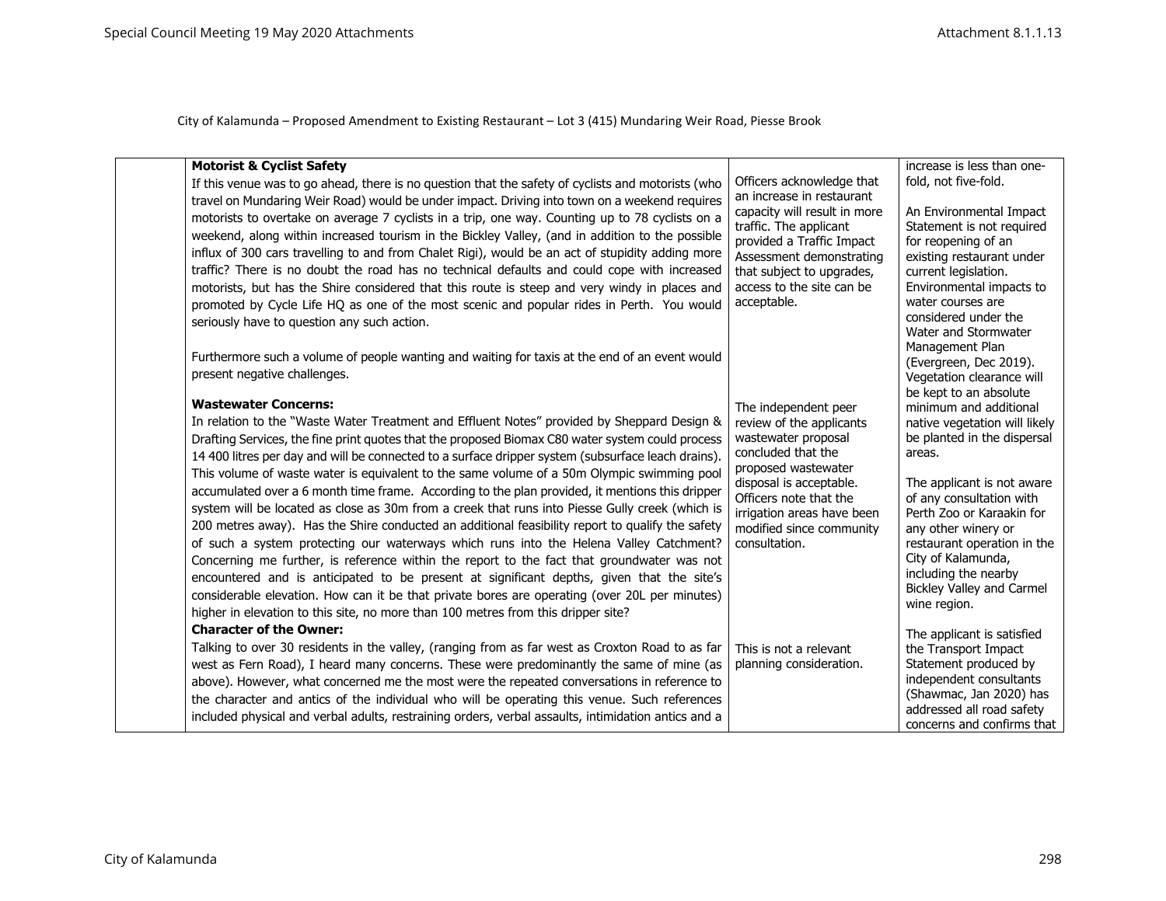| <b>Motorist &amp; Cyclist Safety</b>                                                                |                                                           | increase is less than one-                              |
|-----------------------------------------------------------------------------------------------------|-----------------------------------------------------------|---------------------------------------------------------|
| If this venue was to go ahead, there is no question that the safety of cyclists and motorists (who  | Officers acknowledge that                                 | fold, not five-fold.                                    |
| travel on Mundaring Weir Road) would be under impact. Driving into town on a weekend requires       | an increase in restaurant<br>capacity will result in more | An Environmental Impact                                 |
| motorists to overtake on average 7 cyclists in a trip, one way. Counting up to 78 cyclists on a     | traffic. The applicant                                    | Statement is not required                               |
| weekend, along within increased tourism in the Bickley Valley, (and in addition to the possible     | provided a Traffic Impact                                 | for reopening of an                                     |
| influx of 300 cars travelling to and from Chalet Rigi), would be an act of stupidity adding more    | Assessment demonstrating                                  | existing restaurant under                               |
| traffic? There is no doubt the road has no technical defaults and could cope with increased         | that subject to upgrades,                                 | current legislation.                                    |
| motorists, but has the Shire considered that this route is steep and very windy in places and       | access to the site can be                                 | Environmental impacts to                                |
| promoted by Cycle Life HQ as one of the most scenic and popular rides in Perth. You would           | acceptable.                                               | water courses are<br>considered under the               |
| seriously have to question any such action.                                                         |                                                           | Water and Stormwater                                    |
|                                                                                                     |                                                           | Management Plan                                         |
| Furthermore such a volume of people wanting and waiting for taxis at the end of an event would      |                                                           | (Evergreen, Dec 2019).                                  |
| present negative challenges.                                                                        |                                                           | Vegetation clearance will                               |
| <b>Wastewater Concerns:</b>                                                                         |                                                           | be kept to an absolute                                  |
| In relation to the "Waste Water Treatment and Effluent Notes" provided by Sheppard Design &         | The independent peer<br>review of the applicants          | minimum and additional<br>native vegetation will likely |
| Drafting Services, the fine print quotes that the proposed Biomax C80 water system could process    | wastewater proposal                                       | be planted in the dispersal                             |
| 14 400 litres per day and will be connected to a surface dripper system (subsurface leach drains).  | concluded that the                                        | areas.                                                  |
| This volume of waste water is equivalent to the same volume of a 50m Olympic swimming pool          | proposed wastewater                                       |                                                         |
| accumulated over a 6 month time frame. According to the plan provided, it mentions this dripper     | disposal is acceptable.                                   | The applicant is not aware                              |
| system will be located as close as 30m from a creek that runs into Piesse Gully creek (which is     | Officers note that the<br>irrigation areas have been      | of any consultation with<br>Perth Zoo or Karaakin for   |
| 200 metres away). Has the Shire conducted an additional feasibility report to qualify the safety    | modified since community                                  | any other winery or                                     |
| of such a system protecting our waterways which runs into the Helena Valley Catchment?              | consultation.                                             | restaurant operation in the                             |
| Concerning me further, is reference within the report to the fact that groundwater was not          |                                                           | City of Kalamunda,                                      |
| encountered and is anticipated to be present at significant depths, given that the site's           |                                                           | including the nearby                                    |
| considerable elevation. How can it be that private bores are operating (over 20L per minutes)       |                                                           | <b>Bickley Valley and Carmel</b><br>wine region.        |
| higher in elevation to this site, no more than 100 metres from this dripper site?                   |                                                           |                                                         |
| <b>Character of the Owner:</b>                                                                      |                                                           | The applicant is satisfied                              |
| Talking to over 30 residents in the valley, (ranging from as far west as Croxton Road to as far     | This is not a relevant                                    | the Transport Impact                                    |
| west as Fern Road), I heard many concerns. These were predominantly the same of mine (as            | planning consideration.                                   | Statement produced by                                   |
| above). However, what concerned me the most were the repeated conversations in reference to         |                                                           | independent consultants<br>(Shawmac, Jan 2020) has      |
| the character and antics of the individual who will be operating this venue. Such references        |                                                           | addressed all road safety                               |
| included physical and verbal adults, restraining orders, verbal assaults, intimidation antics and a |                                                           | concerns and confirms that                              |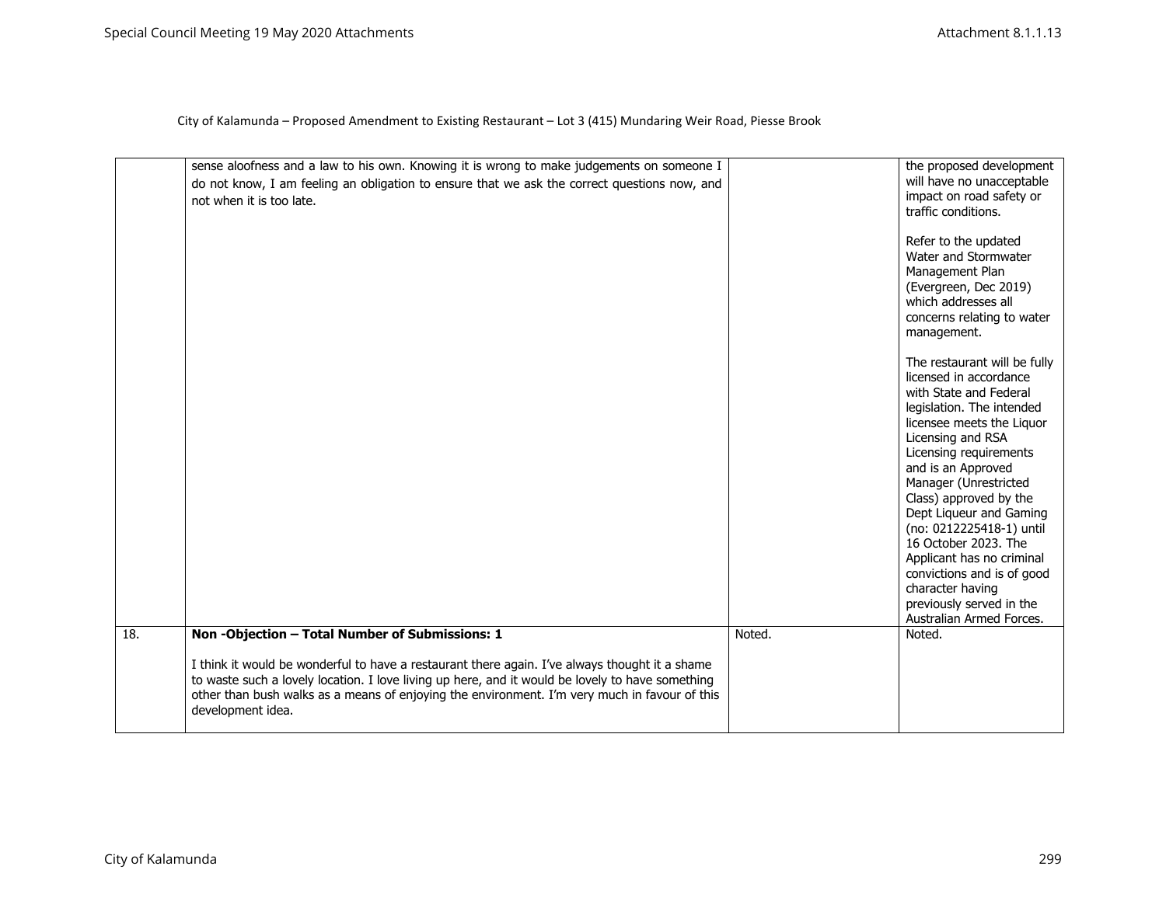|     | sense aloofness and a law to his own. Knowing it is wrong to make judgements on someone I                                                                                                                                                                                                                                |        | the proposed development                                                                                                                                                                                                                                                                                                                                                                                                                                                                 |
|-----|--------------------------------------------------------------------------------------------------------------------------------------------------------------------------------------------------------------------------------------------------------------------------------------------------------------------------|--------|------------------------------------------------------------------------------------------------------------------------------------------------------------------------------------------------------------------------------------------------------------------------------------------------------------------------------------------------------------------------------------------------------------------------------------------------------------------------------------------|
|     | do not know, I am feeling an obligation to ensure that we ask the correct questions now, and<br>not when it is too late.                                                                                                                                                                                                 |        | will have no unacceptable<br>impact on road safety or<br>traffic conditions.                                                                                                                                                                                                                                                                                                                                                                                                             |
|     |                                                                                                                                                                                                                                                                                                                          |        | Refer to the updated<br>Water and Stormwater<br>Management Plan<br>(Evergreen, Dec 2019)<br>which addresses all<br>concerns relating to water<br>management.                                                                                                                                                                                                                                                                                                                             |
|     |                                                                                                                                                                                                                                                                                                                          |        | The restaurant will be fully<br>licensed in accordance<br>with State and Federal<br>legislation. The intended<br>licensee meets the Liquor<br>Licensing and RSA<br>Licensing requirements<br>and is an Approved<br>Manager (Unrestricted<br>Class) approved by the<br>Dept Liqueur and Gaming<br>(no: 0212225418-1) until<br>16 October 2023. The<br>Applicant has no criminal<br>convictions and is of good<br>character having<br>previously served in the<br>Australian Armed Forces. |
| 18. | Non-Objection - Total Number of Submissions: 1                                                                                                                                                                                                                                                                           | Noted. | Noted.                                                                                                                                                                                                                                                                                                                                                                                                                                                                                   |
|     | I think it would be wonderful to have a restaurant there again. I've always thought it a shame<br>to waste such a lovely location. I love living up here, and it would be lovely to have something<br>other than bush walks as a means of enjoying the environment. I'm very much in favour of this<br>development idea. |        |                                                                                                                                                                                                                                                                                                                                                                                                                                                                                          |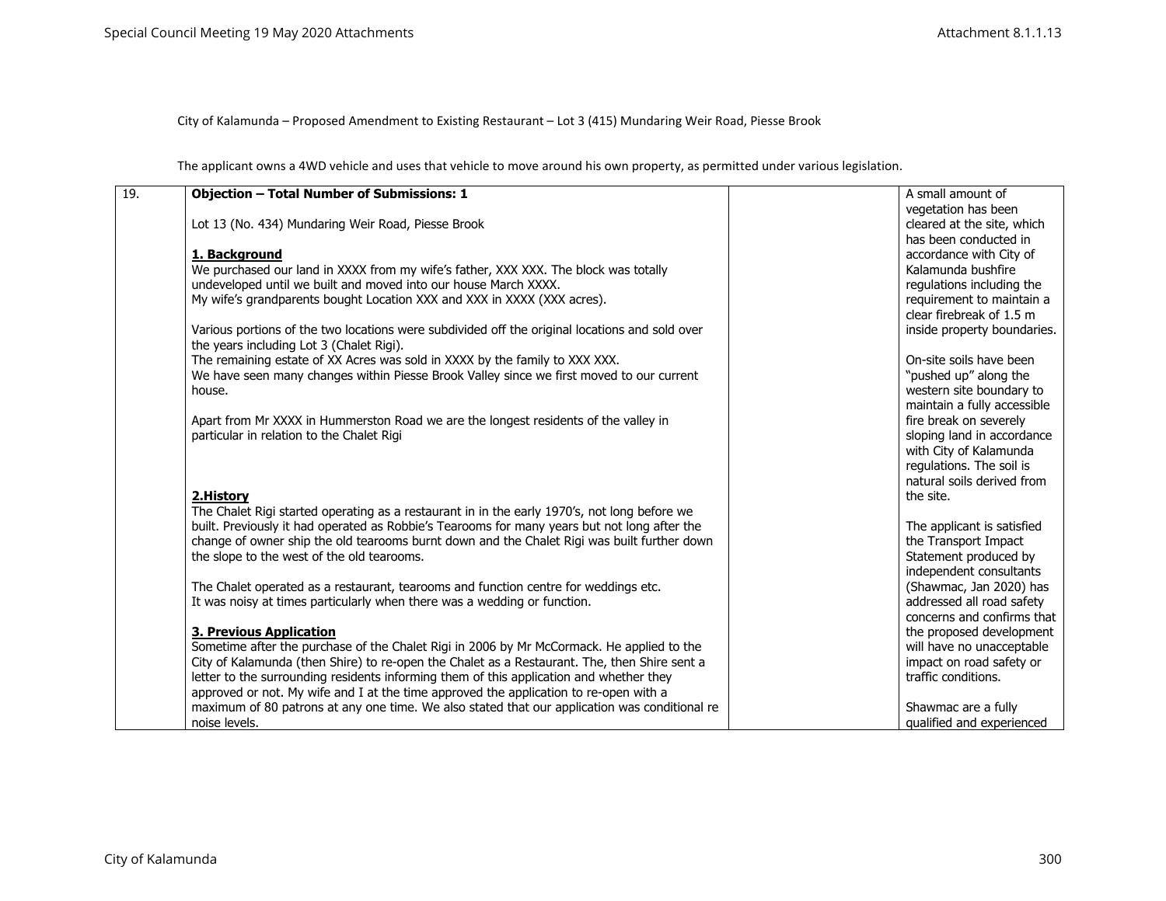The applicant owns a 4WD vehicle and uses that vehicle to move around his own property, as permitted under various legislation.

| 19. | <b>Objection - Total Number of Submissions: 1</b>                                              | A small amount of           |
|-----|------------------------------------------------------------------------------------------------|-----------------------------|
|     |                                                                                                | vegetation has been         |
|     | Lot 13 (No. 434) Mundaring Weir Road, Piesse Brook                                             | cleared at the site, which  |
|     |                                                                                                | has been conducted in       |
|     | 1. Background                                                                                  | accordance with City of     |
|     | We purchased our land in XXXX from my wife's father, XXX XXX. The block was totally            | Kalamunda bushfire          |
|     | undeveloped until we built and moved into our house March XXXX.                                | regulations including the   |
|     | My wife's grandparents bought Location XXX and XXX in XXXX (XXX acres).                        | requirement to maintain a   |
|     |                                                                                                | clear firebreak of 1.5 m    |
|     | Various portions of the two locations were subdivided off the original locations and sold over | inside property boundaries. |
|     | the years including Lot 3 (Chalet Rigi).                                                       |                             |
|     | The remaining estate of XX Acres was sold in XXXX by the family to XXX XXX.                    | On-site soils have been     |
|     | We have seen many changes within Piesse Brook Valley since we first moved to our current       | "pushed up" along the       |
|     | house.                                                                                         | western site boundary to    |
|     |                                                                                                | maintain a fully accessible |
|     | Apart from Mr XXXX in Hummerston Road we are the longest residents of the valley in            | fire break on severely      |
|     | particular in relation to the Chalet Rigi                                                      | sloping land in accordance  |
|     |                                                                                                | with City of Kalamunda      |
|     |                                                                                                | regulations. The soil is    |
|     |                                                                                                | natural soils derived from  |
|     |                                                                                                |                             |
|     | 2.History                                                                                      | the site.                   |
|     | The Chalet Rigi started operating as a restaurant in in the early 1970's, not long before we   |                             |
|     | built. Previously it had operated as Robbie's Tearooms for many years but not long after the   | The applicant is satisfied  |
|     | change of owner ship the old tearooms burnt down and the Chalet Rigi was built further down    | the Transport Impact        |
|     | the slope to the west of the old tearooms.                                                     | Statement produced by       |
|     |                                                                                                | independent consultants     |
|     | The Chalet operated as a restaurant, tearooms and function centre for weddings etc.            | (Shawmac, Jan 2020) has     |
|     | It was noisy at times particularly when there was a wedding or function.                       | addressed all road safety   |
|     |                                                                                                | concerns and confirms that  |
|     | <b>3. Previous Application</b>                                                                 | the proposed development    |
|     | Sometime after the purchase of the Chalet Rigi in 2006 by Mr McCormack. He applied to the      | will have no unacceptable   |
|     | City of Kalamunda (then Shire) to re-open the Chalet as a Restaurant. The, then Shire sent a   | impact on road safety or    |
|     | letter to the surrounding residents informing them of this application and whether they        | traffic conditions.         |
|     | approved or not. My wife and I at the time approved the application to re-open with a          |                             |
|     | maximum of 80 patrons at any one time. We also stated that our application was conditional re  | Shawmac are a fully         |
|     | noise levels.                                                                                  | qualified and experienced   |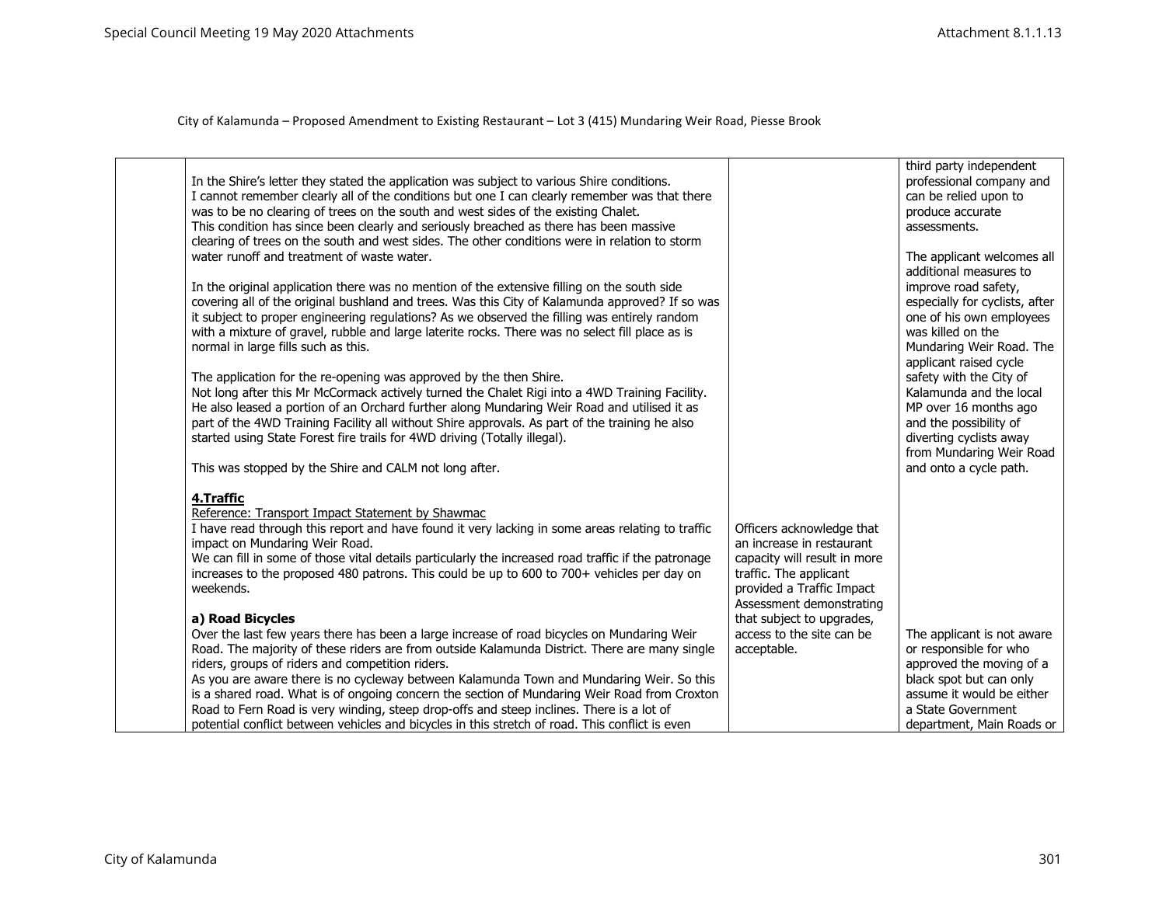|                                                                                                                                                                                             |                                                        | third party independent                              |
|---------------------------------------------------------------------------------------------------------------------------------------------------------------------------------------------|--------------------------------------------------------|------------------------------------------------------|
| In the Shire's letter they stated the application was subject to various Shire conditions.                                                                                                  |                                                        | professional company and                             |
| I cannot remember clearly all of the conditions but one I can clearly remember was that there                                                                                               |                                                        | can be relied upon to                                |
| was to be no clearing of trees on the south and west sides of the existing Chalet.                                                                                                          |                                                        | produce accurate                                     |
| This condition has since been clearly and seriously breached as there has been massive                                                                                                      |                                                        | assessments.                                         |
| clearing of trees on the south and west sides. The other conditions were in relation to storm                                                                                               |                                                        |                                                      |
| water runoff and treatment of waste water.                                                                                                                                                  |                                                        | The applicant welcomes all                           |
|                                                                                                                                                                                             |                                                        | additional measures to                               |
| In the original application there was no mention of the extensive filling on the south side                                                                                                 |                                                        | improve road safety,                                 |
| covering all of the original bushland and trees. Was this City of Kalamunda approved? If so was                                                                                             |                                                        | especially for cyclists, after                       |
| it subject to proper engineering regulations? As we observed the filling was entirely random                                                                                                |                                                        | one of his own employees                             |
| with a mixture of gravel, rubble and large laterite rocks. There was no select fill place as is                                                                                             |                                                        | was killed on the                                    |
| normal in large fills such as this.                                                                                                                                                         |                                                        | Mundaring Weir Road. The                             |
|                                                                                                                                                                                             |                                                        | applicant raised cycle                               |
| The application for the re-opening was approved by the then Shire.                                                                                                                          |                                                        | safety with the City of                              |
| Not long after this Mr McCormack actively turned the Chalet Rigi into a 4WD Training Facility.                                                                                              |                                                        | Kalamunda and the local                              |
| He also leased a portion of an Orchard further along Mundaring Weir Road and utilised it as                                                                                                 |                                                        | MP over 16 months ago                                |
| part of the 4WD Training Facility all without Shire approvals. As part of the training he also<br>started using State Forest fire trails for 4WD driving (Totally illegal).                 |                                                        | and the possibility of<br>diverting cyclists away    |
|                                                                                                                                                                                             |                                                        | from Mundaring Weir Road                             |
| This was stopped by the Shire and CALM not long after.                                                                                                                                      |                                                        | and onto a cycle path.                               |
|                                                                                                                                                                                             |                                                        |                                                      |
| 4.Traffic                                                                                                                                                                                   |                                                        |                                                      |
| Reference: Transport Impact Statement by Shawmac                                                                                                                                            |                                                        |                                                      |
| I have read through this report and have found it very lacking in some areas relating to traffic                                                                                            | Officers acknowledge that                              |                                                      |
| impact on Mundaring Weir Road.                                                                                                                                                              | an increase in restaurant                              |                                                      |
| We can fill in some of those vital details particularly the increased road traffic if the patronage                                                                                         | capacity will result in more                           |                                                      |
| increases to the proposed 480 patrons. This could be up to 600 to 700+ vehicles per day on                                                                                                  | traffic. The applicant                                 |                                                      |
| weekends.                                                                                                                                                                                   | provided a Traffic Impact                              |                                                      |
|                                                                                                                                                                                             | Assessment demonstrating                               |                                                      |
| a) Road Bicycles                                                                                                                                                                            | that subject to upgrades,<br>access to the site can be |                                                      |
| Over the last few years there has been a large increase of road bicycles on Mundaring Weir<br>Road. The majority of these riders are from outside Kalamunda District. There are many single | acceptable.                                            | The applicant is not aware<br>or responsible for who |
| riders, groups of riders and competition riders.                                                                                                                                            |                                                        | approved the moving of a                             |
| As you are aware there is no cycleway between Kalamunda Town and Mundaring Weir. So this                                                                                                    |                                                        | black spot but can only                              |
| is a shared road. What is of ongoing concern the section of Mundaring Weir Road from Croxton                                                                                                |                                                        | assume it would be either                            |
| Road to Fern Road is very winding, steep drop-offs and steep inclines. There is a lot of                                                                                                    |                                                        | a State Government                                   |
| potential conflict between vehicles and bicycles in this stretch of road. This conflict is even                                                                                             |                                                        | department, Main Roads or                            |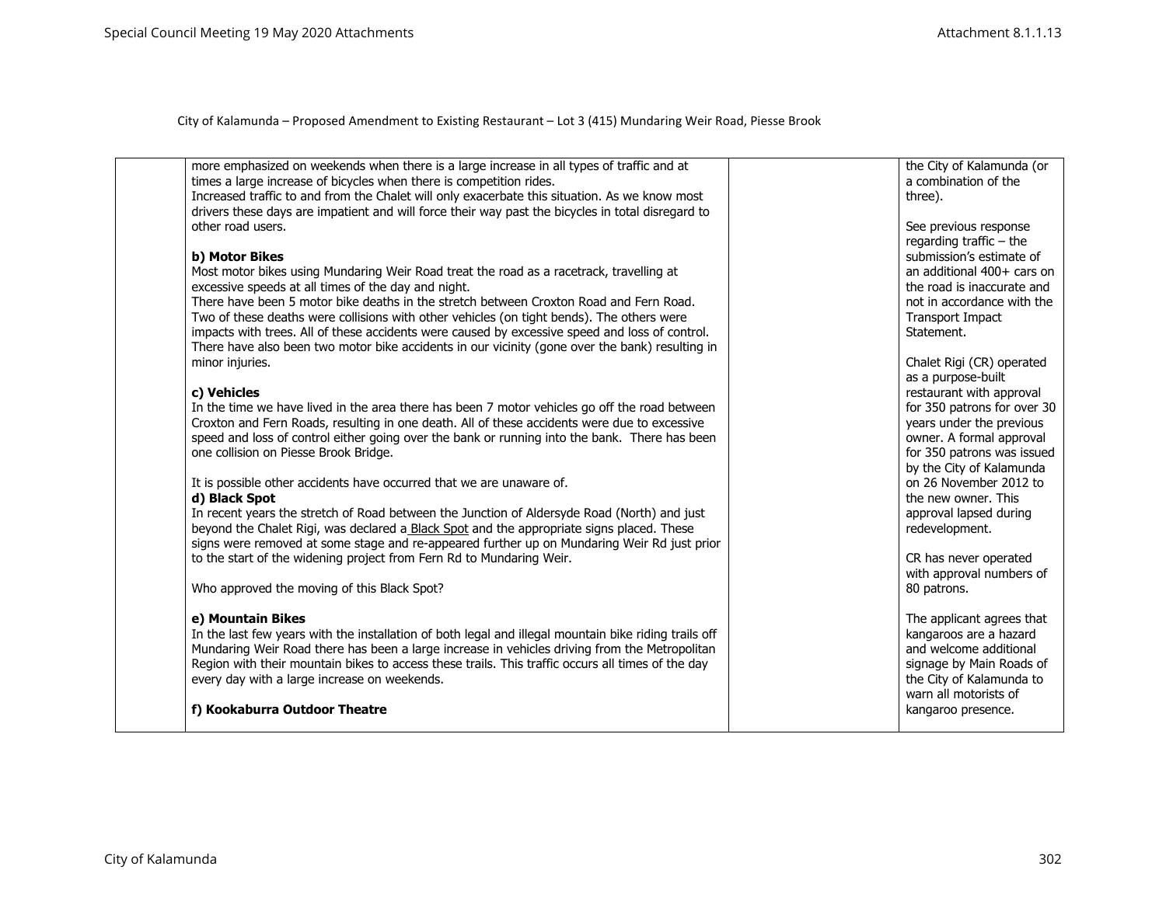| more emphasized on weekends when there is a large increase in all types of traffic and at             | the City of Kalamunda (or   |
|-------------------------------------------------------------------------------------------------------|-----------------------------|
| times a large increase of bicycles when there is competition rides.                                   | a combination of the        |
| Increased traffic to and from the Chalet will only exacerbate this situation. As we know most         | three).                     |
| drivers these days are impatient and will force their way past the bicycles in total disregard to     |                             |
| other road users.                                                                                     | See previous response       |
|                                                                                                       | regarding traffic $-$ the   |
| b) Motor Bikes                                                                                        | submission's estimate of    |
| Most motor bikes using Mundaring Weir Road treat the road as a racetrack, travelling at               | an additional 400+ cars on  |
| excessive speeds at all times of the day and night.                                                   | the road is inaccurate and  |
| There have been 5 motor bike deaths in the stretch between Croxton Road and Fern Road.                | not in accordance with the  |
| Two of these deaths were collisions with other vehicles (on tight bends). The others were             | Transport Impact            |
| impacts with trees. All of these accidents were caused by excessive speed and loss of control.        | Statement.                  |
| There have also been two motor bike accidents in our vicinity (gone over the bank) resulting in       |                             |
| minor injuries.                                                                                       | Chalet Rigi (CR) operated   |
|                                                                                                       | as a purpose-built          |
| c) Vehicles                                                                                           | restaurant with approval    |
| In the time we have lived in the area there has been 7 motor vehicles go off the road between         | for 350 patrons for over 30 |
| Croxton and Fern Roads, resulting in one death. All of these accidents were due to excessive          | years under the previous    |
| speed and loss of control either going over the bank or running into the bank. There has been         | owner. A formal approval    |
| one collision on Piesse Brook Bridge.                                                                 | for 350 patrons was issued  |
|                                                                                                       | by the City of Kalamunda    |
| It is possible other accidents have occurred that we are unaware of.                                  | on 26 November 2012 to      |
| d) Black Spot                                                                                         | the new owner. This         |
| In recent years the stretch of Road between the Junction of Aldersyde Road (North) and just           | approval lapsed during      |
| beyond the Chalet Rigi, was declared a Black Spot and the appropriate signs placed. These             | redevelopment.              |
| signs were removed at some stage and re-appeared further up on Mundaring Weir Rd just prior           |                             |
| to the start of the widening project from Fern Rd to Mundaring Weir.                                  | CR has never operated       |
|                                                                                                       | with approval numbers of    |
| Who approved the moving of this Black Spot?                                                           | 80 patrons.                 |
|                                                                                                       |                             |
| e) Mountain Bikes                                                                                     | The applicant agrees that   |
| In the last few years with the installation of both legal and illegal mountain bike riding trails off | kangaroos are a hazard      |
| Mundaring Weir Road there has been a large increase in vehicles driving from the Metropolitan         | and welcome additional      |
| Region with their mountain bikes to access these trails. This traffic occurs all times of the day     | signage by Main Roads of    |
| every day with a large increase on weekends.                                                          | the City of Kalamunda to    |
|                                                                                                       | warn all motorists of       |
| f) Kookaburra Outdoor Theatre                                                                         | kangaroo presence.          |
|                                                                                                       |                             |
|                                                                                                       |                             |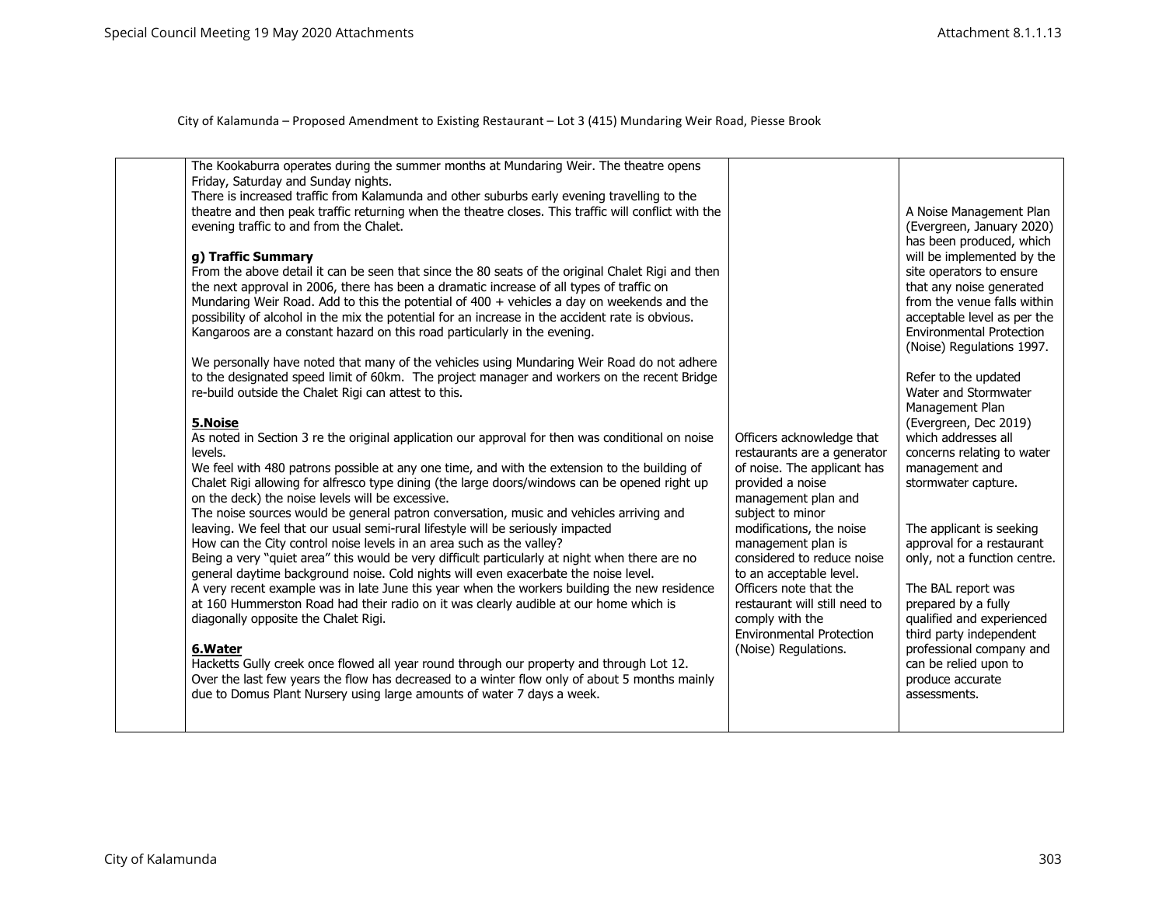| The Kookaburra operates during the summer months at Mundaring Weir. The theatre opens<br>Friday, Saturday and Sunday nights.<br>There is increased traffic from Kalamunda and other suburbs early evening travelling to the<br>theatre and then peak traffic returning when the theatre closes. This traffic will conflict with the<br>evening traffic to and from the Chalet.<br>g) Traffic Summary<br>From the above detail it can be seen that since the 80 seats of the original Chalet Rigi and then<br>the next approval in 2006, there has been a dramatic increase of all types of traffic on<br>Mundaring Weir Road. Add to this the potential of 400 + vehicles a day on weekends and the<br>possibility of alcohol in the mix the potential for an increase in the accident rate is obvious.<br>Kangaroos are a constant hazard on this road particularly in the evening.<br>We personally have noted that many of the vehicles using Mundaring Weir Road do not adhere<br>to the designated speed limit of 60km. The project manager and workers on the recent Bridge<br>re-build outside the Chalet Rigi can attest to this.<br>5.Noise<br>As noted in Section 3 re the original application our approval for then was conditional on noise<br>levels.<br>We feel with 480 patrons possible at any one time, and with the extension to the building of<br>Chalet Rigi allowing for alfresco type dining (the large doors/windows can be opened right up<br>on the deck) the noise levels will be excessive.<br>The noise sources would be general patron conversation, music and vehicles arriving and<br>leaving. We feel that our usual semi-rural lifestyle will be seriously impacted<br>How can the City control noise levels in an area such as the valley?<br>Being a very "quiet area" this would be very difficult particularly at night when there are no<br>general daytime background noise. Cold nights will even exacerbate the noise level.<br>A very recent example was in late June this year when the workers building the new residence<br>at 160 Hummerston Road had their radio on it was clearly audible at our home which is<br>diagonally opposite the Chalet Rigi.<br>6.Water<br>Hacketts Gully creek once flowed all year round through our property and through Lot 12.<br>Over the last few years the flow has decreased to a winter flow only of about 5 months mainly<br>due to Domus Plant Nursery using large amounts of water 7 days a week. | Officers acknowledge that<br>restaurants are a generator<br>of noise. The applicant has<br>provided a noise<br>management plan and<br>subject to minor<br>modifications, the noise<br>management plan is<br>considered to reduce noise<br>to an acceptable level.<br>Officers note that the<br>restaurant will still need to<br>comply with the<br><b>Environmental Protection</b><br>(Noise) Regulations. | A Noise Management Plan<br>(Evergreen, January 2020)<br>has been produced, which<br>will be implemented by the<br>site operators to ensure<br>that any noise generated<br>from the venue falls within<br>acceptable level as per the<br><b>Environmental Protection</b><br>(Noise) Regulations 1997.<br>Refer to the updated<br>Water and Stormwater<br>Management Plan<br>(Evergreen, Dec 2019)<br>which addresses all<br>concerns relating to water<br>management and<br>stormwater capture.<br>The applicant is seeking<br>approval for a restaurant<br>only, not a function centre.<br>The BAL report was<br>prepared by a fully<br>qualified and experienced<br>third party independent<br>professional company and<br>can be relied upon to<br>produce accurate<br>assessments. |
|--------------------------------------------------------------------------------------------------------------------------------------------------------------------------------------------------------------------------------------------------------------------------------------------------------------------------------------------------------------------------------------------------------------------------------------------------------------------------------------------------------------------------------------------------------------------------------------------------------------------------------------------------------------------------------------------------------------------------------------------------------------------------------------------------------------------------------------------------------------------------------------------------------------------------------------------------------------------------------------------------------------------------------------------------------------------------------------------------------------------------------------------------------------------------------------------------------------------------------------------------------------------------------------------------------------------------------------------------------------------------------------------------------------------------------------------------------------------------------------------------------------------------------------------------------------------------------------------------------------------------------------------------------------------------------------------------------------------------------------------------------------------------------------------------------------------------------------------------------------------------------------------------------------------------------------------------------------------------------------------------------------------------------------------------------------------------------------------------------------------------------------------------------------------------------------------------------------------------------------------------------------------------------------------------------------------------------------------------------------------------------------------------------------------------------------------------------------------------------------------|------------------------------------------------------------------------------------------------------------------------------------------------------------------------------------------------------------------------------------------------------------------------------------------------------------------------------------------------------------------------------------------------------------|---------------------------------------------------------------------------------------------------------------------------------------------------------------------------------------------------------------------------------------------------------------------------------------------------------------------------------------------------------------------------------------------------------------------------------------------------------------------------------------------------------------------------------------------------------------------------------------------------------------------------------------------------------------------------------------------------------------------------------------------------------------------------------------|
|--------------------------------------------------------------------------------------------------------------------------------------------------------------------------------------------------------------------------------------------------------------------------------------------------------------------------------------------------------------------------------------------------------------------------------------------------------------------------------------------------------------------------------------------------------------------------------------------------------------------------------------------------------------------------------------------------------------------------------------------------------------------------------------------------------------------------------------------------------------------------------------------------------------------------------------------------------------------------------------------------------------------------------------------------------------------------------------------------------------------------------------------------------------------------------------------------------------------------------------------------------------------------------------------------------------------------------------------------------------------------------------------------------------------------------------------------------------------------------------------------------------------------------------------------------------------------------------------------------------------------------------------------------------------------------------------------------------------------------------------------------------------------------------------------------------------------------------------------------------------------------------------------------------------------------------------------------------------------------------------------------------------------------------------------------------------------------------------------------------------------------------------------------------------------------------------------------------------------------------------------------------------------------------------------------------------------------------------------------------------------------------------------------------------------------------------------------------------------------------------|------------------------------------------------------------------------------------------------------------------------------------------------------------------------------------------------------------------------------------------------------------------------------------------------------------------------------------------------------------------------------------------------------------|---------------------------------------------------------------------------------------------------------------------------------------------------------------------------------------------------------------------------------------------------------------------------------------------------------------------------------------------------------------------------------------------------------------------------------------------------------------------------------------------------------------------------------------------------------------------------------------------------------------------------------------------------------------------------------------------------------------------------------------------------------------------------------------|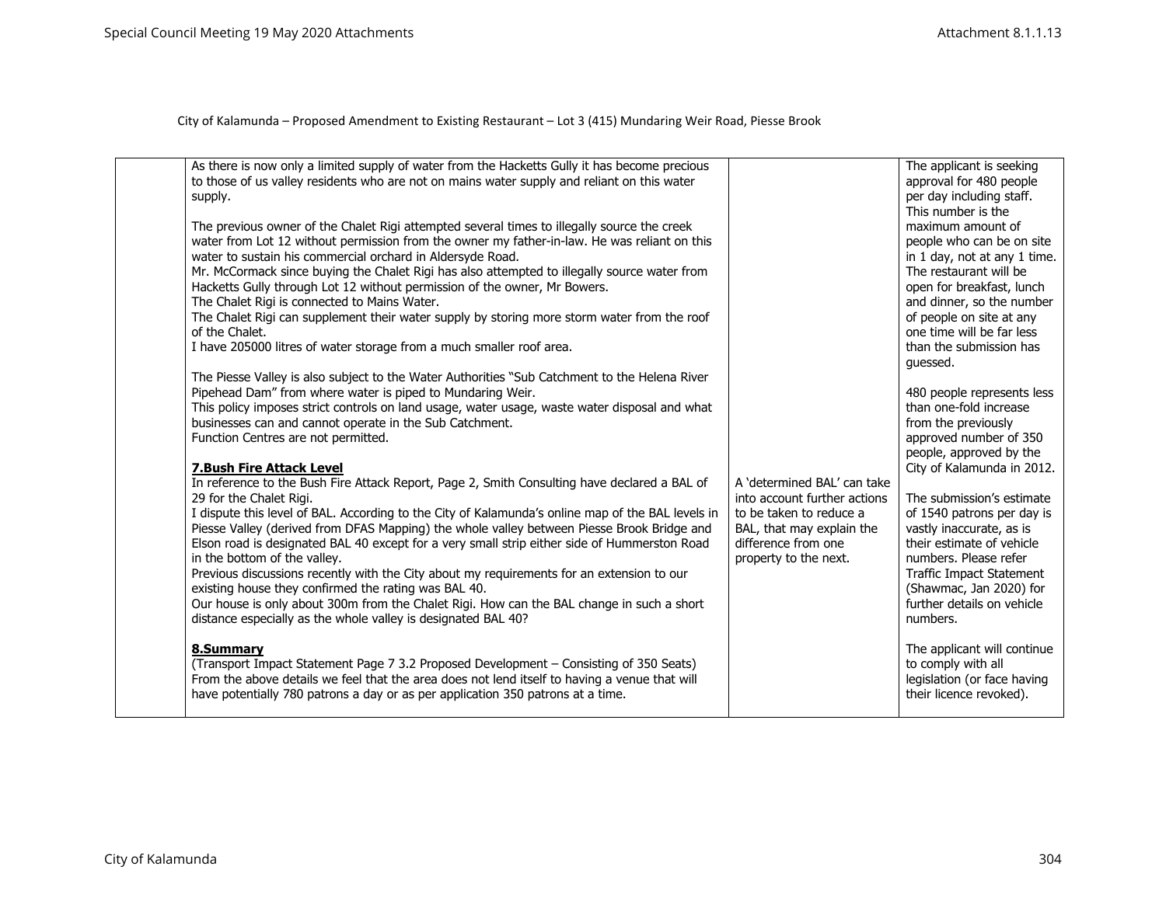| supply.<br>of the Chalet.<br>8.Summary | As there is now only a limited supply of water from the Hacketts Gully it has become precious<br>to those of us valley residents who are not on mains water supply and reliant on this water<br>The previous owner of the Chalet Rigi attempted several times to illegally source the creek<br>water from Lot 12 without permission from the owner my father-in-law. He was reliant on this<br>water to sustain his commercial orchard in Aldersyde Road.<br>Mr. McCormack since buying the Chalet Rigi has also attempted to illegally source water from<br>Hacketts Gully through Lot 12 without permission of the owner, Mr Bowers.<br>The Chalet Rigi is connected to Mains Water.<br>The Chalet Rigi can supplement their water supply by storing more storm water from the roof<br>I have 205000 litres of water storage from a much smaller roof area.<br>The Piesse Valley is also subject to the Water Authorities "Sub Catchment to the Helena River<br>Pipehead Dam" from where water is piped to Mundaring Weir.<br>This policy imposes strict controls on land usage, water usage, waste water disposal and what<br>businesses can and cannot operate in the Sub Catchment.<br>Function Centres are not permitted.<br>7. Bush Fire Attack Level<br>In reference to the Bush Fire Attack Report, Page 2, Smith Consulting have declared a BAL of<br>29 for the Chalet Rigi.<br>I dispute this level of BAL. According to the City of Kalamunda's online map of the BAL levels in<br>Piesse Valley (derived from DFAS Mapping) the whole valley between Piesse Brook Bridge and<br>Elson road is designated BAL 40 except for a very small strip either side of Hummerston Road<br>in the bottom of the valley.<br>Previous discussions recently with the City about my requirements for an extension to our<br>existing house they confirmed the rating was BAL 40.<br>Our house is only about 300m from the Chalet Rigi. How can the BAL change in such a short<br>distance especially as the whole valley is designated BAL 40?<br>(Transport Impact Statement Page 7 3.2 Proposed Development - Consisting of 350 Seats)<br>From the above details we feel that the area does not lend itself to having a venue that will<br>have potentially 780 patrons a day or as per application 350 patrons at a time. | A 'determined BAL' can take<br>into account further actions<br>to be taken to reduce a<br>BAL, that may explain the<br>difference from one<br>property to the next. | The applicant is seeking<br>approval for 480 people<br>per day including staff.<br>This number is the<br>maximum amount of<br>people who can be on site<br>in 1 day, not at any 1 time.<br>The restaurant will be<br>open for breakfast, lunch<br>and dinner, so the number<br>of people on site at any<br>one time will be far less<br>than the submission has<br>quessed.<br>480 people represents less<br>than one-fold increase<br>from the previously<br>approved number of 350<br>people, approved by the<br>City of Kalamunda in 2012.<br>The submission's estimate<br>of 1540 patrons per day is<br>vastly inaccurate, as is<br>their estimate of vehicle<br>numbers. Please refer<br>Traffic Impact Statement<br>(Shawmac, Jan 2020) for<br>further details on vehicle<br>numbers.<br>The applicant will continue<br>to comply with all<br>legislation (or face having<br>their licence revoked). |
|----------------------------------------|-----------------------------------------------------------------------------------------------------------------------------------------------------------------------------------------------------------------------------------------------------------------------------------------------------------------------------------------------------------------------------------------------------------------------------------------------------------------------------------------------------------------------------------------------------------------------------------------------------------------------------------------------------------------------------------------------------------------------------------------------------------------------------------------------------------------------------------------------------------------------------------------------------------------------------------------------------------------------------------------------------------------------------------------------------------------------------------------------------------------------------------------------------------------------------------------------------------------------------------------------------------------------------------------------------------------------------------------------------------------------------------------------------------------------------------------------------------------------------------------------------------------------------------------------------------------------------------------------------------------------------------------------------------------------------------------------------------------------------------------------------------------------------------------------------------------------------------------------------------------------------------------------------------------------------------------------------------------------------------------------------------------------------------------------------------------------------------------------------------------------------------------------------------------------------------------------------------------------------------------------------------------------------------------------------------------------------|---------------------------------------------------------------------------------------------------------------------------------------------------------------------|------------------------------------------------------------------------------------------------------------------------------------------------------------------------------------------------------------------------------------------------------------------------------------------------------------------------------------------------------------------------------------------------------------------------------------------------------------------------------------------------------------------------------------------------------------------------------------------------------------------------------------------------------------------------------------------------------------------------------------------------------------------------------------------------------------------------------------------------------------------------------------------------------------|
|----------------------------------------|-----------------------------------------------------------------------------------------------------------------------------------------------------------------------------------------------------------------------------------------------------------------------------------------------------------------------------------------------------------------------------------------------------------------------------------------------------------------------------------------------------------------------------------------------------------------------------------------------------------------------------------------------------------------------------------------------------------------------------------------------------------------------------------------------------------------------------------------------------------------------------------------------------------------------------------------------------------------------------------------------------------------------------------------------------------------------------------------------------------------------------------------------------------------------------------------------------------------------------------------------------------------------------------------------------------------------------------------------------------------------------------------------------------------------------------------------------------------------------------------------------------------------------------------------------------------------------------------------------------------------------------------------------------------------------------------------------------------------------------------------------------------------------------------------------------------------------------------------------------------------------------------------------------------------------------------------------------------------------------------------------------------------------------------------------------------------------------------------------------------------------------------------------------------------------------------------------------------------------------------------------------------------------------------------------------------------------|---------------------------------------------------------------------------------------------------------------------------------------------------------------------|------------------------------------------------------------------------------------------------------------------------------------------------------------------------------------------------------------------------------------------------------------------------------------------------------------------------------------------------------------------------------------------------------------------------------------------------------------------------------------------------------------------------------------------------------------------------------------------------------------------------------------------------------------------------------------------------------------------------------------------------------------------------------------------------------------------------------------------------------------------------------------------------------------|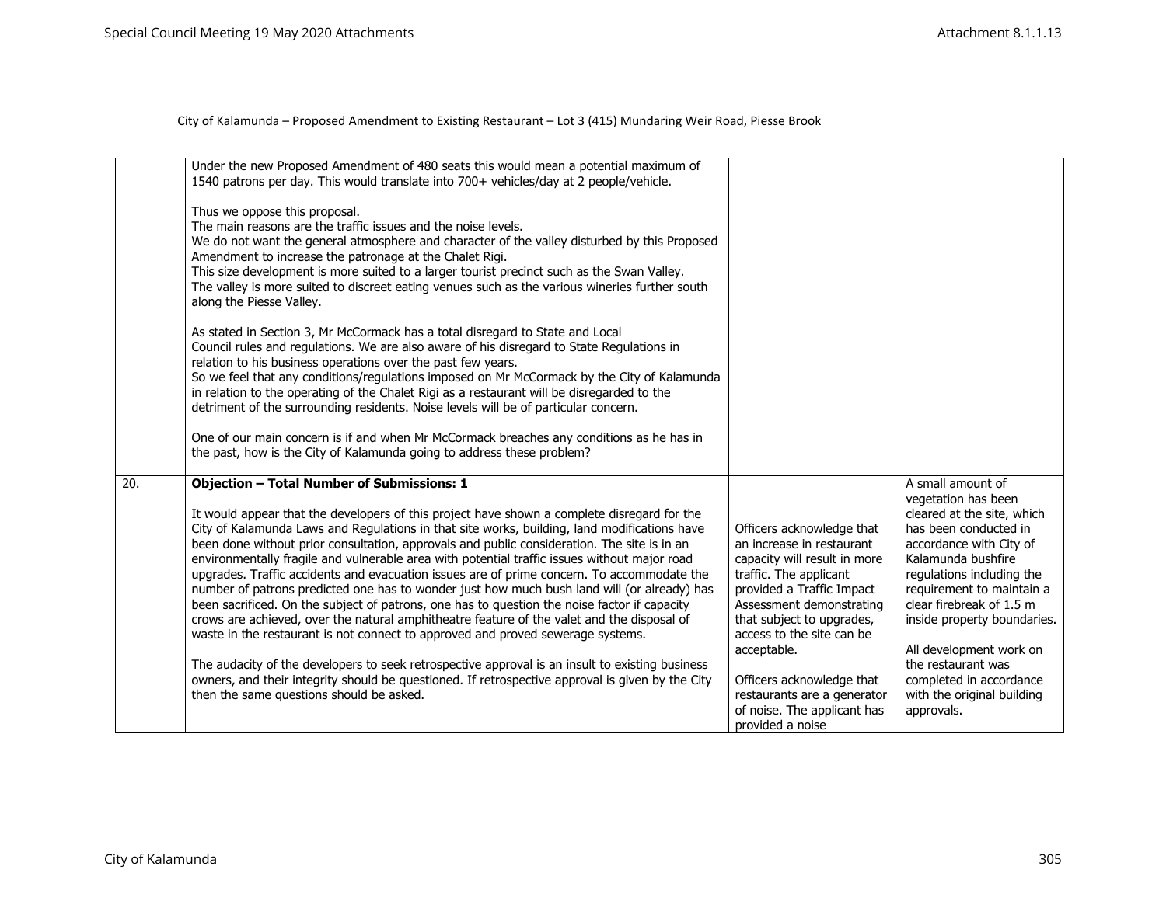|                   | Under the new Proposed Amendment of 480 seats this would mean a potential maximum of<br>1540 patrons per day. This would translate into 700+ vehicles/day at 2 people/vehicle.                                                                                                                                                                                                                                                                                                                                                                                                                                                                                                                                                                                                                                                                                                                                                                                              |                                                                                                                                                                                                                                                    |                                                                                                                                                                                                                                                                            |
|-------------------|-----------------------------------------------------------------------------------------------------------------------------------------------------------------------------------------------------------------------------------------------------------------------------------------------------------------------------------------------------------------------------------------------------------------------------------------------------------------------------------------------------------------------------------------------------------------------------------------------------------------------------------------------------------------------------------------------------------------------------------------------------------------------------------------------------------------------------------------------------------------------------------------------------------------------------------------------------------------------------|----------------------------------------------------------------------------------------------------------------------------------------------------------------------------------------------------------------------------------------------------|----------------------------------------------------------------------------------------------------------------------------------------------------------------------------------------------------------------------------------------------------------------------------|
|                   | Thus we oppose this proposal.<br>The main reasons are the traffic issues and the noise levels.<br>We do not want the general atmosphere and character of the valley disturbed by this Proposed<br>Amendment to increase the patronage at the Chalet Rigi.<br>This size development is more suited to a larger tourist precinct such as the Swan Valley.<br>The valley is more suited to discreet eating venues such as the various wineries further south<br>along the Piesse Valley.                                                                                                                                                                                                                                                                                                                                                                                                                                                                                       |                                                                                                                                                                                                                                                    |                                                                                                                                                                                                                                                                            |
|                   | As stated in Section 3, Mr McCormack has a total disregard to State and Local<br>Council rules and regulations. We are also aware of his disregard to State Regulations in<br>relation to his business operations over the past few years.<br>So we feel that any conditions/regulations imposed on Mr McCormack by the City of Kalamunda<br>in relation to the operating of the Chalet Rigi as a restaurant will be disregarded to the<br>detriment of the surrounding residents. Noise levels will be of particular concern.                                                                                                                                                                                                                                                                                                                                                                                                                                              |                                                                                                                                                                                                                                                    |                                                                                                                                                                                                                                                                            |
|                   | One of our main concern is if and when Mr McCormack breaches any conditions as he has in<br>the past, how is the City of Kalamunda going to address these problem?                                                                                                                                                                                                                                                                                                                                                                                                                                                                                                                                                                                                                                                                                                                                                                                                          |                                                                                                                                                                                                                                                    |                                                                                                                                                                                                                                                                            |
| $\overline{20}$ . | <b>Objection - Total Number of Submissions: 1</b>                                                                                                                                                                                                                                                                                                                                                                                                                                                                                                                                                                                                                                                                                                                                                                                                                                                                                                                           |                                                                                                                                                                                                                                                    | A small amount of<br>vegetation has been                                                                                                                                                                                                                                   |
|                   | It would appear that the developers of this project have shown a complete disregard for the<br>City of Kalamunda Laws and Regulations in that site works, building, land modifications have<br>been done without prior consultation, approvals and public consideration. The site is in an<br>environmentally fragile and vulnerable area with potential traffic issues without major road<br>upgrades. Traffic accidents and evacuation issues are of prime concern. To accommodate the<br>number of patrons predicted one has to wonder just how much bush land will (or already) has<br>been sacrificed. On the subject of patrons, one has to question the noise factor if capacity<br>crows are achieved, over the natural amphitheatre feature of the valet and the disposal of<br>waste in the restaurant is not connect to approved and proved sewerage systems.<br>The audacity of the developers to seek retrospective approval is an insult to existing business | Officers acknowledge that<br>an increase in restaurant<br>capacity will result in more<br>traffic. The applicant<br>provided a Traffic Impact<br>Assessment demonstrating<br>that subject to upgrades,<br>access to the site can be<br>acceptable. | cleared at the site, which<br>has been conducted in<br>accordance with City of<br>Kalamunda bushfire<br>regulations including the<br>requirement to maintain a<br>clear firebreak of 1.5 m<br>inside property boundaries.<br>All development work on<br>the restaurant was |
|                   | owners, and their integrity should be questioned. If retrospective approval is given by the City<br>then the same questions should be asked.                                                                                                                                                                                                                                                                                                                                                                                                                                                                                                                                                                                                                                                                                                                                                                                                                                | Officers acknowledge that<br>restaurants are a generator<br>of noise. The applicant has<br>provided a noise                                                                                                                                        | completed in accordance<br>with the original building<br>approvals.                                                                                                                                                                                                        |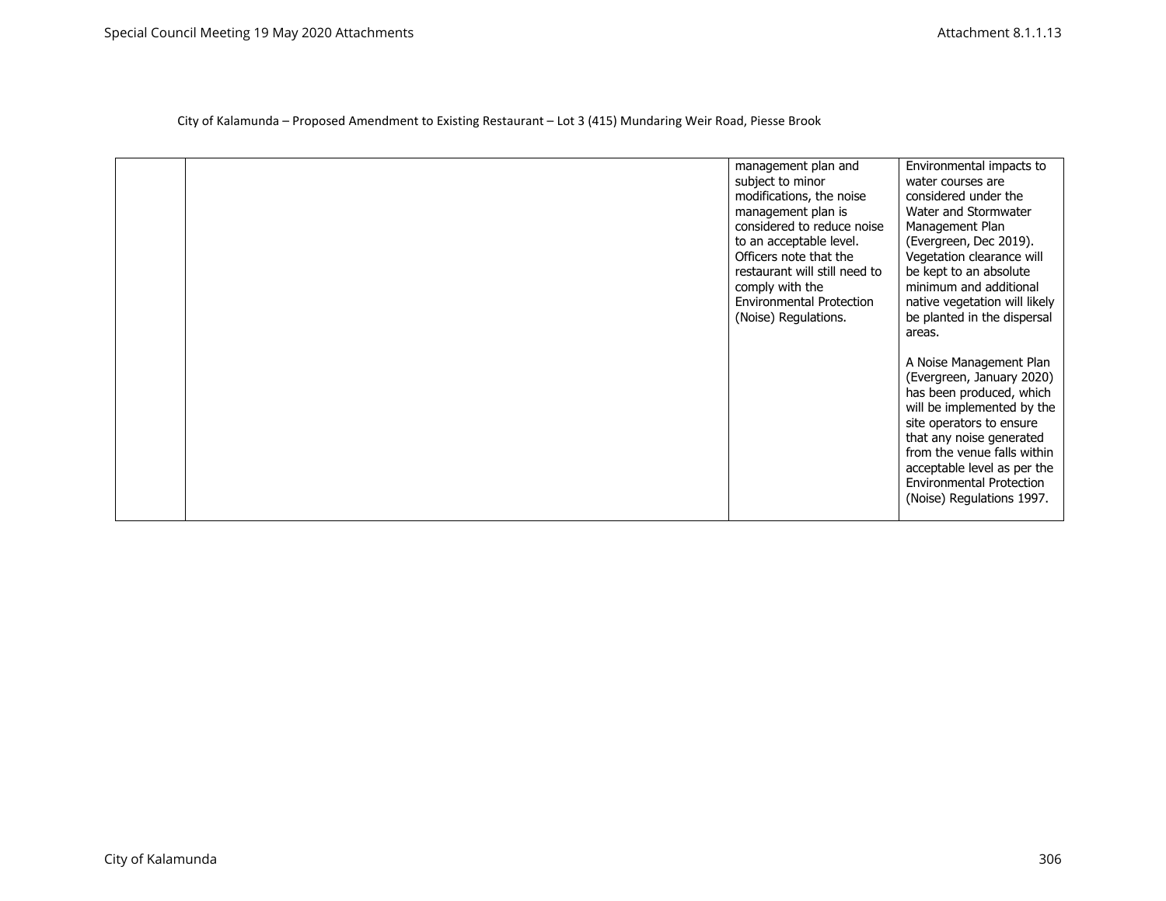|  | management plan and<br>subject to minor<br>modifications, the noise<br>management plan is<br>considered to reduce noise<br>to an acceptable level.<br>Officers note that the<br>restaurant will still need to<br>comply with the<br><b>Environmental Protection</b><br>(Noise) Regulations. | Environmental impacts to<br>water courses are<br>considered under the<br>Water and Stormwater<br>Management Plan<br>(Evergreen, Dec 2019).<br>Vegetation clearance will<br>be kept to an absolute<br>minimum and additional<br>native vegetation will likely<br>be planted in the dispersal<br>areas.<br>A Noise Management Plan<br>(Evergreen, January 2020)<br>has been produced, which<br>will be implemented by the<br>site operators to ensure<br>that any noise generated<br>from the venue falls within<br>acceptable level as per the<br><b>Environmental Protection</b><br>(Noise) Regulations 1997. |
|--|---------------------------------------------------------------------------------------------------------------------------------------------------------------------------------------------------------------------------------------------------------------------------------------------|---------------------------------------------------------------------------------------------------------------------------------------------------------------------------------------------------------------------------------------------------------------------------------------------------------------------------------------------------------------------------------------------------------------------------------------------------------------------------------------------------------------------------------------------------------------------------------------------------------------|
|--|---------------------------------------------------------------------------------------------------------------------------------------------------------------------------------------------------------------------------------------------------------------------------------------------|---------------------------------------------------------------------------------------------------------------------------------------------------------------------------------------------------------------------------------------------------------------------------------------------------------------------------------------------------------------------------------------------------------------------------------------------------------------------------------------------------------------------------------------------------------------------------------------------------------------|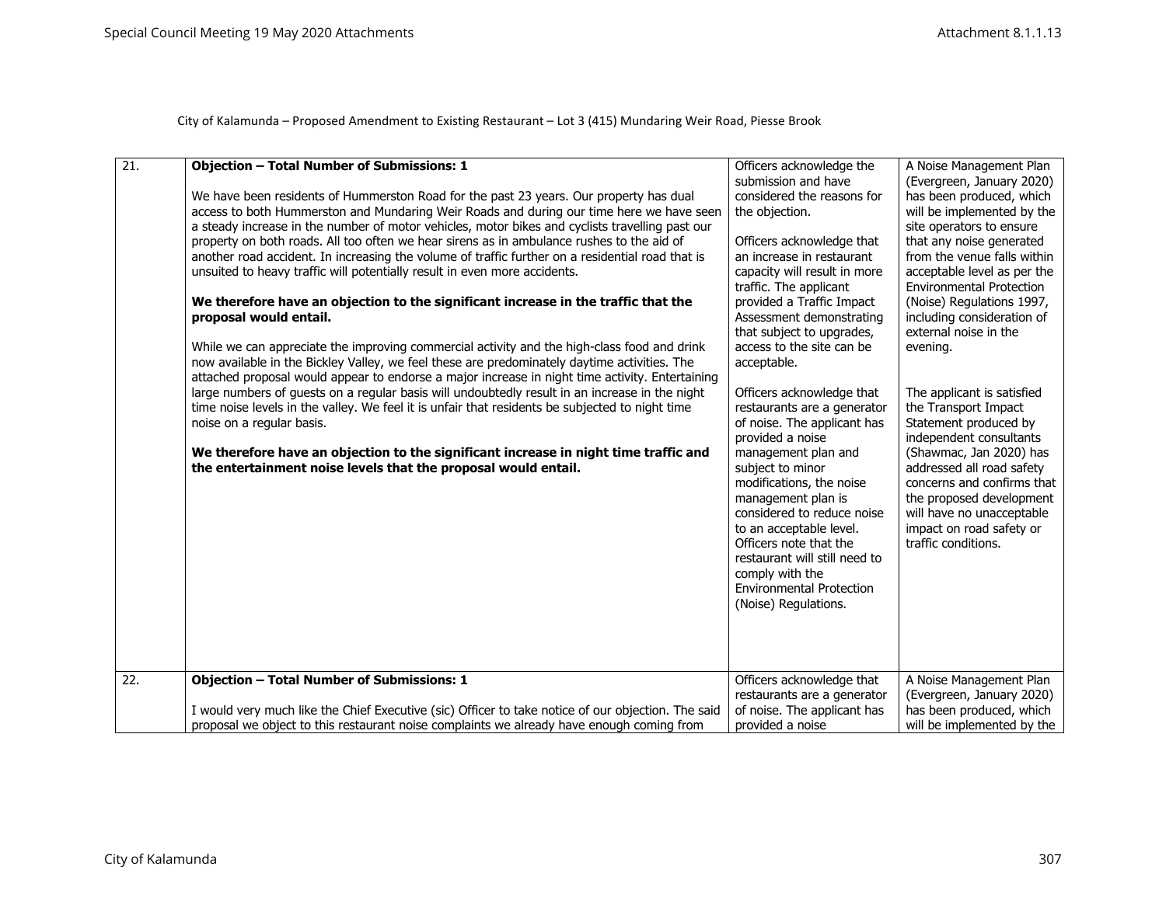| $\overline{21}$ . | <b>Objection - Total Number of Submissions: 1</b>                                                  | Officers acknowledge the                               | A Noise Management Plan         |
|-------------------|----------------------------------------------------------------------------------------------------|--------------------------------------------------------|---------------------------------|
|                   |                                                                                                    | submission and have                                    | (Evergreen, January 2020)       |
|                   | We have been residents of Hummerston Road for the past 23 years. Our property has dual             | considered the reasons for                             | has been produced, which        |
|                   | access to both Hummerston and Mundaring Weir Roads and during our time here we have seen           | the objection.                                         | will be implemented by the      |
|                   | a steady increase in the number of motor vehicles, motor bikes and cyclists travelling past our    |                                                        | site operators to ensure        |
|                   |                                                                                                    |                                                        | that any noise generated        |
|                   | property on both roads. All too often we hear sirens as in ambulance rushes to the aid of          | Officers acknowledge that<br>an increase in restaurant | from the venue falls within     |
|                   | another road accident. In increasing the volume of traffic further on a residential road that is   |                                                        |                                 |
|                   | unsuited to heavy traffic will potentially result in even more accidents.                          | capacity will result in more                           | acceptable level as per the     |
|                   |                                                                                                    | traffic. The applicant                                 | <b>Environmental Protection</b> |
|                   | We therefore have an objection to the significant increase in the traffic that the                 | provided a Traffic Impact                              | (Noise) Regulations 1997,       |
|                   | proposal would entail.                                                                             | Assessment demonstrating                               | including consideration of      |
|                   |                                                                                                    | that subject to upgrades,                              | external noise in the           |
|                   | While we can appreciate the improving commercial activity and the high-class food and drink        | access to the site can be                              | evening.                        |
|                   | now available in the Bickley Valley, we feel these are predominately daytime activities. The       | acceptable.                                            |                                 |
|                   | attached proposal would appear to endorse a major increase in night time activity. Entertaining    |                                                        |                                 |
|                   | large numbers of quests on a regular basis will undoubtedly result in an increase in the night     | Officers acknowledge that                              | The applicant is satisfied      |
|                   | time noise levels in the valley. We feel it is unfair that residents be subjected to night time    | restaurants are a generator                            | the Transport Impact            |
|                   | noise on a regular basis.                                                                          | of noise. The applicant has                            | Statement produced by           |
|                   |                                                                                                    | provided a noise                                       | independent consultants         |
|                   | We therefore have an objection to the significant increase in night time traffic and               | management plan and                                    | (Shawmac, Jan 2020) has         |
|                   | the entertainment noise levels that the proposal would entail.                                     | subject to minor                                       | addressed all road safety       |
|                   |                                                                                                    | modifications, the noise                               | concerns and confirms that      |
|                   |                                                                                                    | management plan is                                     | the proposed development        |
|                   |                                                                                                    | considered to reduce noise                             | will have no unacceptable       |
|                   |                                                                                                    | to an acceptable level.                                | impact on road safety or        |
|                   |                                                                                                    | Officers note that the                                 | traffic conditions.             |
|                   |                                                                                                    | restaurant will still need to                          |                                 |
|                   |                                                                                                    | comply with the                                        |                                 |
|                   |                                                                                                    | <b>Environmental Protection</b>                        |                                 |
|                   |                                                                                                    | (Noise) Regulations.                                   |                                 |
|                   |                                                                                                    |                                                        |                                 |
|                   |                                                                                                    |                                                        |                                 |
|                   |                                                                                                    |                                                        |                                 |
|                   |                                                                                                    |                                                        |                                 |
| 22.               | <b>Objection - Total Number of Submissions: 1</b>                                                  | Officers acknowledge that                              | A Noise Management Plan         |
|                   |                                                                                                    | restaurants are a generator                            | (Evergreen, January 2020)       |
|                   | I would very much like the Chief Executive (sic) Officer to take notice of our objection. The said | of noise. The applicant has                            | has been produced, which        |
|                   | proposal we object to this restaurant noise complaints we already have enough coming from          | provided a noise                                       | will be implemented by the      |
|                   |                                                                                                    |                                                        |                                 |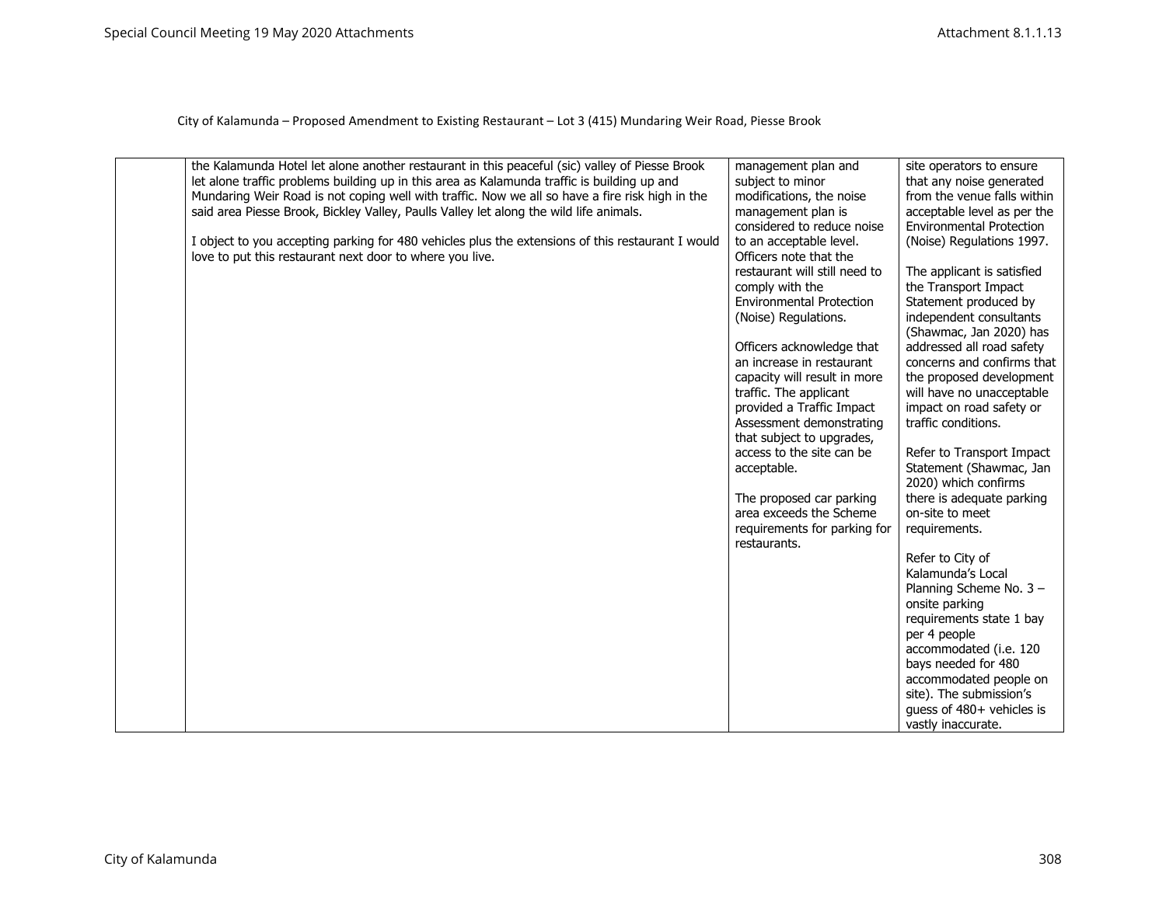| the Kalamunda Hotel let alone another restaurant in this peaceful (sic) valley of Piesse Brook<br>let alone traffic problems building up in this area as Kalamunda traffic is building up and<br>Mundaring Weir Road is not coping well with traffic. Now we all so have a fire risk high in the<br>said area Piesse Brook, Bickley Valley, Paulls Valley let along the wild life animals.<br>I object to you accepting parking for 480 vehicles plus the extensions of this restaurant I would<br>love to put this restaurant next door to where you live. | management plan and<br>subject to minor<br>modifications, the noise<br>management plan is<br>considered to reduce noise<br>to an acceptable level.<br>Officers note that the<br>restaurant will still need to<br>comply with the<br><b>Environmental Protection</b><br>(Noise) Regulations.<br>Officers acknowledge that<br>an increase in restaurant<br>capacity will result in more<br>traffic. The applicant<br>provided a Traffic Impact<br>Assessment demonstrating<br>that subject to upgrades,<br>access to the site can be<br>acceptable.<br>The proposed car parking<br>area exceeds the Scheme<br>requirements for parking for<br>restaurants. | site operators to ensure<br>that any noise generated<br>from the venue falls within<br>acceptable level as per the<br><b>Environmental Protection</b><br>(Noise) Regulations 1997.<br>The applicant is satisfied<br>the Transport Impact<br>Statement produced by<br>independent consultants<br>(Shawmac, Jan 2020) has<br>addressed all road safety<br>concerns and confirms that<br>the proposed development<br>will have no unacceptable<br>impact on road safety or<br>traffic conditions.<br>Refer to Transport Impact<br>Statement (Shawmac, Jan<br>2020) which confirms<br>there is adequate parking<br>on-site to meet<br>requirements.<br>Refer to City of<br>Kalamunda's Local<br>Planning Scheme No. 3 -<br>onsite parking<br>requirements state 1 bay<br>per 4 people<br>accommodated (i.e. 120<br>bays needed for 480 |
|-------------------------------------------------------------------------------------------------------------------------------------------------------------------------------------------------------------------------------------------------------------------------------------------------------------------------------------------------------------------------------------------------------------------------------------------------------------------------------------------------------------------------------------------------------------|----------------------------------------------------------------------------------------------------------------------------------------------------------------------------------------------------------------------------------------------------------------------------------------------------------------------------------------------------------------------------------------------------------------------------------------------------------------------------------------------------------------------------------------------------------------------------------------------------------------------------------------------------------|------------------------------------------------------------------------------------------------------------------------------------------------------------------------------------------------------------------------------------------------------------------------------------------------------------------------------------------------------------------------------------------------------------------------------------------------------------------------------------------------------------------------------------------------------------------------------------------------------------------------------------------------------------------------------------------------------------------------------------------------------------------------------------------------------------------------------------|
|                                                                                                                                                                                                                                                                                                                                                                                                                                                                                                                                                             |                                                                                                                                                                                                                                                                                                                                                                                                                                                                                                                                                                                                                                                          |                                                                                                                                                                                                                                                                                                                                                                                                                                                                                                                                                                                                                                                                                                                                                                                                                                    |
|                                                                                                                                                                                                                                                                                                                                                                                                                                                                                                                                                             |                                                                                                                                                                                                                                                                                                                                                                                                                                                                                                                                                                                                                                                          | accommodated people on                                                                                                                                                                                                                                                                                                                                                                                                                                                                                                                                                                                                                                                                                                                                                                                                             |
|                                                                                                                                                                                                                                                                                                                                                                                                                                                                                                                                                             |                                                                                                                                                                                                                                                                                                                                                                                                                                                                                                                                                                                                                                                          | site). The submission's                                                                                                                                                                                                                                                                                                                                                                                                                                                                                                                                                                                                                                                                                                                                                                                                            |
|                                                                                                                                                                                                                                                                                                                                                                                                                                                                                                                                                             |                                                                                                                                                                                                                                                                                                                                                                                                                                                                                                                                                                                                                                                          | quess of 480+ vehicles is<br>vastly inaccurate.                                                                                                                                                                                                                                                                                                                                                                                                                                                                                                                                                                                                                                                                                                                                                                                    |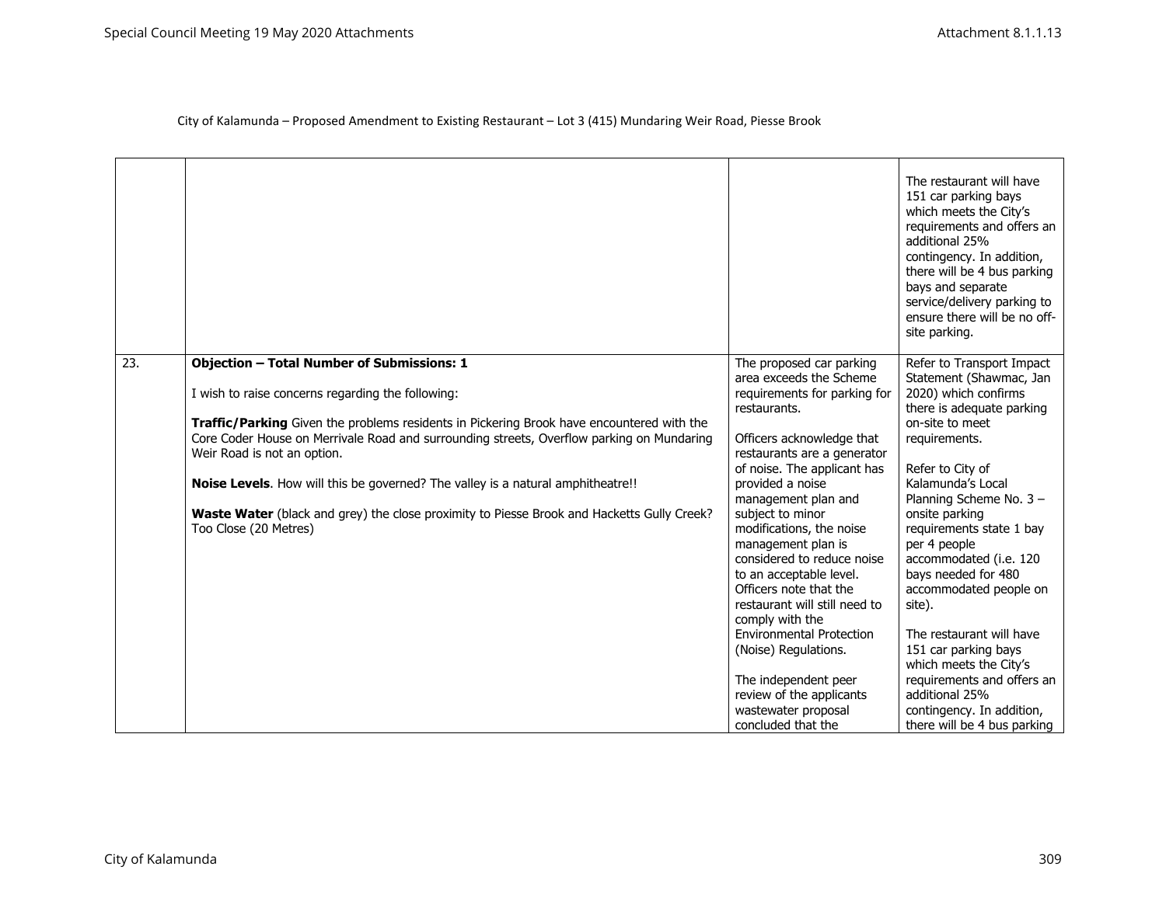|                   |                                                                                                  |                                                     | The restaurant will have<br>151 car parking bays<br>which meets the City's<br>requirements and offers an<br>additional 25%<br>contingency. In addition,<br>there will be 4 bus parking<br>bays and separate<br>service/delivery parking to<br>ensure there will be no off-<br>site parking. |
|-------------------|--------------------------------------------------------------------------------------------------|-----------------------------------------------------|---------------------------------------------------------------------------------------------------------------------------------------------------------------------------------------------------------------------------------------------------------------------------------------------|
| $\overline{23}$ . | <b>Objection - Total Number of Submissions: 1</b>                                                | The proposed car parking<br>area exceeds the Scheme | Refer to Transport Impact<br>Statement (Shawmac, Jan                                                                                                                                                                                                                                        |
|                   | I wish to raise concerns regarding the following:                                                | requirements for parking for<br>restaurants.        | 2020) which confirms<br>there is adequate parking                                                                                                                                                                                                                                           |
|                   | <b>Traffic/Parking</b> Given the problems residents in Pickering Brook have encountered with the |                                                     | on-site to meet                                                                                                                                                                                                                                                                             |
|                   | Core Coder House on Merrivale Road and surrounding streets, Overflow parking on Mundaring        | Officers acknowledge that                           | requirements.                                                                                                                                                                                                                                                                               |
|                   | Weir Road is not an option.                                                                      | restaurants are a generator                         |                                                                                                                                                                                                                                                                                             |
|                   |                                                                                                  | of noise. The applicant has                         | Refer to City of                                                                                                                                                                                                                                                                            |
|                   | <b>Noise Levels.</b> How will this be governed? The valley is a natural amphitheatre!!           | provided a noise                                    | Kalamunda's Local                                                                                                                                                                                                                                                                           |
|                   | Waste Water (black and grey) the close proximity to Piesse Brook and Hacketts Gully Creek?       | management plan and<br>subject to minor             | Planning Scheme No. 3 -<br>onsite parking                                                                                                                                                                                                                                                   |
|                   | Too Close (20 Metres)                                                                            | modifications, the noise                            | requirements state 1 bay                                                                                                                                                                                                                                                                    |
|                   |                                                                                                  | management plan is                                  | per 4 people                                                                                                                                                                                                                                                                                |
|                   |                                                                                                  | considered to reduce noise                          | accommodated (i.e. 120                                                                                                                                                                                                                                                                      |
|                   |                                                                                                  | to an acceptable level.                             | bays needed for 480                                                                                                                                                                                                                                                                         |
|                   |                                                                                                  | Officers note that the                              | accommodated people on                                                                                                                                                                                                                                                                      |
|                   |                                                                                                  | restaurant will still need to                       | site).                                                                                                                                                                                                                                                                                      |
|                   |                                                                                                  | comply with the<br><b>Environmental Protection</b>  | The restaurant will have                                                                                                                                                                                                                                                                    |
|                   |                                                                                                  |                                                     | 151 car parking bays                                                                                                                                                                                                                                                                        |
|                   |                                                                                                  | (Noise) Regulations.                                | which meets the City's                                                                                                                                                                                                                                                                      |
|                   |                                                                                                  | The independent peer                                | requirements and offers an                                                                                                                                                                                                                                                                  |
|                   |                                                                                                  | review of the applicants                            | additional 25%                                                                                                                                                                                                                                                                              |
|                   |                                                                                                  | wastewater proposal                                 | contingency. In addition,                                                                                                                                                                                                                                                                   |
|                   |                                                                                                  | concluded that the                                  | there will be 4 bus parking                                                                                                                                                                                                                                                                 |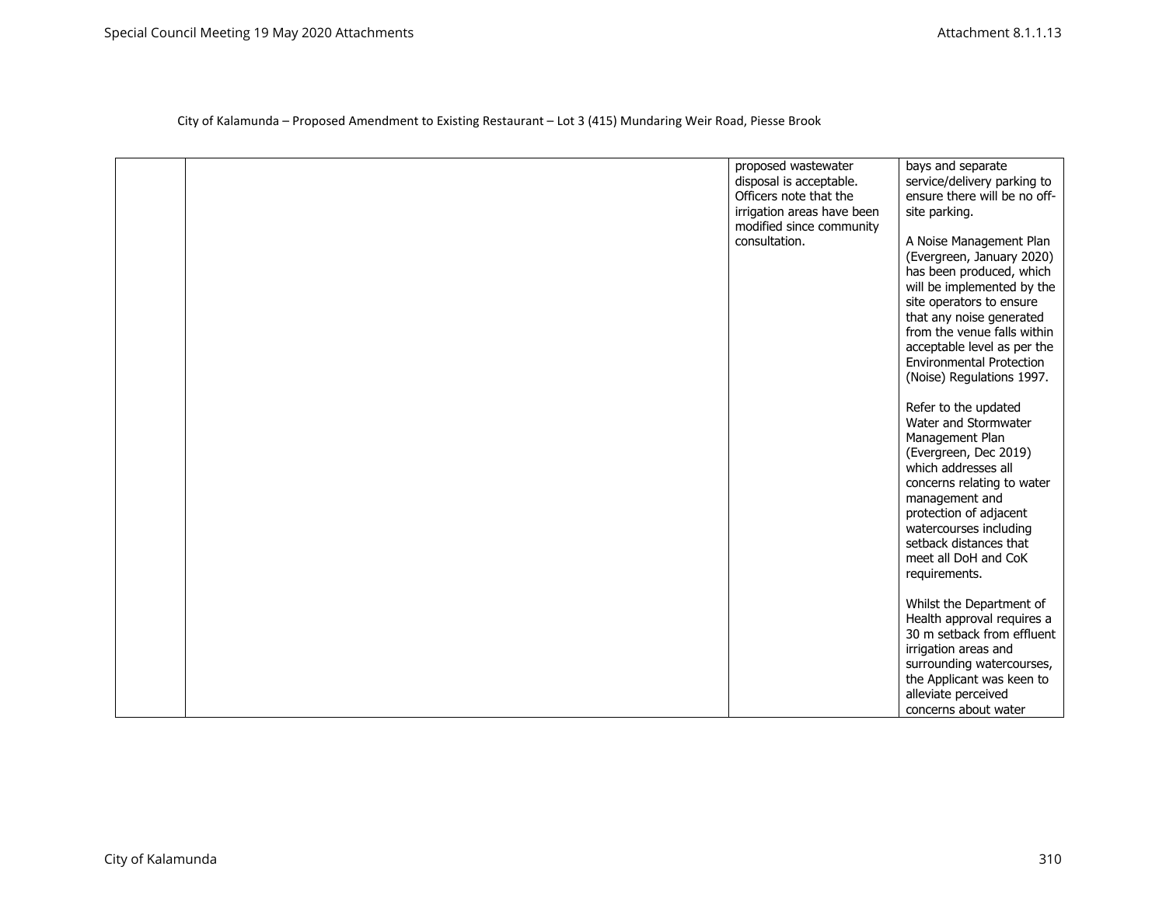| bays and separate<br>proposed wastewater<br>disposal is acceptable.<br>service/delivery parking to<br>Officers note that the<br>ensure there will be no off-<br>irrigation areas have been<br>site parking.<br>modified since community<br>consultation.<br>A Noise Management Plan<br>(Evergreen, January 2020)<br>has been produced, which<br>will be implemented by the<br>site operators to ensure<br>that any noise generated<br>from the venue falls within<br>acceptable level as per the<br><b>Environmental Protection</b><br>(Noise) Regulations 1997.<br>Refer to the updated<br>Water and Stormwater<br>Management Plan<br>(Evergreen, Dec 2019)<br>which addresses all<br>concerns relating to water<br>management and<br>protection of adjacent<br>watercourses including<br>setback distances that<br>meet all DoH and CoK<br>requirements.<br>Whilst the Department of<br>Health approval requires a<br>30 m setback from effluent<br>irrigation areas and<br>surrounding watercourses,<br>the Applicant was keen to<br>alleviate perceived |  |                      |
|-------------------------------------------------------------------------------------------------------------------------------------------------------------------------------------------------------------------------------------------------------------------------------------------------------------------------------------------------------------------------------------------------------------------------------------------------------------------------------------------------------------------------------------------------------------------------------------------------------------------------------------------------------------------------------------------------------------------------------------------------------------------------------------------------------------------------------------------------------------------------------------------------------------------------------------------------------------------------------------------------------------------------------------------------------------|--|----------------------|
|                                                                                                                                                                                                                                                                                                                                                                                                                                                                                                                                                                                                                                                                                                                                                                                                                                                                                                                                                                                                                                                             |  |                      |
|                                                                                                                                                                                                                                                                                                                                                                                                                                                                                                                                                                                                                                                                                                                                                                                                                                                                                                                                                                                                                                                             |  |                      |
|                                                                                                                                                                                                                                                                                                                                                                                                                                                                                                                                                                                                                                                                                                                                                                                                                                                                                                                                                                                                                                                             |  |                      |
|                                                                                                                                                                                                                                                                                                                                                                                                                                                                                                                                                                                                                                                                                                                                                                                                                                                                                                                                                                                                                                                             |  |                      |
|                                                                                                                                                                                                                                                                                                                                                                                                                                                                                                                                                                                                                                                                                                                                                                                                                                                                                                                                                                                                                                                             |  |                      |
|                                                                                                                                                                                                                                                                                                                                                                                                                                                                                                                                                                                                                                                                                                                                                                                                                                                                                                                                                                                                                                                             |  |                      |
|                                                                                                                                                                                                                                                                                                                                                                                                                                                                                                                                                                                                                                                                                                                                                                                                                                                                                                                                                                                                                                                             |  |                      |
|                                                                                                                                                                                                                                                                                                                                                                                                                                                                                                                                                                                                                                                                                                                                                                                                                                                                                                                                                                                                                                                             |  |                      |
|                                                                                                                                                                                                                                                                                                                                                                                                                                                                                                                                                                                                                                                                                                                                                                                                                                                                                                                                                                                                                                                             |  |                      |
|                                                                                                                                                                                                                                                                                                                                                                                                                                                                                                                                                                                                                                                                                                                                                                                                                                                                                                                                                                                                                                                             |  |                      |
|                                                                                                                                                                                                                                                                                                                                                                                                                                                                                                                                                                                                                                                                                                                                                                                                                                                                                                                                                                                                                                                             |  |                      |
|                                                                                                                                                                                                                                                                                                                                                                                                                                                                                                                                                                                                                                                                                                                                                                                                                                                                                                                                                                                                                                                             |  |                      |
|                                                                                                                                                                                                                                                                                                                                                                                                                                                                                                                                                                                                                                                                                                                                                                                                                                                                                                                                                                                                                                                             |  |                      |
|                                                                                                                                                                                                                                                                                                                                                                                                                                                                                                                                                                                                                                                                                                                                                                                                                                                                                                                                                                                                                                                             |  |                      |
|                                                                                                                                                                                                                                                                                                                                                                                                                                                                                                                                                                                                                                                                                                                                                                                                                                                                                                                                                                                                                                                             |  |                      |
|                                                                                                                                                                                                                                                                                                                                                                                                                                                                                                                                                                                                                                                                                                                                                                                                                                                                                                                                                                                                                                                             |  |                      |
|                                                                                                                                                                                                                                                                                                                                                                                                                                                                                                                                                                                                                                                                                                                                                                                                                                                                                                                                                                                                                                                             |  |                      |
|                                                                                                                                                                                                                                                                                                                                                                                                                                                                                                                                                                                                                                                                                                                                                                                                                                                                                                                                                                                                                                                             |  |                      |
|                                                                                                                                                                                                                                                                                                                                                                                                                                                                                                                                                                                                                                                                                                                                                                                                                                                                                                                                                                                                                                                             |  |                      |
|                                                                                                                                                                                                                                                                                                                                                                                                                                                                                                                                                                                                                                                                                                                                                                                                                                                                                                                                                                                                                                                             |  |                      |
|                                                                                                                                                                                                                                                                                                                                                                                                                                                                                                                                                                                                                                                                                                                                                                                                                                                                                                                                                                                                                                                             |  |                      |
|                                                                                                                                                                                                                                                                                                                                                                                                                                                                                                                                                                                                                                                                                                                                                                                                                                                                                                                                                                                                                                                             |  |                      |
|                                                                                                                                                                                                                                                                                                                                                                                                                                                                                                                                                                                                                                                                                                                                                                                                                                                                                                                                                                                                                                                             |  |                      |
|                                                                                                                                                                                                                                                                                                                                                                                                                                                                                                                                                                                                                                                                                                                                                                                                                                                                                                                                                                                                                                                             |  |                      |
|                                                                                                                                                                                                                                                                                                                                                                                                                                                                                                                                                                                                                                                                                                                                                                                                                                                                                                                                                                                                                                                             |  |                      |
|                                                                                                                                                                                                                                                                                                                                                                                                                                                                                                                                                                                                                                                                                                                                                                                                                                                                                                                                                                                                                                                             |  |                      |
|                                                                                                                                                                                                                                                                                                                                                                                                                                                                                                                                                                                                                                                                                                                                                                                                                                                                                                                                                                                                                                                             |  |                      |
|                                                                                                                                                                                                                                                                                                                                                                                                                                                                                                                                                                                                                                                                                                                                                                                                                                                                                                                                                                                                                                                             |  |                      |
|                                                                                                                                                                                                                                                                                                                                                                                                                                                                                                                                                                                                                                                                                                                                                                                                                                                                                                                                                                                                                                                             |  |                      |
|                                                                                                                                                                                                                                                                                                                                                                                                                                                                                                                                                                                                                                                                                                                                                                                                                                                                                                                                                                                                                                                             |  |                      |
|                                                                                                                                                                                                                                                                                                                                                                                                                                                                                                                                                                                                                                                                                                                                                                                                                                                                                                                                                                                                                                                             |  |                      |
|                                                                                                                                                                                                                                                                                                                                                                                                                                                                                                                                                                                                                                                                                                                                                                                                                                                                                                                                                                                                                                                             |  |                      |
|                                                                                                                                                                                                                                                                                                                                                                                                                                                                                                                                                                                                                                                                                                                                                                                                                                                                                                                                                                                                                                                             |  |                      |
|                                                                                                                                                                                                                                                                                                                                                                                                                                                                                                                                                                                                                                                                                                                                                                                                                                                                                                                                                                                                                                                             |  |                      |
|                                                                                                                                                                                                                                                                                                                                                                                                                                                                                                                                                                                                                                                                                                                                                                                                                                                                                                                                                                                                                                                             |  | concerns about water |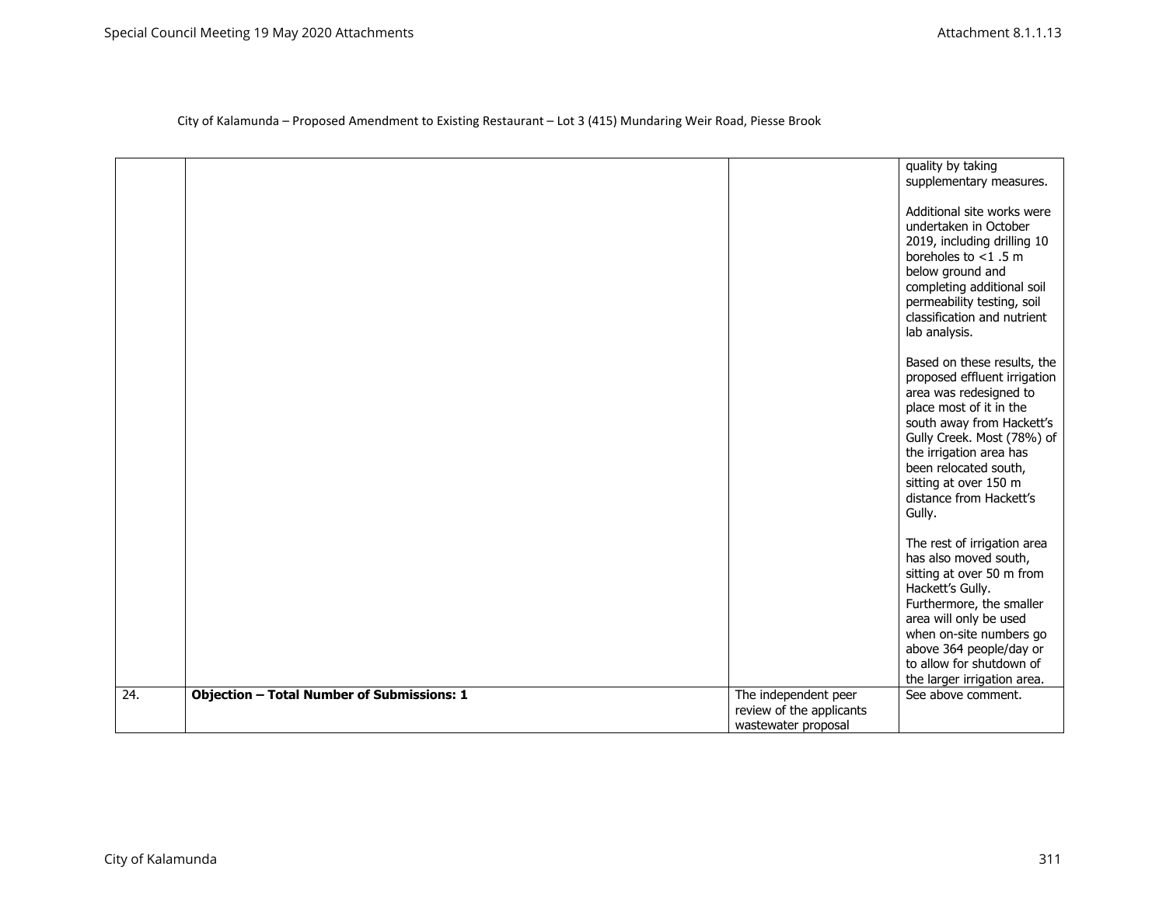|                   |                                                   |                                                                         | quality by taking<br>supplementary measures.<br>Additional site works were<br>undertaken in October<br>2019, including drilling 10<br>boreholes to $<$ 1.5 m<br>below ground and<br>completing additional soil<br>permeability testing, soil<br>classification and nutrient<br>lab analysis.  |
|-------------------|---------------------------------------------------|-------------------------------------------------------------------------|-----------------------------------------------------------------------------------------------------------------------------------------------------------------------------------------------------------------------------------------------------------------------------------------------|
|                   |                                                   |                                                                         | Based on these results, the<br>proposed effluent irrigation<br>area was redesigned to<br>place most of it in the<br>south away from Hackett's<br>Gully Creek. Most (78%) of<br>the irrigation area has<br>been relocated south,<br>sitting at over 150 m<br>distance from Hackett's<br>Gully. |
|                   |                                                   |                                                                         | The rest of irrigation area<br>has also moved south,<br>sitting at over 50 m from<br>Hackett's Gully.<br>Furthermore, the smaller<br>area will only be used<br>when on-site numbers go<br>above 364 people/day or<br>to allow for shutdown of<br>the larger irrigation area.                  |
| $\overline{24}$ . | <b>Objection - Total Number of Submissions: 1</b> | The independent peer<br>review of the applicants<br>wastewater proposal | See above comment.                                                                                                                                                                                                                                                                            |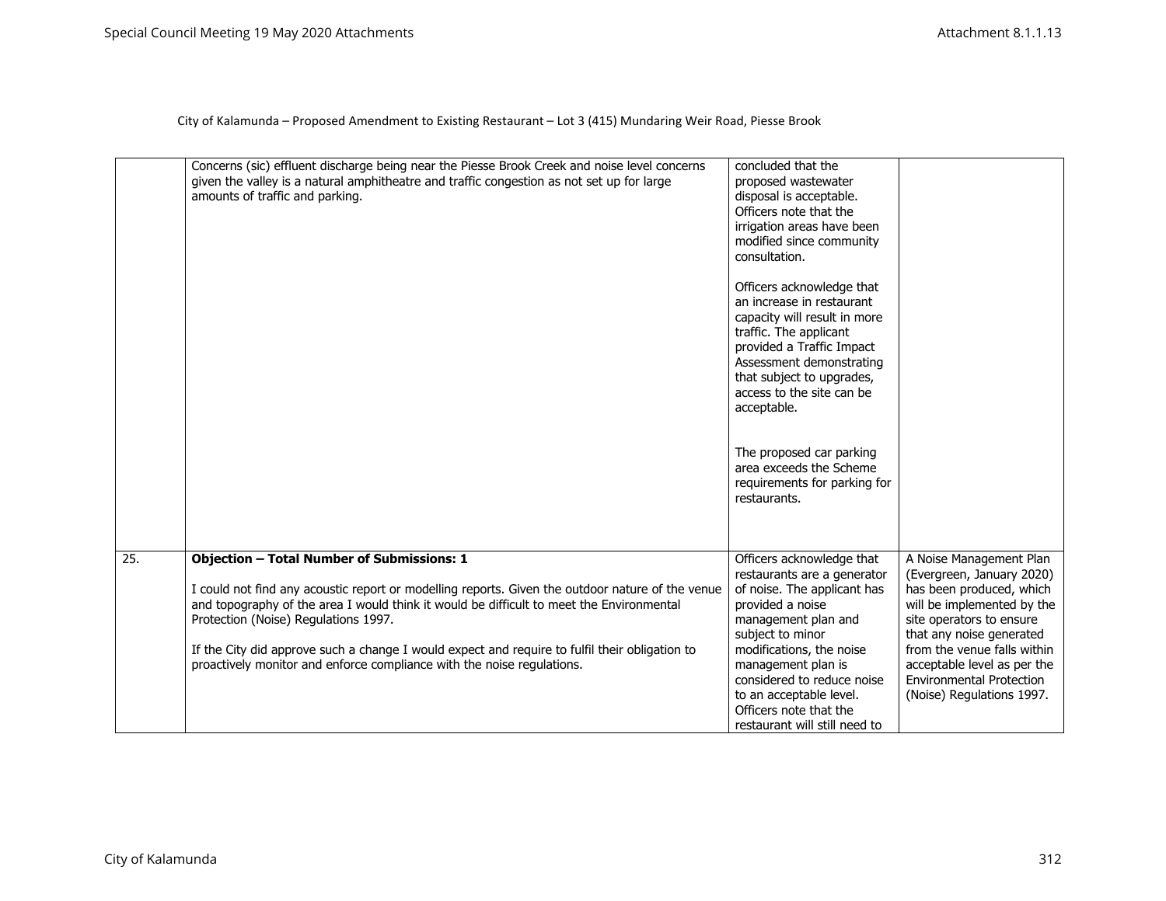|     | Concerns (sic) effluent discharge being near the Piesse Brook Creek and noise level concerns<br>given the valley is a natural amphitheatre and traffic congestion as not set up for large<br>amounts of traffic and parking.                                                                                                                                                                                                                                          | concluded that the<br>proposed wastewater<br>disposal is acceptable.<br>Officers note that the<br>irrigation areas have been<br>modified since community<br>consultation.<br>Officers acknowledge that<br>an increase in restaurant<br>capacity will result in more<br>traffic. The applicant<br>provided a Traffic Impact<br>Assessment demonstrating<br>that subject to upgrades,<br>access to the site can be<br>acceptable.<br>The proposed car parking<br>area exceeds the Scheme<br>requirements for parking for<br>restaurants. |                                                                                                                                                                                                                                                                                                      |
|-----|-----------------------------------------------------------------------------------------------------------------------------------------------------------------------------------------------------------------------------------------------------------------------------------------------------------------------------------------------------------------------------------------------------------------------------------------------------------------------|----------------------------------------------------------------------------------------------------------------------------------------------------------------------------------------------------------------------------------------------------------------------------------------------------------------------------------------------------------------------------------------------------------------------------------------------------------------------------------------------------------------------------------------|------------------------------------------------------------------------------------------------------------------------------------------------------------------------------------------------------------------------------------------------------------------------------------------------------|
| 25. | <b>Objection - Total Number of Submissions: 1</b><br>I could not find any acoustic report or modelling reports. Given the outdoor nature of the venue<br>and topography of the area I would think it would be difficult to meet the Environmental<br>Protection (Noise) Regulations 1997.<br>If the City did approve such a change I would expect and require to fulfil their obligation to<br>proactively monitor and enforce compliance with the noise regulations. | Officers acknowledge that<br>restaurants are a generator<br>of noise. The applicant has<br>provided a noise<br>management plan and<br>subject to minor<br>modifications, the noise<br>management plan is<br>considered to reduce noise<br>to an acceptable level.<br>Officers note that the<br>restaurant will still need to                                                                                                                                                                                                           | A Noise Management Plan<br>(Evergreen, January 2020)<br>has been produced, which<br>will be implemented by the<br>site operators to ensure<br>that any noise generated<br>from the venue falls within<br>acceptable level as per the<br><b>Environmental Protection</b><br>(Noise) Regulations 1997. |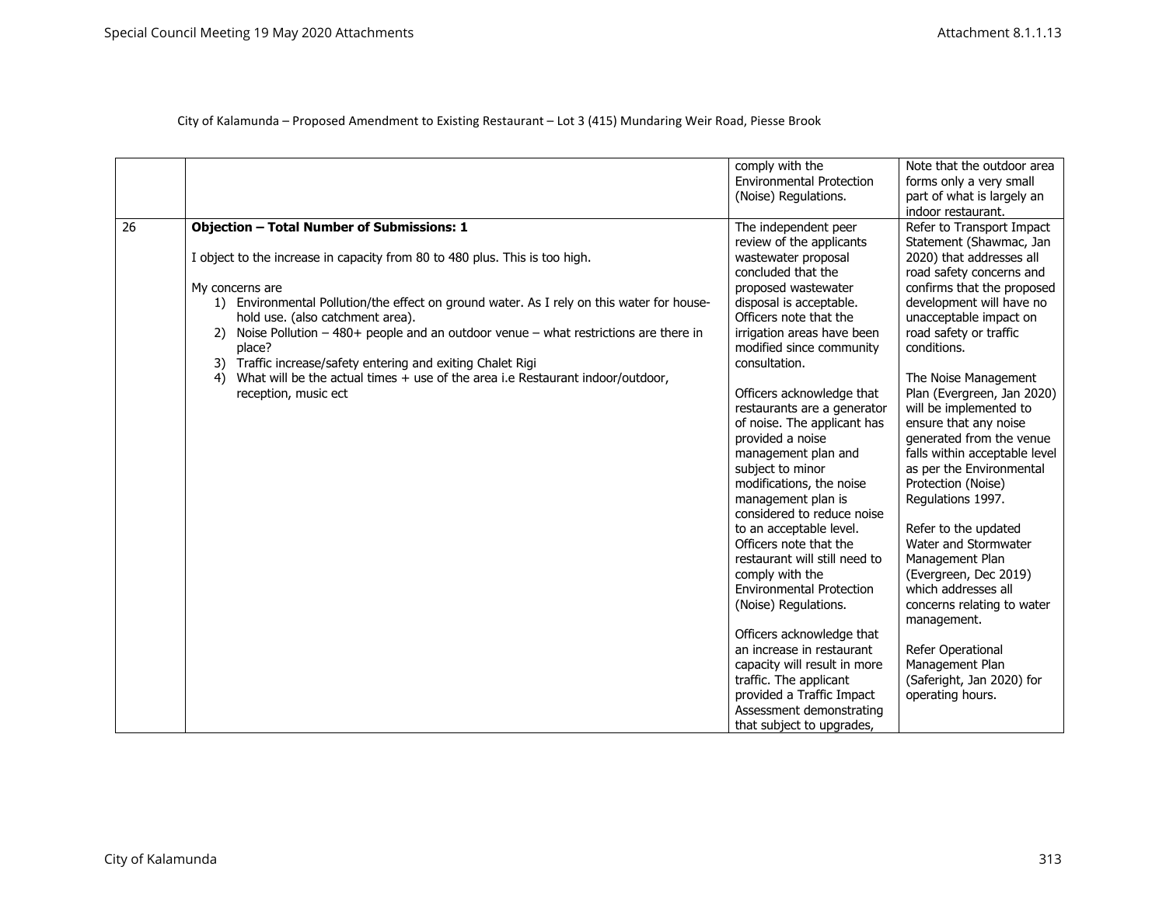|    |                                                                                                                                                                                                                                                                                                                                                                                      | comply with the<br><b>Environmental Protection</b><br>(Noise) Regulations.                                                                                                                                                                                                                                                                                                                                                      | Note that the outdoor area<br>forms only a very small<br>part of what is largely an                                                                                                                                                                                                                                                                                         |
|----|--------------------------------------------------------------------------------------------------------------------------------------------------------------------------------------------------------------------------------------------------------------------------------------------------------------------------------------------------------------------------------------|---------------------------------------------------------------------------------------------------------------------------------------------------------------------------------------------------------------------------------------------------------------------------------------------------------------------------------------------------------------------------------------------------------------------------------|-----------------------------------------------------------------------------------------------------------------------------------------------------------------------------------------------------------------------------------------------------------------------------------------------------------------------------------------------------------------------------|
| 26 | <b>Objection - Total Number of Submissions: 1</b><br>I object to the increase in capacity from 80 to 480 plus. This is too high.<br>My concerns are<br>1) Environmental Pollution/the effect on ground water. As I rely on this water for house-<br>hold use. (also catchment area).<br>Noise Pollution $-480+$ people and an outdoor venue $-$ what restrictions are there in<br>2) | The independent peer<br>review of the applicants<br>wastewater proposal<br>concluded that the<br>proposed wastewater<br>disposal is acceptable.<br>Officers note that the<br>irrigation areas have been                                                                                                                                                                                                                         | indoor restaurant.<br>Refer to Transport Impact<br>Statement (Shawmac, Jan<br>2020) that addresses all<br>road safety concerns and<br>confirms that the proposed<br>development will have no<br>unacceptable impact on<br>road safety or traffic                                                                                                                            |
|    | place?<br>Traffic increase/safety entering and exiting Chalet Rigi<br>3)<br>What will be the actual times + use of the area i.e Restaurant indoor/outdoor,<br>reception, music ect                                                                                                                                                                                                   | modified since community<br>consultation.<br>Officers acknowledge that<br>restaurants are a generator<br>of noise. The applicant has<br>provided a noise<br>management plan and<br>subject to minor<br>modifications, the noise<br>management plan is<br>considered to reduce noise<br>to an acceptable level.<br>Officers note that the<br>restaurant will still need to<br>comply with the<br><b>Environmental Protection</b> | conditions.<br>The Noise Management<br>Plan (Evergreen, Jan 2020)<br>will be implemented to<br>ensure that any noise<br>generated from the venue<br>falls within acceptable level<br>as per the Environmental<br>Protection (Noise)<br>Regulations 1997.<br>Refer to the updated<br>Water and Stormwater<br>Management Plan<br>(Evergreen, Dec 2019)<br>which addresses all |
|    |                                                                                                                                                                                                                                                                                                                                                                                      | (Noise) Regulations.<br>Officers acknowledge that<br>an increase in restaurant<br>capacity will result in more<br>traffic. The applicant<br>provided a Traffic Impact<br>Assessment demonstrating<br>that subject to upgrades,                                                                                                                                                                                                  | concerns relating to water<br>management.<br>Refer Operational<br>Management Plan<br>(Saferight, Jan 2020) for<br>operating hours.                                                                                                                                                                                                                                          |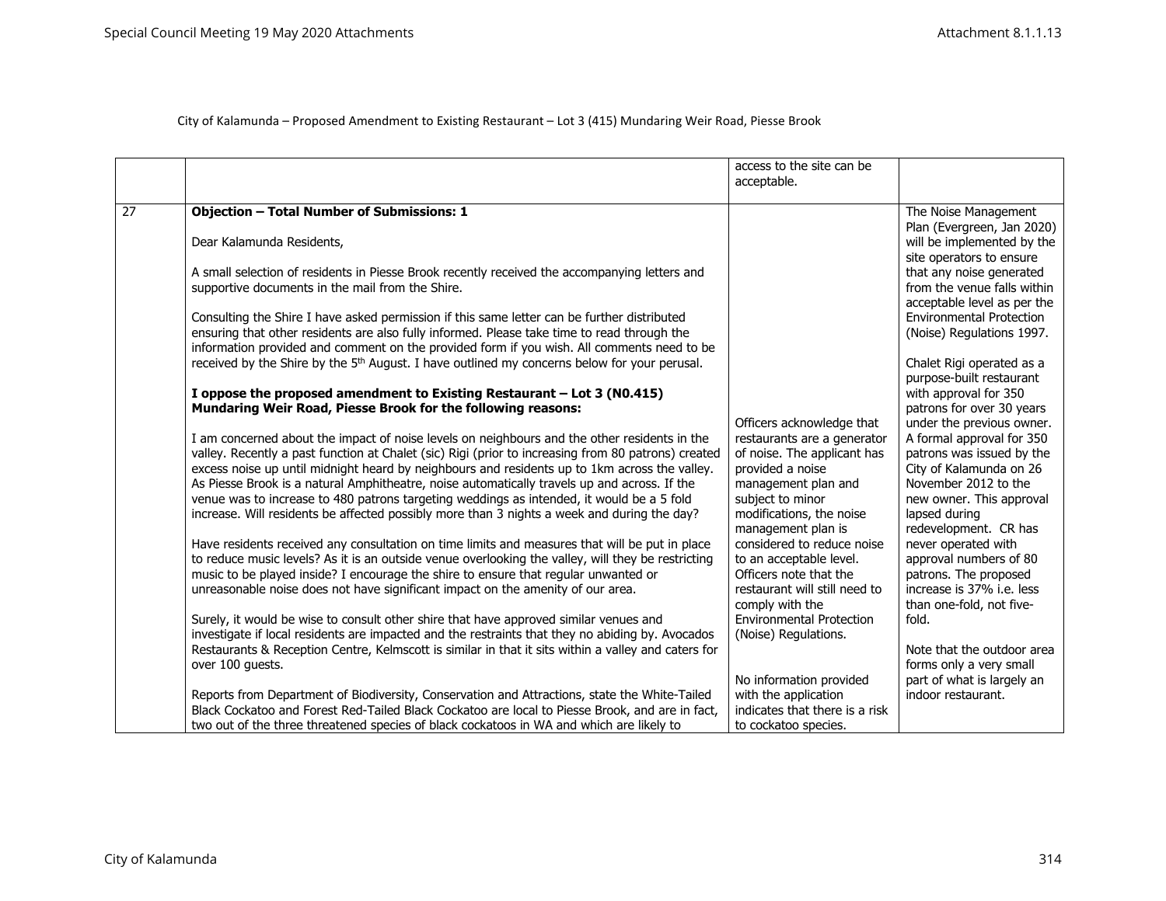|    |                                                                                                                                                                                                                                                                                                                                                                                                                                                                                                                                                                                                  | access to the site can be<br>acceptable.                                                                                                                                                                 |                                                                                                                                                                                                              |
|----|--------------------------------------------------------------------------------------------------------------------------------------------------------------------------------------------------------------------------------------------------------------------------------------------------------------------------------------------------------------------------------------------------------------------------------------------------------------------------------------------------------------------------------------------------------------------------------------------------|----------------------------------------------------------------------------------------------------------------------------------------------------------------------------------------------------------|--------------------------------------------------------------------------------------------------------------------------------------------------------------------------------------------------------------|
| 27 | <b>Objection - Total Number of Submissions: 1</b>                                                                                                                                                                                                                                                                                                                                                                                                                                                                                                                                                |                                                                                                                                                                                                          | The Noise Management                                                                                                                                                                                         |
|    | Dear Kalamunda Residents,                                                                                                                                                                                                                                                                                                                                                                                                                                                                                                                                                                        |                                                                                                                                                                                                          | Plan (Evergreen, Jan 2020)<br>will be implemented by the<br>site operators to ensure                                                                                                                         |
|    | A small selection of residents in Piesse Brook recently received the accompanying letters and<br>supportive documents in the mail from the Shire.                                                                                                                                                                                                                                                                                                                                                                                                                                                |                                                                                                                                                                                                          | that any noise generated<br>from the venue falls within<br>acceptable level as per the                                                                                                                       |
|    | Consulting the Shire I have asked permission if this same letter can be further distributed<br>ensuring that other residents are also fully informed. Please take time to read through the<br>information provided and comment on the provided form if you wish. All comments need to be                                                                                                                                                                                                                                                                                                         |                                                                                                                                                                                                          | <b>Environmental Protection</b><br>(Noise) Regulations 1997.                                                                                                                                                 |
|    | received by the Shire by the 5 <sup>th</sup> August. I have outlined my concerns below for your perusal.                                                                                                                                                                                                                                                                                                                                                                                                                                                                                         |                                                                                                                                                                                                          | Chalet Rigi operated as a<br>purpose-built restaurant                                                                                                                                                        |
|    | I oppose the proposed amendment to Existing Restaurant - Lot 3 (N0.415)<br>Mundaring Weir Road, Piesse Brook for the following reasons:                                                                                                                                                                                                                                                                                                                                                                                                                                                          |                                                                                                                                                                                                          | with approval for 350<br>patrons for over 30 years                                                                                                                                                           |
|    | I am concerned about the impact of noise levels on neighbours and the other residents in the<br>valley. Recently a past function at Chalet (sic) Rigi (prior to increasing from 80 patrons) created<br>excess noise up until midnight heard by neighbours and residents up to 1km across the valley.<br>As Piesse Brook is a natural Amphitheatre, noise automatically travels up and across. If the<br>venue was to increase to 480 patrons targeting weddings as intended, it would be a 5 fold<br>increase. Will residents be affected possibly more than 3 nights a week and during the day? | Officers acknowledge that<br>restaurants are a generator<br>of noise. The applicant has<br>provided a noise<br>management plan and<br>subject to minor<br>modifications, the noise<br>management plan is | under the previous owner.<br>A formal approval for 350<br>patrons was issued by the<br>City of Kalamunda on 26<br>November 2012 to the<br>new owner. This approval<br>lapsed during<br>redevelopment. CR has |
|    | Have residents received any consultation on time limits and measures that will be put in place<br>to reduce music levels? As it is an outside venue overlooking the valley, will they be restricting<br>music to be played inside? I encourage the shire to ensure that regular unwanted or<br>unreasonable noise does not have significant impact on the amenity of our area.                                                                                                                                                                                                                   | considered to reduce noise<br>to an acceptable level.<br>Officers note that the<br>restaurant will still need to<br>comply with the                                                                      | never operated with<br>approval numbers of 80<br>patrons. The proposed<br>increase is 37% i.e. less<br>than one-fold, not five-                                                                              |
|    | Surely, it would be wise to consult other shire that have approved similar venues and<br>investigate if local residents are impacted and the restraints that they no abiding by. Avocados<br>Restaurants & Reception Centre, Kelmscott is similar in that it sits within a valley and caters for<br>over 100 guests.                                                                                                                                                                                                                                                                             | <b>Environmental Protection</b><br>(Noise) Regulations.<br>No information provided                                                                                                                       | fold.<br>Note that the outdoor area<br>forms only a very small<br>part of what is largely an                                                                                                                 |
|    | Reports from Department of Biodiversity, Conservation and Attractions, state the White-Tailed<br>Black Cockatoo and Forest Red-Tailed Black Cockatoo are local to Piesse Brook, and are in fact,<br>two out of the three threatened species of black cockatoos in WA and which are likely to                                                                                                                                                                                                                                                                                                     | with the application<br>indicates that there is a risk<br>to cockatoo species.                                                                                                                           | indoor restaurant.                                                                                                                                                                                           |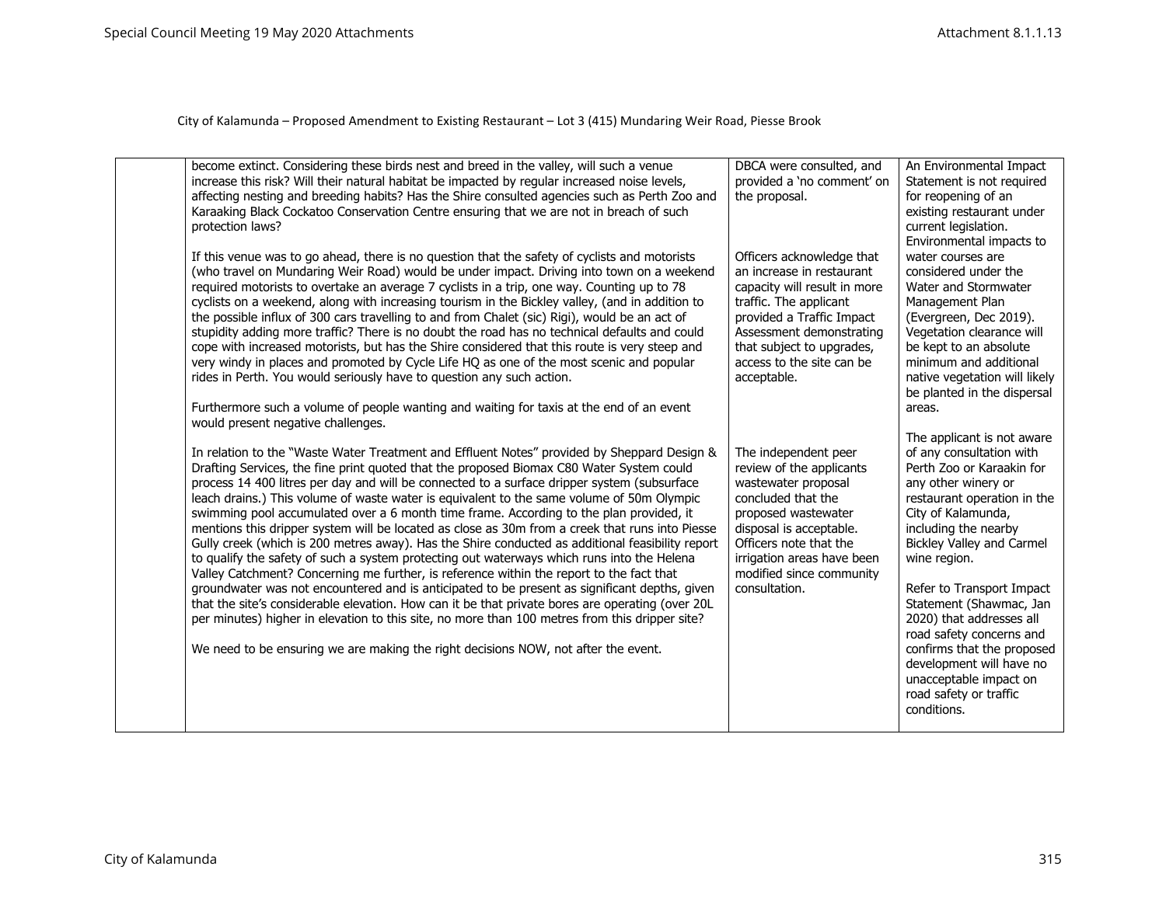| become extinct. Considering these birds nest and breed in the valley, will such a venue<br>increase this risk? Will their natural habitat be impacted by regular increased noise levels,<br>affecting nesting and breeding habits? Has the Shire consulted agencies such as Perth Zoo and<br>Karaaking Black Cockatoo Conservation Centre ensuring that we are not in breach of such<br>protection laws?<br>If this venue was to go ahead, there is no question that the safety of cyclists and motorists<br>(who travel on Mundaring Weir Road) would be under impact. Driving into town on a weekend<br>required motorists to overtake an average 7 cyclists in a trip, one way. Counting up to 78<br>cyclists on a weekend, along with increasing tourism in the Bickley valley, (and in addition to<br>the possible influx of 300 cars travelling to and from Chalet (sic) Rigi), would be an act of<br>stupidity adding more traffic? There is no doubt the road has no technical defaults and could<br>cope with increased motorists, but has the Shire considered that this route is very steep and<br>very windy in places and promoted by Cycle Life HQ as one of the most scenic and popular<br>rides in Perth. You would seriously have to question any such action.<br>Furthermore such a volume of people wanting and waiting for taxis at the end of an event<br>would present negative challenges. | DBCA were consulted, and<br>provided a 'no comment' on<br>the proposal.<br>Officers acknowledge that<br>an increase in restaurant<br>capacity will result in more<br>traffic. The applicant<br>provided a Traffic Impact<br>Assessment demonstrating<br>that subject to upgrades,<br>access to the site can be<br>acceptable. | An Environmental Impact<br>Statement is not required<br>for reopening of an<br>existing restaurant under<br>current legislation.<br>Environmental impacts to<br>water courses are<br>considered under the<br>Water and Stormwater<br>Management Plan<br>(Evergreen, Dec 2019).<br>Vegetation clearance will<br>be kept to an absolute<br>minimum and additional<br>native vegetation will likely<br>be planted in the dispersal<br>areas.<br>The applicant is not aware |
|-------------------------------------------------------------------------------------------------------------------------------------------------------------------------------------------------------------------------------------------------------------------------------------------------------------------------------------------------------------------------------------------------------------------------------------------------------------------------------------------------------------------------------------------------------------------------------------------------------------------------------------------------------------------------------------------------------------------------------------------------------------------------------------------------------------------------------------------------------------------------------------------------------------------------------------------------------------------------------------------------------------------------------------------------------------------------------------------------------------------------------------------------------------------------------------------------------------------------------------------------------------------------------------------------------------------------------------------------------------------------------------------------------------------|-------------------------------------------------------------------------------------------------------------------------------------------------------------------------------------------------------------------------------------------------------------------------------------------------------------------------------|-------------------------------------------------------------------------------------------------------------------------------------------------------------------------------------------------------------------------------------------------------------------------------------------------------------------------------------------------------------------------------------------------------------------------------------------------------------------------|
| In relation to the "Waste Water Treatment and Effluent Notes" provided by Sheppard Design &<br>Drafting Services, the fine print quoted that the proposed Biomax C80 Water System could<br>process 14 400 litres per day and will be connected to a surface dripper system (subsurface<br>leach drains.) This volume of waste water is equivalent to the same volume of 50m Olympic<br>swimming pool accumulated over a 6 month time frame. According to the plan provided, it<br>mentions this dripper system will be located as close as 30m from a creek that runs into Piesse<br>Gully creek (which is 200 metres away). Has the Shire conducted as additional feasibility report<br>to qualify the safety of such a system protecting out waterways which runs into the Helena<br>Valley Catchment? Concerning me further, is reference within the report to the fact that<br>groundwater was not encountered and is anticipated to be present as significant depths, given<br>that the site's considerable elevation. How can it be that private bores are operating (over 20L<br>per minutes) higher in elevation to this site, no more than 100 metres from this dripper site?<br>We need to be ensuring we are making the right decisions NOW, not after the event.                                                                                                                                      | The independent peer<br>review of the applicants<br>wastewater proposal<br>concluded that the<br>proposed wastewater<br>disposal is acceptable.<br>Officers note that the<br>irrigation areas have been<br>modified since community<br>consultation.                                                                          | of any consultation with<br>Perth Zoo or Karaakin for<br>any other winery or<br>restaurant operation in the<br>City of Kalamunda,<br>including the nearby<br><b>Bickley Valley and Carmel</b><br>wine region.<br>Refer to Transport Impact<br>Statement (Shawmac, Jan<br>2020) that addresses all<br>road safety concerns and<br>confirms that the proposed<br>development will have no<br>unacceptable impact on<br>road safety or traffic<br>conditions.              |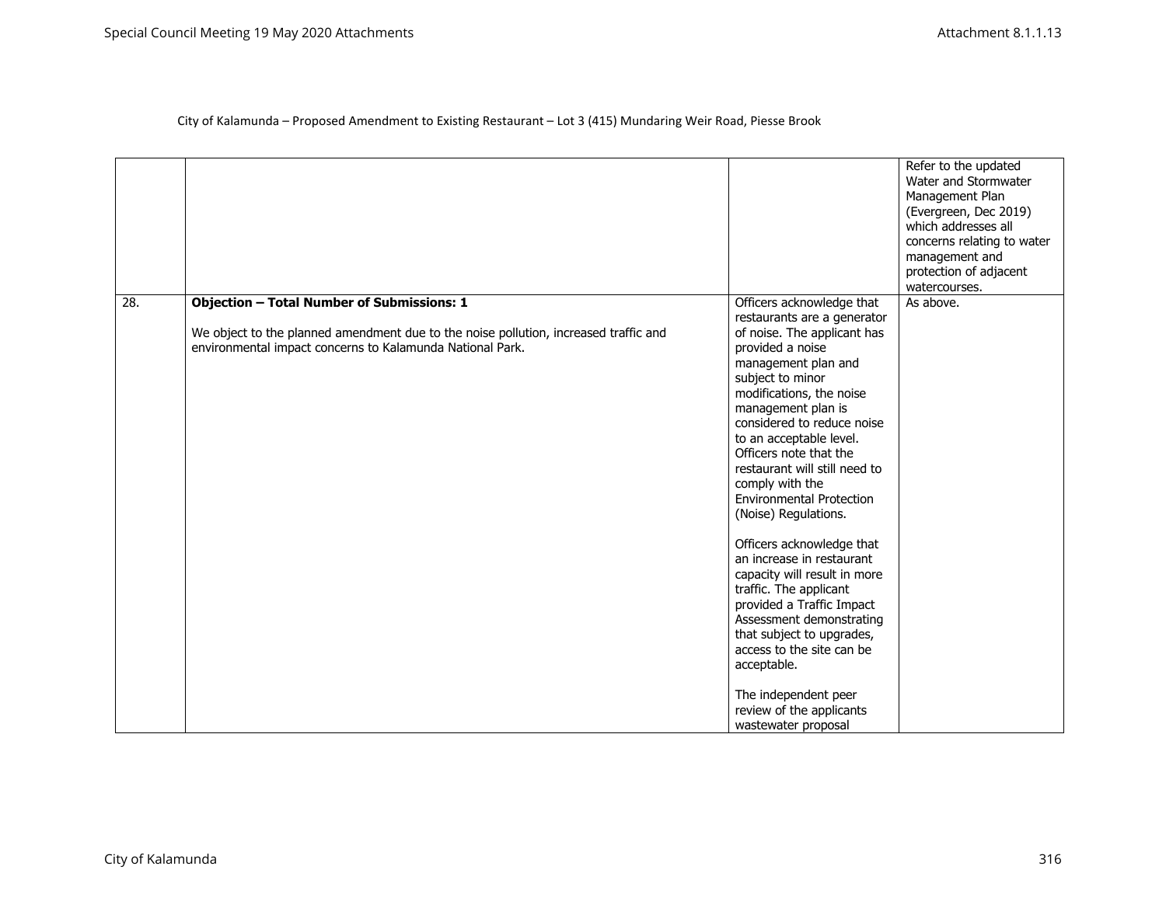|     |                                                                                                                                                                                                        |                                                                                                                                                                                                                                                                                                                                                                                                                                                                                                                                                                                                                                                                                                                                             | Refer to the updated<br>Water and Stormwater<br>Management Plan<br>(Evergreen, Dec 2019)<br>which addresses all<br>concerns relating to water<br>management and<br>protection of adjacent<br>watercourses. |
|-----|--------------------------------------------------------------------------------------------------------------------------------------------------------------------------------------------------------|---------------------------------------------------------------------------------------------------------------------------------------------------------------------------------------------------------------------------------------------------------------------------------------------------------------------------------------------------------------------------------------------------------------------------------------------------------------------------------------------------------------------------------------------------------------------------------------------------------------------------------------------------------------------------------------------------------------------------------------------|------------------------------------------------------------------------------------------------------------------------------------------------------------------------------------------------------------|
| 28. | <b>Objection - Total Number of Submissions: 1</b><br>We object to the planned amendment due to the noise pollution, increased traffic and<br>environmental impact concerns to Kalamunda National Park. | Officers acknowledge that<br>restaurants are a generator<br>of noise. The applicant has<br>provided a noise<br>management plan and<br>subject to minor<br>modifications, the noise<br>management plan is<br>considered to reduce noise<br>to an acceptable level.<br>Officers note that the<br>restaurant will still need to<br>comply with the<br><b>Environmental Protection</b><br>(Noise) Regulations.<br>Officers acknowledge that<br>an increase in restaurant<br>capacity will result in more<br>traffic. The applicant<br>provided a Traffic Impact<br>Assessment demonstrating<br>that subject to upgrades,<br>access to the site can be<br>acceptable.<br>The independent peer<br>review of the applicants<br>wastewater proposal | As above.                                                                                                                                                                                                  |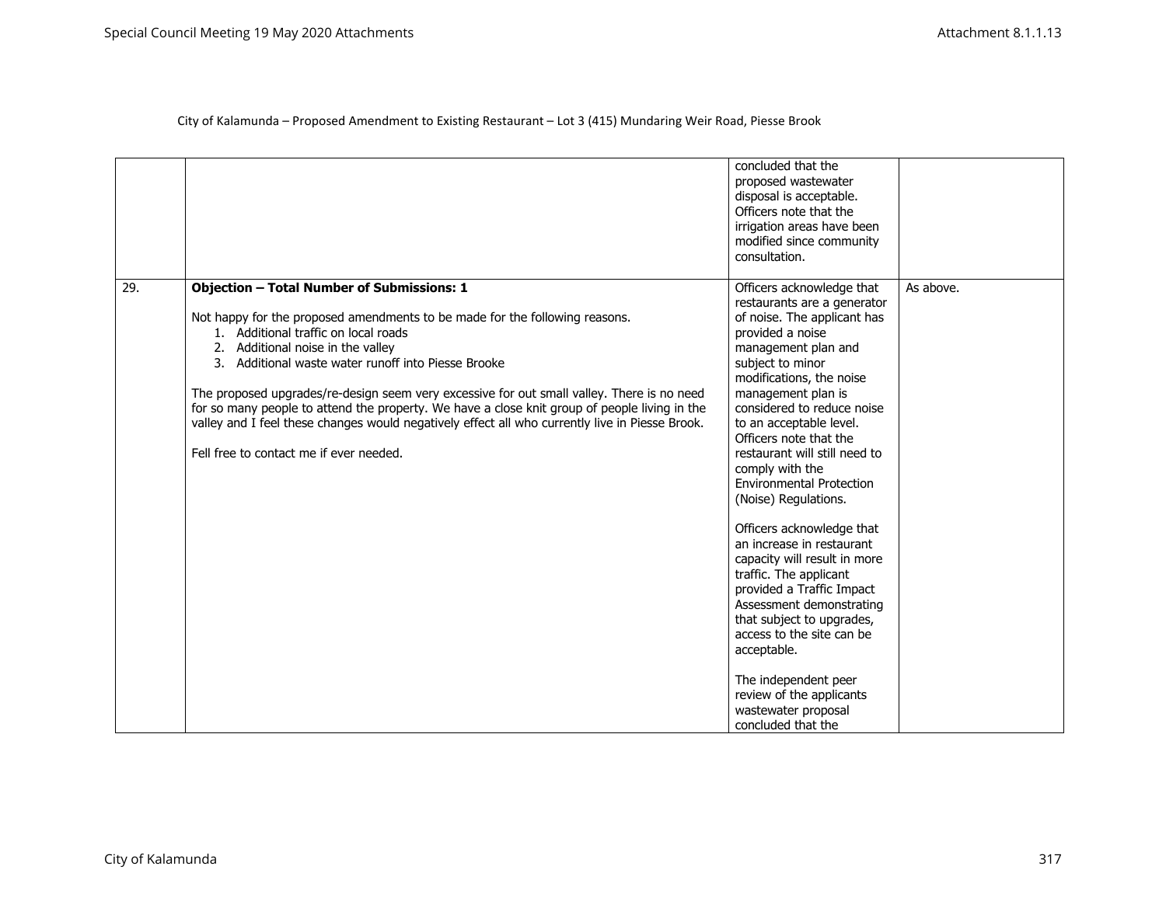|     |                                                                                                                                                                                                                                                                                                                                                                                                                                                                                                                                                                                                                   | concluded that the<br>proposed wastewater<br>disposal is acceptable.<br>Officers note that the<br>irrigation areas have been<br>modified since community<br>consultation.                                                                                                                                                                                                                                                                                                                                                                                                                                                                                                                                                                                         |           |
|-----|-------------------------------------------------------------------------------------------------------------------------------------------------------------------------------------------------------------------------------------------------------------------------------------------------------------------------------------------------------------------------------------------------------------------------------------------------------------------------------------------------------------------------------------------------------------------------------------------------------------------|-------------------------------------------------------------------------------------------------------------------------------------------------------------------------------------------------------------------------------------------------------------------------------------------------------------------------------------------------------------------------------------------------------------------------------------------------------------------------------------------------------------------------------------------------------------------------------------------------------------------------------------------------------------------------------------------------------------------------------------------------------------------|-----------|
| 29. | <b>Objection - Total Number of Submissions: 1</b><br>Not happy for the proposed amendments to be made for the following reasons.<br>1. Additional traffic on local roads<br>2. Additional noise in the valley<br>3. Additional waste water runoff into Piesse Brooke<br>The proposed upgrades/re-design seem very excessive for out small valley. There is no need<br>for so many people to attend the property. We have a close knit group of people living in the<br>valley and I feel these changes would negatively effect all who currently live in Piesse Brook.<br>Fell free to contact me if ever needed. | Officers acknowledge that<br>restaurants are a generator<br>of noise. The applicant has<br>provided a noise<br>management plan and<br>subject to minor<br>modifications, the noise<br>management plan is<br>considered to reduce noise<br>to an acceptable level.<br>Officers note that the<br>restaurant will still need to<br>comply with the<br><b>Environmental Protection</b><br>(Noise) Regulations.<br>Officers acknowledge that<br>an increase in restaurant<br>capacity will result in more<br>traffic. The applicant<br>provided a Traffic Impact<br>Assessment demonstrating<br>that subject to upgrades,<br>access to the site can be<br>acceptable.<br>The independent peer<br>review of the applicants<br>wastewater proposal<br>concluded that the | As above. |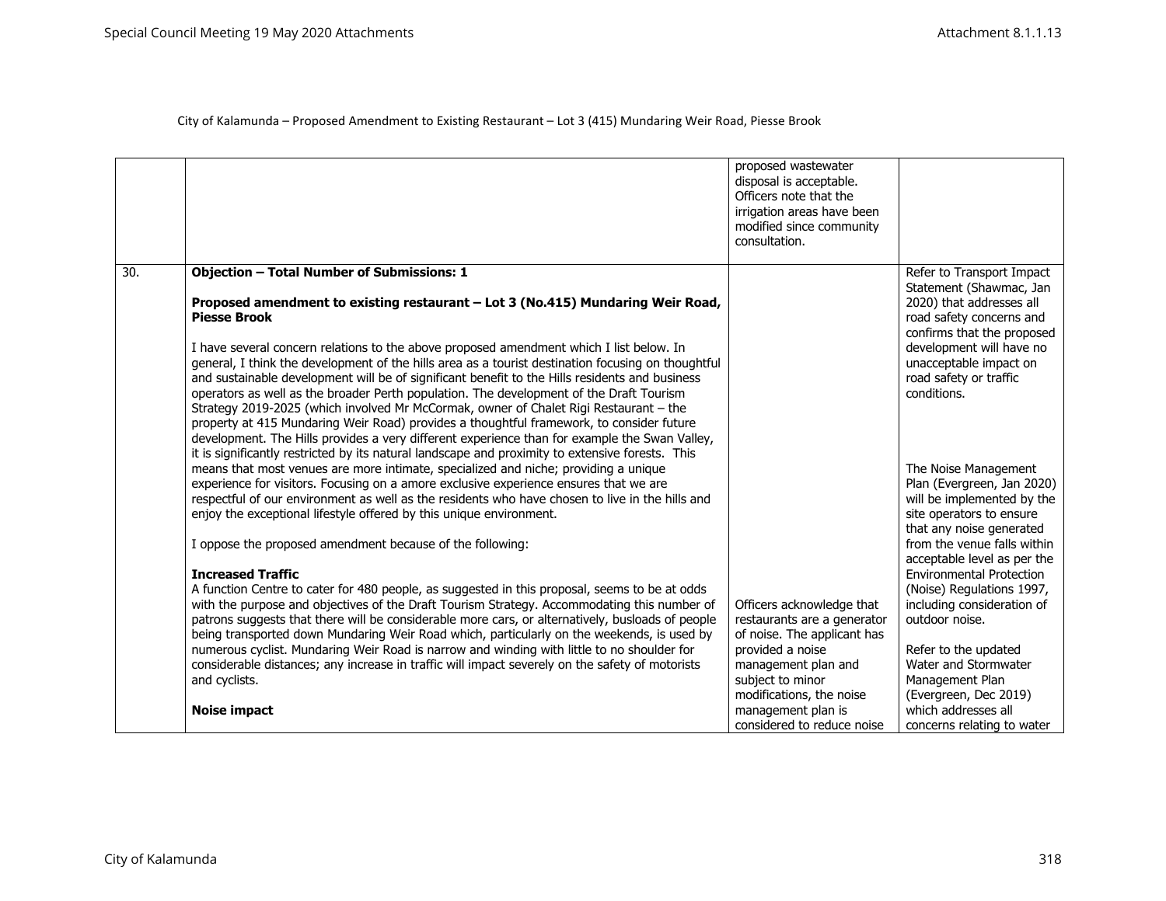|     |                                                                                                                                                                                               | proposed wastewater<br>disposal is acceptable.<br>Officers note that the<br>irrigation areas have been<br>modified since community<br>consultation. |                                                                                                               |
|-----|-----------------------------------------------------------------------------------------------------------------------------------------------------------------------------------------------|-----------------------------------------------------------------------------------------------------------------------------------------------------|---------------------------------------------------------------------------------------------------------------|
| 30. | <b>Objection - Total Number of Submissions: 1</b>                                                                                                                                             |                                                                                                                                                     | Refer to Transport Impact                                                                                     |
|     | Proposed amendment to existing restaurant - Lot 3 (No.415) Mundaring Weir Road,<br><b>Piesse Brook</b>                                                                                        |                                                                                                                                                     | Statement (Shawmac, Jan<br>2020) that addresses all<br>road safety concerns and<br>confirms that the proposed |
|     | I have several concern relations to the above proposed amendment which I list below. In<br>general, I think the development of the hills area as a tourist destination focusing on thoughtful |                                                                                                                                                     | development will have no<br>unacceptable impact on                                                            |
|     | and sustainable development will be of significant benefit to the Hills residents and business                                                                                                |                                                                                                                                                     | road safety or traffic                                                                                        |
|     | operators as well as the broader Perth population. The development of the Draft Tourism<br>Strategy 2019-2025 (which involved Mr McCormak, owner of Chalet Rigi Restaurant - the              |                                                                                                                                                     | conditions.                                                                                                   |
|     | property at 415 Mundaring Weir Road) provides a thoughtful framework, to consider future                                                                                                      |                                                                                                                                                     |                                                                                                               |
|     | development. The Hills provides a very different experience than for example the Swan Valley,                                                                                                 |                                                                                                                                                     |                                                                                                               |
|     | it is significantly restricted by its natural landscape and proximity to extensive forests. This<br>means that most venues are more intimate, specialized and niche; providing a unique       |                                                                                                                                                     | The Noise Management                                                                                          |
|     | experience for visitors. Focusing on a amore exclusive experience ensures that we are                                                                                                         |                                                                                                                                                     | Plan (Evergreen, Jan 2020)                                                                                    |
|     | respectful of our environment as well as the residents who have chosen to live in the hills and                                                                                               |                                                                                                                                                     | will be implemented by the                                                                                    |
|     | enjoy the exceptional lifestyle offered by this unique environment.                                                                                                                           |                                                                                                                                                     | site operators to ensure<br>that any noise generated                                                          |
|     | I oppose the proposed amendment because of the following:                                                                                                                                     |                                                                                                                                                     | from the venue falls within                                                                                   |
|     |                                                                                                                                                                                               |                                                                                                                                                     | acceptable level as per the                                                                                   |
|     | <b>Increased Traffic</b><br>A function Centre to cater for 480 people, as suggested in this proposal, seems to be at odds                                                                     |                                                                                                                                                     | <b>Environmental Protection</b><br>(Noise) Regulations 1997,                                                  |
|     | with the purpose and objectives of the Draft Tourism Strategy. Accommodating this number of                                                                                                   | Officers acknowledge that                                                                                                                           | including consideration of                                                                                    |
|     | patrons suggests that there will be considerable more cars, or alternatively, busloads of people                                                                                              | restaurants are a generator                                                                                                                         | outdoor noise.                                                                                                |
|     | being transported down Mundaring Weir Road which, particularly on the weekends, is used by                                                                                                    | of noise. The applicant has                                                                                                                         |                                                                                                               |
|     | numerous cyclist. Mundaring Weir Road is narrow and winding with little to no shoulder for                                                                                                    | provided a noise                                                                                                                                    | Refer to the updated                                                                                          |
|     | considerable distances; any increase in traffic will impact severely on the safety of motorists                                                                                               | management plan and                                                                                                                                 | Water and Stormwater                                                                                          |
|     | and cyclists.                                                                                                                                                                                 | subject to minor<br>modifications, the noise                                                                                                        | Management Plan<br>(Evergreen, Dec 2019)                                                                      |
|     | <b>Noise impact</b>                                                                                                                                                                           | management plan is                                                                                                                                  | which addresses all                                                                                           |
|     |                                                                                                                                                                                               | considered to reduce noise                                                                                                                          | concerns relating to water                                                                                    |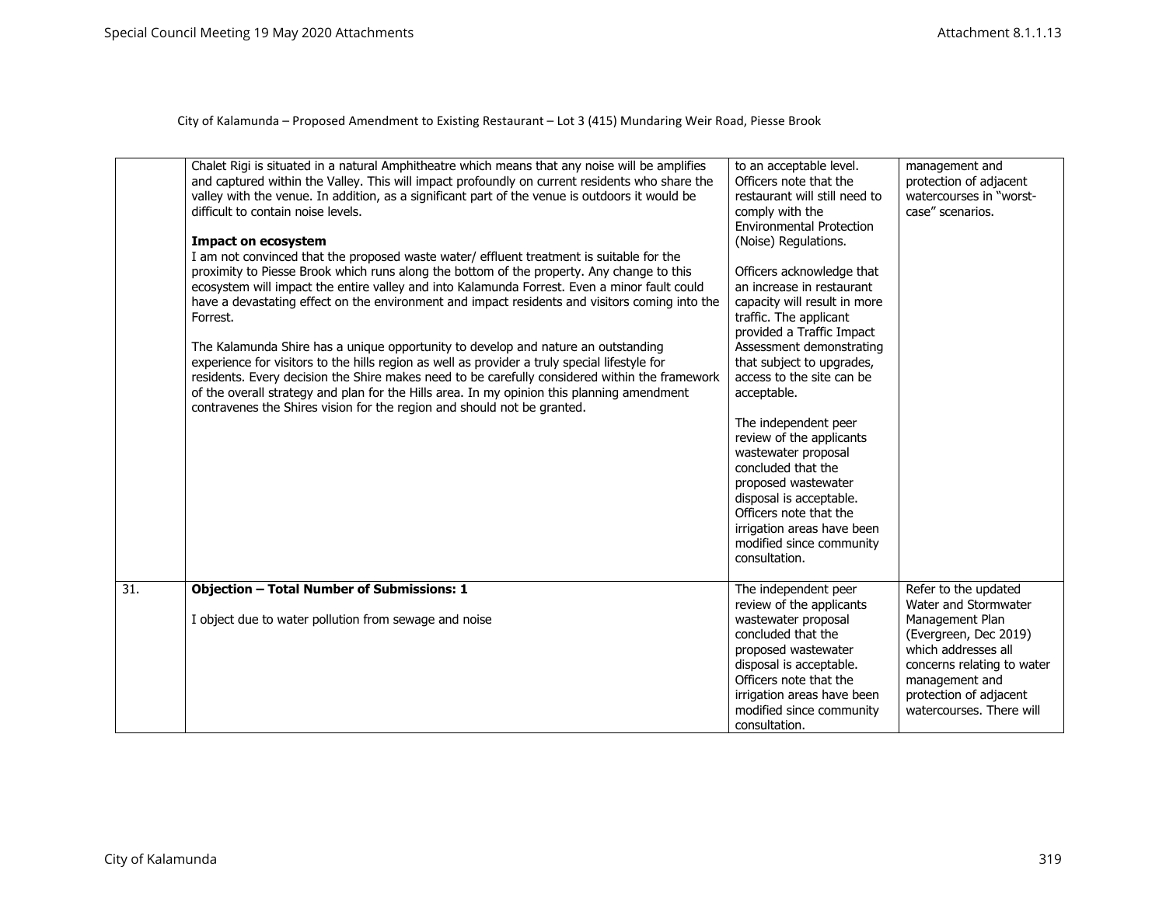|     | Chalet Rigi is situated in a natural Amphitheatre which means that any noise will be amplifies<br>and captured within the Valley. This will impact profoundly on current residents who share the<br>valley with the venue. In addition, as a significant part of the venue is outdoors it would be<br>difficult to contain noise levels.<br><b>Impact on ecosystem</b><br>I am not convinced that the proposed waste water/ effluent treatment is suitable for the<br>proximity to Piesse Brook which runs along the bottom of the property. Any change to this<br>ecosystem will impact the entire valley and into Kalamunda Forrest. Even a minor fault could<br>have a devastating effect on the environment and impact residents and visitors coming into the<br>Forrest.<br>The Kalamunda Shire has a unique opportunity to develop and nature an outstanding<br>experience for visitors to the hills region as well as provider a truly special lifestyle for<br>residents. Every decision the Shire makes need to be carefully considered within the framework<br>of the overall strategy and plan for the Hills area. In my opinion this planning amendment<br>contravenes the Shires vision for the region and should not be granted. | to an acceptable level.<br>Officers note that the<br>restaurant will still need to<br>comply with the<br><b>Environmental Protection</b><br>(Noise) Regulations.<br>Officers acknowledge that<br>an increase in restaurant<br>capacity will result in more<br>traffic. The applicant<br>provided a Traffic Impact<br>Assessment demonstrating<br>that subject to upgrades,<br>access to the site can be<br>acceptable.<br>The independent peer<br>review of the applicants<br>wastewater proposal<br>concluded that the<br>proposed wastewater<br>disposal is acceptable.<br>Officers note that the<br>irrigation areas have been<br>modified since community<br>consultation. | management and<br>protection of adjacent<br>watercourses in "worst-<br>case" scenarios.                                                                               |
|-----|------------------------------------------------------------------------------------------------------------------------------------------------------------------------------------------------------------------------------------------------------------------------------------------------------------------------------------------------------------------------------------------------------------------------------------------------------------------------------------------------------------------------------------------------------------------------------------------------------------------------------------------------------------------------------------------------------------------------------------------------------------------------------------------------------------------------------------------------------------------------------------------------------------------------------------------------------------------------------------------------------------------------------------------------------------------------------------------------------------------------------------------------------------------------------------------------------------------------------------------------|--------------------------------------------------------------------------------------------------------------------------------------------------------------------------------------------------------------------------------------------------------------------------------------------------------------------------------------------------------------------------------------------------------------------------------------------------------------------------------------------------------------------------------------------------------------------------------------------------------------------------------------------------------------------------------|-----------------------------------------------------------------------------------------------------------------------------------------------------------------------|
| 31. | <b>Objection - Total Number of Submissions: 1</b>                                                                                                                                                                                                                                                                                                                                                                                                                                                                                                                                                                                                                                                                                                                                                                                                                                                                                                                                                                                                                                                                                                                                                                                              | The independent peer<br>review of the applicants                                                                                                                                                                                                                                                                                                                                                                                                                                                                                                                                                                                                                               | Refer to the updated<br>Water and Stormwater                                                                                                                          |
|     | I object due to water pollution from sewage and noise                                                                                                                                                                                                                                                                                                                                                                                                                                                                                                                                                                                                                                                                                                                                                                                                                                                                                                                                                                                                                                                                                                                                                                                          | wastewater proposal<br>concluded that the<br>proposed wastewater<br>disposal is acceptable.<br>Officers note that the<br>irrigation areas have been<br>modified since community<br>consultation.                                                                                                                                                                                                                                                                                                                                                                                                                                                                               | Management Plan<br>(Evergreen, Dec 2019)<br>which addresses all<br>concerns relating to water<br>management and<br>protection of adjacent<br>watercourses. There will |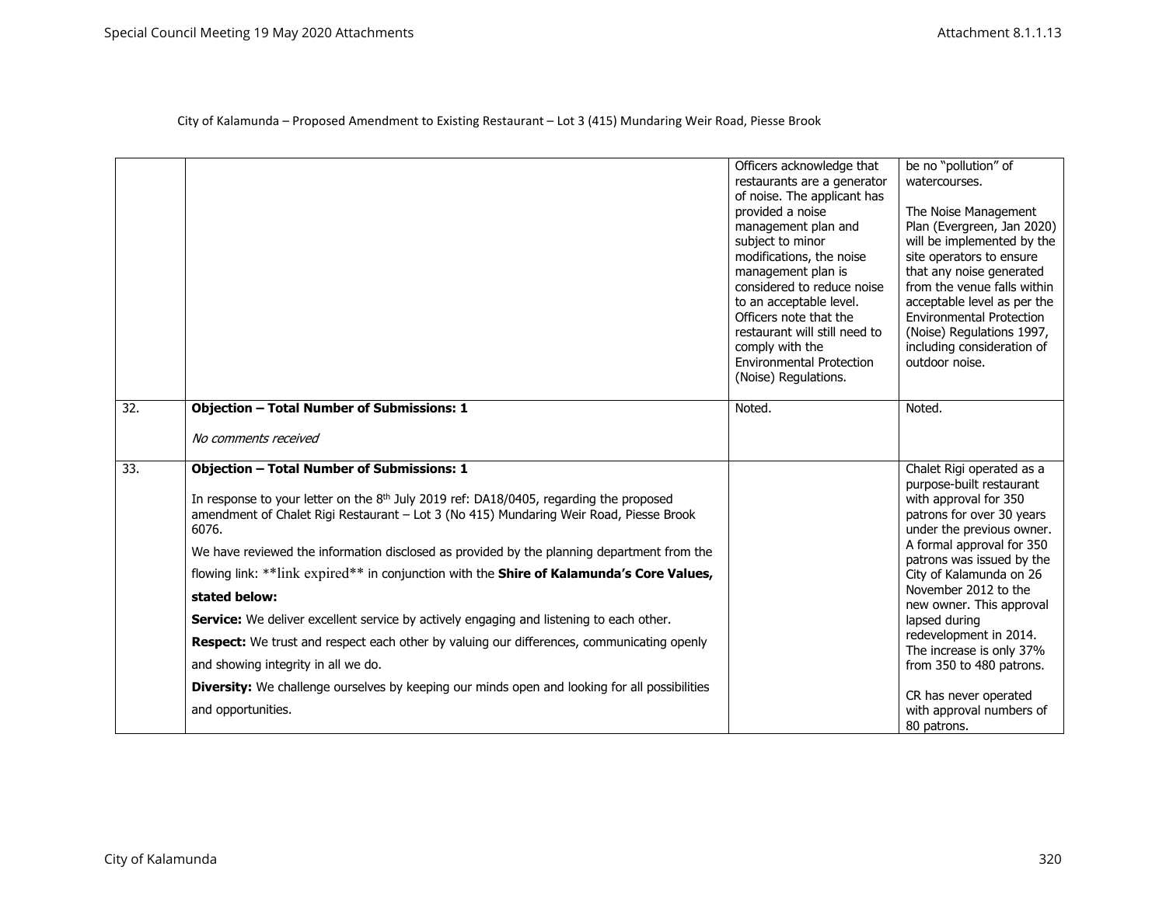|                   |                                                                                                                                                                                                                                                                                                                                                                                                                                                      | Officers acknowledge that<br>restaurants are a generator<br>of noise. The applicant has<br>provided a noise<br>management plan and<br>subject to minor<br>modifications, the noise<br>management plan is<br>considered to reduce noise<br>to an acceptable level.<br>Officers note that the<br>restaurant will still need to<br>comply with the<br><b>Environmental Protection</b><br>(Noise) Regulations. | be no "pollution" of<br>watercourses.<br>The Noise Management<br>Plan (Evergreen, Jan 2020)<br>will be implemented by the<br>site operators to ensure<br>that any noise generated<br>from the venue falls within<br>acceptable level as per the<br><b>Environmental Protection</b><br>(Noise) Regulations 1997,<br>including consideration of<br>outdoor noise. |
|-------------------|------------------------------------------------------------------------------------------------------------------------------------------------------------------------------------------------------------------------------------------------------------------------------------------------------------------------------------------------------------------------------------------------------------------------------------------------------|------------------------------------------------------------------------------------------------------------------------------------------------------------------------------------------------------------------------------------------------------------------------------------------------------------------------------------------------------------------------------------------------------------|-----------------------------------------------------------------------------------------------------------------------------------------------------------------------------------------------------------------------------------------------------------------------------------------------------------------------------------------------------------------|
| $\overline{32}$ . | <b>Objection - Total Number of Submissions: 1</b>                                                                                                                                                                                                                                                                                                                                                                                                    | Noted.                                                                                                                                                                                                                                                                                                                                                                                                     | Noted.                                                                                                                                                                                                                                                                                                                                                          |
|                   | No comments received                                                                                                                                                                                                                                                                                                                                                                                                                                 |                                                                                                                                                                                                                                                                                                                                                                                                            |                                                                                                                                                                                                                                                                                                                                                                 |
| 33.               | <b>Objection - Total Number of Submissions: 1</b><br>In response to your letter on the 8 <sup>th</sup> July 2019 ref: DA18/0405, regarding the proposed<br>amendment of Chalet Rigi Restaurant - Lot 3 (No 415) Mundaring Weir Road, Piesse Brook<br>6076.<br>We have reviewed the information disclosed as provided by the planning department from the<br>flowing link: **link expired** in conjunction with the Shire of Kalamunda's Core Values, |                                                                                                                                                                                                                                                                                                                                                                                                            | Chalet Rigi operated as a<br>purpose-built restaurant<br>with approval for 350<br>patrons for over 30 years<br>under the previous owner.<br>A formal approval for 350<br>patrons was issued by the<br>City of Kalamunda on 26                                                                                                                                   |
|                   | stated below:                                                                                                                                                                                                                                                                                                                                                                                                                                        |                                                                                                                                                                                                                                                                                                                                                                                                            | November 2012 to the<br>new owner. This approval                                                                                                                                                                                                                                                                                                                |
|                   | Service: We deliver excellent service by actively engaging and listening to each other.                                                                                                                                                                                                                                                                                                                                                              |                                                                                                                                                                                                                                                                                                                                                                                                            | lapsed during                                                                                                                                                                                                                                                                                                                                                   |
|                   | Respect: We trust and respect each other by valuing our differences, communicating openly                                                                                                                                                                                                                                                                                                                                                            |                                                                                                                                                                                                                                                                                                                                                                                                            | redevelopment in 2014.<br>The increase is only 37%                                                                                                                                                                                                                                                                                                              |
|                   | and showing integrity in all we do.                                                                                                                                                                                                                                                                                                                                                                                                                  |                                                                                                                                                                                                                                                                                                                                                                                                            | from 350 to 480 patrons.                                                                                                                                                                                                                                                                                                                                        |
|                   | <b>Diversity:</b> We challenge ourselves by keeping our minds open and looking for all possibilities<br>and opportunities.                                                                                                                                                                                                                                                                                                                           |                                                                                                                                                                                                                                                                                                                                                                                                            | CR has never operated<br>with approval numbers of<br>80 patrons.                                                                                                                                                                                                                                                                                                |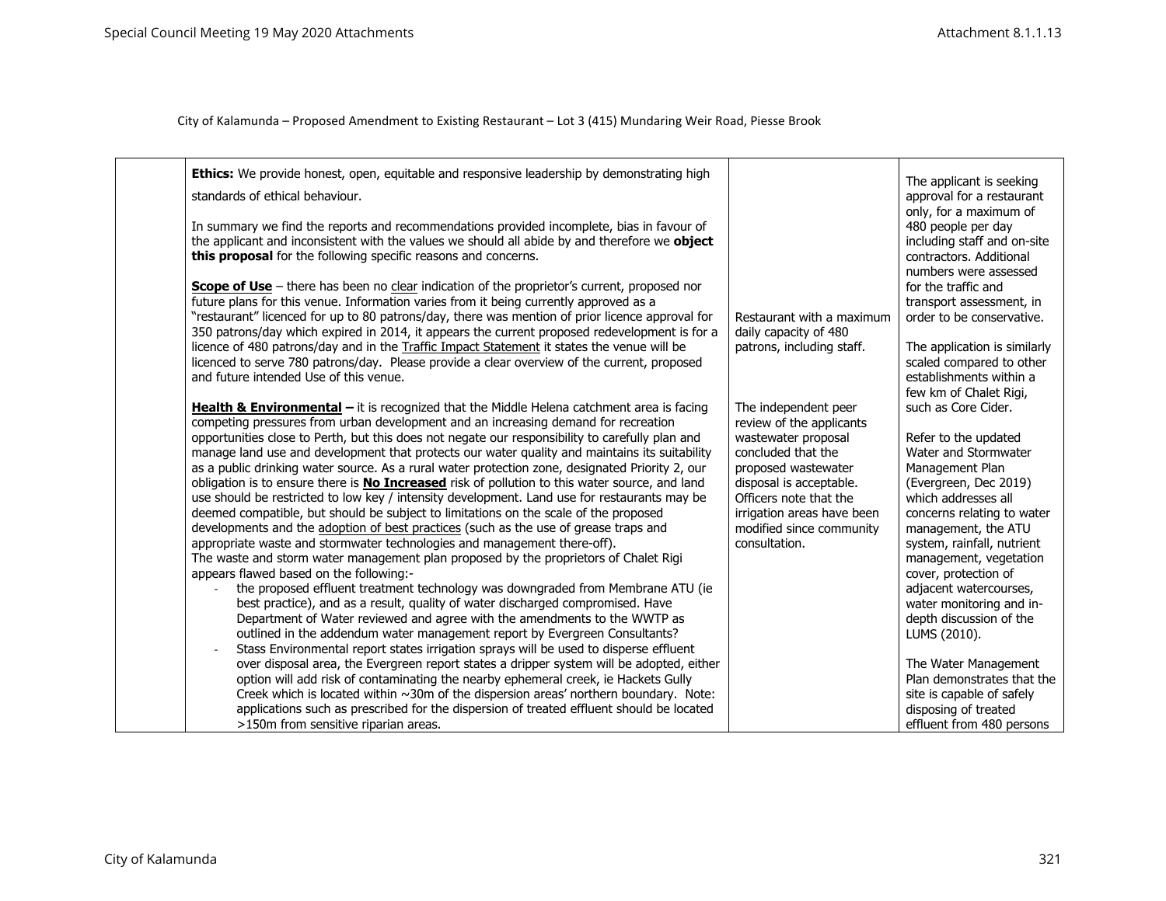| Ethics: We provide honest, open, equitable and responsive leadership by demonstrating high<br>standards of ethical behaviour.<br>In summary we find the reports and recommendations provided incomplete, bias in favour of<br>the applicant and inconsistent with the values we should all abide by and therefore we object<br>this proposal for the following specific reasons and concerns.<br><b>Scope of Use</b> – there has been no clear indication of the proprietor's current, proposed nor<br>future plans for this venue. Information varies from it being currently approved as a<br>"restaurant" licenced for up to 80 patrons/day, there was mention of prior licence approval for<br>350 patrons/day which expired in 2014, it appears the current proposed redevelopment is for a<br>licence of 480 patrons/day and in the Traffic Impact Statement it states the venue will be<br>licenced to serve 780 patrons/day. Please provide a clear overview of the current, proposed<br>and future intended Use of this venue.<br><b>Health &amp; Environmental</b> $-$ it is recognized that the Middle Helena catchment area is facing                                                                                                                                                                                                                                                                                                                                                                                                                                                                                                                                                    | Restaurant with a maximum<br>daily capacity of 480<br>patrons, including staff.<br>The independent peer                                                                                                                      | The applicant is seeking<br>approval for a restaurant<br>only, for a maximum of<br>480 people per day<br>including staff and on-site<br>contractors. Additional<br>numbers were assessed<br>for the traffic and<br>transport assessment, in<br>order to be conservative.<br>The application is similarly<br>scaled compared to other<br>establishments within a<br>few km of Chalet Rigi,<br>such as Core Cider.                         |
|------------------------------------------------------------------------------------------------------------------------------------------------------------------------------------------------------------------------------------------------------------------------------------------------------------------------------------------------------------------------------------------------------------------------------------------------------------------------------------------------------------------------------------------------------------------------------------------------------------------------------------------------------------------------------------------------------------------------------------------------------------------------------------------------------------------------------------------------------------------------------------------------------------------------------------------------------------------------------------------------------------------------------------------------------------------------------------------------------------------------------------------------------------------------------------------------------------------------------------------------------------------------------------------------------------------------------------------------------------------------------------------------------------------------------------------------------------------------------------------------------------------------------------------------------------------------------------------------------------------------------------------------------------------------------------------------------|------------------------------------------------------------------------------------------------------------------------------------------------------------------------------------------------------------------------------|------------------------------------------------------------------------------------------------------------------------------------------------------------------------------------------------------------------------------------------------------------------------------------------------------------------------------------------------------------------------------------------------------------------------------------------|
| competing pressures from urban development and an increasing demand for recreation<br>opportunities close to Perth, but this does not negate our responsibility to carefully plan and<br>manage land use and development that protects our water quality and maintains its suitability<br>as a public drinking water source. As a rural water protection zone, designated Priority 2, our<br>obligation is to ensure there is <b>No Increased</b> risk of pollution to this water source, and land<br>use should be restricted to low key / intensity development. Land use for restaurants may be<br>deemed compatible, but should be subject to limitations on the scale of the proposed<br>developments and the adoption of best practices (such as the use of grease traps and<br>appropriate waste and stormwater technologies and management there-off).<br>The waste and storm water management plan proposed by the proprietors of Chalet Rigi<br>appears flawed based on the following:-<br>the proposed effluent treatment technology was downgraded from Membrane ATU (ie<br>best practice), and as a result, quality of water discharged compromised. Have<br>Department of Water reviewed and agree with the amendments to the WWTP as<br>outlined in the addendum water management report by Evergreen Consultants?<br>Stass Environmental report states irrigation sprays will be used to disperse effluent<br>over disposal area, the Evergreen report states a dripper system will be adopted, either<br>option will add risk of contaminating the nearby ephemeral creek, ie Hackets Gully<br>Creek which is located within ~30m of the dispersion areas' northern boundary. Note: | review of the applicants<br>wastewater proposal<br>concluded that the<br>proposed wastewater<br>disposal is acceptable.<br>Officers note that the<br>irrigation areas have been<br>modified since community<br>consultation. | Refer to the updated<br>Water and Stormwater<br>Management Plan<br>(Evergreen, Dec 2019)<br>which addresses all<br>concerns relating to water<br>management, the ATU<br>system, rainfall, nutrient<br>management, vegetation<br>cover, protection of<br>adjacent watercourses,<br>water monitoring and in-<br>depth discussion of the<br>LUMS (2010).<br>The Water Management<br>Plan demonstrates that the<br>site is capable of safely |
| applications such as prescribed for the dispersion of treated effluent should be located<br>>150m from sensitive riparian areas.                                                                                                                                                                                                                                                                                                                                                                                                                                                                                                                                                                                                                                                                                                                                                                                                                                                                                                                                                                                                                                                                                                                                                                                                                                                                                                                                                                                                                                                                                                                                                                     |                                                                                                                                                                                                                              | disposing of treated<br>effluent from 480 persons                                                                                                                                                                                                                                                                                                                                                                                        |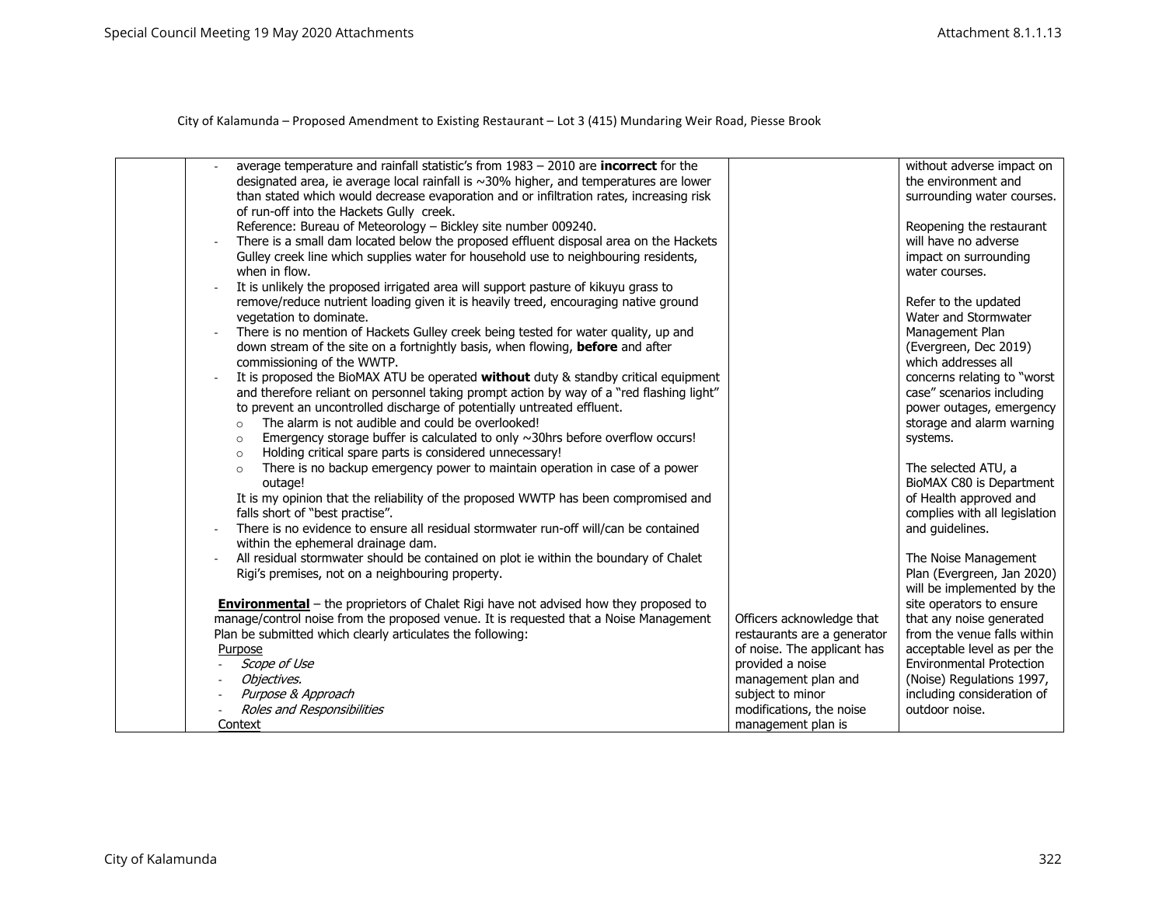| average temperature and rainfall statistic's from $1983 - 2010$ are <b>incorrect</b> for the<br>designated area, ie average local rainfall is ~30% higher, and temperatures are lower<br>than stated which would decrease evaporation and or infiltration rates, increasing risk<br>of run-off into the Hackets Gully creek.<br>Reference: Bureau of Meteorology - Bickley site number 009240.<br>There is a small dam located below the proposed effluent disposal area on the Hackets<br>Gulley creek line which supplies water for household use to neighbouring residents,<br>when in flow.<br>It is unlikely the proposed irrigated area will support pasture of kikuyu grass to<br>remove/reduce nutrient loading given it is heavily treed, encouraging native ground<br>vegetation to dominate.<br>There is no mention of Hackets Gulley creek being tested for water quality, up and<br>down stream of the site on a fortnightly basis, when flowing, before and after<br>commissioning of the WWTP.<br>It is proposed the BioMAX ATU be operated without duty & standby critical equipment<br>and therefore reliant on personnel taking prompt action by way of a "red flashing light"<br>to prevent an uncontrolled discharge of potentially untreated effluent.<br>The alarm is not audible and could be overlooked!<br>$\circ$<br>Emergency storage buffer is calculated to only $\sim$ 30hrs before overflow occurs!<br>$\circ$<br>Holding critical spare parts is considered unnecessary!<br>$\circ$ |                                                                                                                                                                                                          | without adverse impact on<br>the environment and<br>surrounding water courses.<br>Reopening the restaurant<br>will have no adverse<br>impact on surrounding<br>water courses.<br>Refer to the updated<br>Water and Stormwater<br>Management Plan<br>(Evergreen, Dec 2019)<br>which addresses all<br>concerns relating to "worst<br>case" scenarios including<br>power outages, emergency<br>storage and alarm warning<br>systems. |
|---------------------------------------------------------------------------------------------------------------------------------------------------------------------------------------------------------------------------------------------------------------------------------------------------------------------------------------------------------------------------------------------------------------------------------------------------------------------------------------------------------------------------------------------------------------------------------------------------------------------------------------------------------------------------------------------------------------------------------------------------------------------------------------------------------------------------------------------------------------------------------------------------------------------------------------------------------------------------------------------------------------------------------------------------------------------------------------------------------------------------------------------------------------------------------------------------------------------------------------------------------------------------------------------------------------------------------------------------------------------------------------------------------------------------------------------------------------------------------------------------------------------|----------------------------------------------------------------------------------------------------------------------------------------------------------------------------------------------------------|-----------------------------------------------------------------------------------------------------------------------------------------------------------------------------------------------------------------------------------------------------------------------------------------------------------------------------------------------------------------------------------------------------------------------------------|
| There is no backup emergency power to maintain operation in case of a power<br>$\circ$<br>outage!<br>It is my opinion that the reliability of the proposed WWTP has been compromised and<br>falls short of "best practise".<br>There is no evidence to ensure all residual stormwater run-off will/can be contained                                                                                                                                                                                                                                                                                                                                                                                                                                                                                                                                                                                                                                                                                                                                                                                                                                                                                                                                                                                                                                                                                                                                                                                                 |                                                                                                                                                                                                          | The selected ATU, a<br>BioMAX C80 is Department<br>of Health approved and<br>complies with all legislation<br>and guidelines.                                                                                                                                                                                                                                                                                                     |
| within the ephemeral drainage dam.<br>All residual stormwater should be contained on plot ie within the boundary of Chalet<br>Rigi's premises, not on a neighbouring property.<br><b>Environmental</b> – the proprietors of Chalet Rigi have not advised how they proposed to<br>manage/control noise from the proposed venue. It is requested that a Noise Management<br>Plan be submitted which clearly articulates the following:<br>Purpose<br>Scope of Use<br>Objectives.<br>Purpose & Approach<br>Roles and Responsibilities<br>Context                                                                                                                                                                                                                                                                                                                                                                                                                                                                                                                                                                                                                                                                                                                                                                                                                                                                                                                                                                       | Officers acknowledge that<br>restaurants are a generator<br>of noise. The applicant has<br>provided a noise<br>management plan and<br>subject to minor<br>modifications, the noise<br>management plan is | The Noise Management<br>Plan (Evergreen, Jan 2020)<br>will be implemented by the<br>site operators to ensure<br>that any noise generated<br>from the venue falls within<br>acceptable level as per the<br><b>Environmental Protection</b><br>(Noise) Regulations 1997,<br>including consideration of<br>outdoor noise.                                                                                                            |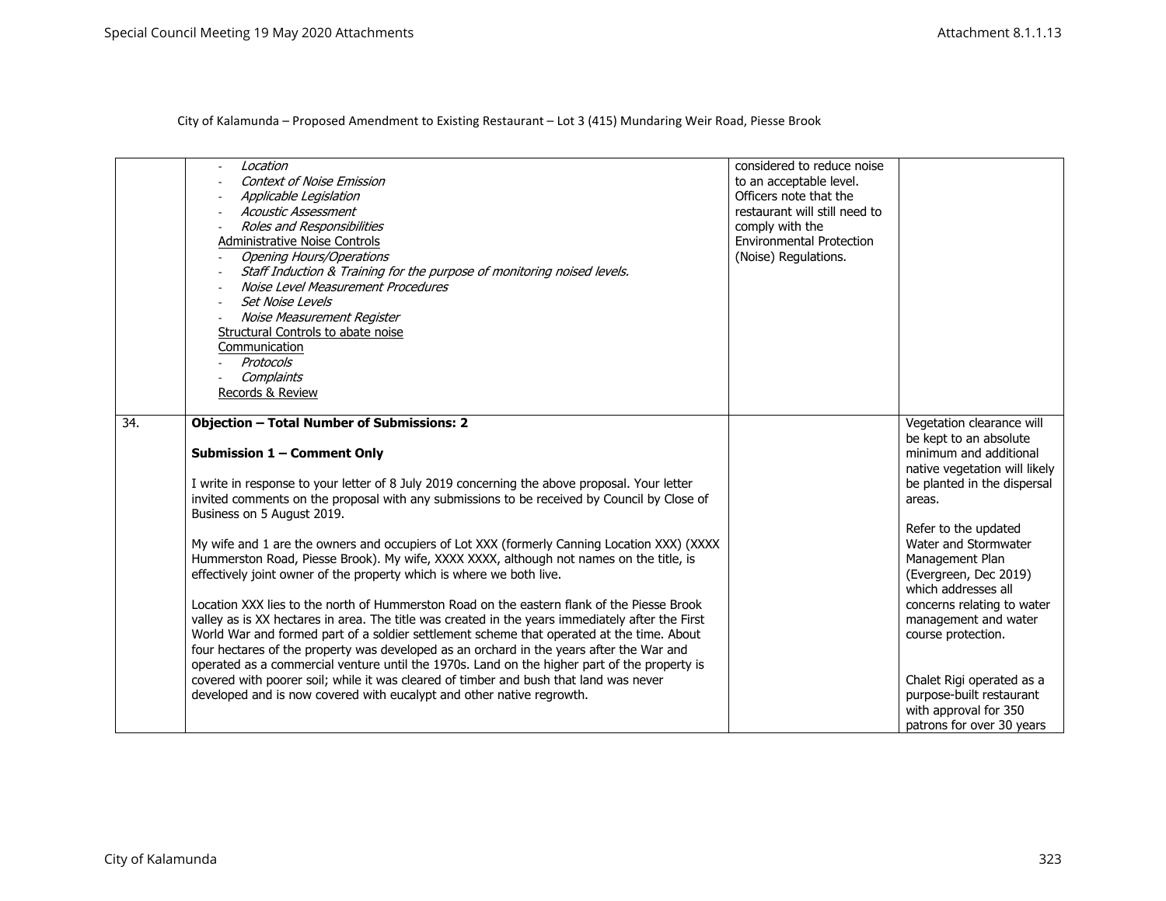|     | Location<br><b>Context of Noise Emission</b><br>Applicable Legislation<br>Acoustic Assessment<br>Roles and Responsibilities<br>Administrative Noise Controls<br><b>Opening Hours/Operations</b><br>Staff Induction & Training for the purpose of monitoring noised levels.<br>Noise Level Measurement Procedures<br><b>Set Noise Levels</b><br>Noise Measurement Register<br>Structural Controls to abate noise<br>Communication<br>Protocols<br>Complaints<br>Records & Review         | considered to reduce noise<br>to an acceptable level.<br>Officers note that the<br>restaurant will still need to<br>comply with the<br><b>Environmental Protection</b><br>(Noise) Regulations. |                                                                                                             |
|-----|-----------------------------------------------------------------------------------------------------------------------------------------------------------------------------------------------------------------------------------------------------------------------------------------------------------------------------------------------------------------------------------------------------------------------------------------------------------------------------------------|------------------------------------------------------------------------------------------------------------------------------------------------------------------------------------------------|-------------------------------------------------------------------------------------------------------------|
| 34. | <b>Objection - Total Number of Submissions: 2</b>                                                                                                                                                                                                                                                                                                                                                                                                                                       |                                                                                                                                                                                                | Vegetation clearance will<br>be kept to an absolute                                                         |
|     | Submission 1 - Comment Only                                                                                                                                                                                                                                                                                                                                                                                                                                                             |                                                                                                                                                                                                | minimum and additional<br>native vegetation will likely                                                     |
|     | I write in response to your letter of 8 July 2019 concerning the above proposal. Your letter<br>invited comments on the proposal with any submissions to be received by Council by Close of<br>Business on 5 August 2019.                                                                                                                                                                                                                                                               |                                                                                                                                                                                                | be planted in the dispersal<br>areas.                                                                       |
|     | My wife and 1 are the owners and occupiers of Lot XXX (formerly Canning Location XXX) (XXXX<br>Hummerston Road, Piesse Brook). My wife, XXXX XXXX, although not names on the title, is                                                                                                                                                                                                                                                                                                  |                                                                                                                                                                                                | Refer to the updated<br>Water and Stormwater<br>Management Plan                                             |
|     | effectively joint owner of the property which is where we both live.                                                                                                                                                                                                                                                                                                                                                                                                                    |                                                                                                                                                                                                | (Evergreen, Dec 2019)<br>which addresses all                                                                |
|     | Location XXX lies to the north of Hummerston Road on the eastern flank of the Piesse Brook<br>valley as is XX hectares in area. The title was created in the years immediately after the First<br>World War and formed part of a soldier settlement scheme that operated at the time. About<br>four hectares of the property was developed as an orchard in the years after the War and<br>operated as a commercial venture until the 1970s. Land on the higher part of the property is |                                                                                                                                                                                                | concerns relating to water<br>management and water<br>course protection.                                    |
|     | covered with poorer soil; while it was cleared of timber and bush that land was never<br>developed and is now covered with eucalypt and other native regrowth.                                                                                                                                                                                                                                                                                                                          |                                                                                                                                                                                                | Chalet Rigi operated as a<br>purpose-built restaurant<br>with approval for 350<br>patrons for over 30 years |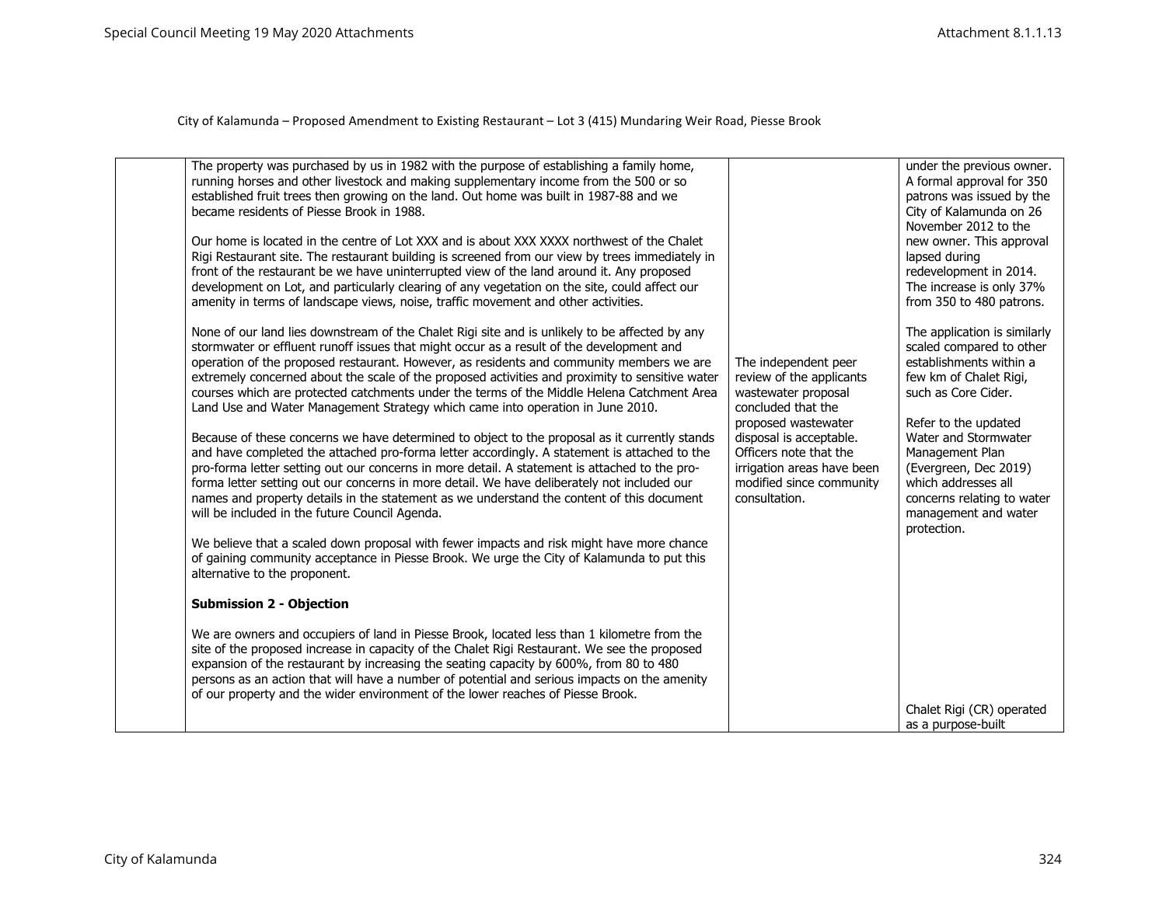| The property was purchased by us in 1982 with the purpose of establishing a family home,<br>running horses and other livestock and making supplementary income from the 500 or so<br>established fruit trees then growing on the land. Out home was built in 1987-88 and we<br>became residents of Piesse Brook in 1988.<br>Our home is located in the centre of Lot XXX and is about XXX XXXX northwest of the Chalet<br>Rigi Restaurant site. The restaurant building is screened from our view by trees immediately in<br>front of the restaurant be we have uninterrupted view of the land around it. Any proposed<br>development on Lot, and particularly clearing of any vegetation on the site, could affect our<br>amenity in terms of landscape views, noise, traffic movement and other activities.<br>None of our land lies downstream of the Chalet Rigi site and is unlikely to be affected by any<br>stormwater or effluent runoff issues that might occur as a result of the development and<br>operation of the proposed restaurant. However, as residents and community members we are<br>extremely concerned about the scale of the proposed activities and proximity to sensitive water<br>courses which are protected catchments under the terms of the Middle Helena Catchment Area<br>Land Use and Water Management Strategy which came into operation in June 2010.<br>Because of these concerns we have determined to object to the proposal as it currently stands<br>and have completed the attached pro-forma letter accordingly. A statement is attached to the<br>pro-forma letter setting out our concerns in more detail. A statement is attached to the pro-<br>forma letter setting out our concerns in more detail. We have deliberately not included our<br>names and property details in the statement as we understand the content of this document<br>will be included in the future Council Agenda.<br>We believe that a scaled down proposal with fewer impacts and risk might have more chance<br>of gaining community acceptance in Piesse Brook. We urge the City of Kalamunda to put this<br>alternative to the proponent.<br><b>Submission 2 - Objection</b><br>We are owners and occupiers of land in Piesse Brook, located less than 1 kilometre from the<br>site of the proposed increase in capacity of the Chalet Rigi Restaurant. We see the proposed<br>expansion of the restaurant by increasing the seating capacity by 600%, from 80 to 480<br>persons as an action that will have a number of potential and serious impacts on the amenity<br>of our property and the wider environment of the lower reaches of Piesse Brook. | The independent peer<br>review of the applicants<br>wastewater proposal<br>concluded that the<br>proposed wastewater<br>disposal is acceptable.<br>Officers note that the<br>irrigation areas have been<br>modified since community<br>consultation. | under the previous owner.<br>A formal approval for 350<br>patrons was issued by the<br>City of Kalamunda on 26<br>November 2012 to the<br>new owner. This approval<br>lapsed during<br>redevelopment in 2014.<br>The increase is only 37%<br>from 350 to 480 patrons.<br>The application is similarly<br>scaled compared to other<br>establishments within a<br>few km of Chalet Rigi,<br>such as Core Cider.<br>Refer to the updated<br>Water and Stormwater<br>Management Plan<br>(Evergreen, Dec 2019)<br>which addresses all<br>concerns relating to water<br>management and water<br>protection.<br>Chalet Rigi (CR) operated<br>as a purpose-built |
|---------------------------------------------------------------------------------------------------------------------------------------------------------------------------------------------------------------------------------------------------------------------------------------------------------------------------------------------------------------------------------------------------------------------------------------------------------------------------------------------------------------------------------------------------------------------------------------------------------------------------------------------------------------------------------------------------------------------------------------------------------------------------------------------------------------------------------------------------------------------------------------------------------------------------------------------------------------------------------------------------------------------------------------------------------------------------------------------------------------------------------------------------------------------------------------------------------------------------------------------------------------------------------------------------------------------------------------------------------------------------------------------------------------------------------------------------------------------------------------------------------------------------------------------------------------------------------------------------------------------------------------------------------------------------------------------------------------------------------------------------------------------------------------------------------------------------------------------------------------------------------------------------------------------------------------------------------------------------------------------------------------------------------------------------------------------------------------------------------------------------------------------------------------------------------------------------------------------------------------------------------------------------------------------------------------------------------------------------------------------------------------------------------------------------------------------------------------------------------------------------------------------------------------------------------------------------------------------------------------------------------------------------------------------------------------|------------------------------------------------------------------------------------------------------------------------------------------------------------------------------------------------------------------------------------------------------|----------------------------------------------------------------------------------------------------------------------------------------------------------------------------------------------------------------------------------------------------------------------------------------------------------------------------------------------------------------------------------------------------------------------------------------------------------------------------------------------------------------------------------------------------------------------------------------------------------------------------------------------------------|
|---------------------------------------------------------------------------------------------------------------------------------------------------------------------------------------------------------------------------------------------------------------------------------------------------------------------------------------------------------------------------------------------------------------------------------------------------------------------------------------------------------------------------------------------------------------------------------------------------------------------------------------------------------------------------------------------------------------------------------------------------------------------------------------------------------------------------------------------------------------------------------------------------------------------------------------------------------------------------------------------------------------------------------------------------------------------------------------------------------------------------------------------------------------------------------------------------------------------------------------------------------------------------------------------------------------------------------------------------------------------------------------------------------------------------------------------------------------------------------------------------------------------------------------------------------------------------------------------------------------------------------------------------------------------------------------------------------------------------------------------------------------------------------------------------------------------------------------------------------------------------------------------------------------------------------------------------------------------------------------------------------------------------------------------------------------------------------------------------------------------------------------------------------------------------------------------------------------------------------------------------------------------------------------------------------------------------------------------------------------------------------------------------------------------------------------------------------------------------------------------------------------------------------------------------------------------------------------------------------------------------------------------------------------------------------------|------------------------------------------------------------------------------------------------------------------------------------------------------------------------------------------------------------------------------------------------------|----------------------------------------------------------------------------------------------------------------------------------------------------------------------------------------------------------------------------------------------------------------------------------------------------------------------------------------------------------------------------------------------------------------------------------------------------------------------------------------------------------------------------------------------------------------------------------------------------------------------------------------------------------|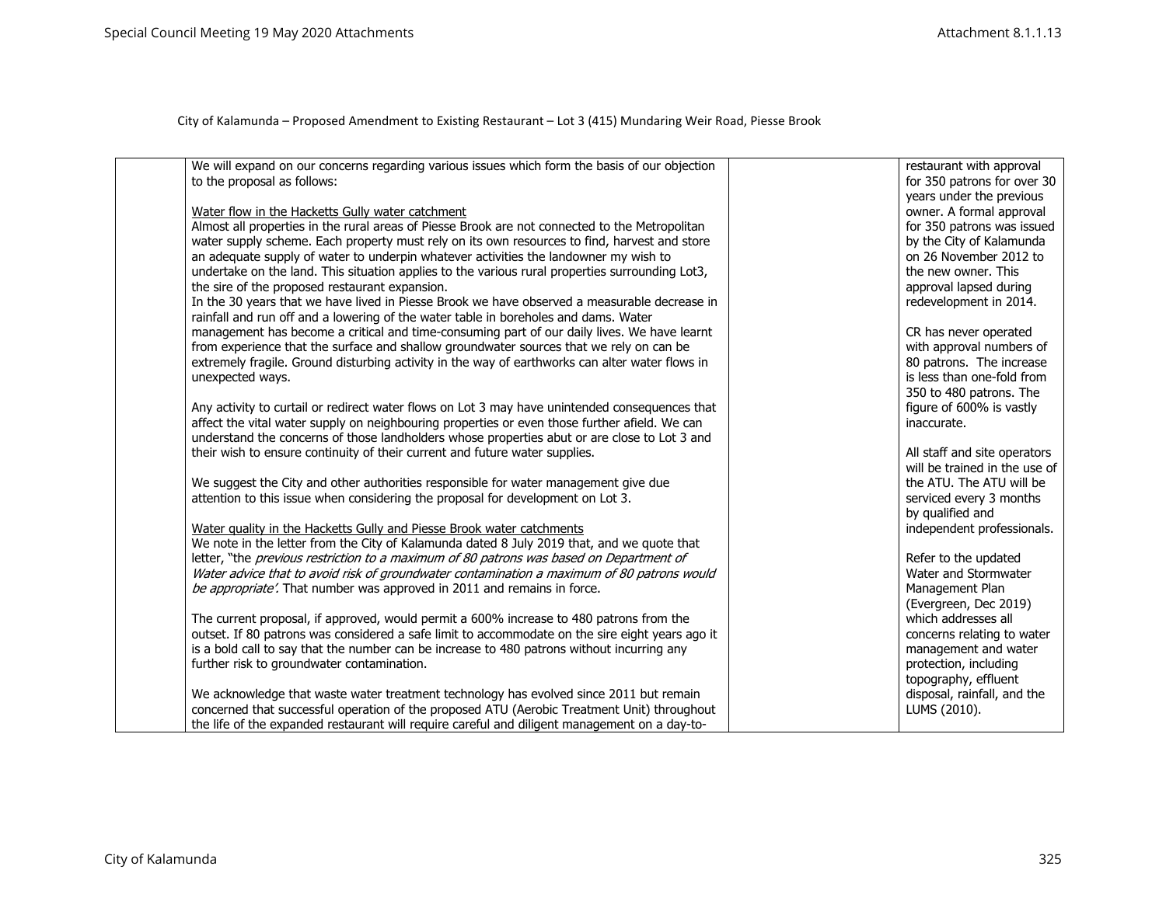| We will expand on our concerns regarding various issues which form the basis of our objection                                                                                              | restaurant with approval                             |
|--------------------------------------------------------------------------------------------------------------------------------------------------------------------------------------------|------------------------------------------------------|
| to the proposal as follows:                                                                                                                                                                | for 350 patrons for over 30                          |
|                                                                                                                                                                                            | years under the previous                             |
| Water flow in the Hacketts Gully water catchment                                                                                                                                           | owner. A formal approval                             |
| Almost all properties in the rural areas of Piesse Brook are not connected to the Metropolitan                                                                                             | for 350 patrons was issued                           |
| water supply scheme. Each property must rely on its own resources to find, harvest and store                                                                                               | by the City of Kalamunda                             |
| an adequate supply of water to underpin whatever activities the landowner my wish to                                                                                                       | on 26 November 2012 to                               |
| undertake on the land. This situation applies to the various rural properties surrounding Lot3,                                                                                            | the new owner. This                                  |
| the sire of the proposed restaurant expansion.                                                                                                                                             | approval lapsed during                               |
| In the 30 years that we have lived in Piesse Brook we have observed a measurable decrease in                                                                                               | redevelopment in 2014.                               |
| rainfall and run off and a lowering of the water table in boreholes and dams. Water                                                                                                        |                                                      |
| management has become a critical and time-consuming part of our daily lives. We have learnt                                                                                                | CR has never operated                                |
| from experience that the surface and shallow groundwater sources that we rely on can be<br>extremely fragile. Ground disturbing activity in the way of earthworks can alter water flows in | with approval numbers of<br>80 patrons. The increase |
| unexpected ways.                                                                                                                                                                           | is less than one-fold from                           |
|                                                                                                                                                                                            | 350 to 480 patrons. The                              |
| Any activity to curtail or redirect water flows on Lot 3 may have unintended consequences that                                                                                             | figure of 600% is vastly                             |
| affect the vital water supply on neighbouring properties or even those further afield. We can                                                                                              | inaccurate.                                          |
| understand the concerns of those landholders whose properties abut or are close to Lot 3 and                                                                                               |                                                      |
| their wish to ensure continuity of their current and future water supplies.                                                                                                                | All staff and site operators                         |
|                                                                                                                                                                                            | will be trained in the use of                        |
| We suggest the City and other authorities responsible for water management give due                                                                                                        | the ATU. The ATU will be                             |
| attention to this issue when considering the proposal for development on Lot 3.                                                                                                            | serviced every 3 months                              |
|                                                                                                                                                                                            | by qualified and                                     |
| Water quality in the Hacketts Gully and Piesse Brook water catchments                                                                                                                      | independent professionals.                           |
| We note in the letter from the City of Kalamunda dated 8 July 2019 that, and we quote that                                                                                                 |                                                      |
| letter, "the previous restriction to a maximum of 80 patrons was based on Department of                                                                                                    | Refer to the updated                                 |
| Water advice that to avoid risk of groundwater contamination a maximum of 80 patrons would                                                                                                 | Water and Stormwater                                 |
| be appropriate'. That number was approved in 2011 and remains in force.                                                                                                                    | Management Plan                                      |
|                                                                                                                                                                                            | (Evergreen, Dec 2019)                                |
| The current proposal, if approved, would permit a 600% increase to 480 patrons from the                                                                                                    | which addresses all                                  |
| outset. If 80 patrons was considered a safe limit to accommodate on the sire eight years ago it                                                                                            | concerns relating to water                           |
| is a bold call to say that the number can be increase to 480 patrons without incurring any                                                                                                 | management and water                                 |
| further risk to groundwater contamination.                                                                                                                                                 | protection, including                                |
| We acknowledge that waste water treatment technology has evolved since 2011 but remain                                                                                                     | topography, effluent<br>disposal, rainfall, and the  |
| concerned that successful operation of the proposed ATU (Aerobic Treatment Unit) throughout                                                                                                | LUMS (2010).                                         |
| the life of the expanded restaurant will require careful and diligent management on a day-to-                                                                                              |                                                      |
|                                                                                                                                                                                            |                                                      |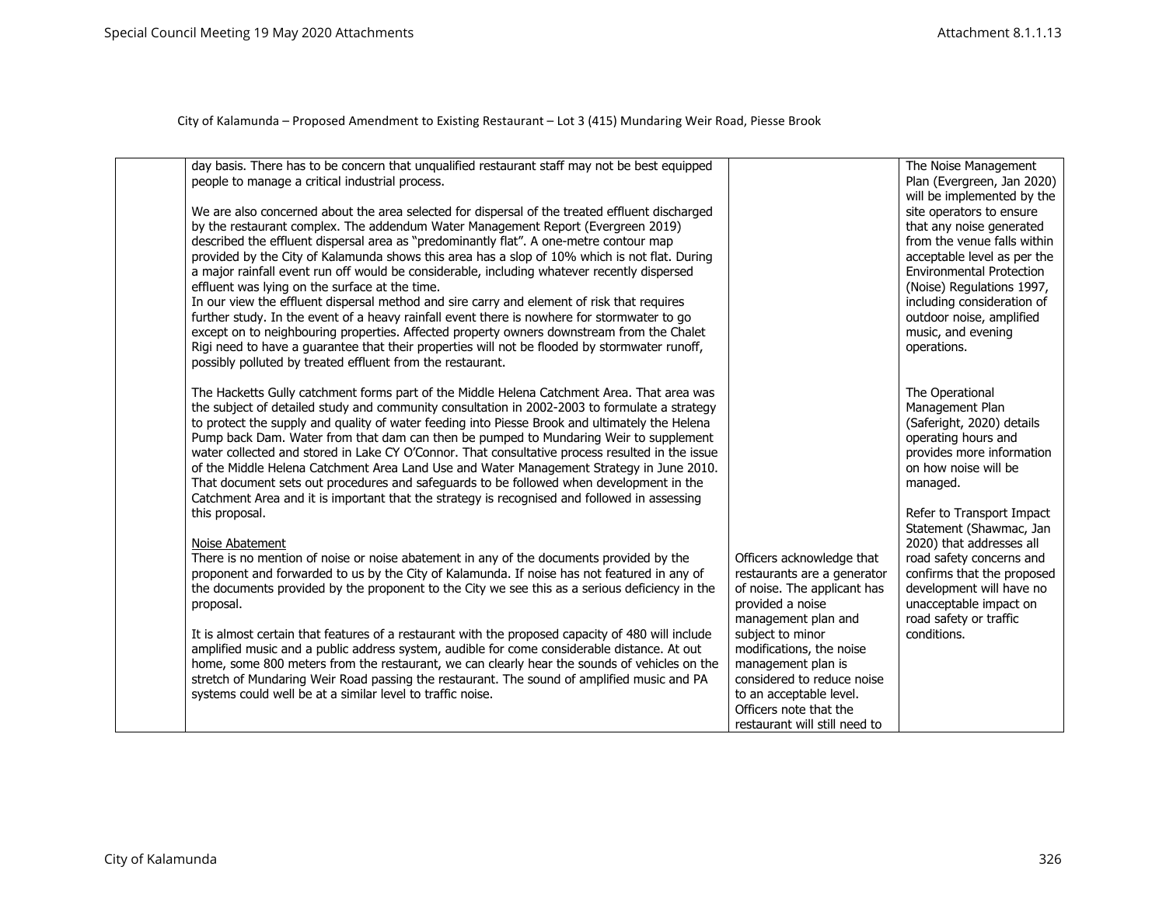| day basis. There has to be concern that unqualified restaurant staff may not be best equipped<br>people to manage a critical industrial process.<br>We are also concerned about the area selected for dispersal of the treated effluent discharged<br>by the restaurant complex. The addendum Water Management Report (Evergreen 2019)<br>described the effluent dispersal area as "predominantly flat". A one-metre contour map<br>provided by the City of Kalamunda shows this area has a slop of 10% which is not flat. During<br>a major rainfall event run off would be considerable, including whatever recently dispersed<br>effluent was lying on the surface at the time.<br>In our view the effluent dispersal method and sire carry and element of risk that requires<br>further study. In the event of a heavy rainfall event there is nowhere for stormwater to go<br>except on to neighbouring properties. Affected property owners downstream from the Chalet<br>Rigi need to have a guarantee that their properties will not be flooded by stormwater runoff,                                                                                                                                                                                                                                                                                                                                                                                                                                                                                                                                                                                |                                                                                                                                                                                                                                                                                                                              | The Noise Management<br>Plan (Evergreen, Jan 2020)<br>will be implemented by the<br>site operators to ensure<br>that any noise generated<br>from the venue falls within<br>acceptable level as per the<br><b>Environmental Protection</b><br>(Noise) Regulations 1997,<br>including consideration of<br>outdoor noise, amplified<br>music, and evening<br>operations.                                |
|--------------------------------------------------------------------------------------------------------------------------------------------------------------------------------------------------------------------------------------------------------------------------------------------------------------------------------------------------------------------------------------------------------------------------------------------------------------------------------------------------------------------------------------------------------------------------------------------------------------------------------------------------------------------------------------------------------------------------------------------------------------------------------------------------------------------------------------------------------------------------------------------------------------------------------------------------------------------------------------------------------------------------------------------------------------------------------------------------------------------------------------------------------------------------------------------------------------------------------------------------------------------------------------------------------------------------------------------------------------------------------------------------------------------------------------------------------------------------------------------------------------------------------------------------------------------------------------------------------------------------------------------------------------|------------------------------------------------------------------------------------------------------------------------------------------------------------------------------------------------------------------------------------------------------------------------------------------------------------------------------|------------------------------------------------------------------------------------------------------------------------------------------------------------------------------------------------------------------------------------------------------------------------------------------------------------------------------------------------------------------------------------------------------|
| possibly polluted by treated effluent from the restaurant.<br>The Hacketts Gully catchment forms part of the Middle Helena Catchment Area. That area was<br>the subject of detailed study and community consultation in 2002-2003 to formulate a strategy<br>to protect the supply and quality of water feeding into Piesse Brook and ultimately the Helena<br>Pump back Dam. Water from that dam can then be pumped to Mundaring Weir to supplement<br>water collected and stored in Lake CY O'Connor. That consultative process resulted in the issue<br>of the Middle Helena Catchment Area Land Use and Water Management Strategy in June 2010.<br>That document sets out procedures and safeguards to be followed when development in the<br>Catchment Area and it is important that the strategy is recognised and followed in assessing<br>this proposal.<br>Noise Abatement<br>There is no mention of noise or noise abatement in any of the documents provided by the<br>proponent and forwarded to us by the City of Kalamunda. If noise has not featured in any of<br>the documents provided by the proponent to the City we see this as a serious deficiency in the<br>proposal.<br>It is almost certain that features of a restaurant with the proposed capacity of 480 will include<br>amplified music and a public address system, audible for come considerable distance. At out<br>home, some 800 meters from the restaurant, we can clearly hear the sounds of vehicles on the<br>stretch of Mundaring Weir Road passing the restaurant. The sound of amplified music and PA<br>systems could well be at a similar level to traffic noise. | Officers acknowledge that<br>restaurants are a generator<br>of noise. The applicant has<br>provided a noise<br>management plan and<br>subject to minor<br>modifications, the noise<br>management plan is<br>considered to reduce noise<br>to an acceptable level.<br>Officers note that the<br>restaurant will still need to | The Operational<br>Management Plan<br>(Saferight, 2020) details<br>operating hours and<br>provides more information<br>on how noise will be<br>managed.<br>Refer to Transport Impact<br>Statement (Shawmac, Jan<br>2020) that addresses all<br>road safety concerns and<br>confirms that the proposed<br>development will have no<br>unacceptable impact on<br>road safety or traffic<br>conditions. |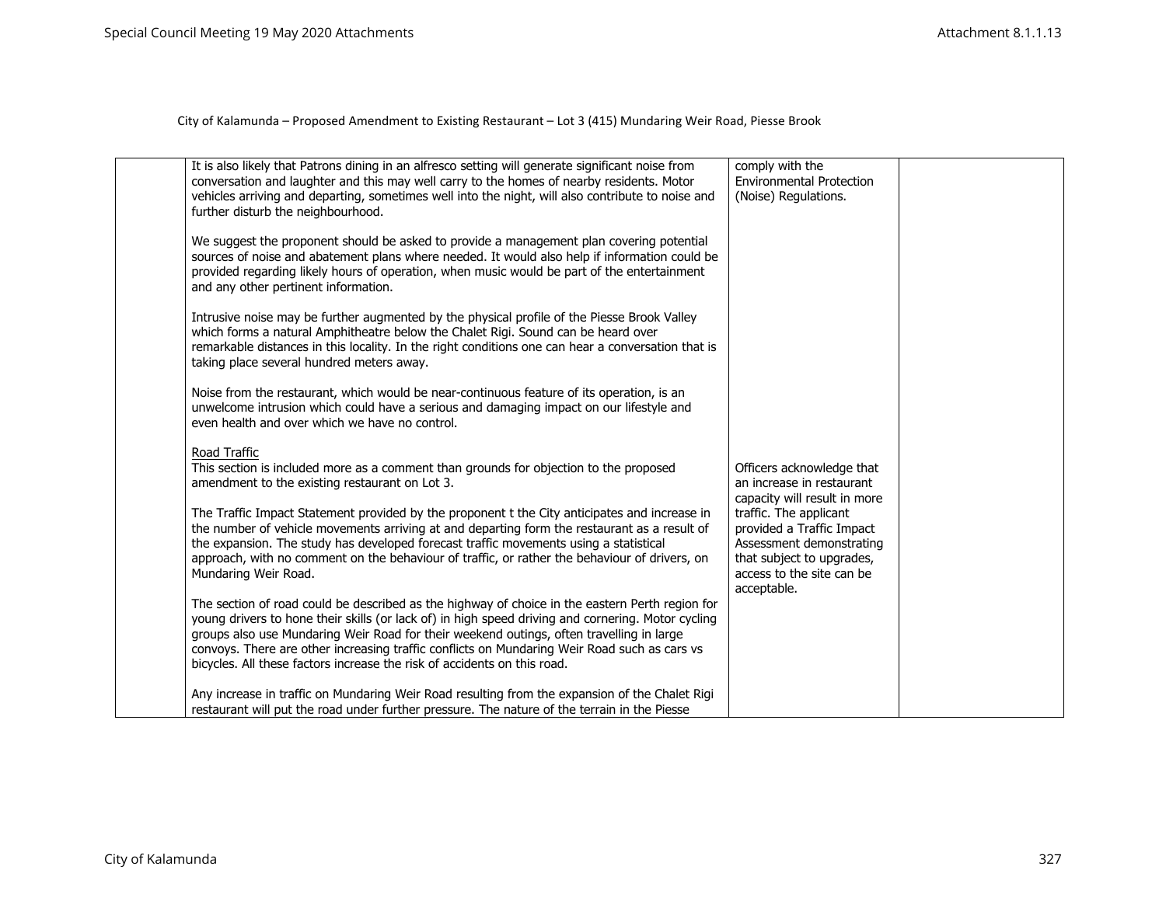| It is also likely that Patrons dining in an alfresco setting will generate significant noise from<br>conversation and laughter and this may well carry to the homes of nearby residents. Motor<br>vehicles arriving and departing, sometimes well into the night, will also contribute to noise and<br>further disturb the neighbourhood.                                                                                                                                     | comply with the<br><b>Environmental Protection</b><br>(Noise) Regulations.                                                                               |  |
|-------------------------------------------------------------------------------------------------------------------------------------------------------------------------------------------------------------------------------------------------------------------------------------------------------------------------------------------------------------------------------------------------------------------------------------------------------------------------------|----------------------------------------------------------------------------------------------------------------------------------------------------------|--|
| We suggest the proponent should be asked to provide a management plan covering potential<br>sources of noise and abatement plans where needed. It would also help if information could be<br>provided regarding likely hours of operation, when music would be part of the entertainment<br>and any other pertinent information.                                                                                                                                              |                                                                                                                                                          |  |
| Intrusive noise may be further augmented by the physical profile of the Piesse Brook Valley<br>which forms a natural Amphitheatre below the Chalet Rigi. Sound can be heard over<br>remarkable distances in this locality. In the right conditions one can hear a conversation that is<br>taking place several hundred meters away.                                                                                                                                           |                                                                                                                                                          |  |
| Noise from the restaurant, which would be near-continuous feature of its operation, is an<br>unwelcome intrusion which could have a serious and damaging impact on our lifestyle and<br>even health and over which we have no control.                                                                                                                                                                                                                                        |                                                                                                                                                          |  |
| Road Traffic<br>This section is included more as a comment than grounds for objection to the proposed<br>amendment to the existing restaurant on Lot 3.                                                                                                                                                                                                                                                                                                                       | Officers acknowledge that<br>an increase in restaurant<br>capacity will result in more                                                                   |  |
| The Traffic Impact Statement provided by the proponent t the City anticipates and increase in<br>the number of vehicle movements arriving at and departing form the restaurant as a result of<br>the expansion. The study has developed forecast traffic movements using a statistical<br>approach, with no comment on the behaviour of traffic, or rather the behaviour of drivers, on<br>Mundaring Weir Road.                                                               | traffic. The applicant<br>provided a Traffic Impact<br>Assessment demonstrating<br>that subject to upgrades,<br>access to the site can be<br>acceptable. |  |
| The section of road could be described as the highway of choice in the eastern Perth region for<br>young drivers to hone their skills (or lack of) in high speed driving and cornering. Motor cycling<br>groups also use Mundaring Weir Road for their weekend outings, often travelling in large<br>convoys. There are other increasing traffic conflicts on Mundaring Weir Road such as cars vs<br>bicycles. All these factors increase the risk of accidents on this road. |                                                                                                                                                          |  |
| Any increase in traffic on Mundaring Weir Road resulting from the expansion of the Chalet Rigi<br>restaurant will put the road under further pressure. The nature of the terrain in the Piesse                                                                                                                                                                                                                                                                                |                                                                                                                                                          |  |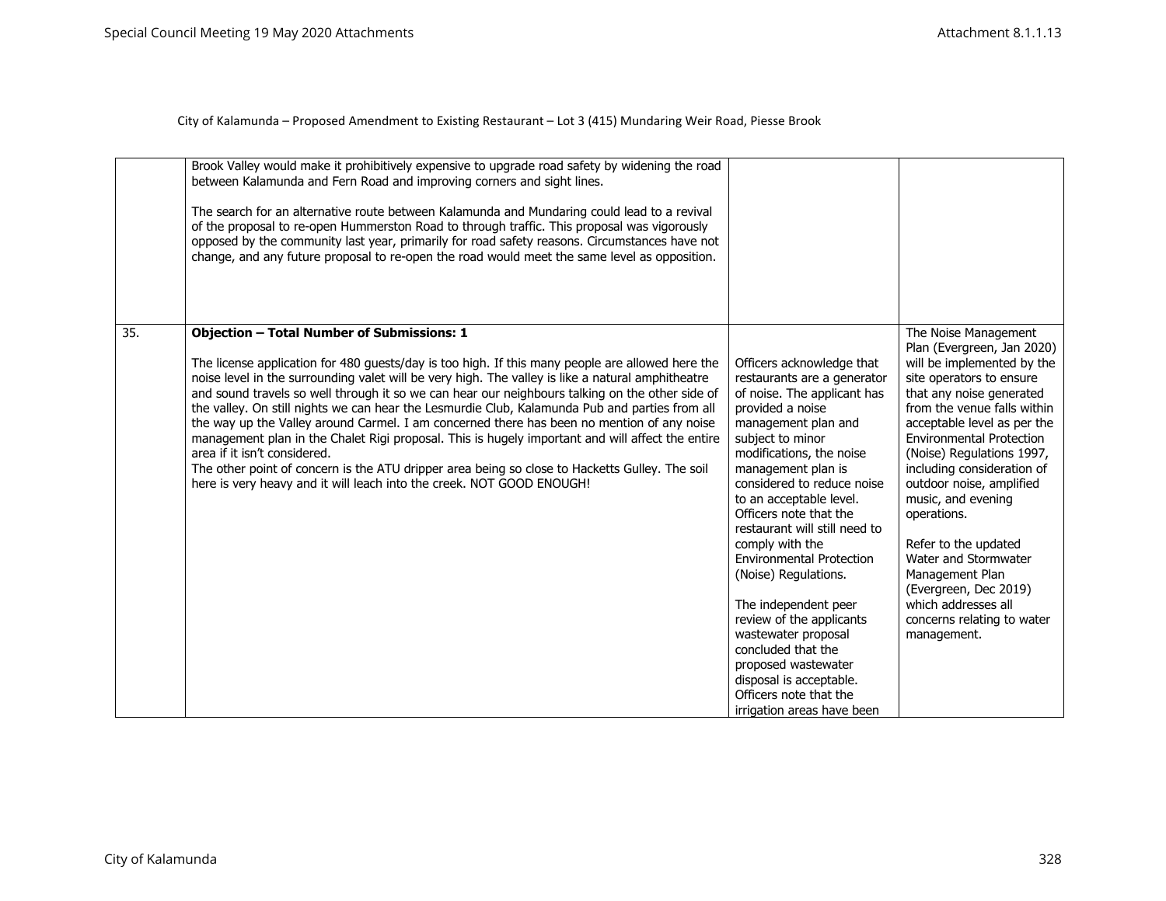|     | Brook Valley would make it prohibitively expensive to upgrade road safety by widening the road<br>between Kalamunda and Fern Road and improving corners and sight lines.<br>The search for an alternative route between Kalamunda and Mundaring could lead to a revival<br>of the proposal to re-open Hummerston Road to through traffic. This proposal was vigorously<br>opposed by the community last year, primarily for road safety reasons. Circumstances have not<br>change, and any future proposal to re-open the road would meet the same level as opposition.                                                                                                                                                                                                                                                                                                      |                                                                                                                                                                                                                                                                                                                                                                                                                                                                                                                                                                                                                       |                                                                                                                                                                                                                                                                                                                                                                                                                                                                                                                                       |
|-----|------------------------------------------------------------------------------------------------------------------------------------------------------------------------------------------------------------------------------------------------------------------------------------------------------------------------------------------------------------------------------------------------------------------------------------------------------------------------------------------------------------------------------------------------------------------------------------------------------------------------------------------------------------------------------------------------------------------------------------------------------------------------------------------------------------------------------------------------------------------------------|-----------------------------------------------------------------------------------------------------------------------------------------------------------------------------------------------------------------------------------------------------------------------------------------------------------------------------------------------------------------------------------------------------------------------------------------------------------------------------------------------------------------------------------------------------------------------------------------------------------------------|---------------------------------------------------------------------------------------------------------------------------------------------------------------------------------------------------------------------------------------------------------------------------------------------------------------------------------------------------------------------------------------------------------------------------------------------------------------------------------------------------------------------------------------|
| 35. | <b>Objection - Total Number of Submissions: 1</b><br>The license application for 480 guests/day is too high. If this many people are allowed here the<br>noise level in the surrounding valet will be very high. The valley is like a natural amphitheatre<br>and sound travels so well through it so we can hear our neighbours talking on the other side of<br>the valley. On still nights we can hear the Lesmurdie Club, Kalamunda Pub and parties from all<br>the way up the Valley around Carmel. I am concerned there has been no mention of any noise<br>management plan in the Chalet Rigi proposal. This is hugely important and will affect the entire<br>area if it isn't considered.<br>The other point of concern is the ATU dripper area being so close to Hacketts Gulley. The soil<br>here is very heavy and it will leach into the creek. NOT GOOD ENOUGH! | Officers acknowledge that<br>restaurants are a generator<br>of noise. The applicant has<br>provided a noise<br>management plan and<br>subject to minor<br>modifications, the noise<br>management plan is<br>considered to reduce noise<br>to an acceptable level.<br>Officers note that the<br>restaurant will still need to<br>comply with the<br><b>Environmental Protection</b><br>(Noise) Regulations.<br>The independent peer<br>review of the applicants<br>wastewater proposal<br>concluded that the<br>proposed wastewater<br>disposal is acceptable.<br>Officers note that the<br>irrigation areas have been | The Noise Management<br>Plan (Evergreen, Jan 2020)<br>will be implemented by the<br>site operators to ensure<br>that any noise generated<br>from the venue falls within<br>acceptable level as per the<br><b>Environmental Protection</b><br>(Noise) Regulations 1997,<br>including consideration of<br>outdoor noise, amplified<br>music, and evening<br>operations.<br>Refer to the updated<br>Water and Stormwater<br>Management Plan<br>(Evergreen, Dec 2019)<br>which addresses all<br>concerns relating to water<br>management. |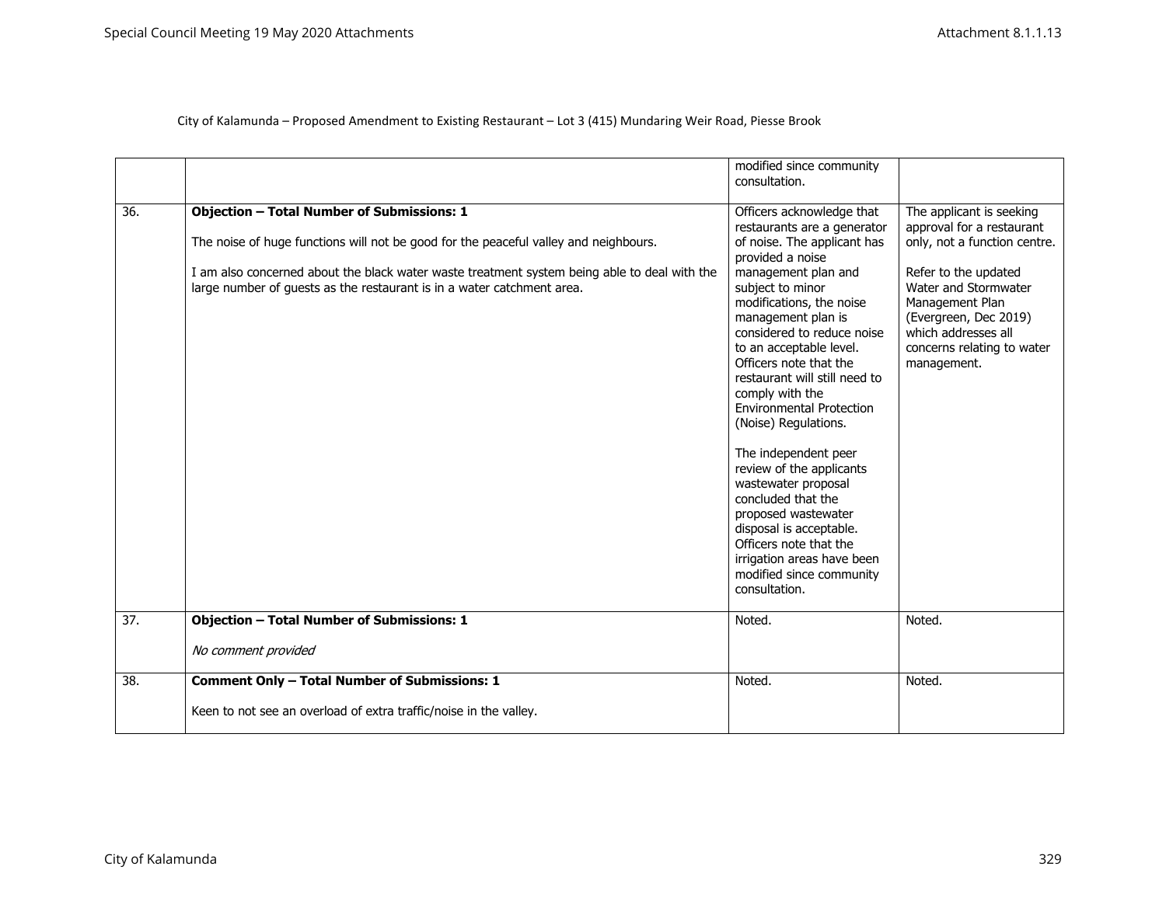|  | City of Kalamunda - Proposed Amendment to Existing Restaurant - Lot 3 (415) Mundaring Weir Road, Piesse Brook |  |
|--|---------------------------------------------------------------------------------------------------------------|--|
|  |                                                                                                               |  |

|     |                                                                                                                                                                        | modified since community<br>consultation.                                                                                                                                                                                                                                                                                                                                                                                                                                                                                                                               |                                                                                                                                                              |
|-----|------------------------------------------------------------------------------------------------------------------------------------------------------------------------|-------------------------------------------------------------------------------------------------------------------------------------------------------------------------------------------------------------------------------------------------------------------------------------------------------------------------------------------------------------------------------------------------------------------------------------------------------------------------------------------------------------------------------------------------------------------------|--------------------------------------------------------------------------------------------------------------------------------------------------------------|
| 36. | <b>Objection - Total Number of Submissions: 1</b><br>The noise of huge functions will not be good for the peaceful valley and neighbours.                              | Officers acknowledge that<br>restaurants are a generator<br>of noise. The applicant has                                                                                                                                                                                                                                                                                                                                                                                                                                                                                 | The applicant is seeking<br>approval for a restaurant<br>only, not a function centre.                                                                        |
|     | I am also concerned about the black water waste treatment system being able to deal with the<br>large number of guests as the restaurant is in a water catchment area. | provided a noise<br>management plan and<br>subject to minor<br>modifications, the noise<br>management plan is<br>considered to reduce noise<br>to an acceptable level.<br>Officers note that the<br>restaurant will still need to<br>comply with the<br><b>Environmental Protection</b><br>(Noise) Regulations.<br>The independent peer<br>review of the applicants<br>wastewater proposal<br>concluded that the<br>proposed wastewater<br>disposal is acceptable.<br>Officers note that the<br>irrigation areas have been<br>modified since community<br>consultation. | Refer to the updated<br>Water and Stormwater<br>Management Plan<br>(Evergreen, Dec 2019)<br>which addresses all<br>concerns relating to water<br>management. |
| 37. | <b>Objection - Total Number of Submissions: 1</b>                                                                                                                      | Noted.                                                                                                                                                                                                                                                                                                                                                                                                                                                                                                                                                                  | Noted.                                                                                                                                                       |
|     | No comment provided                                                                                                                                                    |                                                                                                                                                                                                                                                                                                                                                                                                                                                                                                                                                                         |                                                                                                                                                              |
| 38. | Comment Only - Total Number of Submissions: 1<br>Keen to not see an overload of extra traffic/noise in the valley.                                                     | Noted.                                                                                                                                                                                                                                                                                                                                                                                                                                                                                                                                                                  | Noted.                                                                                                                                                       |
|     |                                                                                                                                                                        |                                                                                                                                                                                                                                                                                                                                                                                                                                                                                                                                                                         |                                                                                                                                                              |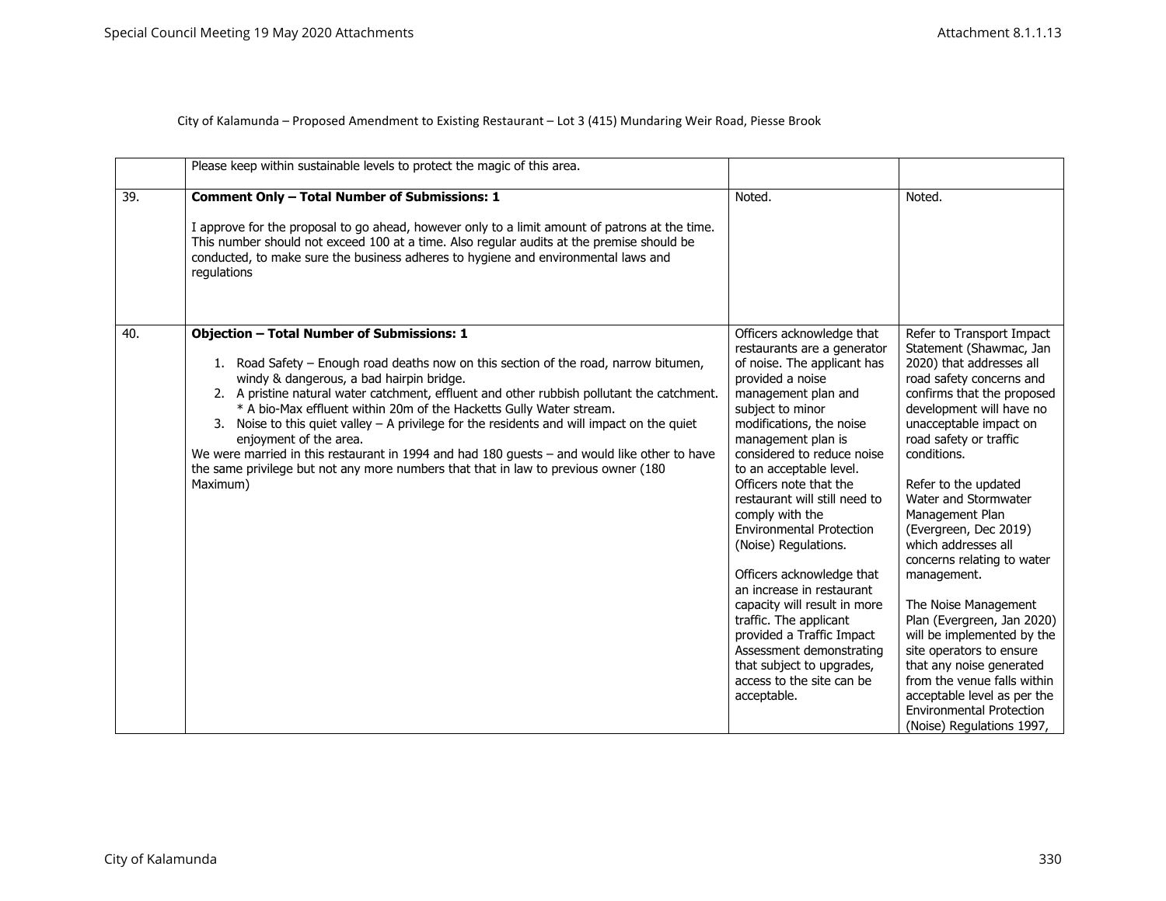|     | Please keep within sustainable levels to protect the magic of this area.                                                                                                                                                                                                                                                                                                                                                                                                                                                                                                                                                                                                                |                                                                                                                                                                                                                                                                                                                                                                                                                                                                                                                                                                                                                                                                  |                                                                                                                                                                                                                                                                                                                                                                                                                                                                                                                                                                                                                                                                                     |
|-----|-----------------------------------------------------------------------------------------------------------------------------------------------------------------------------------------------------------------------------------------------------------------------------------------------------------------------------------------------------------------------------------------------------------------------------------------------------------------------------------------------------------------------------------------------------------------------------------------------------------------------------------------------------------------------------------------|------------------------------------------------------------------------------------------------------------------------------------------------------------------------------------------------------------------------------------------------------------------------------------------------------------------------------------------------------------------------------------------------------------------------------------------------------------------------------------------------------------------------------------------------------------------------------------------------------------------------------------------------------------------|-------------------------------------------------------------------------------------------------------------------------------------------------------------------------------------------------------------------------------------------------------------------------------------------------------------------------------------------------------------------------------------------------------------------------------------------------------------------------------------------------------------------------------------------------------------------------------------------------------------------------------------------------------------------------------------|
| 39. | <b>Comment Only - Total Number of Submissions: 1</b><br>I approve for the proposal to go ahead, however only to a limit amount of patrons at the time.<br>This number should not exceed 100 at a time. Also regular audits at the premise should be<br>conducted, to make sure the business adheres to hygiene and environmental laws and<br>regulations                                                                                                                                                                                                                                                                                                                                | Noted.                                                                                                                                                                                                                                                                                                                                                                                                                                                                                                                                                                                                                                                           | Noted.                                                                                                                                                                                                                                                                                                                                                                                                                                                                                                                                                                                                                                                                              |
| 40. | <b>Objection - Total Number of Submissions: 1</b><br>1. Road Safety - Enough road deaths now on this section of the road, narrow bitumen,<br>windy & dangerous, a bad hairpin bridge.<br>2. A pristine natural water catchment, effluent and other rubbish pollutant the catchment.<br>* A bio-Max effluent within 20m of the Hacketts Gully Water stream.<br>3. Noise to this quiet valley $- A$ privilege for the residents and will impact on the quiet<br>enjoyment of the area.<br>We were married in this restaurant in 1994 and had 180 guests - and would like other to have<br>the same privilege but not any more numbers that that in law to previous owner (180<br>Maximum) | Officers acknowledge that<br>restaurants are a generator<br>of noise. The applicant has<br>provided a noise<br>management plan and<br>subject to minor<br>modifications, the noise<br>management plan is<br>considered to reduce noise<br>to an acceptable level.<br>Officers note that the<br>restaurant will still need to<br>comply with the<br><b>Environmental Protection</b><br>(Noise) Regulations.<br>Officers acknowledge that<br>an increase in restaurant<br>capacity will result in more<br>traffic. The applicant<br>provided a Traffic Impact<br>Assessment demonstrating<br>that subject to upgrades,<br>access to the site can be<br>acceptable. | Refer to Transport Impact<br>Statement (Shawmac, Jan<br>2020) that addresses all<br>road safety concerns and<br>confirms that the proposed<br>development will have no<br>unacceptable impact on<br>road safety or traffic<br>conditions.<br>Refer to the updated<br>Water and Stormwater<br>Management Plan<br>(Evergreen, Dec 2019)<br>which addresses all<br>concerns relating to water<br>management.<br>The Noise Management<br>Plan (Evergreen, Jan 2020)<br>will be implemented by the<br>site operators to ensure<br>that any noise generated<br>from the venue falls within<br>acceptable level as per the<br><b>Environmental Protection</b><br>(Noise) Regulations 1997, |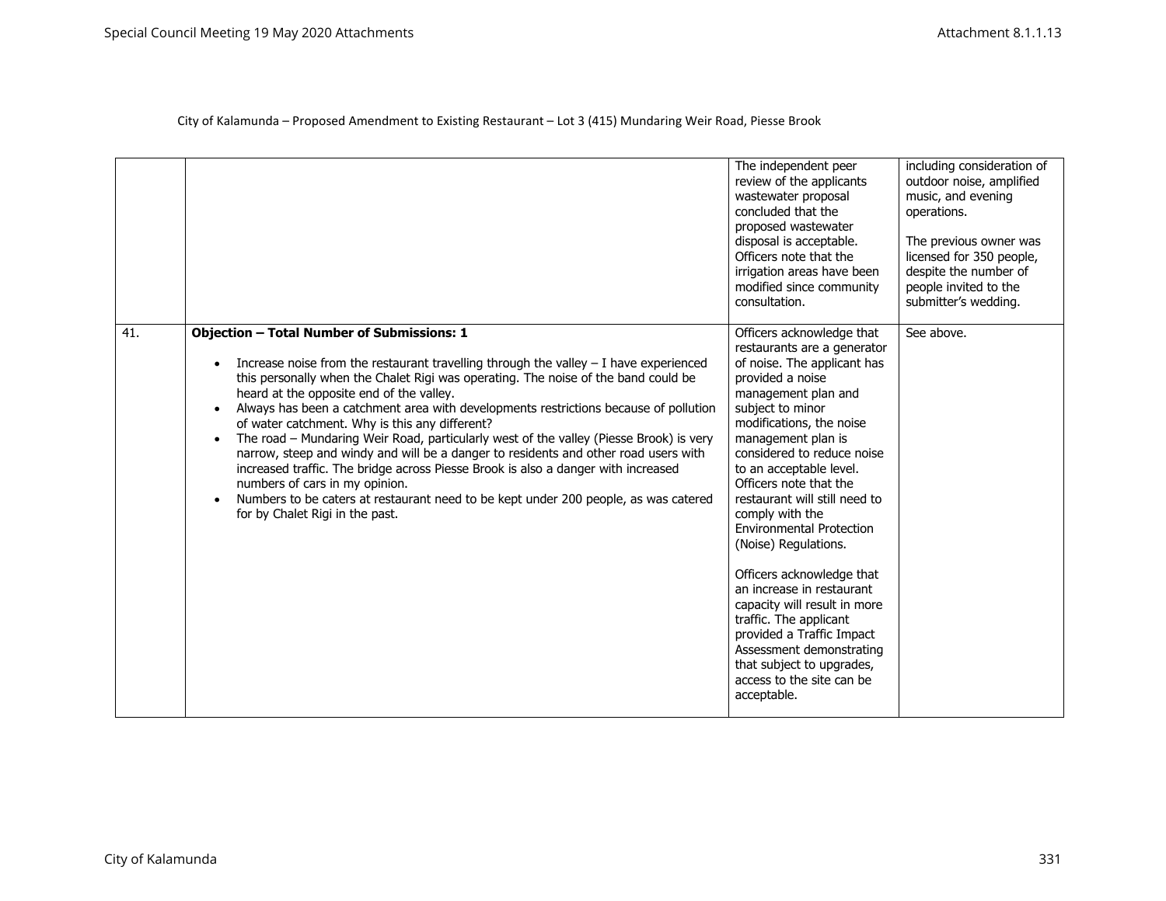|     |                                                                                                                                                                                                                                                                                                                                                                                                                                                                                                                                                                                                                                                                                                                                                                                                                                                                                      | The independent peer<br>review of the applicants<br>wastewater proposal<br>concluded that the<br>proposed wastewater<br>disposal is acceptable.<br>Officers note that the<br>irrigation areas have been<br>modified since community<br>consultation.                                                                                                                                                                                                                                                                                                                                                                                                             | including consideration of<br>outdoor noise, amplified<br>music, and evening<br>operations.<br>The previous owner was<br>licensed for 350 people,<br>despite the number of<br>people invited to the<br>submitter's wedding. |
|-----|--------------------------------------------------------------------------------------------------------------------------------------------------------------------------------------------------------------------------------------------------------------------------------------------------------------------------------------------------------------------------------------------------------------------------------------------------------------------------------------------------------------------------------------------------------------------------------------------------------------------------------------------------------------------------------------------------------------------------------------------------------------------------------------------------------------------------------------------------------------------------------------|------------------------------------------------------------------------------------------------------------------------------------------------------------------------------------------------------------------------------------------------------------------------------------------------------------------------------------------------------------------------------------------------------------------------------------------------------------------------------------------------------------------------------------------------------------------------------------------------------------------------------------------------------------------|-----------------------------------------------------------------------------------------------------------------------------------------------------------------------------------------------------------------------------|
| 41. | <b>Objection - Total Number of Submissions: 1</b><br>Increase noise from the restaurant travelling through the valley $-$ I have experienced<br>this personally when the Chalet Rigi was operating. The noise of the band could be<br>heard at the opposite end of the valley.<br>Always has been a catchment area with developments restrictions because of pollution<br>$\bullet$<br>of water catchment. Why is this any different?<br>The road - Mundaring Weir Road, particularly west of the valley (Piesse Brook) is very<br>$\bullet$<br>narrow, steep and windy and will be a danger to residents and other road users with<br>increased traffic. The bridge across Piesse Brook is also a danger with increased<br>numbers of cars in my opinion.<br>Numbers to be caters at restaurant need to be kept under 200 people, as was catered<br>for by Chalet Rigi in the past. | Officers acknowledge that<br>restaurants are a generator<br>of noise. The applicant has<br>provided a noise<br>management plan and<br>subject to minor<br>modifications, the noise<br>management plan is<br>considered to reduce noise<br>to an acceptable level.<br>Officers note that the<br>restaurant will still need to<br>comply with the<br><b>Environmental Protection</b><br>(Noise) Regulations.<br>Officers acknowledge that<br>an increase in restaurant<br>capacity will result in more<br>traffic. The applicant<br>provided a Traffic Impact<br>Assessment demonstrating<br>that subject to upgrades,<br>access to the site can be<br>acceptable. | See above.                                                                                                                                                                                                                  |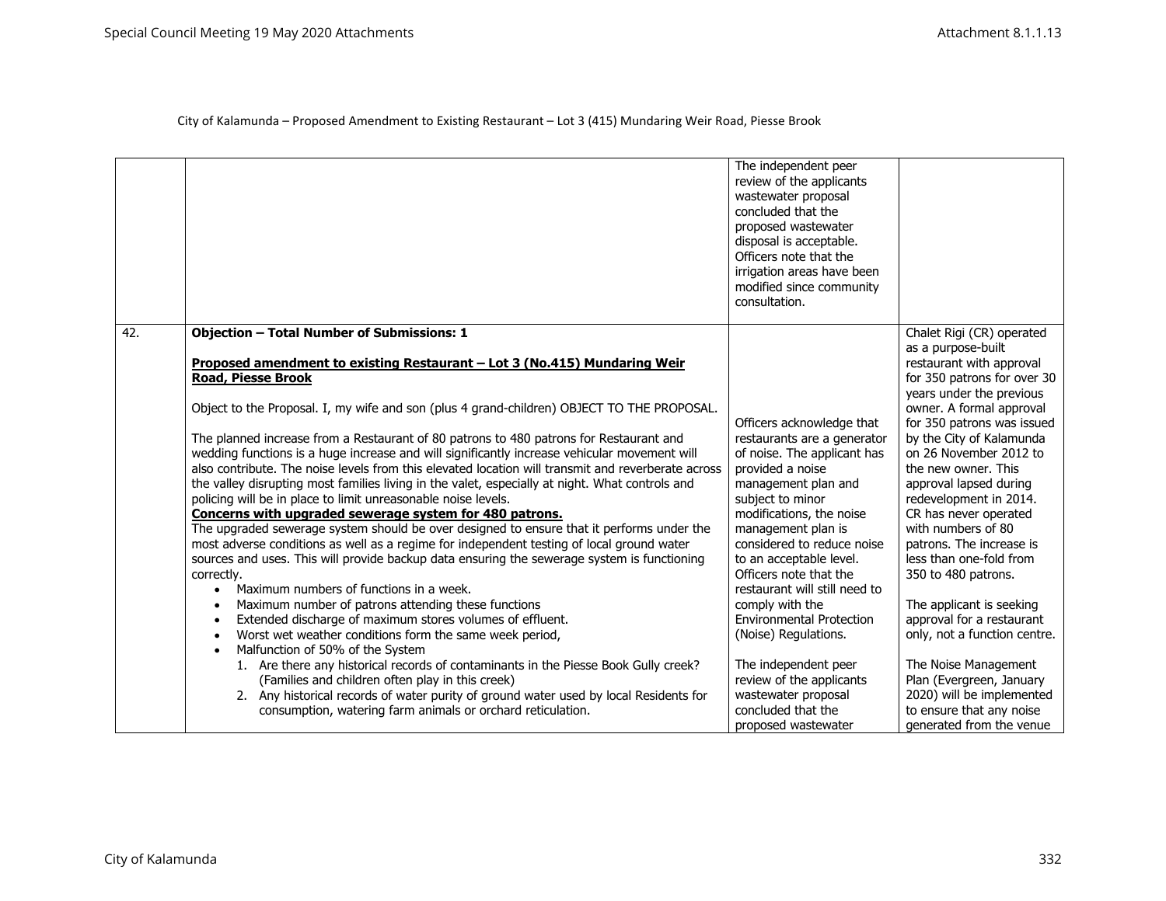|                  |                                                                                                                                                                                                                                                                                                                                                                                                                                                                                                                                                                                                                                                                                                                                                                                                                                                                                                                                                                                                                                                                                                                                                                                                                                                                                                                                                                                                                  | The independent peer<br>review of the applicants<br>wastewater proposal<br>concluded that the<br>proposed wastewater<br>disposal is acceptable.<br>Officers note that the<br>irrigation areas have been<br>modified since community<br>consultation.                                                                                                                                                                                                                                                  |                                                                                                                                                                                                                                                                                                                                                                                                                                                                                              |
|------------------|------------------------------------------------------------------------------------------------------------------------------------------------------------------------------------------------------------------------------------------------------------------------------------------------------------------------------------------------------------------------------------------------------------------------------------------------------------------------------------------------------------------------------------------------------------------------------------------------------------------------------------------------------------------------------------------------------------------------------------------------------------------------------------------------------------------------------------------------------------------------------------------------------------------------------------------------------------------------------------------------------------------------------------------------------------------------------------------------------------------------------------------------------------------------------------------------------------------------------------------------------------------------------------------------------------------------------------------------------------------------------------------------------------------|-------------------------------------------------------------------------------------------------------------------------------------------------------------------------------------------------------------------------------------------------------------------------------------------------------------------------------------------------------------------------------------------------------------------------------------------------------------------------------------------------------|----------------------------------------------------------------------------------------------------------------------------------------------------------------------------------------------------------------------------------------------------------------------------------------------------------------------------------------------------------------------------------------------------------------------------------------------------------------------------------------------|
| $\overline{42.}$ | <b>Objection - Total Number of Submissions: 1</b><br>Proposed amendment to existing Restaurant - Lot 3 (No.415) Mundaring Weir                                                                                                                                                                                                                                                                                                                                                                                                                                                                                                                                                                                                                                                                                                                                                                                                                                                                                                                                                                                                                                                                                                                                                                                                                                                                                   |                                                                                                                                                                                                                                                                                                                                                                                                                                                                                                       | Chalet Rigi (CR) operated<br>as a purpose-built<br>restaurant with approval                                                                                                                                                                                                                                                                                                                                                                                                                  |
|                  | <b>Road, Piesse Brook</b>                                                                                                                                                                                                                                                                                                                                                                                                                                                                                                                                                                                                                                                                                                                                                                                                                                                                                                                                                                                                                                                                                                                                                                                                                                                                                                                                                                                        |                                                                                                                                                                                                                                                                                                                                                                                                                                                                                                       | for 350 patrons for over 30                                                                                                                                                                                                                                                                                                                                                                                                                                                                  |
|                  | Object to the Proposal. I, my wife and son (plus 4 grand-children) OBJECT TO THE PROPOSAL.                                                                                                                                                                                                                                                                                                                                                                                                                                                                                                                                                                                                                                                                                                                                                                                                                                                                                                                                                                                                                                                                                                                                                                                                                                                                                                                       | Officers acknowledge that                                                                                                                                                                                                                                                                                                                                                                                                                                                                             | years under the previous<br>owner. A formal approval<br>for 350 patrons was issued                                                                                                                                                                                                                                                                                                                                                                                                           |
|                  | The planned increase from a Restaurant of 80 patrons to 480 patrons for Restaurant and<br>wedding functions is a huge increase and will significantly increase vehicular movement will<br>also contribute. The noise levels from this elevated location will transmit and reverberate across<br>the valley disrupting most families living in the valet, especially at night. What controls and<br>policing will be in place to limit unreasonable noise levels.<br>Concerns with upgraded sewerage system for 480 patrons.<br>The upgraded sewerage system should be over designed to ensure that it performs under the<br>most adverse conditions as well as a regime for independent testing of local ground water<br>sources and uses. This will provide backup data ensuring the sewerage system is functioning<br>correctly.<br>Maximum numbers of functions in a week.<br>Maximum number of patrons attending these functions<br>Extended discharge of maximum stores volumes of effluent.<br>Worst wet weather conditions form the same week period,<br>Malfunction of 50% of the System<br>$\bullet$<br>1. Are there any historical records of contaminants in the Piesse Book Gully creek?<br>(Families and children often play in this creek)<br>2. Any historical records of water purity of ground water used by local Residents for<br>consumption, watering farm animals or orchard reticulation. | restaurants are a generator<br>of noise. The applicant has<br>provided a noise<br>management plan and<br>subject to minor<br>modifications, the noise<br>management plan is<br>considered to reduce noise<br>to an acceptable level.<br>Officers note that the<br>restaurant will still need to<br>comply with the<br><b>Environmental Protection</b><br>(Noise) Regulations.<br>The independent peer<br>review of the applicants<br>wastewater proposal<br>concluded that the<br>proposed wastewater | by the City of Kalamunda<br>on 26 November 2012 to<br>the new owner. This<br>approval lapsed during<br>redevelopment in 2014.<br>CR has never operated<br>with numbers of 80<br>patrons. The increase is<br>less than one-fold from<br>350 to 480 patrons.<br>The applicant is seeking<br>approval for a restaurant<br>only, not a function centre.<br>The Noise Management<br>Plan (Evergreen, January<br>2020) will be implemented<br>to ensure that any noise<br>generated from the venue |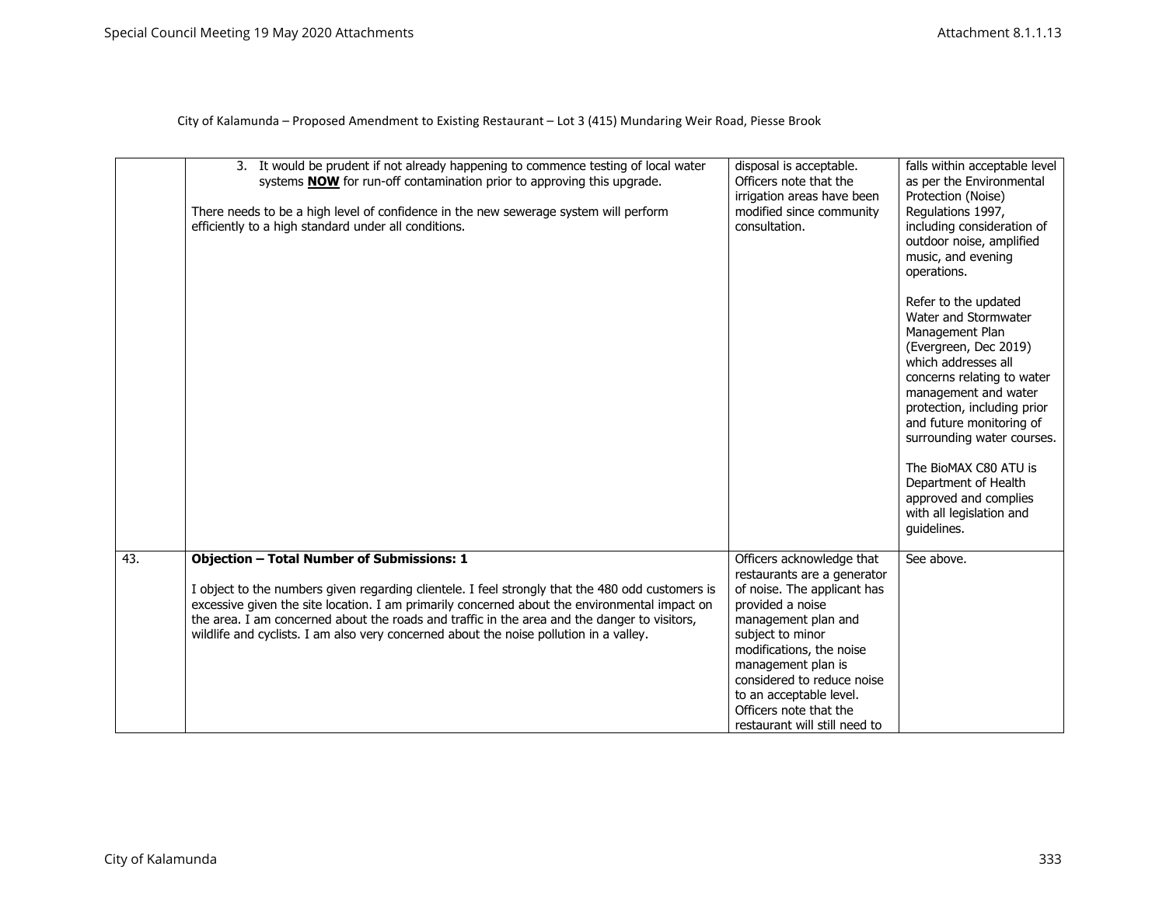|     | 3. It would be prudent if not already happening to commence testing of local water<br>systems <b>NOW</b> for run-off contamination prior to approving this upgrade.<br>There needs to be a high level of confidence in the new sewerage system will perform<br>efficiently to a high standard under all conditions.                                                                                                                              | disposal is acceptable.<br>Officers note that the<br>irrigation areas have been<br>modified since community<br>consultation.                                                                                                                                                                                                 | falls within acceptable level<br>as per the Environmental<br>Protection (Noise)<br>Regulations 1997,<br>including consideration of<br>outdoor noise, amplified<br>music, and evening<br>operations.<br>Refer to the updated<br>Water and Stormwater<br>Management Plan<br>(Evergreen, Dec 2019)<br>which addresses all<br>concerns relating to water<br>management and water<br>protection, including prior<br>and future monitoring of<br>surrounding water courses.<br>The BioMAX C80 ATU is<br>Department of Health<br>approved and complies<br>with all legislation and<br>quidelines. |
|-----|--------------------------------------------------------------------------------------------------------------------------------------------------------------------------------------------------------------------------------------------------------------------------------------------------------------------------------------------------------------------------------------------------------------------------------------------------|------------------------------------------------------------------------------------------------------------------------------------------------------------------------------------------------------------------------------------------------------------------------------------------------------------------------------|--------------------------------------------------------------------------------------------------------------------------------------------------------------------------------------------------------------------------------------------------------------------------------------------------------------------------------------------------------------------------------------------------------------------------------------------------------------------------------------------------------------------------------------------------------------------------------------------|
| 43. | <b>Objection - Total Number of Submissions: 1</b><br>I object to the numbers given regarding clientele. I feel strongly that the 480 odd customers is<br>excessive given the site location. I am primarily concerned about the environmental impact on<br>the area. I am concerned about the roads and traffic in the area and the danger to visitors,<br>wildlife and cyclists. I am also very concerned about the noise pollution in a valley. | Officers acknowledge that<br>restaurants are a generator<br>of noise. The applicant has<br>provided a noise<br>management plan and<br>subject to minor<br>modifications, the noise<br>management plan is<br>considered to reduce noise<br>to an acceptable level.<br>Officers note that the<br>restaurant will still need to | See above.                                                                                                                                                                                                                                                                                                                                                                                                                                                                                                                                                                                 |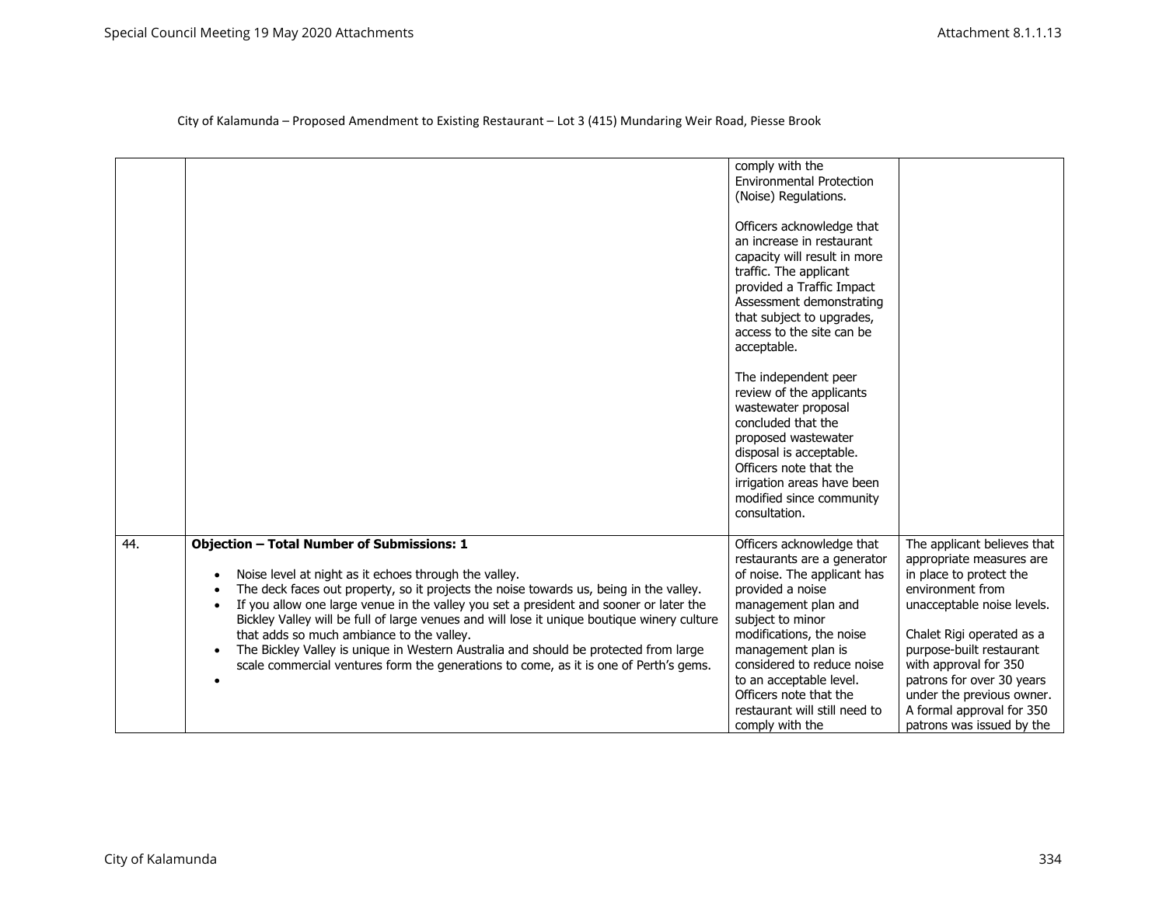|     |                                                                                                                                                                                                                                                                                                                                                                                                                                                                                                                                                                                                                                                                                              | comply with the<br><b>Environmental Protection</b><br>(Noise) Regulations.<br>Officers acknowledge that<br>an increase in restaurant<br>capacity will result in more<br>traffic. The applicant<br>provided a Traffic Impact<br>Assessment demonstrating<br>that subject to upgrades,<br>access to the site can be<br>acceptable.<br>The independent peer<br>review of the applicants<br>wastewater proposal<br>concluded that the<br>proposed wastewater<br>disposal is acceptable.<br>Officers note that the<br>irrigation areas have been<br>modified since community<br>consultation. |                                                                                                                                                                                                                                                                                                               |
|-----|----------------------------------------------------------------------------------------------------------------------------------------------------------------------------------------------------------------------------------------------------------------------------------------------------------------------------------------------------------------------------------------------------------------------------------------------------------------------------------------------------------------------------------------------------------------------------------------------------------------------------------------------------------------------------------------------|------------------------------------------------------------------------------------------------------------------------------------------------------------------------------------------------------------------------------------------------------------------------------------------------------------------------------------------------------------------------------------------------------------------------------------------------------------------------------------------------------------------------------------------------------------------------------------------|---------------------------------------------------------------------------------------------------------------------------------------------------------------------------------------------------------------------------------------------------------------------------------------------------------------|
| 44. | <b>Objection - Total Number of Submissions: 1</b><br>Noise level at night as it echoes through the valley.<br>$\bullet$<br>The deck faces out property, so it projects the noise towards us, being in the valley.<br>$\bullet$<br>If you allow one large venue in the valley you set a president and sooner or later the<br>$\bullet$<br>Bickley Valley will be full of large venues and will lose it unique boutique winery culture<br>that adds so much ambiance to the valley.<br>The Bickley Valley is unique in Western Australia and should be protected from large<br>$\bullet$<br>scale commercial ventures form the generations to come, as it is one of Perth's gems.<br>$\bullet$ | Officers acknowledge that<br>restaurants are a generator<br>of noise. The applicant has<br>provided a noise<br>management plan and<br>subject to minor<br>modifications, the noise<br>management plan is<br>considered to reduce noise<br>to an acceptable level.<br>Officers note that the<br>restaurant will still need to                                                                                                                                                                                                                                                             | The applicant believes that<br>appropriate measures are<br>in place to protect the<br>environment from<br>unacceptable noise levels.<br>Chalet Rigi operated as a<br>purpose-built restaurant<br>with approval for 350<br>patrons for over 30 years<br>under the previous owner.<br>A formal approval for 350 |
|     |                                                                                                                                                                                                                                                                                                                                                                                                                                                                                                                                                                                                                                                                                              | comply with the                                                                                                                                                                                                                                                                                                                                                                                                                                                                                                                                                                          | patrons was issued by the                                                                                                                                                                                                                                                                                     |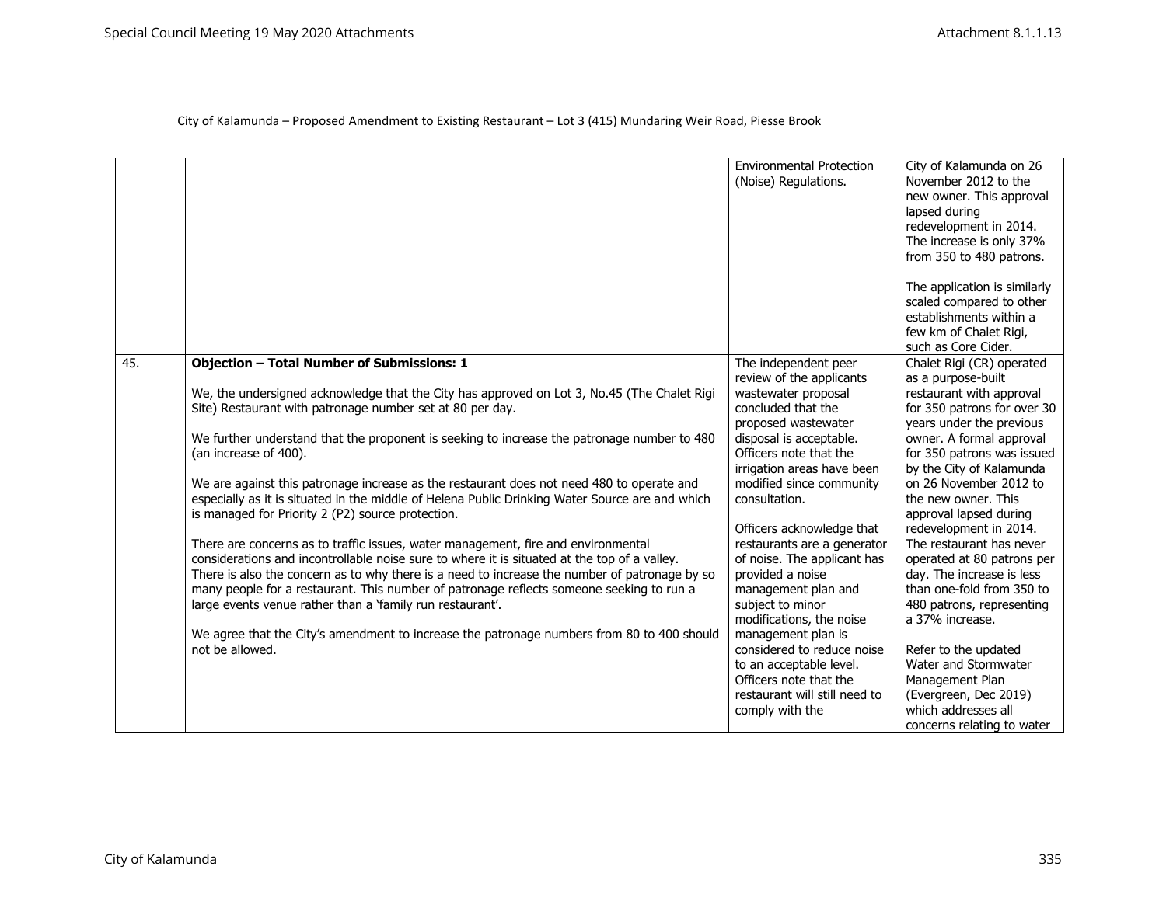|     |                                                                                                                                                                                              | <b>Environmental Protection</b><br>(Noise) Regulations. | City of Kalamunda on 26<br>November 2012 to the<br>new owner. This approval<br>lapsed during<br>redevelopment in 2014.<br>The increase is only 37%<br>from 350 to 480 patrons.<br>The application is similarly<br>scaled compared to other<br>establishments within a<br>few km of Chalet Rigi, |
|-----|----------------------------------------------------------------------------------------------------------------------------------------------------------------------------------------------|---------------------------------------------------------|-------------------------------------------------------------------------------------------------------------------------------------------------------------------------------------------------------------------------------------------------------------------------------------------------|
|     |                                                                                                                                                                                              |                                                         | such as Core Cider.                                                                                                                                                                                                                                                                             |
| 45. | <b>Objection - Total Number of Submissions: 1</b>                                                                                                                                            | The independent peer                                    | Chalet Rigi (CR) operated                                                                                                                                                                                                                                                                       |
|     |                                                                                                                                                                                              | review of the applicants                                | as a purpose-built                                                                                                                                                                                                                                                                              |
|     | We, the undersigned acknowledge that the City has approved on Lot 3, No.45 (The Chalet Rigi                                                                                                  | wastewater proposal                                     | restaurant with approval                                                                                                                                                                                                                                                                        |
|     | Site) Restaurant with patronage number set at 80 per day.                                                                                                                                    | concluded that the                                      | for 350 patrons for over 30                                                                                                                                                                                                                                                                     |
|     |                                                                                                                                                                                              | proposed wastewater                                     | years under the previous                                                                                                                                                                                                                                                                        |
|     | We further understand that the proponent is seeking to increase the patronage number to 480                                                                                                  | disposal is acceptable.                                 | owner. A formal approval                                                                                                                                                                                                                                                                        |
|     | (an increase of 400).                                                                                                                                                                        | Officers note that the                                  | for 350 patrons was issued                                                                                                                                                                                                                                                                      |
|     |                                                                                                                                                                                              | irrigation areas have been<br>modified since community  | by the City of Kalamunda<br>on 26 November 2012 to                                                                                                                                                                                                                                              |
|     | We are against this patronage increase as the restaurant does not need 480 to operate and<br>especially as it is situated in the middle of Helena Public Drinking Water Source are and which | consultation.                                           | the new owner. This                                                                                                                                                                                                                                                                             |
|     | is managed for Priority 2 (P2) source protection.                                                                                                                                            |                                                         | approval lapsed during                                                                                                                                                                                                                                                                          |
|     |                                                                                                                                                                                              | Officers acknowledge that                               | redevelopment in 2014.                                                                                                                                                                                                                                                                          |
|     | There are concerns as to traffic issues, water management, fire and environmental                                                                                                            | restaurants are a generator                             | The restaurant has never                                                                                                                                                                                                                                                                        |
|     | considerations and incontrollable noise sure to where it is situated at the top of a valley.                                                                                                 | of noise. The applicant has                             | operated at 80 patrons per                                                                                                                                                                                                                                                                      |
|     | There is also the concern as to why there is a need to increase the number of patronage by so                                                                                                | provided a noise                                        | day. The increase is less                                                                                                                                                                                                                                                                       |
|     | many people for a restaurant. This number of patronage reflects someone seeking to run a                                                                                                     | management plan and                                     | than one-fold from 350 to                                                                                                                                                                                                                                                                       |
|     | large events venue rather than a 'family run restaurant'.                                                                                                                                    | subject to minor                                        | 480 patrons, representing                                                                                                                                                                                                                                                                       |
|     |                                                                                                                                                                                              | modifications, the noise                                | a 37% increase.                                                                                                                                                                                                                                                                                 |
|     | We agree that the City's amendment to increase the patronage numbers from 80 to 400 should                                                                                                   | management plan is                                      |                                                                                                                                                                                                                                                                                                 |
|     | not be allowed.                                                                                                                                                                              | considered to reduce noise                              | Refer to the updated                                                                                                                                                                                                                                                                            |
|     |                                                                                                                                                                                              | to an acceptable level.                                 | Water and Stormwater                                                                                                                                                                                                                                                                            |
|     |                                                                                                                                                                                              | Officers note that the                                  | Management Plan                                                                                                                                                                                                                                                                                 |
|     |                                                                                                                                                                                              | restaurant will still need to                           | (Evergreen, Dec 2019)                                                                                                                                                                                                                                                                           |
|     |                                                                                                                                                                                              | comply with the                                         | which addresses all                                                                                                                                                                                                                                                                             |
|     |                                                                                                                                                                                              |                                                         | concerns relating to water                                                                                                                                                                                                                                                                      |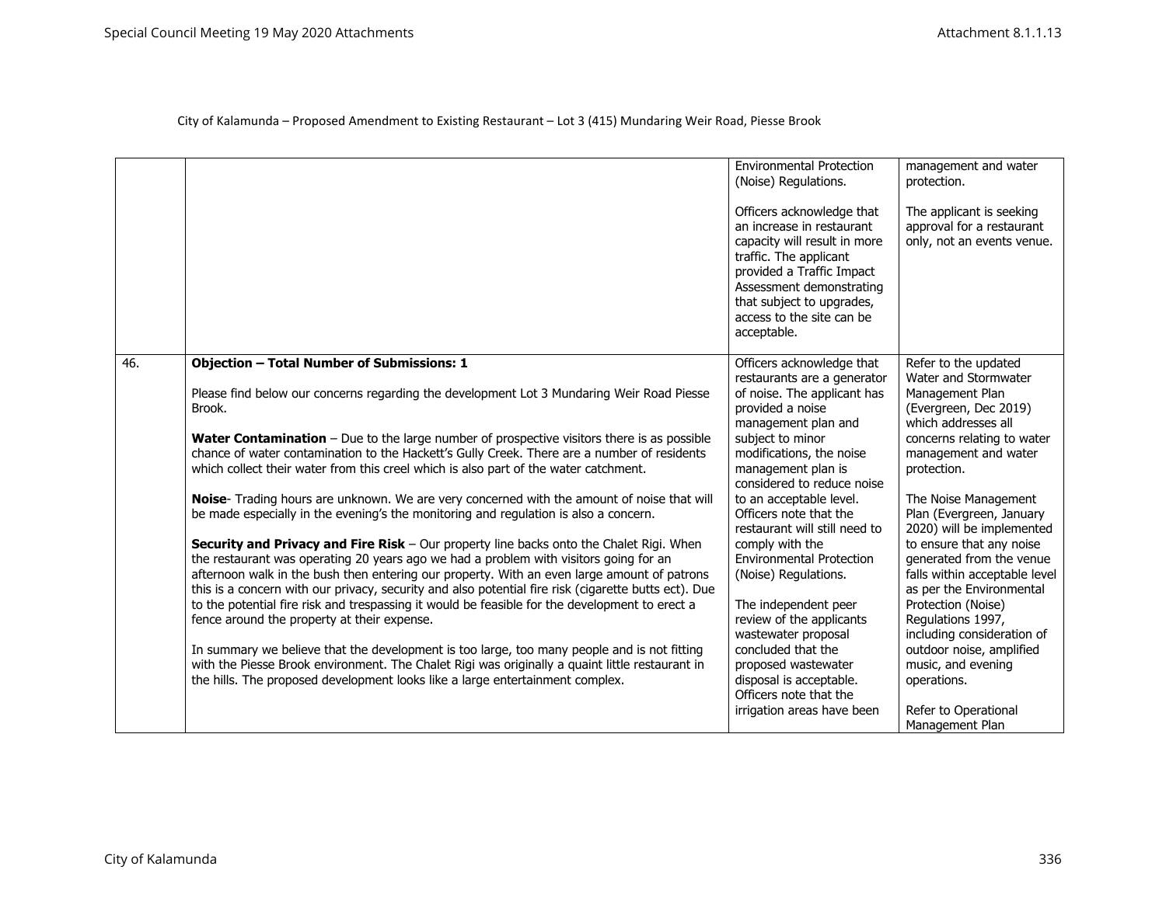|     |                                                                                                                                                                                                                                                                                                                                                                                                                                                                                                                                          | <b>Environmental Protection</b><br>(Noise) Regulations.                                                                                                                                                                                            | management and water<br>protection.                                                                                                                          |
|-----|------------------------------------------------------------------------------------------------------------------------------------------------------------------------------------------------------------------------------------------------------------------------------------------------------------------------------------------------------------------------------------------------------------------------------------------------------------------------------------------------------------------------------------------|----------------------------------------------------------------------------------------------------------------------------------------------------------------------------------------------------------------------------------------------------|--------------------------------------------------------------------------------------------------------------------------------------------------------------|
|     |                                                                                                                                                                                                                                                                                                                                                                                                                                                                                                                                          | Officers acknowledge that<br>an increase in restaurant<br>capacity will result in more<br>traffic. The applicant<br>provided a Traffic Impact<br>Assessment demonstrating<br>that subject to upgrades,<br>access to the site can be<br>acceptable. | The applicant is seeking<br>approval for a restaurant<br>only, not an events venue.                                                                          |
| 46. | <b>Objection - Total Number of Submissions: 1</b>                                                                                                                                                                                                                                                                                                                                                                                                                                                                                        | Officers acknowledge that<br>restaurants are a generator                                                                                                                                                                                           | Refer to the updated<br>Water and Stormwater                                                                                                                 |
|     | Please find below our concerns regarding the development Lot 3 Mundaring Weir Road Piesse<br>Brook.                                                                                                                                                                                                                                                                                                                                                                                                                                      | of noise. The applicant has<br>provided a noise<br>management plan and                                                                                                                                                                             | Management Plan<br>(Evergreen, Dec 2019)<br>which addresses all                                                                                              |
|     | Water Contamination - Due to the large number of prospective visitors there is as possible<br>chance of water contamination to the Hackett's Gully Creek. There are a number of residents<br>which collect their water from this creel which is also part of the water catchment.                                                                                                                                                                                                                                                        | subject to minor<br>modifications, the noise<br>management plan is<br>considered to reduce noise                                                                                                                                                   | concerns relating to water<br>management and water<br>protection.                                                                                            |
|     | Noise- Trading hours are unknown. We are very concerned with the amount of noise that will<br>be made especially in the evening's the monitoring and regulation is also a concern.                                                                                                                                                                                                                                                                                                                                                       | to an acceptable level.<br>Officers note that the<br>restaurant will still need to                                                                                                                                                                 | The Noise Management<br>Plan (Evergreen, January<br>2020) will be implemented                                                                                |
|     | Security and Privacy and Fire Risk - Our property line backs onto the Chalet Rigi. When<br>the restaurant was operating 20 years ago we had a problem with visitors going for an<br>afternoon walk in the bush then entering our property. With an even large amount of patrons<br>this is a concern with our privacy, security and also potential fire risk (cigarette butts ect). Due<br>to the potential fire risk and trespassing it would be feasible for the development to erect a<br>fence around the property at their expense. | comply with the<br><b>Environmental Protection</b><br>(Noise) Regulations.<br>The independent peer<br>review of the applicants                                                                                                                     | to ensure that any noise<br>generated from the venue<br>falls within acceptable level<br>as per the Environmental<br>Protection (Noise)<br>Regulations 1997, |
|     | In summary we believe that the development is too large, too many people and is not fitting<br>with the Piesse Brook environment. The Chalet Rigi was originally a quaint little restaurant in<br>the hills. The proposed development looks like a large entertainment complex.                                                                                                                                                                                                                                                          | wastewater proposal<br>concluded that the<br>proposed wastewater<br>disposal is acceptable.<br>Officers note that the<br>irrigation areas have been                                                                                                | including consideration of<br>outdoor noise, amplified<br>music, and evening<br>operations.<br>Refer to Operational<br>Management Plan                       |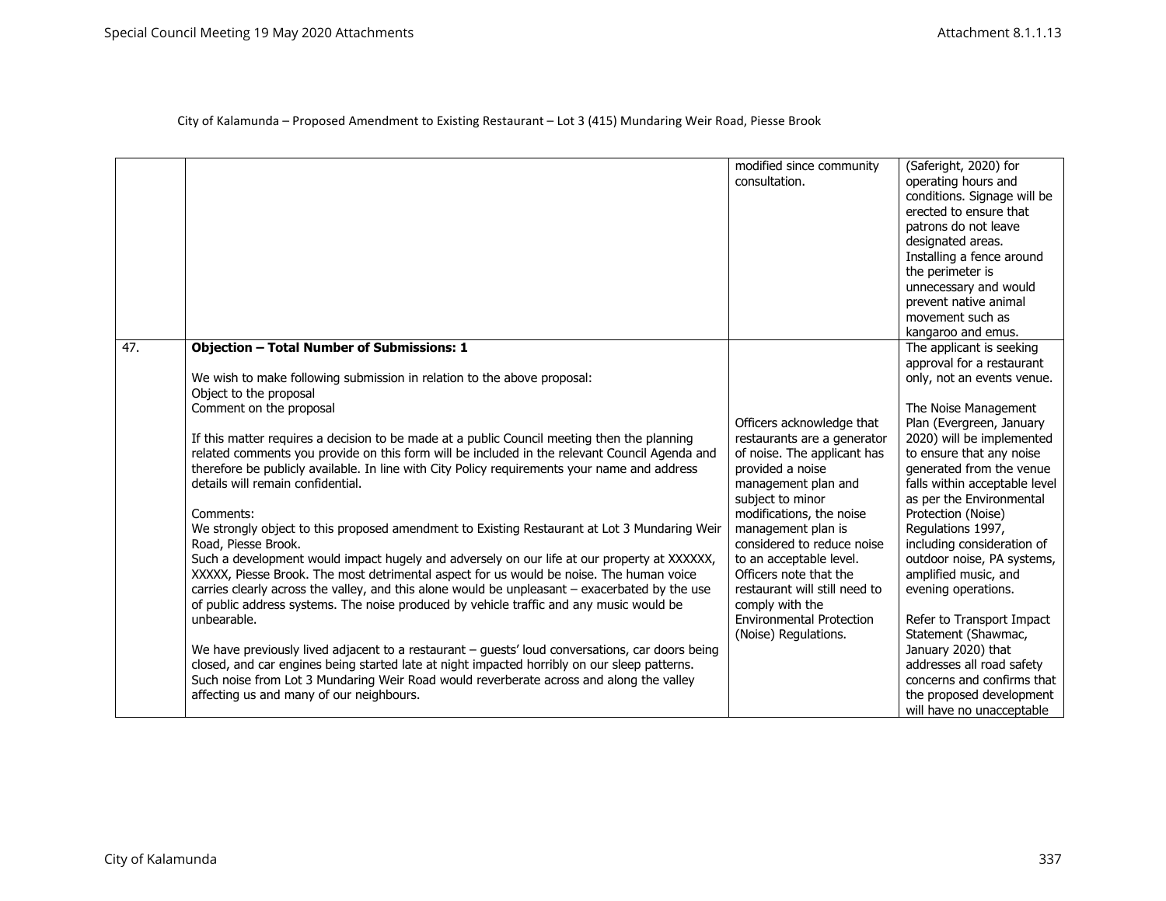| (Saferight, 2020) for         |
|-------------------------------|
|                               |
|                               |
| conditions. Signage will be   |
| erected to ensure that        |
|                               |
|                               |
| Installing a fence around     |
|                               |
| unnecessary and would         |
| prevent native animal         |
|                               |
|                               |
| The applicant is seeking      |
| approval for a restaurant     |
| only, not an events venue.    |
|                               |
| The Noise Management          |
| Plan (Evergreen, January      |
| 2020) will be implemented     |
| to ensure that any noise      |
| generated from the venue      |
|                               |
| falls within acceptable level |
| as per the Environmental      |
|                               |
|                               |
| including consideration of    |
| outdoor noise, PA systems,    |
|                               |
|                               |
|                               |
| Refer to Transport Impact     |
| Statement (Shawmac,           |
|                               |
| addresses all road safety     |
| concerns and confirms that    |
| the proposed development      |
| will have no unacceptable     |
| patrons do not leave          |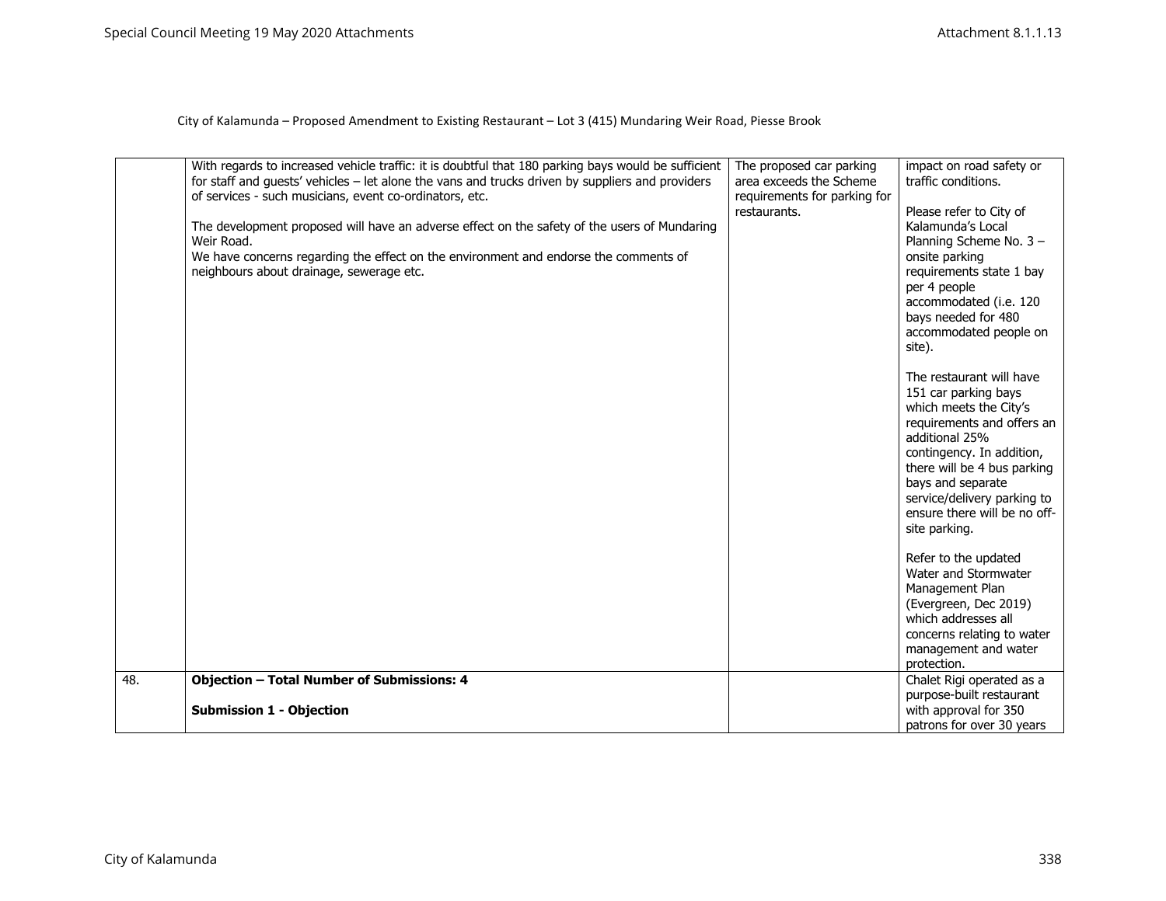|     | With regards to increased vehicle traffic: it is doubtful that 180 parking bays would be sufficient<br>for staff and guests' vehicles - let alone the vans and trucks driven by suppliers and providers<br>of services - such musicians, event co-ordinators, etc.<br>The development proposed will have an adverse effect on the safety of the users of Mundaring<br>Weir Road.<br>We have concerns regarding the effect on the environment and endorse the comments of<br>neighbours about drainage, sewerage etc. | The proposed car parking<br>area exceeds the Scheme<br>requirements for parking for<br>restaurants. | impact on road safety or<br>traffic conditions.<br>Please refer to City of<br>Kalamunda's Local<br>Planning Scheme No. 3 -<br>onsite parking<br>requirements state 1 bay<br>per 4 people<br>accommodated (i.e. 120<br>bays needed for 480<br>accommodated people on<br>site).<br>The restaurant will have<br>151 car parking bays<br>which meets the City's<br>requirements and offers an<br>additional 25%<br>contingency. In addition,<br>there will be 4 bus parking<br>bays and separate<br>service/delivery parking to<br>ensure there will be no off-<br>site parking.<br>Refer to the updated<br>Water and Stormwater<br>Management Plan<br>(Evergreen, Dec 2019)<br>which addresses all<br>concerns relating to water<br>management and water<br>protection. |
|-----|----------------------------------------------------------------------------------------------------------------------------------------------------------------------------------------------------------------------------------------------------------------------------------------------------------------------------------------------------------------------------------------------------------------------------------------------------------------------------------------------------------------------|-----------------------------------------------------------------------------------------------------|----------------------------------------------------------------------------------------------------------------------------------------------------------------------------------------------------------------------------------------------------------------------------------------------------------------------------------------------------------------------------------------------------------------------------------------------------------------------------------------------------------------------------------------------------------------------------------------------------------------------------------------------------------------------------------------------------------------------------------------------------------------------|
| 48. | <b>Objection - Total Number of Submissions: 4</b>                                                                                                                                                                                                                                                                                                                                                                                                                                                                    |                                                                                                     | Chalet Rigi operated as a                                                                                                                                                                                                                                                                                                                                                                                                                                                                                                                                                                                                                                                                                                                                            |
|     | <b>Submission 1 - Objection</b>                                                                                                                                                                                                                                                                                                                                                                                                                                                                                      |                                                                                                     | purpose-built restaurant<br>with approval for 350<br>patrons for over 30 years                                                                                                                                                                                                                                                                                                                                                                                                                                                                                                                                                                                                                                                                                       |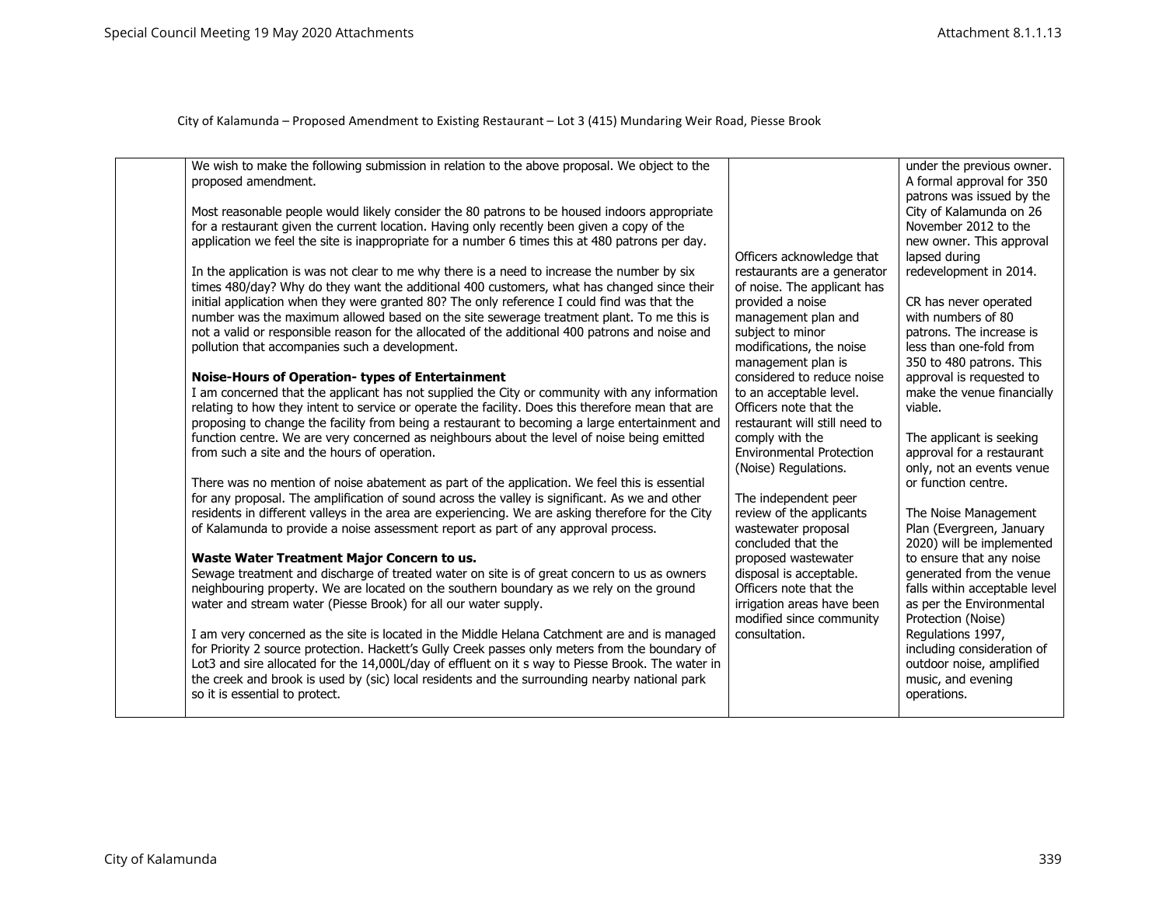| We wish to make the following submission in relation to the above proposal. We object to the<br>proposed amendment.<br>Most reasonable people would likely consider the 80 patrons to be housed indoors appropriate<br>for a restaurant given the current location. Having only recently been given a copy of the<br>application we feel the site is inappropriate for a number 6 times this at 480 patrons per day.<br>In the application is was not clear to me why there is a need to increase the number by six<br>times 480/day? Why do they want the additional 400 customers, what has changed since their<br>initial application when they were granted 80? The only reference I could find was that the<br>number was the maximum allowed based on the site sewerage treatment plant. To me this is<br>not a valid or responsible reason for the allocated of the additional 400 patrons and noise and<br>pollution that accompanies such a development.<br><b>Noise-Hours of Operation- types of Entertainment</b><br>I am concerned that the applicant has not supplied the City or community with any information<br>relating to how they intent to service or operate the facility. Does this therefore mean that are<br>proposing to change the facility from being a restaurant to becoming a large entertainment and<br>function centre. We are very concerned as neighbours about the level of noise being emitted<br>from such a site and the hours of operation.<br>There was no mention of noise abatement as part of the application. We feel this is essential<br>for any proposal. The amplification of sound across the valley is significant. As we and other<br>residents in different valleys in the area are experiencing. We are asking therefore for the City<br>of Kalamunda to provide a noise assessment report as part of any approval process.<br>Waste Water Treatment Major Concern to us.<br>Sewage treatment and discharge of treated water on site is of great concern to us as owners<br>neighbouring property. We are located on the southern boundary as we rely on the ground<br>water and stream water (Piesse Brook) for all our water supply.<br>I am very concerned as the site is located in the Middle Helana Catchment are and is managed<br>for Priority 2 source protection. Hackett's Gully Creek passes only meters from the boundary of | Officers acknowledge that<br>restaurants are a generator<br>of noise. The applicant has<br>provided a noise<br>management plan and<br>subject to minor<br>modifications, the noise<br>management plan is<br>considered to reduce noise<br>to an acceptable level.<br>Officers note that the<br>restaurant will still need to<br>comply with the<br><b>Environmental Protection</b><br>(Noise) Regulations.<br>The independent peer<br>review of the applicants<br>wastewater proposal<br>concluded that the<br>proposed wastewater<br>disposal is acceptable.<br>Officers note that the<br>irrigation areas have been<br>modified since community<br>consultation. | under the previous owner.<br>A formal approval for 350<br>patrons was issued by the<br>City of Kalamunda on 26<br>November 2012 to the<br>new owner. This approval<br>lapsed during<br>redevelopment in 2014.<br>CR has never operated<br>with numbers of 80<br>patrons. The increase is<br>less than one-fold from<br>350 to 480 patrons. This<br>approval is requested to<br>make the venue financially<br>viable.<br>The applicant is seeking<br>approval for a restaurant<br>only, not an events venue<br>or function centre.<br>The Noise Management<br>Plan (Evergreen, January<br>2020) will be implemented<br>to ensure that any noise<br>generated from the venue<br>falls within acceptable level<br>as per the Environmental<br>Protection (Noise)<br>Regulations 1997,<br>including consideration of |
|-------------------------------------------------------------------------------------------------------------------------------------------------------------------------------------------------------------------------------------------------------------------------------------------------------------------------------------------------------------------------------------------------------------------------------------------------------------------------------------------------------------------------------------------------------------------------------------------------------------------------------------------------------------------------------------------------------------------------------------------------------------------------------------------------------------------------------------------------------------------------------------------------------------------------------------------------------------------------------------------------------------------------------------------------------------------------------------------------------------------------------------------------------------------------------------------------------------------------------------------------------------------------------------------------------------------------------------------------------------------------------------------------------------------------------------------------------------------------------------------------------------------------------------------------------------------------------------------------------------------------------------------------------------------------------------------------------------------------------------------------------------------------------------------------------------------------------------------------------------------------------------------------------------------------------------------------------------------------------------------------------------------------------------------------------------------------------------------------------------------------------------------------------------------------------------------------------------------------------------------------------------------------------------------------------------------------------------------------------------------------------------------------|--------------------------------------------------------------------------------------------------------------------------------------------------------------------------------------------------------------------------------------------------------------------------------------------------------------------------------------------------------------------------------------------------------------------------------------------------------------------------------------------------------------------------------------------------------------------------------------------------------------------------------------------------------------------|------------------------------------------------------------------------------------------------------------------------------------------------------------------------------------------------------------------------------------------------------------------------------------------------------------------------------------------------------------------------------------------------------------------------------------------------------------------------------------------------------------------------------------------------------------------------------------------------------------------------------------------------------------------------------------------------------------------------------------------------------------------------------------------------------------------|
| Lot3 and sire allocated for the 14,000L/day of effluent on it s way to Piesse Brook. The water in<br>the creek and brook is used by (sic) local residents and the surrounding nearby national park<br>so it is essential to protect.                                                                                                                                                                                                                                                                                                                                                                                                                                                                                                                                                                                                                                                                                                                                                                                                                                                                                                                                                                                                                                                                                                                                                                                                                                                                                                                                                                                                                                                                                                                                                                                                                                                                                                                                                                                                                                                                                                                                                                                                                                                                                                                                                            |                                                                                                                                                                                                                                                                                                                                                                                                                                                                                                                                                                                                                                                                    | outdoor noise, amplified<br>music, and evening<br>operations.                                                                                                                                                                                                                                                                                                                                                                                                                                                                                                                                                                                                                                                                                                                                                    |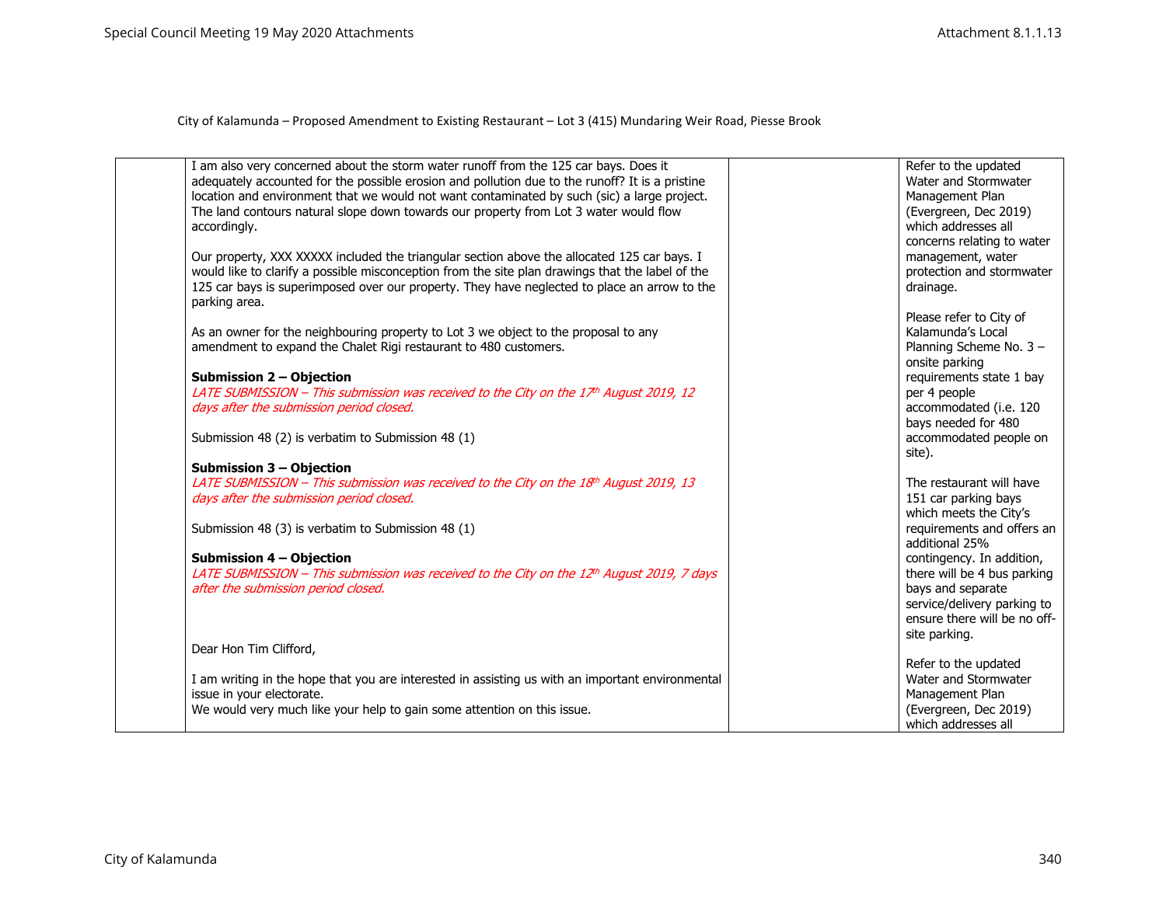| I am also very concerned about the storm water runoff from the 125 car bays. Does it<br>adequately accounted for the possible erosion and pollution due to the runoff? It is a pristine<br>location and environment that we would not want contaminated by such (sic) a large project.<br>The land contours natural slope down towards our property from Lot 3 water would flow<br>accordingly.<br>Our property, XXX XXXXX included the triangular section above the allocated 125 car bays. I<br>would like to clarify a possible misconception from the site plan drawings that the label of the<br>125 car bays is superimposed over our property. They have neglected to place an arrow to the<br>parking area. | Refer to the updated<br>Water and Stormwater<br>Management Plan<br>(Evergreen, Dec 2019)<br>which addresses all<br>concerns relating to water<br>management, water<br>protection and stormwater<br>drainage.  |
|---------------------------------------------------------------------------------------------------------------------------------------------------------------------------------------------------------------------------------------------------------------------------------------------------------------------------------------------------------------------------------------------------------------------------------------------------------------------------------------------------------------------------------------------------------------------------------------------------------------------------------------------------------------------------------------------------------------------|---------------------------------------------------------------------------------------------------------------------------------------------------------------------------------------------------------------|
| As an owner for the neighbouring property to Lot 3 we object to the proposal to any<br>amendment to expand the Chalet Rigi restaurant to 480 customers.<br><b>Submission 2 - Objection</b><br>LATE SUBMISSION - This submission was received to the City on the $17th$ August 2019, 12                                                                                                                                                                                                                                                                                                                                                                                                                              | Please refer to City of<br>Kalamunda's Local<br>Planning Scheme No. 3 -<br>onsite parking<br>requirements state 1 bay<br>per 4 people                                                                         |
| days after the submission period closed.<br>Submission 48 (2) is verbatim to Submission 48 (1)                                                                                                                                                                                                                                                                                                                                                                                                                                                                                                                                                                                                                      | accommodated (i.e. 120<br>bays needed for 480<br>accommodated people on<br>site).                                                                                                                             |
| Submission 3 - Objection<br>LATE SUBMISSION - This submission was received to the City on the 18th August 2019, 13<br>days after the submission period closed.                                                                                                                                                                                                                                                                                                                                                                                                                                                                                                                                                      | The restaurant will have<br>151 car parking bays<br>which meets the City's                                                                                                                                    |
| Submission 48 (3) is verbatim to Submission 48 (1)<br><b>Submission 4 - Objection</b><br>LATE SUBMISSION - This submission was received to the City on the $12th$ August 2019, 7 days<br>after the submission period closed.                                                                                                                                                                                                                                                                                                                                                                                                                                                                                        | requirements and offers an<br>additional 25%<br>contingency. In addition,<br>there will be 4 bus parking<br>bays and separate<br>service/delivery parking to<br>ensure there will be no off-<br>site parking. |
| Dear Hon Tim Clifford,                                                                                                                                                                                                                                                                                                                                                                                                                                                                                                                                                                                                                                                                                              |                                                                                                                                                                                                               |
| I am writing in the hope that you are interested in assisting us with an important environmental<br>issue in your electorate.<br>We would very much like your help to gain some attention on this issue.                                                                                                                                                                                                                                                                                                                                                                                                                                                                                                            | Refer to the updated<br>Water and Stormwater<br>Management Plan<br>(Evergreen, Dec 2019)<br>which addresses all                                                                                               |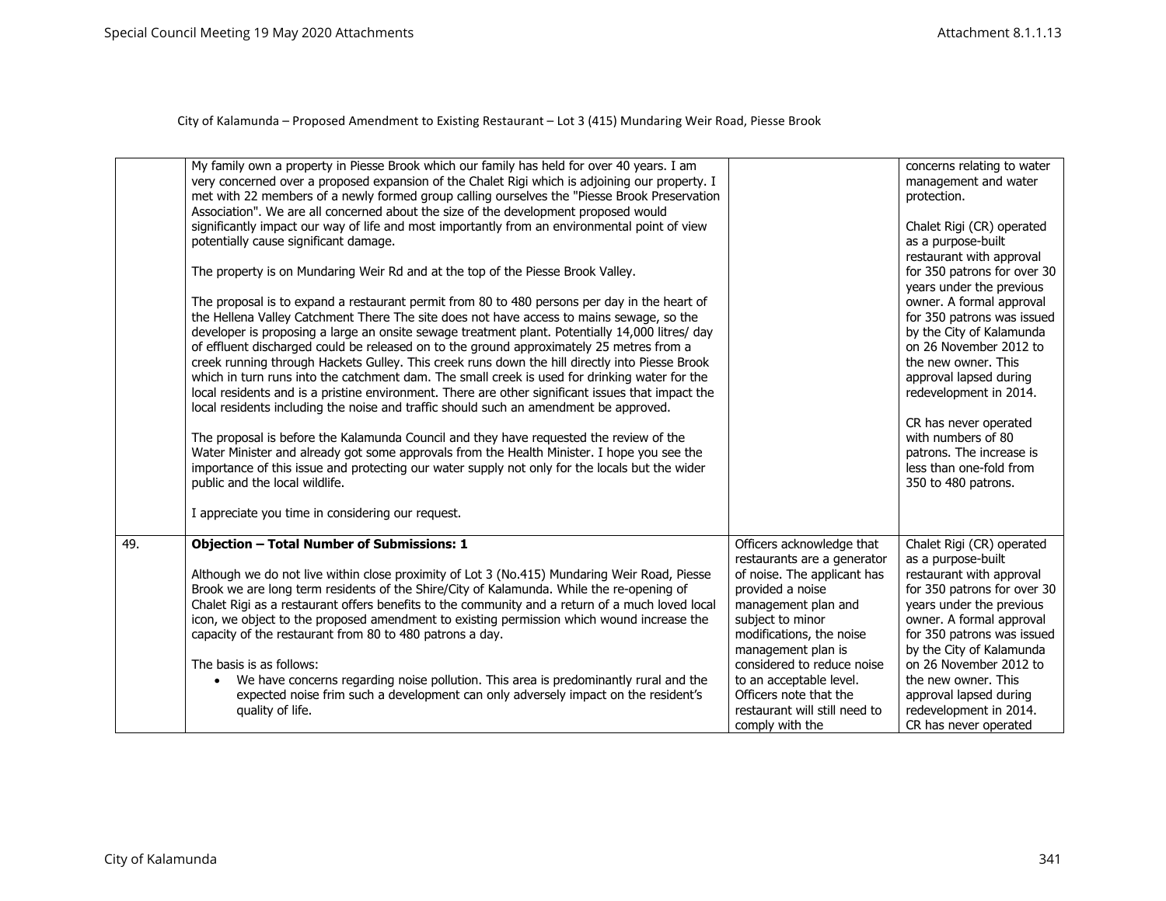|     | My family own a property in Piesse Brook which our family has held for over 40 years. I am<br>very concerned over a proposed expansion of the Chalet Rigi which is adjoining our property. I<br>met with 22 members of a newly formed group calling ourselves the "Piesse Brook Preservation<br>Association". We are all concerned about the size of the development proposed would<br>significantly impact our way of life and most importantly from an environmental point of view<br>potentially cause significant damage.<br>The property is on Mundaring Weir Rd and at the top of the Piesse Brook Valley.<br>The proposal is to expand a restaurant permit from 80 to 480 persons per day in the heart of<br>the Hellena Valley Catchment There The site does not have access to mains sewage, so the<br>developer is proposing a large an onsite sewage treatment plant. Potentially 14,000 litres/ day<br>of effluent discharged could be released on to the ground approximately 25 metres from a<br>creek running through Hackets Gulley. This creek runs down the hill directly into Piesse Brook<br>which in turn runs into the catchment dam. The small creek is used for drinking water for the<br>local residents and is a pristine environment. There are other significant issues that impact the<br>local residents including the noise and traffic should such an amendment be approved.<br>The proposal is before the Kalamunda Council and they have requested the review of the<br>Water Minister and already got some approvals from the Health Minister. I hope you see the<br>importance of this issue and protecting our water supply not only for the locals but the wider<br>public and the local wildlife.<br>I appreciate you time in considering our request. |                                                                                                                                     | concerns relating to water<br>management and water<br>protection.<br>Chalet Rigi (CR) operated<br>as a purpose-built<br>restaurant with approval<br>for 350 patrons for over 30<br>years under the previous<br>owner. A formal approval<br>for 350 patrons was issued<br>by the City of Kalamunda<br>on 26 November 2012 to<br>the new owner. This<br>approval lapsed during<br>redevelopment in 2014.<br>CR has never operated<br>with numbers of 80<br>patrons. The increase is<br>less than one-fold from<br>350 to 480 patrons. |
|-----|-----------------------------------------------------------------------------------------------------------------------------------------------------------------------------------------------------------------------------------------------------------------------------------------------------------------------------------------------------------------------------------------------------------------------------------------------------------------------------------------------------------------------------------------------------------------------------------------------------------------------------------------------------------------------------------------------------------------------------------------------------------------------------------------------------------------------------------------------------------------------------------------------------------------------------------------------------------------------------------------------------------------------------------------------------------------------------------------------------------------------------------------------------------------------------------------------------------------------------------------------------------------------------------------------------------------------------------------------------------------------------------------------------------------------------------------------------------------------------------------------------------------------------------------------------------------------------------------------------------------------------------------------------------------------------------------------------------------------------------------------------------------------------------------------|-------------------------------------------------------------------------------------------------------------------------------------|-------------------------------------------------------------------------------------------------------------------------------------------------------------------------------------------------------------------------------------------------------------------------------------------------------------------------------------------------------------------------------------------------------------------------------------------------------------------------------------------------------------------------------------|
| 49. | <b>Objection - Total Number of Submissions: 1</b><br>Although we do not live within close proximity of Lot 3 (No.415) Mundaring Weir Road, Piesse<br>Brook we are long term residents of the Shire/City of Kalamunda. While the re-opening of                                                                                                                                                                                                                                                                                                                                                                                                                                                                                                                                                                                                                                                                                                                                                                                                                                                                                                                                                                                                                                                                                                                                                                                                                                                                                                                                                                                                                                                                                                                                                 | Officers acknowledge that<br>restaurants are a generator<br>of noise. The applicant has<br>provided a noise                         | Chalet Rigi (CR) operated<br>as a purpose-built<br>restaurant with approval<br>for 350 patrons for over 30                                                                                                                                                                                                                                                                                                                                                                                                                          |
|     | Chalet Rigi as a restaurant offers benefits to the community and a return of a much loved local<br>icon, we object to the proposed amendment to existing permission which wound increase the<br>capacity of the restaurant from 80 to 480 patrons a day.                                                                                                                                                                                                                                                                                                                                                                                                                                                                                                                                                                                                                                                                                                                                                                                                                                                                                                                                                                                                                                                                                                                                                                                                                                                                                                                                                                                                                                                                                                                                      | management plan and<br>subject to minor<br>modifications, the noise<br>management plan is                                           | years under the previous<br>owner. A formal approval<br>for 350 patrons was issued<br>by the City of Kalamunda                                                                                                                                                                                                                                                                                                                                                                                                                      |
|     | The basis is as follows:<br>We have concerns regarding noise pollution. This area is predominantly rural and the<br>$\bullet$<br>expected noise frim such a development can only adversely impact on the resident's<br>quality of life.                                                                                                                                                                                                                                                                                                                                                                                                                                                                                                                                                                                                                                                                                                                                                                                                                                                                                                                                                                                                                                                                                                                                                                                                                                                                                                                                                                                                                                                                                                                                                       | considered to reduce noise<br>to an acceptable level.<br>Officers note that the<br>restaurant will still need to<br>comply with the | on 26 November 2012 to<br>the new owner. This<br>approval lapsed during<br>redevelopment in 2014.<br>CR has never operated                                                                                                                                                                                                                                                                                                                                                                                                          |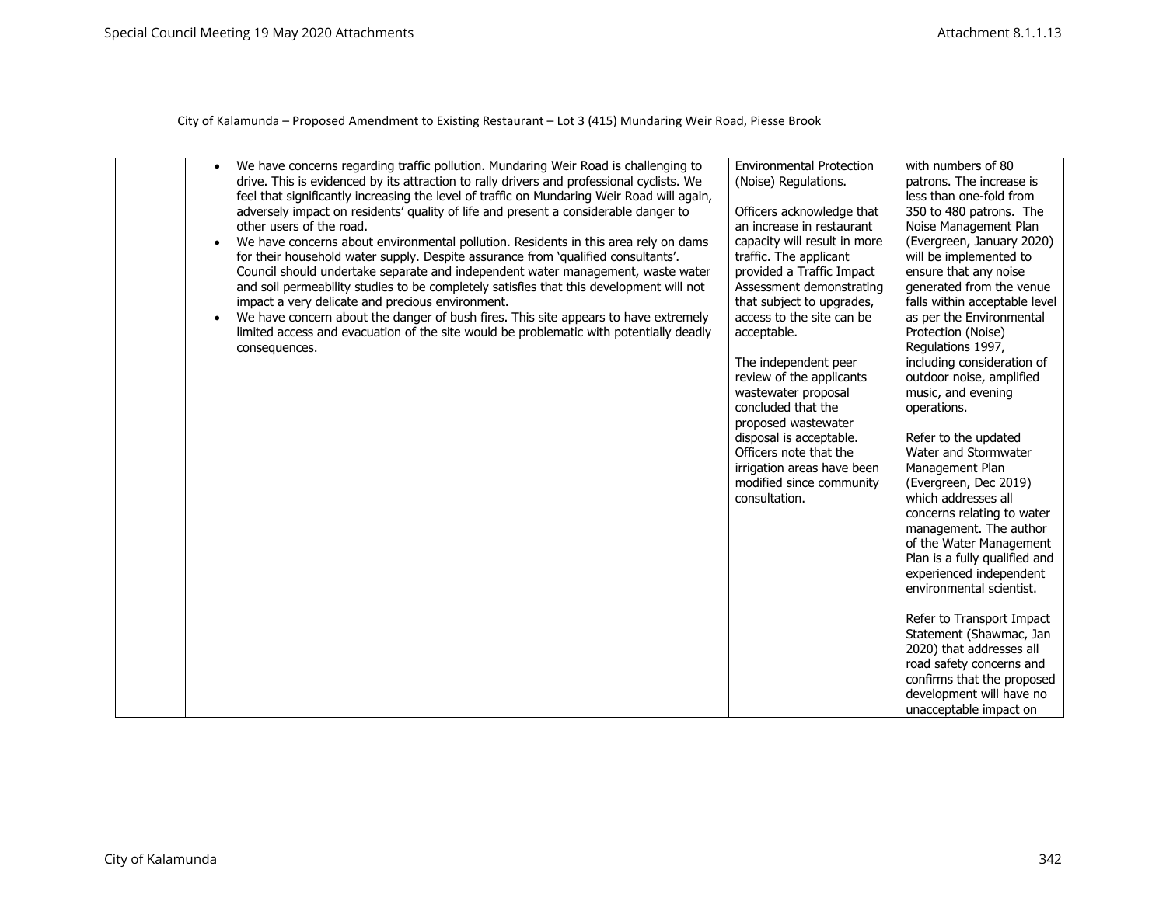| We have concerns regarding traffic pollution. Mundaring Weir Road is challenging to<br>$\bullet$<br>drive. This is evidenced by its attraction to rally drivers and professional cyclists. We<br>feel that significantly increasing the level of traffic on Mundaring Weir Road will again,<br>adversely impact on residents' quality of life and present a considerable danger to<br>other users of the road.<br>We have concerns about environmental pollution. Residents in this area rely on dams<br>$\bullet$<br>for their household water supply. Despite assurance from 'qualified consultants'.<br>Council should undertake separate and independent water management, waste water<br>and soil permeability studies to be completely satisfies that this development will not<br>impact a very delicate and precious environment.<br>We have concern about the danger of bush fires. This site appears to have extremely<br>$\bullet$<br>limited access and evacuation of the site would be problematic with potentially deadly<br>consequences. | <b>Environmental Protection</b><br>(Noise) Regulations.<br>Officers acknowledge that<br>an increase in restaurant<br>capacity will result in more<br>traffic. The applicant<br>provided a Traffic Impact<br>Assessment demonstrating<br>that subject to upgrades,<br>access to the site can be<br>acceptable.<br>The independent peer<br>review of the applicants<br>wastewater proposal<br>concluded that the<br>proposed wastewater<br>disposal is acceptable.<br>Officers note that the<br>irrigation areas have been<br>modified since community<br>consultation. | with numbers of 80<br>patrons. The increase is<br>less than one-fold from<br>350 to 480 patrons. The<br>Noise Management Plan<br>(Evergreen, January 2020)<br>will be implemented to<br>ensure that any noise<br>generated from the venue<br>falls within acceptable level<br>as per the Environmental<br>Protection (Noise)<br>Regulations 1997,<br>including consideration of<br>outdoor noise, amplified<br>music, and evening<br>operations.<br>Refer to the updated<br>Water and Stormwater<br>Management Plan<br>(Evergreen, Dec 2019)<br>which addresses all<br>concerns relating to water<br>management. The author<br>of the Water Management<br>Plan is a fully qualified and<br>experienced independent<br>environmental scientist.<br>Refer to Transport Impact<br>Statement (Shawmac, Jan<br>2020) that addresses all<br>road safety concerns and<br>confirms that the proposed<br>development will have no<br>unacceptable impact on |
|----------------------------------------------------------------------------------------------------------------------------------------------------------------------------------------------------------------------------------------------------------------------------------------------------------------------------------------------------------------------------------------------------------------------------------------------------------------------------------------------------------------------------------------------------------------------------------------------------------------------------------------------------------------------------------------------------------------------------------------------------------------------------------------------------------------------------------------------------------------------------------------------------------------------------------------------------------------------------------------------------------------------------------------------------------|-----------------------------------------------------------------------------------------------------------------------------------------------------------------------------------------------------------------------------------------------------------------------------------------------------------------------------------------------------------------------------------------------------------------------------------------------------------------------------------------------------------------------------------------------------------------------|----------------------------------------------------------------------------------------------------------------------------------------------------------------------------------------------------------------------------------------------------------------------------------------------------------------------------------------------------------------------------------------------------------------------------------------------------------------------------------------------------------------------------------------------------------------------------------------------------------------------------------------------------------------------------------------------------------------------------------------------------------------------------------------------------------------------------------------------------------------------------------------------------------------------------------------------------|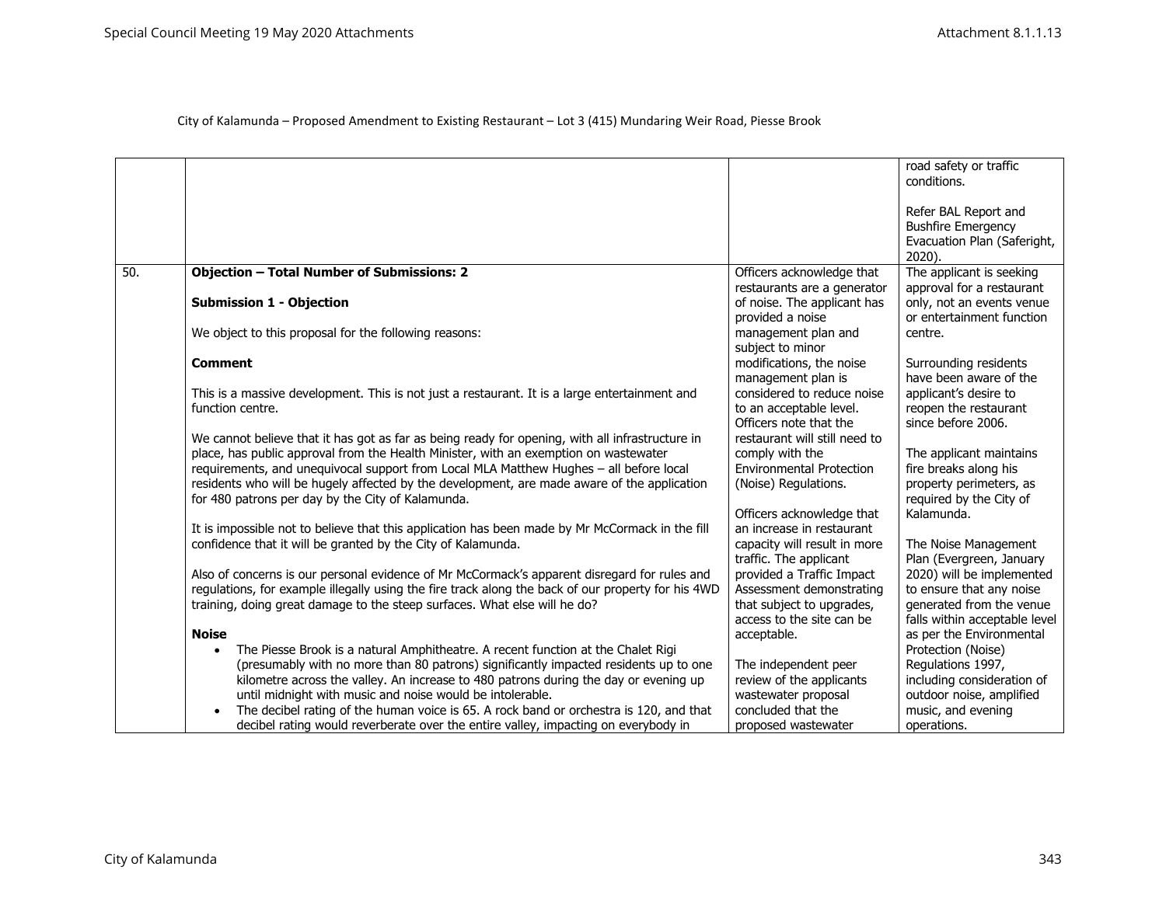|     |                                                                                                    |                                           | road safety or traffic<br>conditions. |
|-----|----------------------------------------------------------------------------------------------------|-------------------------------------------|---------------------------------------|
|     |                                                                                                    |                                           |                                       |
|     |                                                                                                    |                                           | Refer BAL Report and                  |
|     |                                                                                                    |                                           | <b>Bushfire Emergency</b>             |
|     |                                                                                                    |                                           | Evacuation Plan (Saferight,           |
|     |                                                                                                    |                                           | 2020).                                |
| 50. | <b>Objection - Total Number of Submissions: 2</b>                                                  | Officers acknowledge that                 | The applicant is seeking              |
|     |                                                                                                    | restaurants are a generator               | approval for a restaurant             |
|     | <b>Submission 1 - Objection</b>                                                                    | of noise. The applicant has               | only, not an events venue             |
|     |                                                                                                    | provided a noise                          | or entertainment function             |
|     | We object to this proposal for the following reasons:                                              | management plan and                       | centre.                               |
|     |                                                                                                    | subject to minor                          |                                       |
|     | <b>Comment</b>                                                                                     | modifications, the noise                  | Surrounding residents                 |
|     |                                                                                                    | management plan is                        | have been aware of the                |
|     | This is a massive development. This is not just a restaurant. It is a large entertainment and      | considered to reduce noise                | applicant's desire to                 |
|     | function centre.                                                                                   | to an acceptable level.                   | reopen the restaurant                 |
|     |                                                                                                    | Officers note that the                    | since before 2006.                    |
|     | We cannot believe that it has got as far as being ready for opening, with all infrastructure in    | restaurant will still need to             |                                       |
|     | place, has public approval from the Health Minister, with an exemption on wastewater               | comply with the                           | The applicant maintains               |
|     | requirements, and unequivocal support from Local MLA Matthew Hughes - all before local             | <b>Environmental Protection</b>           | fire breaks along his                 |
|     | residents who will be hugely affected by the development, are made aware of the application        | (Noise) Regulations.                      | property perimeters, as               |
|     | for 480 patrons per day by the City of Kalamunda.                                                  |                                           | required by the City of               |
|     |                                                                                                    | Officers acknowledge that                 | Kalamunda.                            |
|     | It is impossible not to believe that this application has been made by Mr McCormack in the fill    | an increase in restaurant                 |                                       |
|     | confidence that it will be granted by the City of Kalamunda.                                       | capacity will result in more              | The Noise Management                  |
|     |                                                                                                    | traffic. The applicant                    | Plan (Evergreen, January              |
|     | Also of concerns is our personal evidence of Mr McCormack's apparent disregard for rules and       | provided a Traffic Impact                 | 2020) will be implemented             |
|     | regulations, for example illegally using the fire track along the back of our property for his 4WD | Assessment demonstrating                  | to ensure that any noise              |
|     | training, doing great damage to the steep surfaces. What else will he do?                          | that subject to upgrades,                 | generated from the venue              |
|     |                                                                                                    | access to the site can be                 | falls within acceptable level         |
|     | <b>Noise</b>                                                                                       | acceptable.                               | as per the Environmental              |
|     | The Piesse Brook is a natural Amphitheatre. A recent function at the Chalet Rigi<br>$\bullet$      |                                           | Protection (Noise)                    |
|     | (presumably with no more than 80 patrons) significantly impacted residents up to one               | The independent peer                      | Regulations 1997,                     |
|     | kilometre across the valley. An increase to 480 patrons during the day or evening up               | review of the applicants                  | including consideration of            |
|     | until midnight with music and noise would be intolerable.                                          | wastewater proposal<br>concluded that the | outdoor noise, amplified              |
|     | The decibel rating of the human voice is 65. A rock band or orchestra is 120, and that             |                                           | music, and evening                    |
|     | decibel rating would reverberate over the entire valley, impacting on everybody in                 | proposed wastewater                       | operations.                           |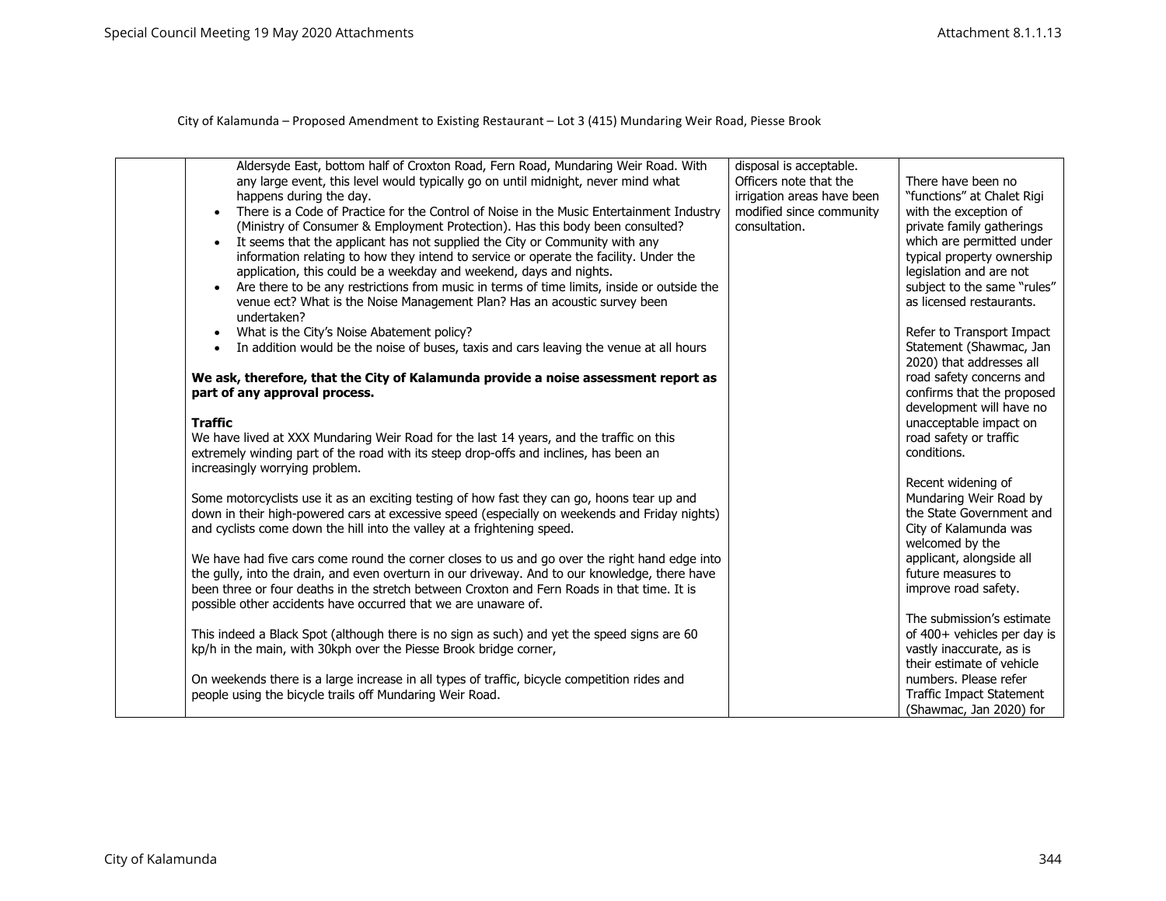| Aldersyde East, bottom half of Croxton Road, Fern Road, Mundaring Weir Road. With<br>any large event, this level would typically go on until midnight, never mind what<br>happens during the day.<br>There is a Code of Practice for the Control of Noise in the Music Entertainment Industry<br>$\bullet$<br>(Ministry of Consumer & Employment Protection). Has this body been consulted?<br>It seems that the applicant has not supplied the City or Community with any<br>$\bullet$<br>information relating to how they intend to service or operate the facility. Under the<br>application, this could be a weekday and weekend, days and nights.<br>Are there to be any restrictions from music in terms of time limits, inside or outside the<br>$\bullet$<br>venue ect? What is the Noise Management Plan? Has an acoustic survey been<br>undertaken? | disposal is acceptable.<br>Officers note that the<br>irrigation areas have been<br>modified since community<br>consultation. | There have been no<br>"functions" at Chalet Rigi<br>with the exception of<br>private family gatherings<br>which are permitted under<br>typical property ownership<br>legislation and are not<br>subject to the same "rules"<br>as licensed restaurants. |
|---------------------------------------------------------------------------------------------------------------------------------------------------------------------------------------------------------------------------------------------------------------------------------------------------------------------------------------------------------------------------------------------------------------------------------------------------------------------------------------------------------------------------------------------------------------------------------------------------------------------------------------------------------------------------------------------------------------------------------------------------------------------------------------------------------------------------------------------------------------|------------------------------------------------------------------------------------------------------------------------------|---------------------------------------------------------------------------------------------------------------------------------------------------------------------------------------------------------------------------------------------------------|
| What is the City's Noise Abatement policy?<br>$\bullet$<br>In addition would be the noise of buses, taxis and cars leaving the venue at all hours<br>$\bullet$                                                                                                                                                                                                                                                                                                                                                                                                                                                                                                                                                                                                                                                                                                |                                                                                                                              | Refer to Transport Impact<br>Statement (Shawmac, Jan<br>2020) that addresses all                                                                                                                                                                        |
| We ask, therefore, that the City of Kalamunda provide a noise assessment report as<br>part of any approval process.<br><b>Traffic</b><br>We have lived at XXX Mundaring Weir Road for the last 14 years, and the traffic on this<br>extremely winding part of the road with its steep drop-offs and inclines, has been an                                                                                                                                                                                                                                                                                                                                                                                                                                                                                                                                     |                                                                                                                              | road safety concerns and<br>confirms that the proposed<br>development will have no<br>unacceptable impact on<br>road safety or traffic<br>conditions.                                                                                                   |
| increasingly worrying problem.<br>Some motorcyclists use it as an exciting testing of how fast they can go, hoons tear up and<br>down in their high-powered cars at excessive speed (especially on weekends and Friday nights)                                                                                                                                                                                                                                                                                                                                                                                                                                                                                                                                                                                                                                |                                                                                                                              | Recent widening of<br>Mundaring Weir Road by<br>the State Government and                                                                                                                                                                                |
| and cyclists come down the hill into the valley at a frightening speed.<br>We have had five cars come round the corner closes to us and go over the right hand edge into<br>the gully, into the drain, and even overturn in our driveway. And to our knowledge, there have<br>been three or four deaths in the stretch between Croxton and Fern Roads in that time. It is<br>possible other accidents have occurred that we are unaware of.                                                                                                                                                                                                                                                                                                                                                                                                                   |                                                                                                                              | City of Kalamunda was<br>welcomed by the<br>applicant, alongside all<br>future measures to<br>improve road safety.                                                                                                                                      |
| This indeed a Black Spot (although there is no sign as such) and yet the speed signs are 60<br>kp/h in the main, with 30kph over the Piesse Brook bridge corner,                                                                                                                                                                                                                                                                                                                                                                                                                                                                                                                                                                                                                                                                                              |                                                                                                                              | The submission's estimate<br>of 400+ vehicles per day is<br>vastly inaccurate, as is<br>their estimate of vehicle                                                                                                                                       |
| On weekends there is a large increase in all types of traffic, bicycle competition rides and<br>people using the bicycle trails off Mundaring Weir Road.                                                                                                                                                                                                                                                                                                                                                                                                                                                                                                                                                                                                                                                                                                      |                                                                                                                              | numbers. Please refer<br>Traffic Impact Statement<br>(Shawmac, Jan 2020) for                                                                                                                                                                            |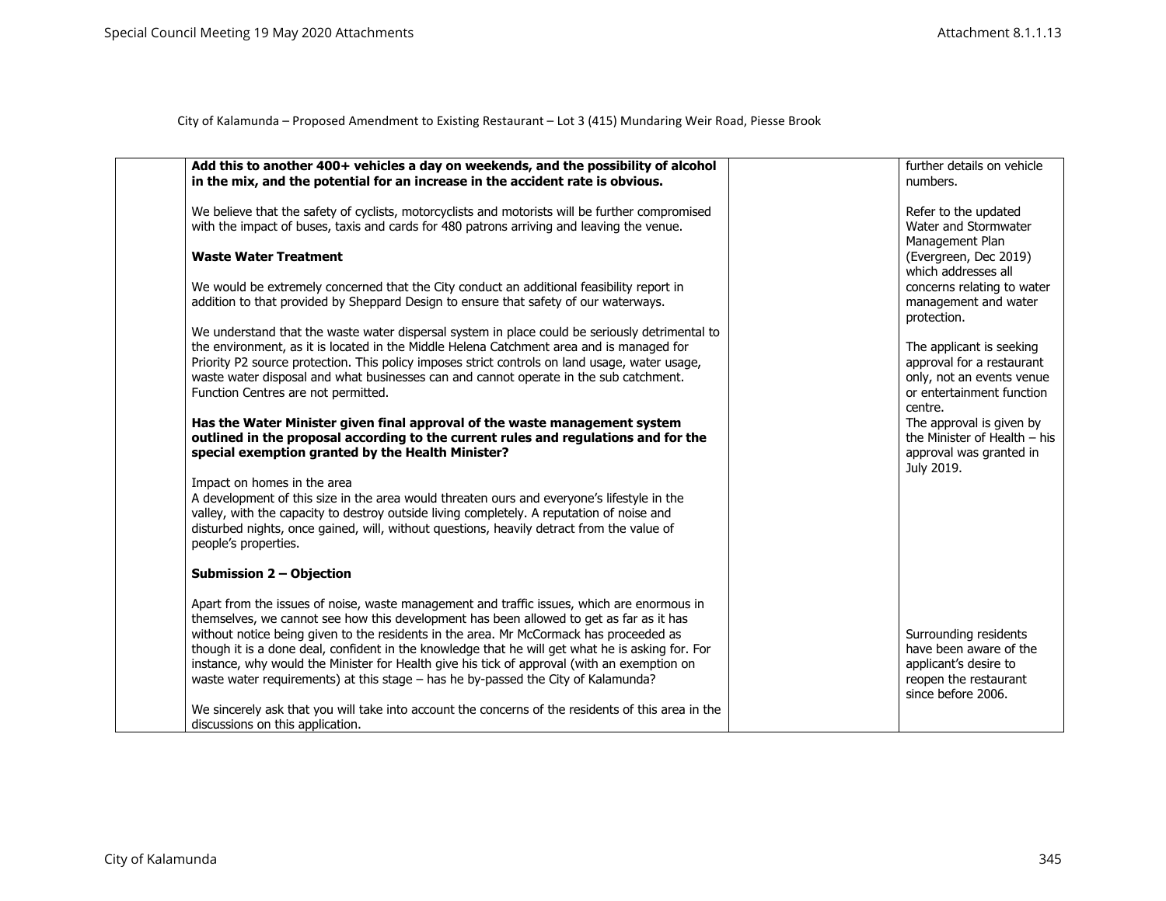| Add this to another 400+ vehicles a day on weekends, and the possibility of alcohol<br>in the mix, and the potential for an increase in the accident rate is obvious.                                                  | further details on vehicle<br>numbers.                                                              |
|------------------------------------------------------------------------------------------------------------------------------------------------------------------------------------------------------------------------|-----------------------------------------------------------------------------------------------------|
| We believe that the safety of cyclists, motorcyclists and motorists will be further compromised<br>with the impact of buses, taxis and cards for 480 patrons arriving and leaving the venue.                           | Refer to the updated<br>Water and Stormwater<br>Management Plan                                     |
| <b>Waste Water Treatment</b>                                                                                                                                                                                           | (Evergreen, Dec 2019)<br>which addresses all                                                        |
| We would be extremely concerned that the City conduct an additional feasibility report in<br>addition to that provided by Sheppard Design to ensure that safety of our waterways.                                      | concerns relating to water<br>management and water<br>protection.                                   |
| We understand that the waste water dispersal system in place could be seriously detrimental to                                                                                                                         |                                                                                                     |
| the environment, as it is located in the Middle Helena Catchment area and is managed for                                                                                                                               | The applicant is seeking                                                                            |
| Priority P2 source protection. This policy imposes strict controls on land usage, water usage,                                                                                                                         | approval for a restaurant                                                                           |
| waste water disposal and what businesses can and cannot operate in the sub catchment.                                                                                                                                  | only, not an events venue<br>or entertainment function                                              |
| Function Centres are not permitted.                                                                                                                                                                                    | centre.                                                                                             |
| Has the Water Minister given final approval of the waste management system<br>outlined in the proposal according to the current rules and regulations and for the<br>special exemption granted by the Health Minister? | The approval is given by<br>the Minister of Health $-$ his<br>approval was granted in<br>July 2019. |
| Impact on homes in the area                                                                                                                                                                                            |                                                                                                     |
| A development of this size in the area would threaten ours and everyone's lifestyle in the                                                                                                                             |                                                                                                     |
| valley, with the capacity to destroy outside living completely. A reputation of noise and<br>disturbed nights, once gained, will, without questions, heavily detract from the value of<br>people's properties.         |                                                                                                     |
| <b>Submission 2 - Objection</b>                                                                                                                                                                                        |                                                                                                     |
| Apart from the issues of noise, waste management and traffic issues, which are enormous in<br>themselves, we cannot see how this development has been allowed to get as far as it has                                  |                                                                                                     |
| without notice being given to the residents in the area. Mr McCormack has proceeded as                                                                                                                                 | Surrounding residents                                                                               |
| though it is a done deal, confident in the knowledge that he will get what he is asking for. For                                                                                                                       | have been aware of the                                                                              |
| instance, why would the Minister for Health give his tick of approval (with an exemption on<br>waste water requirements) at this stage – has he by-passed the City of Kalamunda?                                       | applicant's desire to<br>reopen the restaurant<br>since before 2006.                                |
| We sincerely ask that you will take into account the concerns of the residents of this area in the                                                                                                                     |                                                                                                     |
| discussions on this application.                                                                                                                                                                                       |                                                                                                     |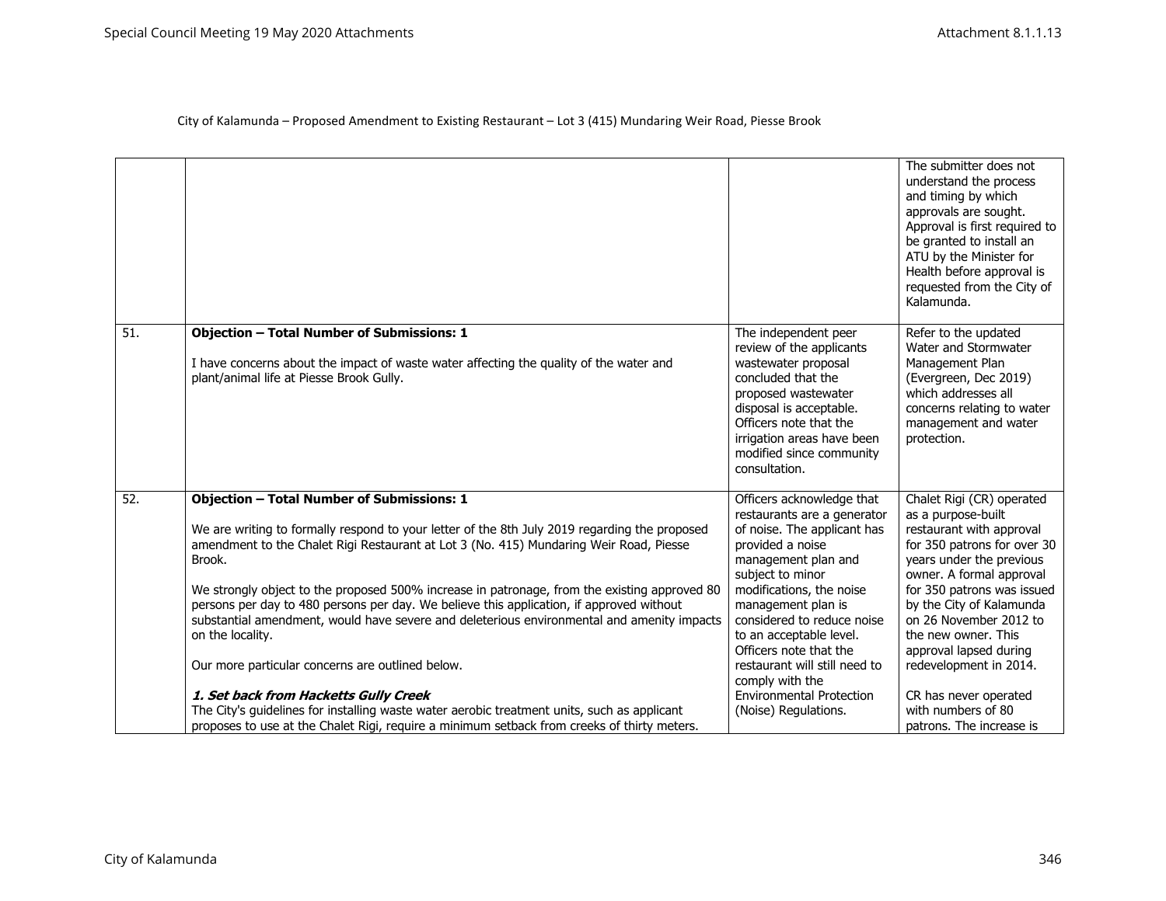|                 |                                                                                                                                                                                                                                                                                                                                                                                                                                                                                                                                                                                                                          |                                                                                                                                                                                                                                                                                                                              | The submitter does not<br>understand the process<br>and timing by which<br>approvals are sought.<br>Approval is first required to<br>be granted to install an<br>ATU by the Minister for<br>Health before approval is<br>requested from the City of<br>Kalamunda.                                                                 |
|-----------------|--------------------------------------------------------------------------------------------------------------------------------------------------------------------------------------------------------------------------------------------------------------------------------------------------------------------------------------------------------------------------------------------------------------------------------------------------------------------------------------------------------------------------------------------------------------------------------------------------------------------------|------------------------------------------------------------------------------------------------------------------------------------------------------------------------------------------------------------------------------------------------------------------------------------------------------------------------------|-----------------------------------------------------------------------------------------------------------------------------------------------------------------------------------------------------------------------------------------------------------------------------------------------------------------------------------|
| $\overline{51}$ | <b>Objection - Total Number of Submissions: 1</b><br>I have concerns about the impact of waste water affecting the quality of the water and<br>plant/animal life at Piesse Brook Gully.                                                                                                                                                                                                                                                                                                                                                                                                                                  | The independent peer<br>review of the applicants<br>wastewater proposal<br>concluded that the<br>proposed wastewater<br>disposal is acceptable.<br>Officers note that the<br>irrigation areas have been<br>modified since community<br>consultation.                                                                         | Refer to the updated<br>Water and Stormwater<br>Management Plan<br>(Evergreen, Dec 2019)<br>which addresses all<br>concerns relating to water<br>management and water<br>protection.                                                                                                                                              |
| 52.             | <b>Objection - Total Number of Submissions: 1</b><br>We are writing to formally respond to your letter of the 8th July 2019 regarding the proposed<br>amendment to the Chalet Rigi Restaurant at Lot 3 (No. 415) Mundaring Weir Road, Piesse<br>Brook.<br>We strongly object to the proposed 500% increase in patronage, from the existing approved 80<br>persons per day to 480 persons per day. We believe this application, if approved without<br>substantial amendment, would have severe and deleterious environmental and amenity impacts<br>on the locality.<br>Our more particular concerns are outlined below. | Officers acknowledge that<br>restaurants are a generator<br>of noise. The applicant has<br>provided a noise<br>management plan and<br>subject to minor<br>modifications, the noise<br>management plan is<br>considered to reduce noise<br>to an acceptable level.<br>Officers note that the<br>restaurant will still need to | Chalet Rigi (CR) operated<br>as a purpose-built<br>restaurant with approval<br>for 350 patrons for over 30<br>years under the previous<br>owner. A formal approval<br>for 350 patrons was issued<br>by the City of Kalamunda<br>on 26 November 2012 to<br>the new owner. This<br>approval lapsed during<br>redevelopment in 2014. |
|                 | 1. Set back from Hacketts Gully Creek<br>The City's quidelines for installing waste water aerobic treatment units, such as applicant<br>proposes to use at the Chalet Rigi, require a minimum setback from creeks of thirty meters.                                                                                                                                                                                                                                                                                                                                                                                      | comply with the<br><b>Environmental Protection</b><br>(Noise) Regulations.                                                                                                                                                                                                                                                   | CR has never operated<br>with numbers of 80<br>patrons. The increase is                                                                                                                                                                                                                                                           |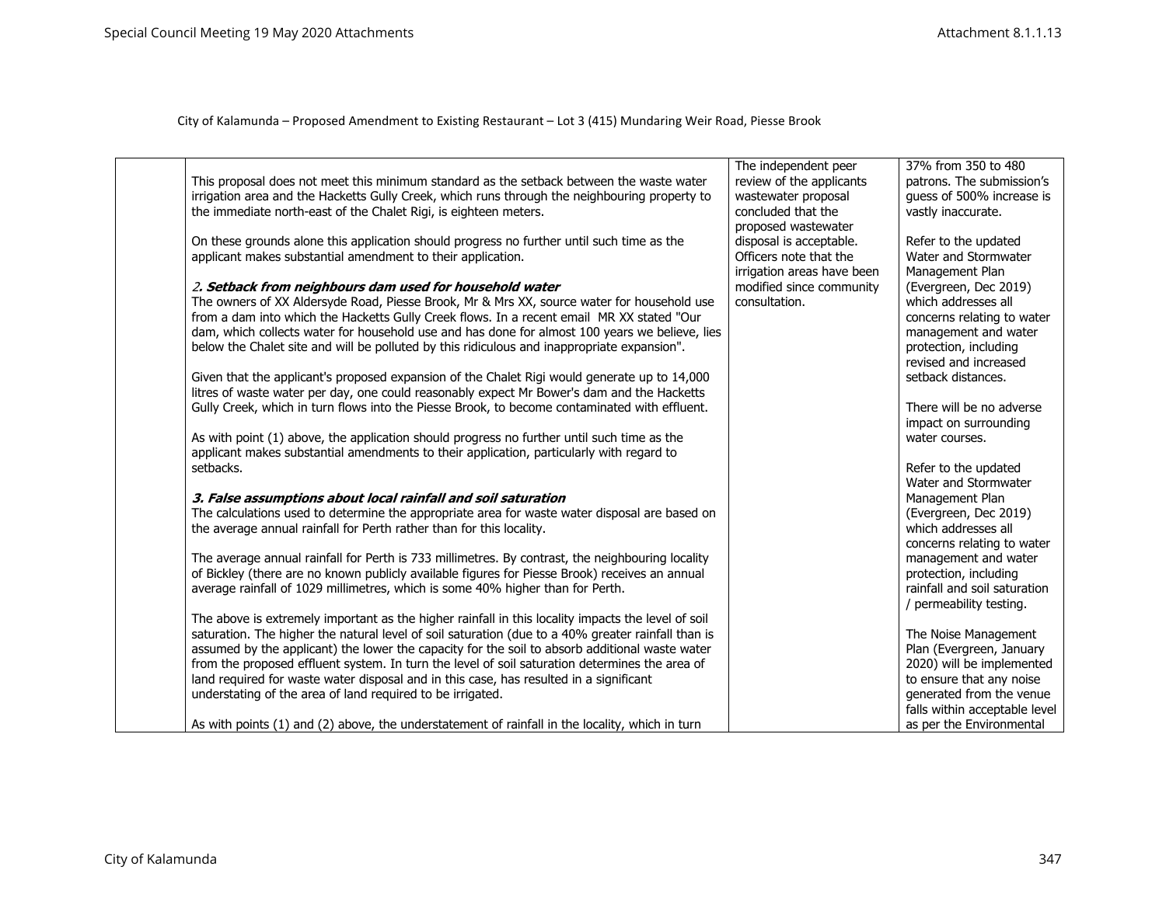|                                                                                                    | The independent peer       | 37% from 350 to 480           |
|----------------------------------------------------------------------------------------------------|----------------------------|-------------------------------|
| This proposal does not meet this minimum standard as the setback between the waste water           | review of the applicants   | patrons. The submission's     |
| irrigation area and the Hacketts Gully Creek, which runs through the neighbouring property to      | wastewater proposal        | quess of 500% increase is     |
| the immediate north-east of the Chalet Rigi, is eighteen meters.                                   | concluded that the         | vastly inaccurate.            |
|                                                                                                    | proposed wastewater        |                               |
| On these grounds alone this application should progress no further until such time as the          | disposal is acceptable.    | Refer to the updated          |
| applicant makes substantial amendment to their application.                                        | Officers note that the     | Water and Stormwater          |
|                                                                                                    | irrigation areas have been | Management Plan               |
| 2. Setback from neighbours dam used for household water                                            | modified since community   | (Evergreen, Dec 2019)         |
| The owners of XX Aldersyde Road, Piesse Brook, Mr & Mrs XX, source water for household use         | consultation.              | which addresses all           |
| from a dam into which the Hacketts Gully Creek flows. In a recent email MR XX stated "Our          |                            | concerns relating to water    |
| dam, which collects water for household use and has done for almost 100 years we believe, lies     |                            | management and water          |
| below the Chalet site and will be polluted by this ridiculous and inappropriate expansion".        |                            | protection, including         |
|                                                                                                    |                            | revised and increased         |
| Given that the applicant's proposed expansion of the Chalet Rigi would generate up to 14,000       |                            | setback distances.            |
| litres of waste water per day, one could reasonably expect Mr Bower's dam and the Hacketts         |                            |                               |
| Gully Creek, which in turn flows into the Piesse Brook, to become contaminated with effluent.      |                            | There will be no adverse      |
|                                                                                                    |                            | impact on surrounding         |
| As with point (1) above, the application should progress no further until such time as the         |                            | water courses.                |
| applicant makes substantial amendments to their application, particularly with regard to           |                            |                               |
| setbacks.                                                                                          |                            | Refer to the updated          |
|                                                                                                    |                            | Water and Stormwater          |
| 3. False assumptions about local rainfall and soil saturation                                      |                            | Management Plan               |
| The calculations used to determine the appropriate area for waste water disposal are based on      |                            | (Evergreen, Dec 2019)         |
| the average annual rainfall for Perth rather than for this locality.                               |                            | which addresses all           |
|                                                                                                    |                            | concerns relating to water    |
| The average annual rainfall for Perth is 733 millimetres. By contrast, the neighbouring locality   |                            | management and water          |
| of Bickley (there are no known publicly available figures for Piesse Brook) receives an annual     |                            | protection, including         |
| average rainfall of 1029 millimetres, which is some 40% higher than for Perth.                     |                            | rainfall and soil saturation  |
|                                                                                                    |                            | / permeability testing.       |
| The above is extremely important as the higher rainfall in this locality impacts the level of soil |                            |                               |
| saturation. The higher the natural level of soil saturation (due to a 40% greater rainfall than is |                            | The Noise Management          |
| assumed by the applicant) the lower the capacity for the soil to absorb additional waste water     |                            | Plan (Evergreen, January      |
| from the proposed effluent system. In turn the level of soil saturation determines the area of     |                            | 2020) will be implemented     |
| land required for waste water disposal and in this case, has resulted in a significant             |                            | to ensure that any noise      |
| understating of the area of land required to be irrigated.                                         |                            | generated from the venue      |
|                                                                                                    |                            | falls within acceptable level |
| As with points (1) and (2) above, the understatement of rainfall in the locality, which in turn    |                            | as per the Environmental      |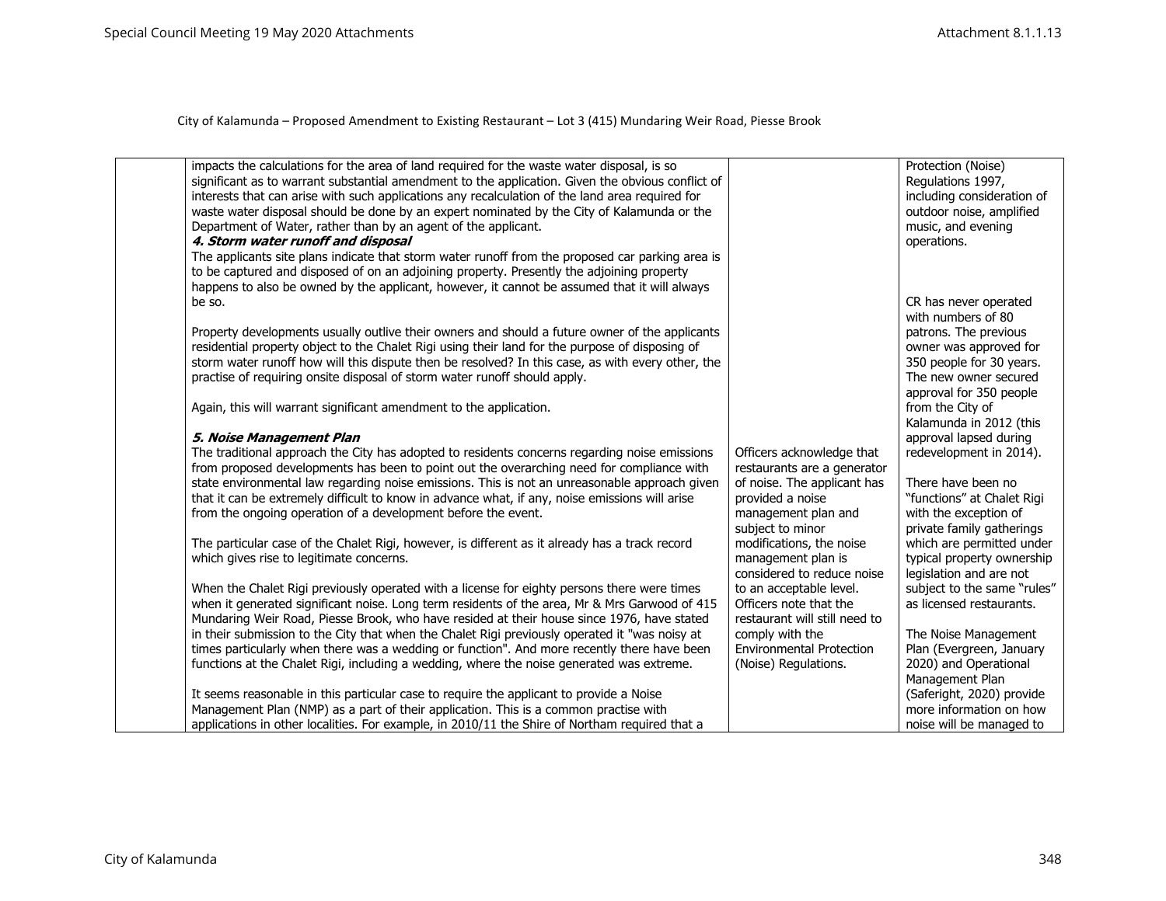| impacts the calculations for the area of land required for the waste water disposal, is so<br>significant as to warrant substantial amendment to the application. Given the obvious conflict of<br>interests that can arise with such applications any recalculation of the land area required for | Protection (Noise)<br>Regulations 1997,                |
|----------------------------------------------------------------------------------------------------------------------------------------------------------------------------------------------------------------------------------------------------------------------------------------------------|--------------------------------------------------------|
| waste water disposal should be done by an expert nominated by the City of Kalamunda or the                                                                                                                                                                                                         | including consideration of<br>outdoor noise, amplified |
|                                                                                                                                                                                                                                                                                                    |                                                        |
| Department of Water, rather than by an agent of the applicant.                                                                                                                                                                                                                                     | music, and evening                                     |
| 4. Storm water runoff and disposal                                                                                                                                                                                                                                                                 | operations.                                            |
| The applicants site plans indicate that storm water runoff from the proposed car parking area is<br>to be captured and disposed of on an adjoining property. Presently the adjoining property                                                                                                      |                                                        |
| happens to also be owned by the applicant, however, it cannot be assumed that it will always                                                                                                                                                                                                       |                                                        |
| be so.                                                                                                                                                                                                                                                                                             |                                                        |
|                                                                                                                                                                                                                                                                                                    | CR has never operated<br>with numbers of 80            |
| Property developments usually outlive their owners and should a future owner of the applicants                                                                                                                                                                                                     | patrons. The previous                                  |
| residential property object to the Chalet Rigi using their land for the purpose of disposing of                                                                                                                                                                                                    | owner was approved for                                 |
| storm water runoff how will this dispute then be resolved? In this case, as with every other, the                                                                                                                                                                                                  | 350 people for 30 years.                               |
| practise of requiring onsite disposal of storm water runoff should apply.                                                                                                                                                                                                                          | The new owner secured                                  |
|                                                                                                                                                                                                                                                                                                    | approval for 350 people                                |
| Again, this will warrant significant amendment to the application.                                                                                                                                                                                                                                 | from the City of                                       |
|                                                                                                                                                                                                                                                                                                    | Kalamunda in 2012 (this                                |
| 5. Noise Management Plan                                                                                                                                                                                                                                                                           | approval lapsed during                                 |
| The traditional approach the City has adopted to residents concerns regarding noise emissions<br>Officers acknowledge that                                                                                                                                                                         | redevelopment in 2014).                                |
| from proposed developments has been to point out the overarching need for compliance with<br>restaurants are a generator                                                                                                                                                                           |                                                        |
| state environmental law regarding noise emissions. This is not an unreasonable approach given<br>of noise. The applicant has                                                                                                                                                                       | There have been no                                     |
| that it can be extremely difficult to know in advance what, if any, noise emissions will arise<br>provided a noise                                                                                                                                                                                 | "functions" at Chalet Rigi                             |
| from the ongoing operation of a development before the event.<br>management plan and                                                                                                                                                                                                               | with the exception of                                  |
| subject to minor                                                                                                                                                                                                                                                                                   | private family gatherings                              |
| modifications, the noise<br>The particular case of the Chalet Rigi, however, is different as it already has a track record                                                                                                                                                                         | which are permitted under                              |
| which gives rise to legitimate concerns.<br>management plan is                                                                                                                                                                                                                                     | typical property ownership                             |
| considered to reduce noise                                                                                                                                                                                                                                                                         | legislation and are not                                |
| When the Chalet Rigi previously operated with a license for eighty persons there were times<br>to an acceptable level.                                                                                                                                                                             | subject to the same "rules"                            |
| when it generated significant noise. Long term residents of the area, Mr & Mrs Garwood of 415<br>Officers note that the                                                                                                                                                                            | as licensed restaurants.                               |
| Mundaring Weir Road, Piesse Brook, who have resided at their house since 1976, have stated<br>restaurant will still need to                                                                                                                                                                        |                                                        |
| in their submission to the City that when the Chalet Rigi previously operated it "was noisy at<br>comply with the                                                                                                                                                                                  | The Noise Management                                   |
| times particularly when there was a wedding or function". And more recently there have been<br><b>Environmental Protection</b>                                                                                                                                                                     | Plan (Evergreen, January                               |
| functions at the Chalet Rigi, including a wedding, where the noise generated was extreme.<br>(Noise) Regulations.                                                                                                                                                                                  | 2020) and Operational                                  |
|                                                                                                                                                                                                                                                                                                    | Management Plan                                        |
| It seems reasonable in this particular case to require the applicant to provide a Noise                                                                                                                                                                                                            | (Saferight, 2020) provide                              |
| Management Plan (NMP) as a part of their application. This is a common practise with                                                                                                                                                                                                               | more information on how                                |
| applications in other localities. For example, in 2010/11 the Shire of Northam required that a                                                                                                                                                                                                     | noise will be managed to                               |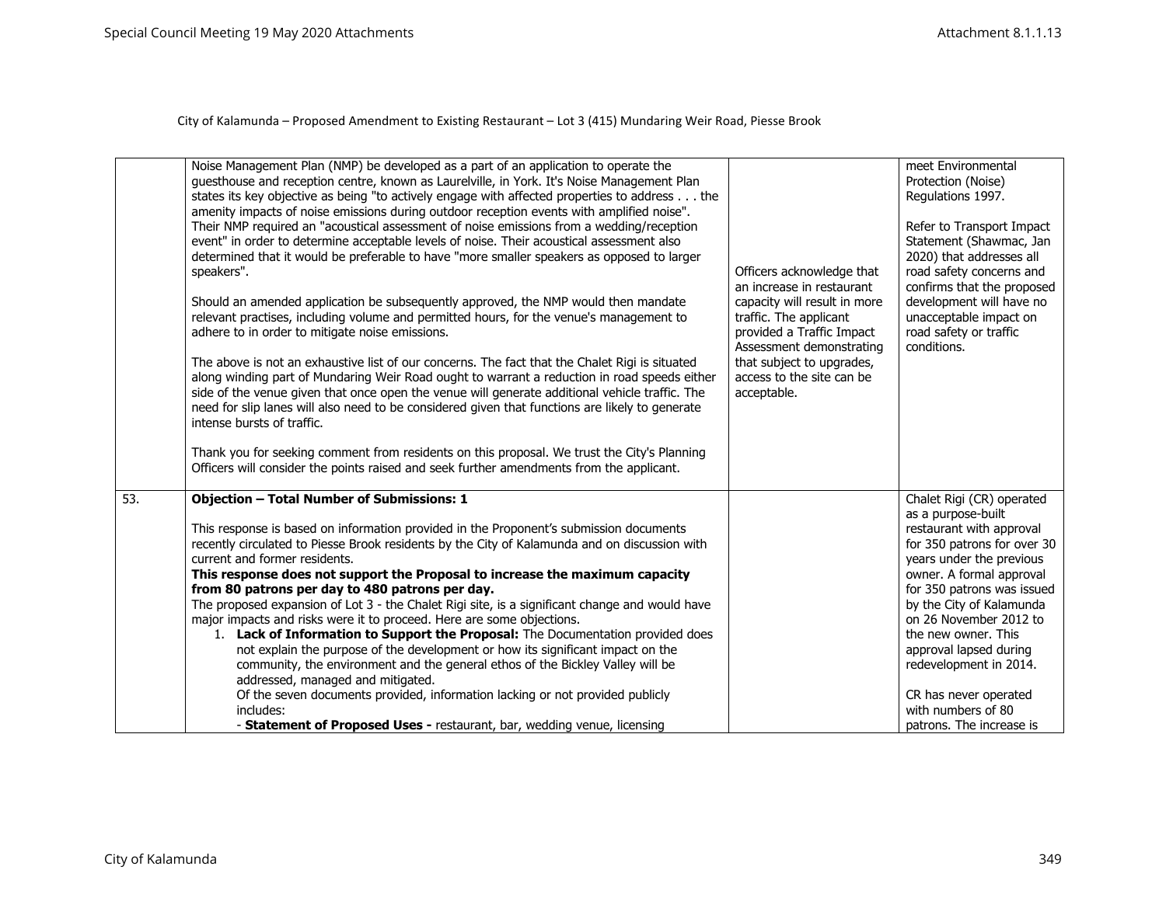|     | Noise Management Plan (NMP) be developed as a part of an application to operate the<br>guesthouse and reception centre, known as Laurelville, in York. It's Noise Management Plan<br>states its key objective as being "to actively engage with affected properties to address the<br>amenity impacts of noise emissions during outdoor reception events with amplified noise".<br>Their NMP required an "acoustical assessment of noise emissions from a wedding/reception<br>event" in order to determine acceptable levels of noise. Their acoustical assessment also<br>determined that it would be preferable to have "more smaller speakers as opposed to larger<br>speakers".<br>Should an amended application be subsequently approved, the NMP would then mandate<br>relevant practises, including volume and permitted hours, for the venue's management to<br>adhere to in order to mitigate noise emissions.<br>The above is not an exhaustive list of our concerns. The fact that the Chalet Rigi is situated<br>along winding part of Mundaring Weir Road ought to warrant a reduction in road speeds either<br>side of the venue given that once open the venue will generate additional vehicle traffic. The<br>need for slip lanes will also need to be considered given that functions are likely to generate<br>intense bursts of traffic.<br>Thank you for seeking comment from residents on this proposal. We trust the City's Planning<br>Officers will consider the points raised and seek further amendments from the applicant. | Officers acknowledge that<br>an increase in restaurant<br>capacity will result in more<br>traffic. The applicant<br>provided a Traffic Impact<br>Assessment demonstrating<br>that subject to upgrades,<br>access to the site can be<br>acceptable. | meet Environmental<br>Protection (Noise)<br>Regulations 1997.<br>Refer to Transport Impact<br>Statement (Shawmac, Jan<br>2020) that addresses all<br>road safety concerns and<br>confirms that the proposed<br>development will have no<br>unacceptable impact on<br>road safety or traffic<br>conditions.                                                                                                   |
|-----|----------------------------------------------------------------------------------------------------------------------------------------------------------------------------------------------------------------------------------------------------------------------------------------------------------------------------------------------------------------------------------------------------------------------------------------------------------------------------------------------------------------------------------------------------------------------------------------------------------------------------------------------------------------------------------------------------------------------------------------------------------------------------------------------------------------------------------------------------------------------------------------------------------------------------------------------------------------------------------------------------------------------------------------------------------------------------------------------------------------------------------------------------------------------------------------------------------------------------------------------------------------------------------------------------------------------------------------------------------------------------------------------------------------------------------------------------------------------------------------------------------------------------------------------------------|----------------------------------------------------------------------------------------------------------------------------------------------------------------------------------------------------------------------------------------------------|--------------------------------------------------------------------------------------------------------------------------------------------------------------------------------------------------------------------------------------------------------------------------------------------------------------------------------------------------------------------------------------------------------------|
| 53. | <b>Objection - Total Number of Submissions: 1</b><br>This response is based on information provided in the Proponent's submission documents<br>recently circulated to Piesse Brook residents by the City of Kalamunda and on discussion with<br>current and former residents.<br>This response does not support the Proposal to increase the maximum capacity<br>from 80 patrons per day to 480 patrons per day.<br>The proposed expansion of Lot 3 - the Chalet Rigi site, is a significant change and would have<br>major impacts and risks were it to proceed. Here are some objections.<br>1. Lack of Information to Support the Proposal: The Documentation provided does<br>not explain the purpose of the development or how its significant impact on the<br>community, the environment and the general ethos of the Bickley Valley will be<br>addressed, managed and mitigated.<br>Of the seven documents provided, information lacking or not provided publicly<br>includes:<br>- Statement of Proposed Uses - restaurant, bar, wedding venue, licensing                                                                                                                                                                                                                                                                                                                                                                                                                                                                                       |                                                                                                                                                                                                                                                    | Chalet Rigi (CR) operated<br>as a purpose-built<br>restaurant with approval<br>for 350 patrons for over 30<br>years under the previous<br>owner. A formal approval<br>for 350 patrons was issued<br>by the City of Kalamunda<br>on 26 November 2012 to<br>the new owner. This<br>approval lapsed during<br>redevelopment in 2014.<br>CR has never operated<br>with numbers of 80<br>patrons. The increase is |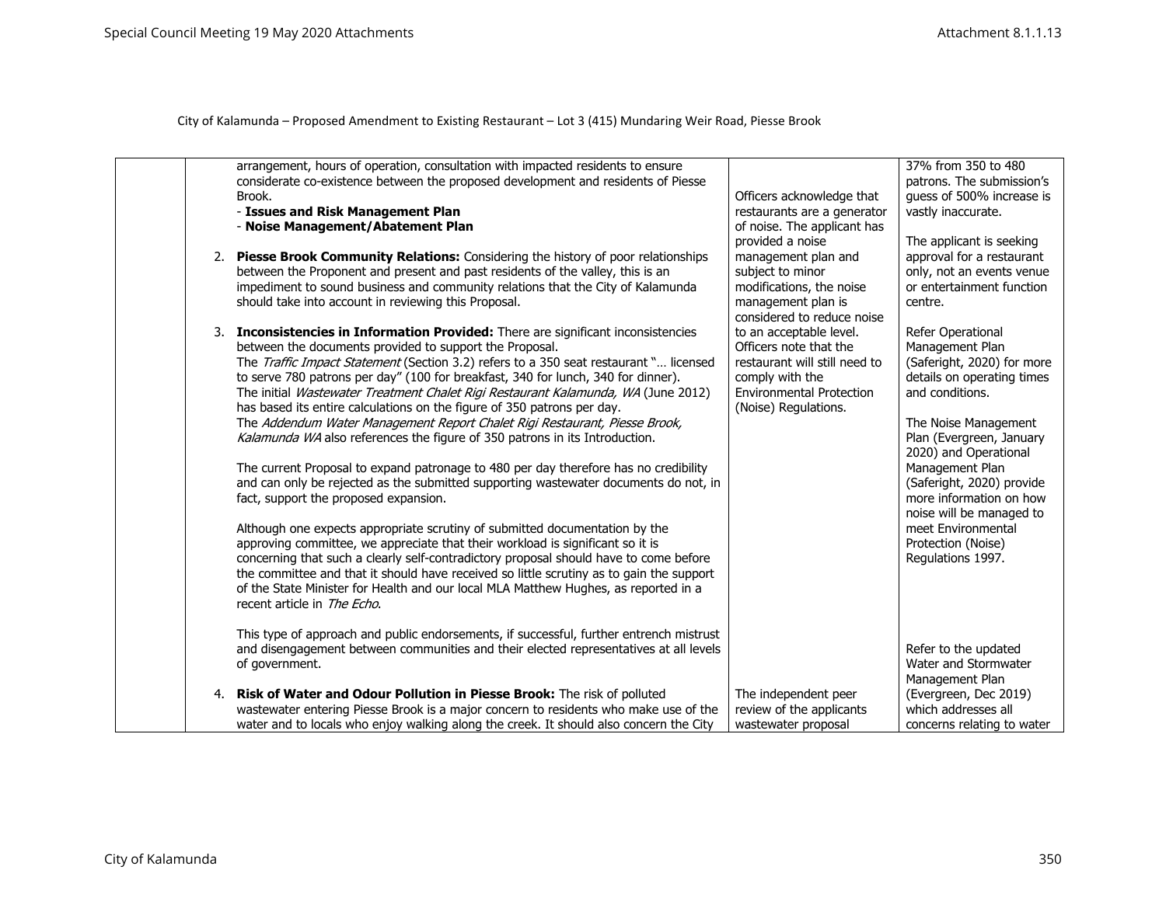|  | arrangement, hours of operation, consultation with impacted residents to ensure<br>considerate co-existence between the proposed development and residents of Piesse<br>Brook.<br>- Issues and Risk Management Plan<br>- Noise Management/Abatement Plan                                                                                                                                                                                                                                                                                                                                                                                                                                                                                                                                                                                                                                                                                                                                                                                                                                                                                                                                                                                                                                                                                                     | Officers acknowledge that<br>restaurants are a generator<br>of noise. The applicant has<br>provided a noise                                                      | 37% from 350 to 480<br>patrons. The submission's<br>guess of 500% increase is<br>vastly inaccurate.<br>The applicant is seeking                                                                                                                                                                                                                                          |
|--|--------------------------------------------------------------------------------------------------------------------------------------------------------------------------------------------------------------------------------------------------------------------------------------------------------------------------------------------------------------------------------------------------------------------------------------------------------------------------------------------------------------------------------------------------------------------------------------------------------------------------------------------------------------------------------------------------------------------------------------------------------------------------------------------------------------------------------------------------------------------------------------------------------------------------------------------------------------------------------------------------------------------------------------------------------------------------------------------------------------------------------------------------------------------------------------------------------------------------------------------------------------------------------------------------------------------------------------------------------------|------------------------------------------------------------------------------------------------------------------------------------------------------------------|--------------------------------------------------------------------------------------------------------------------------------------------------------------------------------------------------------------------------------------------------------------------------------------------------------------------------------------------------------------------------|
|  | 2. Piesse Brook Community Relations: Considering the history of poor relationships<br>between the Proponent and present and past residents of the valley, this is an<br>impediment to sound business and community relations that the City of Kalamunda<br>should take into account in reviewing this Proposal.                                                                                                                                                                                                                                                                                                                                                                                                                                                                                                                                                                                                                                                                                                                                                                                                                                                                                                                                                                                                                                              | management plan and<br>subject to minor<br>modifications, the noise<br>management plan is<br>considered to reduce noise                                          | approval for a restaurant<br>only, not an events venue<br>or entertainment function<br>centre.                                                                                                                                                                                                                                                                           |
|  | 3. Inconsistencies in Information Provided: There are significant inconsistencies<br>between the documents provided to support the Proposal.<br>The Traffic Impact Statement (Section 3.2) refers to a 350 seat restaurant " licensed<br>to serve 780 patrons per day" (100 for breakfast, 340 for lunch, 340 for dinner).<br>The initial Wastewater Treatment Chalet Rigi Restaurant Kalamunda, WA (June 2012)<br>has based its entire calculations on the figure of 350 patrons per day.<br>The Addendum Water Management Report Chalet Rigi Restaurant, Piesse Brook,<br>Kalamunda WA also references the figure of 350 patrons in its Introduction.<br>The current Proposal to expand patronage to 480 per day therefore has no credibility<br>and can only be rejected as the submitted supporting wastewater documents do not, in<br>fact, support the proposed expansion.<br>Although one expects appropriate scrutiny of submitted documentation by the<br>approving committee, we appreciate that their workload is significant so it is<br>concerning that such a clearly self-contradictory proposal should have to come before<br>the committee and that it should have received so little scrutiny as to gain the support<br>of the State Minister for Health and our local MLA Matthew Hughes, as reported in a<br>recent article in The Echo. | to an acceptable level.<br>Officers note that the<br>restaurant will still need to<br>comply with the<br><b>Environmental Protection</b><br>(Noise) Regulations. | Refer Operational<br>Management Plan<br>(Saferight, 2020) for more<br>details on operating times<br>and conditions.<br>The Noise Management<br>Plan (Evergreen, January<br>2020) and Operational<br>Management Plan<br>(Saferight, 2020) provide<br>more information on how<br>noise will be managed to<br>meet Environmental<br>Protection (Noise)<br>Regulations 1997. |
|  | This type of approach and public endorsements, if successful, further entrench mistrust<br>and disengagement between communities and their elected representatives at all levels<br>of government.                                                                                                                                                                                                                                                                                                                                                                                                                                                                                                                                                                                                                                                                                                                                                                                                                                                                                                                                                                                                                                                                                                                                                           |                                                                                                                                                                  | Refer to the updated<br>Water and Stormwater<br>Management Plan                                                                                                                                                                                                                                                                                                          |
|  | 4. Risk of Water and Odour Pollution in Piesse Brook: The risk of polluted<br>wastewater entering Piesse Brook is a major concern to residents who make use of the<br>water and to locals who enjoy walking along the creek. It should also concern the City                                                                                                                                                                                                                                                                                                                                                                                                                                                                                                                                                                                                                                                                                                                                                                                                                                                                                                                                                                                                                                                                                                 | The independent peer<br>review of the applicants<br>wastewater proposal                                                                                          | (Evergreen, Dec 2019)<br>which addresses all<br>concerns relating to water                                                                                                                                                                                                                                                                                               |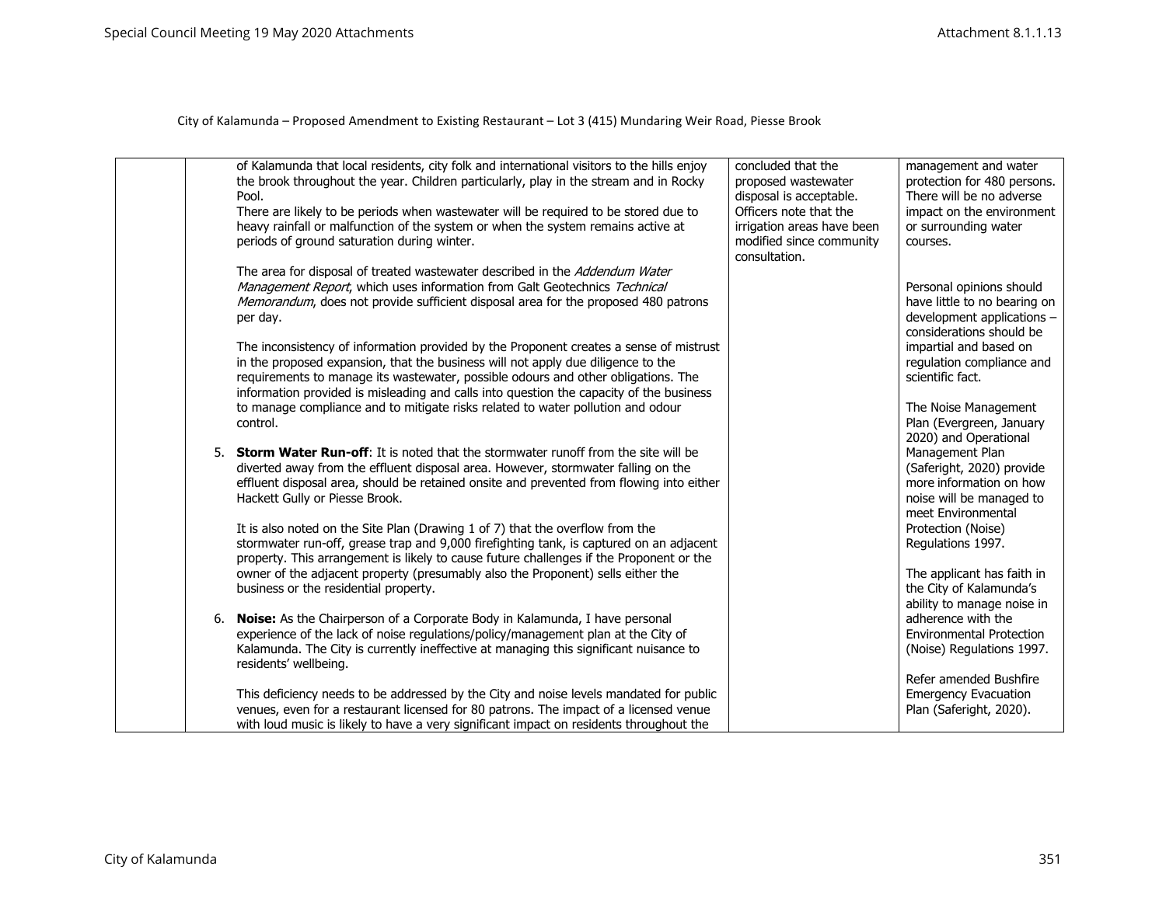|  | of Kalamunda that local residents, city folk and international visitors to the hills enjoy<br>the brook throughout the year. Children particularly, play in the stream and in Rocky<br>Pool.                                                                                                                                                               | concluded that the<br>proposed wastewater<br>disposal is acceptable.                              | management and water<br>protection for 480 persons.<br>There will be no adverse                                           |
|--|------------------------------------------------------------------------------------------------------------------------------------------------------------------------------------------------------------------------------------------------------------------------------------------------------------------------------------------------------------|---------------------------------------------------------------------------------------------------|---------------------------------------------------------------------------------------------------------------------------|
|  | There are likely to be periods when wastewater will be required to be stored due to<br>heavy rainfall or malfunction of the system or when the system remains active at<br>periods of ground saturation during winter.                                                                                                                                     | Officers note that the<br>irrigation areas have been<br>modified since community<br>consultation. | impact on the environment<br>or surrounding water<br>courses.                                                             |
|  | The area for disposal of treated wastewater described in the Addendum Water<br>Management Report, which uses information from Galt Geotechnics Technical<br>Memorandum, does not provide sufficient disposal area for the proposed 480 patrons<br>per day.                                                                                                 |                                                                                                   | Personal opinions should<br>have little to no bearing on<br>development applications -<br>considerations should be        |
|  | The inconsistency of information provided by the Proponent creates a sense of mistrust<br>in the proposed expansion, that the business will not apply due diligence to the<br>requirements to manage its wastewater, possible odours and other obligations. The<br>information provided is misleading and calls into question the capacity of the business |                                                                                                   | impartial and based on<br>regulation compliance and<br>scientific fact.                                                   |
|  | to manage compliance and to mitigate risks related to water pollution and odour<br>control.                                                                                                                                                                                                                                                                |                                                                                                   | The Noise Management<br>Plan (Evergreen, January<br>2020) and Operational                                                 |
|  | 5. Storm Water Run-off: It is noted that the stormwater runoff from the site will be<br>diverted away from the effluent disposal area. However, stormwater falling on the<br>effluent disposal area, should be retained onsite and prevented from flowing into either<br>Hackett Gully or Piesse Brook.                                                    |                                                                                                   | Management Plan<br>(Saferight, 2020) provide<br>more information on how<br>noise will be managed to<br>meet Environmental |
|  | It is also noted on the Site Plan (Drawing 1 of 7) that the overflow from the<br>stormwater run-off, grease trap and 9,000 firefighting tank, is captured on an adjacent<br>property. This arrangement is likely to cause future challenges if the Proponent or the                                                                                        |                                                                                                   | Protection (Noise)<br>Regulations 1997.                                                                                   |
|  | owner of the adjacent property (presumably also the Proponent) sells either the<br>business or the residential property.                                                                                                                                                                                                                                   |                                                                                                   | The applicant has faith in<br>the City of Kalamunda's<br>ability to manage noise in                                       |
|  | 6. Noise: As the Chairperson of a Corporate Body in Kalamunda, I have personal<br>experience of the lack of noise regulations/policy/management plan at the City of<br>Kalamunda. The City is currently ineffective at managing this significant nuisance to<br>residents' wellbeing.                                                                      |                                                                                                   | adherence with the<br><b>Environmental Protection</b><br>(Noise) Regulations 1997.                                        |
|  | This deficiency needs to be addressed by the City and noise levels mandated for public<br>venues, even for a restaurant licensed for 80 patrons. The impact of a licensed venue<br>with loud music is likely to have a very significant impact on residents throughout the                                                                                 |                                                                                                   | Refer amended Bushfire<br><b>Emergency Evacuation</b><br>Plan (Saferight, 2020).                                          |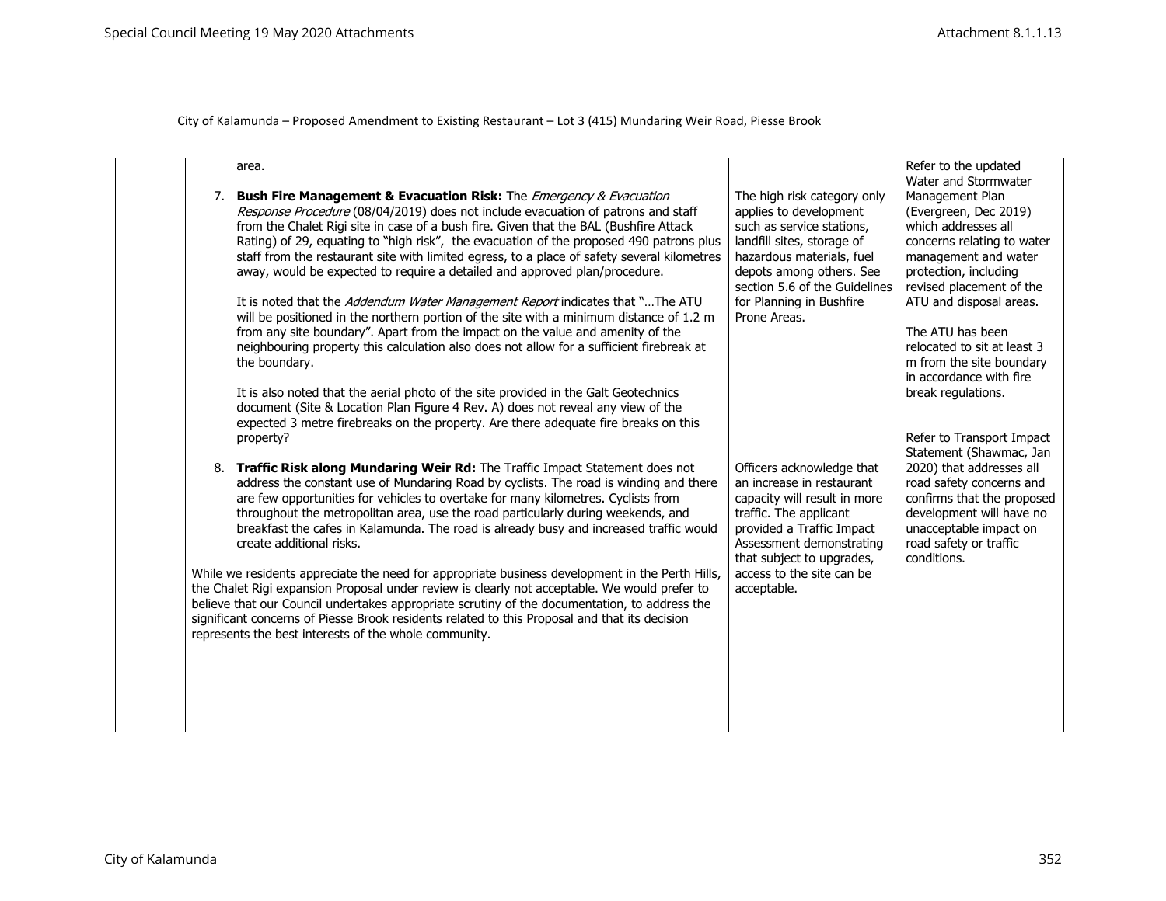| 7. | area.<br><b>Bush Fire Management &amp; Evacuation Risk:</b> The <i>Emergency &amp; Evacuation</i><br>Response Procedure (08/04/2019) does not include evacuation of patrons and staff<br>from the Chalet Rigi site in case of a bush fire. Given that the BAL (Bushfire Attack<br>Rating) of 29, equating to "high risk", the evacuation of the proposed 490 patrons plus<br>staff from the restaurant site with limited egress, to a place of safety several kilometres<br>away, would be expected to require a detailed and approved plan/procedure.<br>It is noted that the Addendum Water Management Report indicates that "The ATU<br>will be positioned in the northern portion of the site with a minimum distance of 1.2 m<br>from any site boundary". Apart from the impact on the value and amenity of the<br>neighbouring property this calculation also does not allow for a sufficient firebreak at<br>the boundary.<br>It is also noted that the aerial photo of the site provided in the Galt Geotechnics<br>document (Site & Location Plan Figure 4 Rev. A) does not reveal any view of the<br>expected 3 metre firebreaks on the property. Are there adequate fire breaks on this<br>property? | The high risk category only<br>applies to development<br>such as service stations,<br>landfill sites, storage of<br>hazardous materials, fuel<br>depots among others. See<br>section 5.6 of the Guidelines<br>for Planning in Bushfire<br>Prone Areas. | Refer to the updated<br>Water and Stormwater<br>Management Plan<br>(Evergreen, Dec 2019)<br>which addresses all<br>concerns relating to water<br>management and water<br>protection, including<br>revised placement of the<br>ATU and disposal areas.<br>The ATU has been<br>relocated to sit at least 3<br>m from the site boundary<br>in accordance with fire<br>break regulations.<br>Refer to Transport Impact<br>Statement (Shawmac, Jan |
|----|-----------------------------------------------------------------------------------------------------------------------------------------------------------------------------------------------------------------------------------------------------------------------------------------------------------------------------------------------------------------------------------------------------------------------------------------------------------------------------------------------------------------------------------------------------------------------------------------------------------------------------------------------------------------------------------------------------------------------------------------------------------------------------------------------------------------------------------------------------------------------------------------------------------------------------------------------------------------------------------------------------------------------------------------------------------------------------------------------------------------------------------------------------------------------------------------------------------------|--------------------------------------------------------------------------------------------------------------------------------------------------------------------------------------------------------------------------------------------------------|-----------------------------------------------------------------------------------------------------------------------------------------------------------------------------------------------------------------------------------------------------------------------------------------------------------------------------------------------------------------------------------------------------------------------------------------------|
|    | 8. Traffic Risk along Mundaring Weir Rd: The Traffic Impact Statement does not<br>address the constant use of Mundaring Road by cyclists. The road is winding and there<br>are few opportunities for vehicles to overtake for many kilometres. Cyclists from<br>throughout the metropolitan area, use the road particularly during weekends, and<br>breakfast the cafes in Kalamunda. The road is already busy and increased traffic would<br>create additional risks.<br>While we residents appreciate the need for appropriate business development in the Perth Hills,<br>the Chalet Rigi expansion Proposal under review is clearly not acceptable. We would prefer to<br>believe that our Council undertakes appropriate scrutiny of the documentation, to address the<br>significant concerns of Piesse Brook residents related to this Proposal and that its decision<br>represents the best interests of the whole community.                                                                                                                                                                                                                                                                           | Officers acknowledge that<br>an increase in restaurant<br>capacity will result in more<br>traffic. The applicant<br>provided a Traffic Impact<br>Assessment demonstrating<br>that subject to upgrades,<br>access to the site can be<br>acceptable.     | 2020) that addresses all<br>road safety concerns and<br>confirms that the proposed<br>development will have no<br>unacceptable impact on<br>road safety or traffic<br>conditions.                                                                                                                                                                                                                                                             |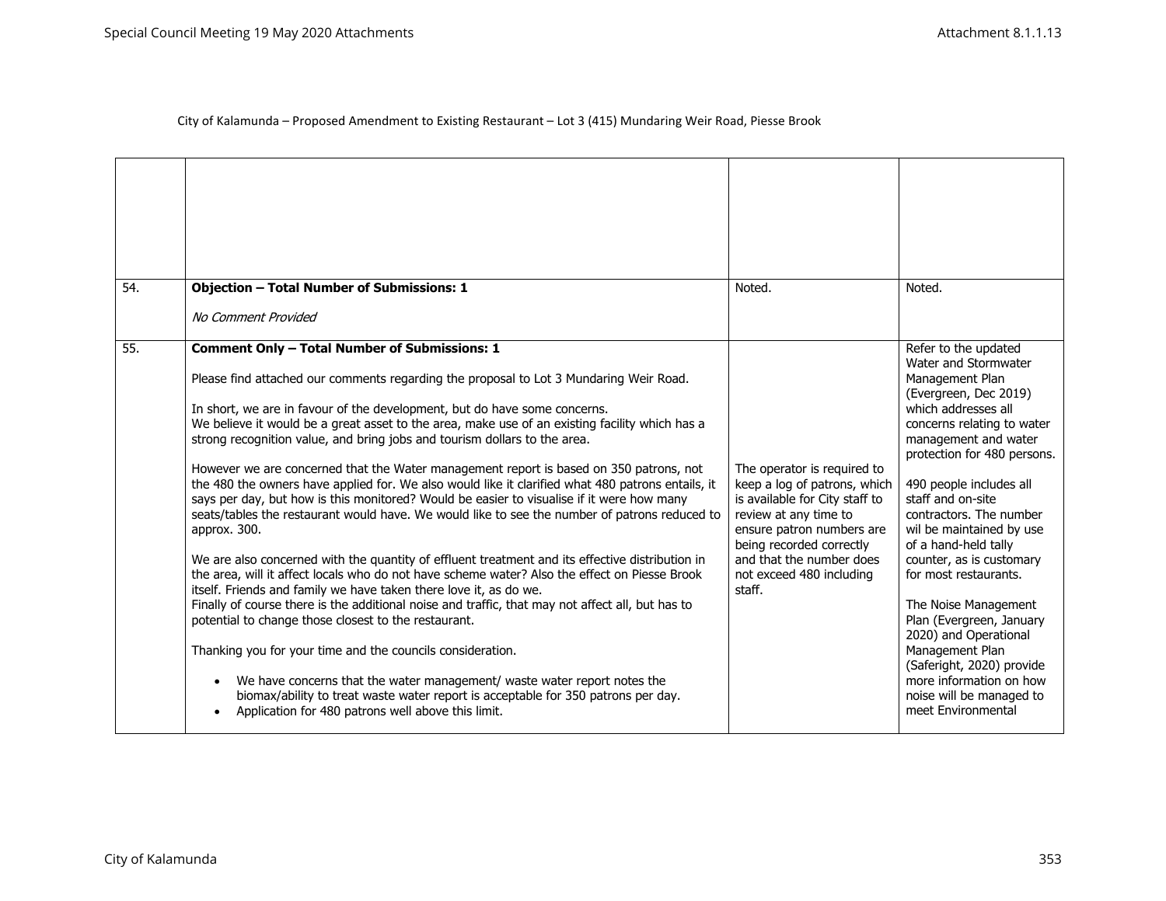| 54. | <b>Objection - Total Number of Submissions: 1</b>                                                                                                                                                                                                                                                                                                                                                                                                                                                                                                                                                                                                                                                                                                                                                                                                                                                                                                                                                                                                                                                                                                                                                                                                                                                                                                                                                                                                                                                                                                 | Noted.                                                                                                                                                                                                                                            | Noted.                                                                                                                                                                                                                                                                                                                                                                                                                                                                                                                                                                                             |
|-----|---------------------------------------------------------------------------------------------------------------------------------------------------------------------------------------------------------------------------------------------------------------------------------------------------------------------------------------------------------------------------------------------------------------------------------------------------------------------------------------------------------------------------------------------------------------------------------------------------------------------------------------------------------------------------------------------------------------------------------------------------------------------------------------------------------------------------------------------------------------------------------------------------------------------------------------------------------------------------------------------------------------------------------------------------------------------------------------------------------------------------------------------------------------------------------------------------------------------------------------------------------------------------------------------------------------------------------------------------------------------------------------------------------------------------------------------------------------------------------------------------------------------------------------------------|---------------------------------------------------------------------------------------------------------------------------------------------------------------------------------------------------------------------------------------------------|----------------------------------------------------------------------------------------------------------------------------------------------------------------------------------------------------------------------------------------------------------------------------------------------------------------------------------------------------------------------------------------------------------------------------------------------------------------------------------------------------------------------------------------------------------------------------------------------------|
|     | No Comment Provided                                                                                                                                                                                                                                                                                                                                                                                                                                                                                                                                                                                                                                                                                                                                                                                                                                                                                                                                                                                                                                                                                                                                                                                                                                                                                                                                                                                                                                                                                                                               |                                                                                                                                                                                                                                                   |                                                                                                                                                                                                                                                                                                                                                                                                                                                                                                                                                                                                    |
| 55. | <b>Comment Only - Total Number of Submissions: 1</b><br>Please find attached our comments regarding the proposal to Lot 3 Mundaring Weir Road.<br>In short, we are in favour of the development, but do have some concerns.<br>We believe it would be a great asset to the area, make use of an existing facility which has a<br>strong recognition value, and bring jobs and tourism dollars to the area.<br>However we are concerned that the Water management report is based on 350 patrons, not<br>the 480 the owners have applied for. We also would like it clarified what 480 patrons entails, it<br>says per day, but how is this monitored? Would be easier to visualise if it were how many<br>seats/tables the restaurant would have. We would like to see the number of patrons reduced to<br>approx. 300.<br>We are also concerned with the quantity of effluent treatment and its effective distribution in<br>the area, will it affect locals who do not have scheme water? Also the effect on Piesse Brook<br>itself. Friends and family we have taken there love it, as do we.<br>Finally of course there is the additional noise and traffic, that may not affect all, but has to<br>potential to change those closest to the restaurant.<br>Thanking you for your time and the councils consideration.<br>We have concerns that the water management/ waste water report notes the<br>biomax/ability to treat waste water report is acceptable for 350 patrons per day.<br>Application for 480 patrons well above this limit. | The operator is required to<br>keep a log of patrons, which<br>is available for City staff to<br>review at any time to<br>ensure patron numbers are<br>being recorded correctly<br>and that the number does<br>not exceed 480 including<br>staff. | Refer to the updated<br>Water and Stormwater<br>Management Plan<br>(Evergreen, Dec 2019)<br>which addresses all<br>concerns relating to water<br>management and water<br>protection for 480 persons.<br>490 people includes all<br>staff and on-site<br>contractors. The number<br>wil be maintained by use<br>of a hand-held tally<br>counter, as is customary<br>for most restaurants.<br>The Noise Management<br>Plan (Evergreen, January<br>2020) and Operational<br>Management Plan<br>(Saferight, 2020) provide<br>more information on how<br>noise will be managed to<br>meet Environmental |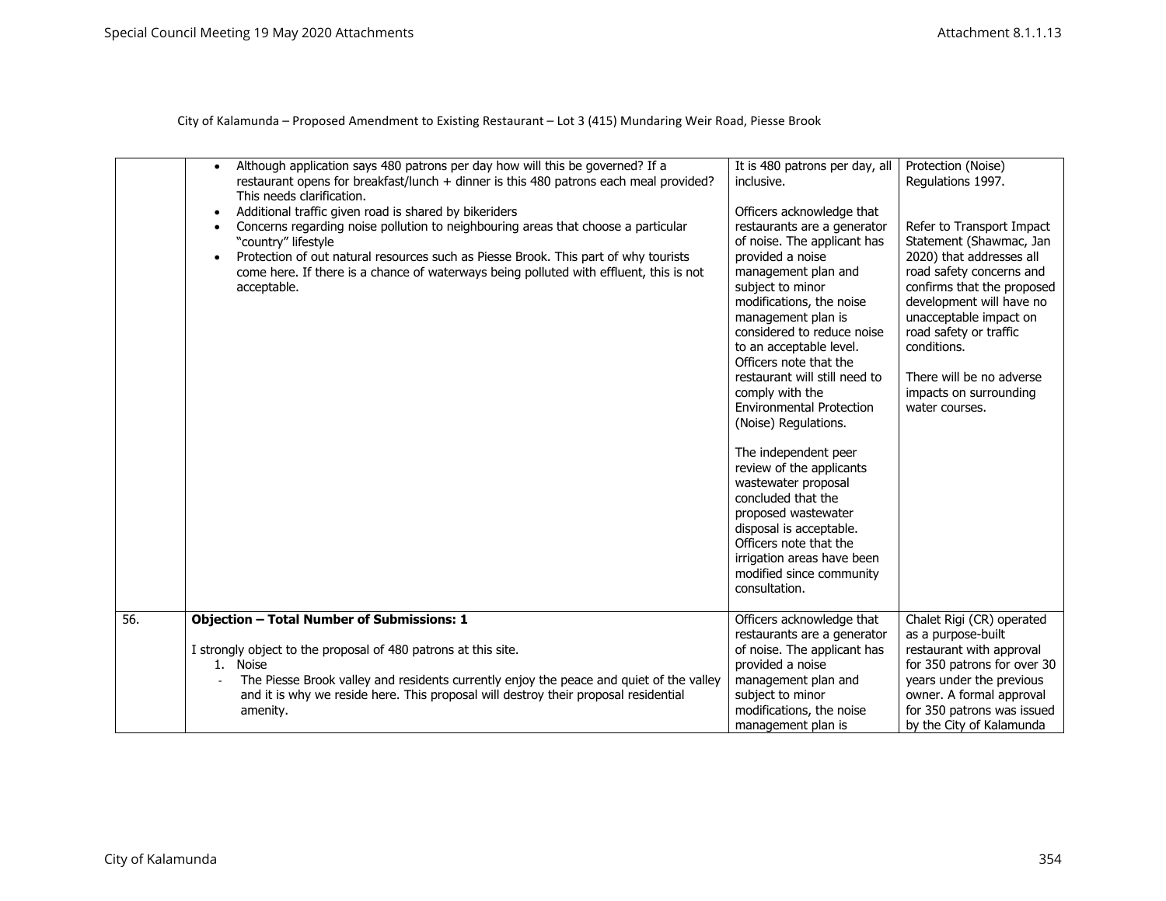|     | Although application says 480 patrons per day how will this be governed? If a<br>$\bullet$<br>restaurant opens for breakfast/lunch + dinner is this 480 patrons each meal provided?<br>This needs clarification.<br>Additional traffic given road is shared by bikeriders<br>Concerns regarding noise pollution to neighbouring areas that choose a particular<br>"country" lifestyle<br>Protection of out natural resources such as Piesse Brook. This part of why tourists<br>come here. If there is a chance of waterways being polluted with effluent, this is not<br>acceptable. | It is 480 patrons per day, all<br>inclusive.<br>Officers acknowledge that<br>restaurants are a generator<br>of noise. The applicant has<br>provided a noise<br>management plan and<br>subject to minor<br>modifications, the noise<br>management plan is<br>considered to reduce noise<br>to an acceptable level.<br>Officers note that the<br>restaurant will still need to<br>comply with the<br><b>Environmental Protection</b><br>(Noise) Regulations.<br>The independent peer<br>review of the applicants<br>wastewater proposal<br>concluded that the<br>proposed wastewater<br>disposal is acceptable. | Protection (Noise)<br>Regulations 1997.<br>Refer to Transport Impact<br>Statement (Shawmac, Jan<br>2020) that addresses all<br>road safety concerns and<br>confirms that the proposed<br>development will have no<br>unacceptable impact on<br>road safety or traffic<br>conditions.<br>There will be no adverse<br>impacts on surrounding<br>water courses. |
|-----|---------------------------------------------------------------------------------------------------------------------------------------------------------------------------------------------------------------------------------------------------------------------------------------------------------------------------------------------------------------------------------------------------------------------------------------------------------------------------------------------------------------------------------------------------------------------------------------|---------------------------------------------------------------------------------------------------------------------------------------------------------------------------------------------------------------------------------------------------------------------------------------------------------------------------------------------------------------------------------------------------------------------------------------------------------------------------------------------------------------------------------------------------------------------------------------------------------------|--------------------------------------------------------------------------------------------------------------------------------------------------------------------------------------------------------------------------------------------------------------------------------------------------------------------------------------------------------------|
|     |                                                                                                                                                                                                                                                                                                                                                                                                                                                                                                                                                                                       | Officers note that the<br>irrigation areas have been<br>modified since community<br>consultation.                                                                                                                                                                                                                                                                                                                                                                                                                                                                                                             |                                                                                                                                                                                                                                                                                                                                                              |
| 56. | <b>Objection - Total Number of Submissions: 1</b><br>I strongly object to the proposal of 480 patrons at this site.<br>1. Noise<br>The Piesse Brook valley and residents currently enjoy the peace and quiet of the valley<br>and it is why we reside here. This proposal will destroy their proposal residential<br>amenity.                                                                                                                                                                                                                                                         | Officers acknowledge that<br>restaurants are a generator<br>of noise. The applicant has<br>provided a noise<br>management plan and<br>subject to minor<br>modifications, the noise<br>management plan is                                                                                                                                                                                                                                                                                                                                                                                                      | Chalet Rigi (CR) operated<br>as a purpose-built<br>restaurant with approval<br>for 350 patrons for over 30<br>years under the previous<br>owner. A formal approval<br>for 350 patrons was issued<br>by the City of Kalamunda                                                                                                                                 |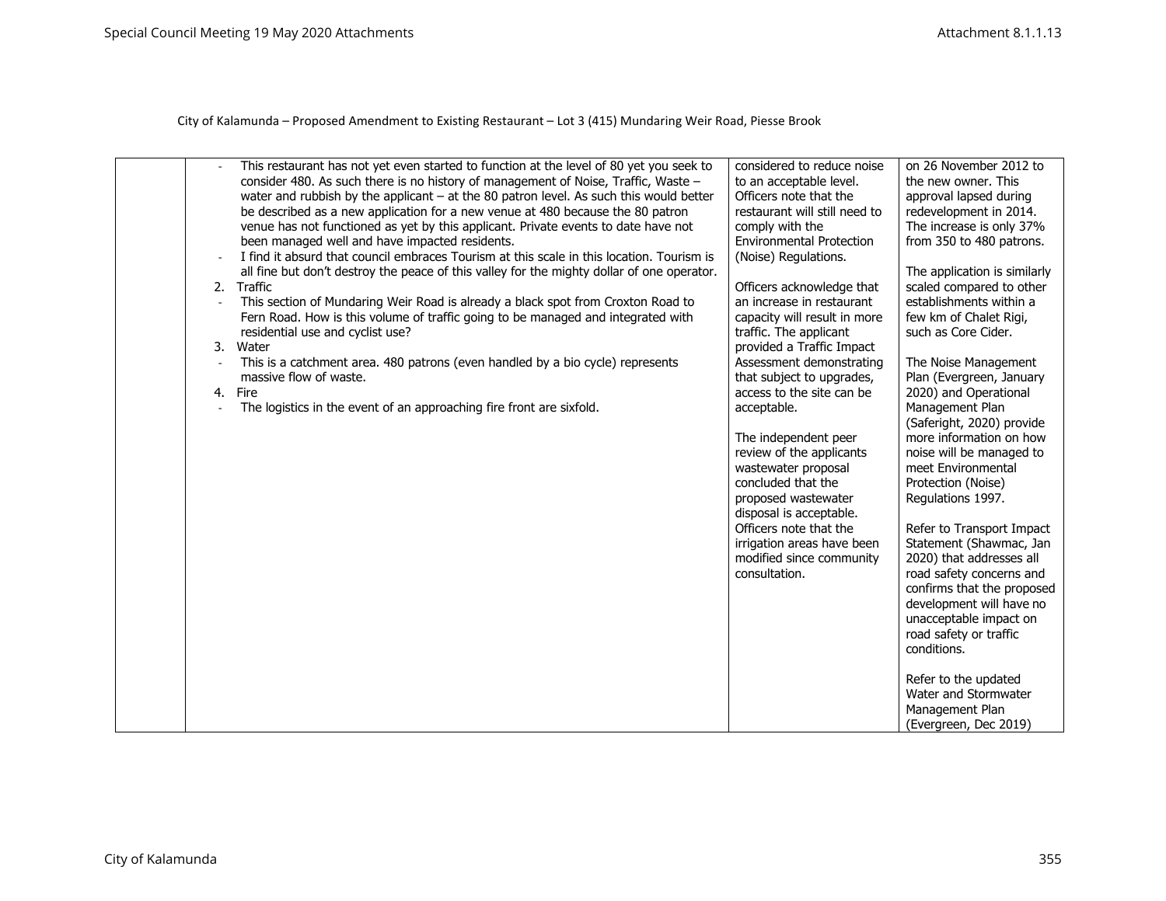| 3.<br>4. | This restaurant has not yet even started to function at the level of 80 yet you seek to<br>consider 480. As such there is no history of management of Noise, Traffic, Waste -<br>water and rubbish by the applicant - at the 80 patron level. As such this would better<br>be described as a new application for a new venue at 480 because the 80 patron<br>venue has not functioned as yet by this applicant. Private events to date have not<br>been managed well and have impacted residents.<br>I find it absurd that council embraces Tourism at this scale in this location. Tourism is<br>all fine but don't destroy the peace of this valley for the mighty dollar of one operator.<br>2. Traffic<br>This section of Mundaring Weir Road is already a black spot from Croxton Road to<br>Fern Road. How is this volume of traffic going to be managed and integrated with<br>residential use and cyclist use?<br>Water<br>This is a catchment area. 480 patrons (even handled by a bio cycle) represents<br>massive flow of waste.<br>Fire<br>The logistics in the event of an approaching fire front are sixfold. | considered to reduce noise<br>to an acceptable level.<br>Officers note that the<br>restaurant will still need to<br>comply with the<br><b>Environmental Protection</b><br>(Noise) Regulations.<br>Officers acknowledge that<br>an increase in restaurant<br>capacity will result in more<br>traffic. The applicant<br>provided a Traffic Impact<br>Assessment demonstrating<br>that subject to upgrades,<br>access to the site can be<br>acceptable.<br>The independent peer<br>review of the applicants<br>wastewater proposal<br>concluded that the<br>proposed wastewater<br>disposal is acceptable.<br>Officers note that the<br>irrigation areas have been<br>modified since community<br>consultation. | on 26 November 2012 to<br>the new owner. This<br>approval lapsed during<br>redevelopment in 2014.<br>The increase is only 37%<br>from 350 to 480 patrons.<br>The application is similarly<br>scaled compared to other<br>establishments within a<br>few km of Chalet Rigi,<br>such as Core Cider.<br>The Noise Management<br>Plan (Evergreen, January<br>2020) and Operational<br>Management Plan<br>(Saferight, 2020) provide<br>more information on how<br>noise will be managed to<br>meet Environmental<br>Protection (Noise)<br>Regulations 1997.<br>Refer to Transport Impact<br>Statement (Shawmac, Jan<br>2020) that addresses all<br>road safety concerns and<br>confirms that the proposed<br>development will have no<br>unacceptable impact on<br>road safety or traffic<br>conditions.<br>Refer to the updated |
|----------|-----------------------------------------------------------------------------------------------------------------------------------------------------------------------------------------------------------------------------------------------------------------------------------------------------------------------------------------------------------------------------------------------------------------------------------------------------------------------------------------------------------------------------------------------------------------------------------------------------------------------------------------------------------------------------------------------------------------------------------------------------------------------------------------------------------------------------------------------------------------------------------------------------------------------------------------------------------------------------------------------------------------------------------------------------------------------------------------------------------------------------|--------------------------------------------------------------------------------------------------------------------------------------------------------------------------------------------------------------------------------------------------------------------------------------------------------------------------------------------------------------------------------------------------------------------------------------------------------------------------------------------------------------------------------------------------------------------------------------------------------------------------------------------------------------------------------------------------------------|-----------------------------------------------------------------------------------------------------------------------------------------------------------------------------------------------------------------------------------------------------------------------------------------------------------------------------------------------------------------------------------------------------------------------------------------------------------------------------------------------------------------------------------------------------------------------------------------------------------------------------------------------------------------------------------------------------------------------------------------------------------------------------------------------------------------------------|
|          |                                                                                                                                                                                                                                                                                                                                                                                                                                                                                                                                                                                                                                                                                                                                                                                                                                                                                                                                                                                                                                                                                                                             |                                                                                                                                                                                                                                                                                                                                                                                                                                                                                                                                                                                                                                                                                                              | Water and Stormwater<br>Management Plan<br>(Evergreen, Dec 2019)                                                                                                                                                                                                                                                                                                                                                                                                                                                                                                                                                                                                                                                                                                                                                            |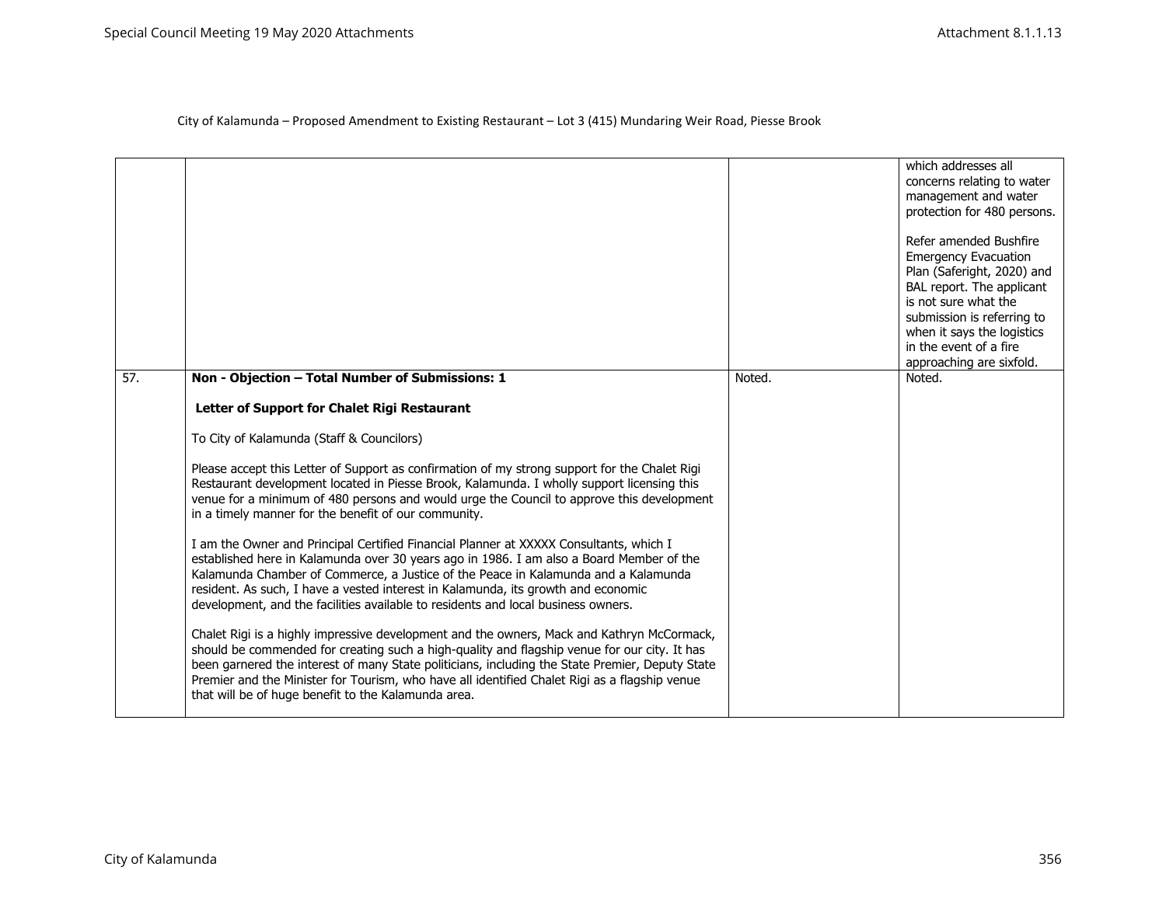|     |                                                                                                                                                                                                                                                                                                                                                                                                                                                       |        | which addresses all<br>concerns relating to water<br>management and water<br>protection for 480 persons.<br>Refer amended Bushfire<br><b>Emergency Evacuation</b><br>Plan (Saferight, 2020) and<br>BAL report. The applicant<br>is not sure what the<br>submission is referring to<br>when it says the logistics<br>in the event of a fire<br>approaching are sixfold. |
|-----|-------------------------------------------------------------------------------------------------------------------------------------------------------------------------------------------------------------------------------------------------------------------------------------------------------------------------------------------------------------------------------------------------------------------------------------------------------|--------|------------------------------------------------------------------------------------------------------------------------------------------------------------------------------------------------------------------------------------------------------------------------------------------------------------------------------------------------------------------------|
| 57. | Non - Objection - Total Number of Submissions: 1                                                                                                                                                                                                                                                                                                                                                                                                      | Noted. | Noted.                                                                                                                                                                                                                                                                                                                                                                 |
|     | Letter of Support for Chalet Rigi Restaurant                                                                                                                                                                                                                                                                                                                                                                                                          |        |                                                                                                                                                                                                                                                                                                                                                                        |
|     | To City of Kalamunda (Staff & Councilors)                                                                                                                                                                                                                                                                                                                                                                                                             |        |                                                                                                                                                                                                                                                                                                                                                                        |
|     | Please accept this Letter of Support as confirmation of my strong support for the Chalet Rigi<br>Restaurant development located in Piesse Brook, Kalamunda. I wholly support licensing this<br>venue for a minimum of 480 persons and would urge the Council to approve this development<br>in a timely manner for the benefit of our community.                                                                                                      |        |                                                                                                                                                                                                                                                                                                                                                                        |
|     | I am the Owner and Principal Certified Financial Planner at XXXXX Consultants, which I<br>established here in Kalamunda over 30 years ago in 1986. I am also a Board Member of the<br>Kalamunda Chamber of Commerce, a Justice of the Peace in Kalamunda and a Kalamunda<br>resident. As such, I have a vested interest in Kalamunda, its growth and economic<br>development, and the facilities available to residents and local business owners.    |        |                                                                                                                                                                                                                                                                                                                                                                        |
|     | Chalet Rigi is a highly impressive development and the owners, Mack and Kathryn McCormack,<br>should be commended for creating such a high-quality and flagship venue for our city. It has<br>been garnered the interest of many State politicians, including the State Premier, Deputy State<br>Premier and the Minister for Tourism, who have all identified Chalet Rigi as a flagship venue<br>that will be of huge benefit to the Kalamunda area. |        |                                                                                                                                                                                                                                                                                                                                                                        |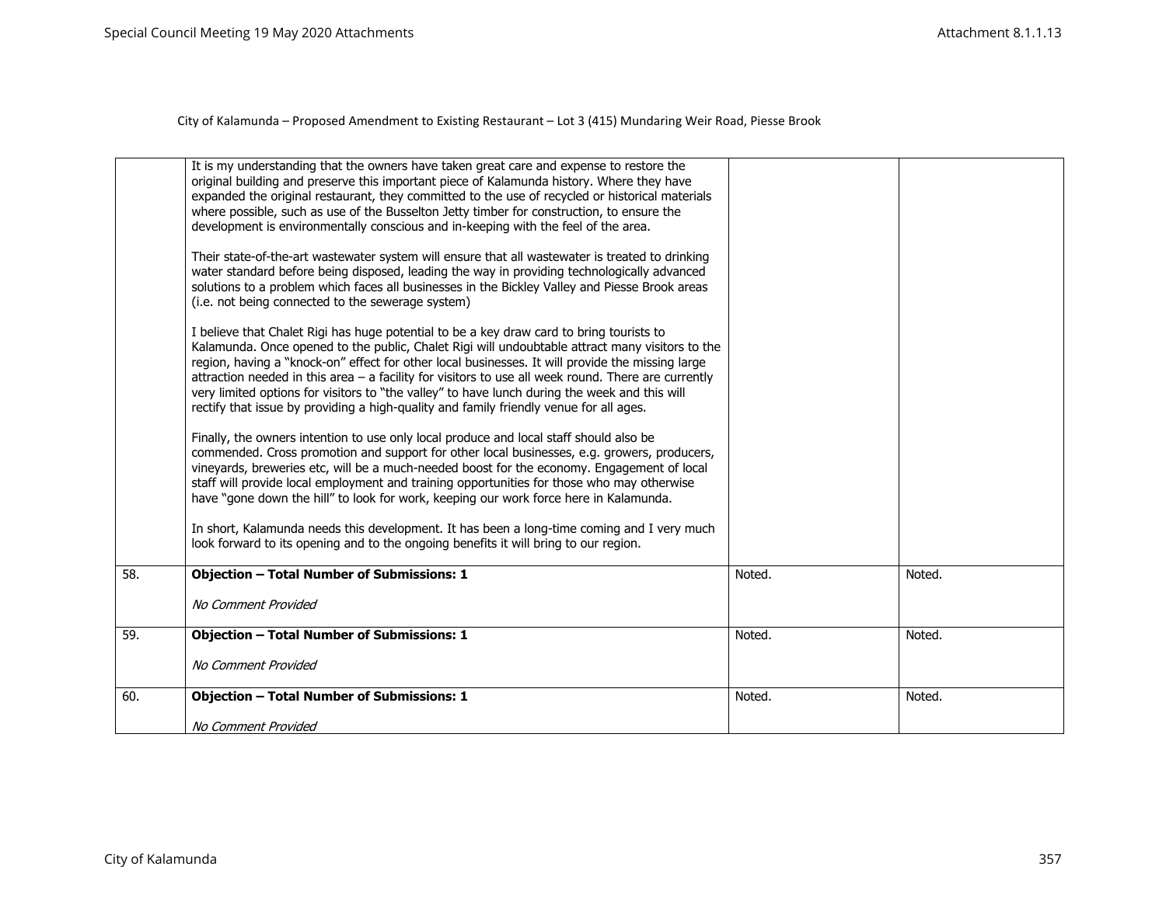|     | It is my understanding that the owners have taken great care and expense to restore the<br>original building and preserve this important piece of Kalamunda history. Where they have<br>expanded the original restaurant, they committed to the use of recycled or historical materials<br>where possible, such as use of the Busselton Jetty timber for construction, to ensure the<br>development is environmentally conscious and in-keeping with the feel of the area.                                                                                                                          |        |        |
|-----|-----------------------------------------------------------------------------------------------------------------------------------------------------------------------------------------------------------------------------------------------------------------------------------------------------------------------------------------------------------------------------------------------------------------------------------------------------------------------------------------------------------------------------------------------------------------------------------------------------|--------|--------|
|     | Their state-of-the-art wastewater system will ensure that all wastewater is treated to drinking<br>water standard before being disposed, leading the way in providing technologically advanced<br>solutions to a problem which faces all businesses in the Bickley Valley and Piesse Brook areas<br>(i.e. not being connected to the sewerage system)                                                                                                                                                                                                                                               |        |        |
|     | I believe that Chalet Rigi has huge potential to be a key draw card to bring tourists to<br>Kalamunda. Once opened to the public, Chalet Rigi will undoubtable attract many visitors to the<br>region, having a "knock-on" effect for other local businesses. It will provide the missing large<br>attraction needed in this area $-$ a facility for visitors to use all week round. There are currently<br>very limited options for visitors to "the valley" to have lunch during the week and this will<br>rectify that issue by providing a high-quality and family friendly venue for all ages. |        |        |
|     | Finally, the owners intention to use only local produce and local staff should also be<br>commended. Cross promotion and support for other local businesses, e.g. growers, producers,<br>vineyards, breweries etc, will be a much-needed boost for the economy. Engagement of local<br>staff will provide local employment and training opportunities for those who may otherwise<br>have "gone down the hill" to look for work, keeping our work force here in Kalamunda.                                                                                                                          |        |        |
|     | In short, Kalamunda needs this development. It has been a long-time coming and I very much<br>look forward to its opening and to the ongoing benefits it will bring to our region.                                                                                                                                                                                                                                                                                                                                                                                                                  |        |        |
| 58. | <b>Objection - Total Number of Submissions: 1</b>                                                                                                                                                                                                                                                                                                                                                                                                                                                                                                                                                   | Noted. | Noted. |
|     | No Comment Provided                                                                                                                                                                                                                                                                                                                                                                                                                                                                                                                                                                                 |        |        |
| 59. | <b>Objection - Total Number of Submissions: 1</b>                                                                                                                                                                                                                                                                                                                                                                                                                                                                                                                                                   | Noted. | Noted. |
|     | No Comment Provided                                                                                                                                                                                                                                                                                                                                                                                                                                                                                                                                                                                 |        |        |
| 60. | <b>Objection - Total Number of Submissions: 1</b>                                                                                                                                                                                                                                                                                                                                                                                                                                                                                                                                                   | Noted. | Noted. |
|     | No Comment Provided                                                                                                                                                                                                                                                                                                                                                                                                                                                                                                                                                                                 |        |        |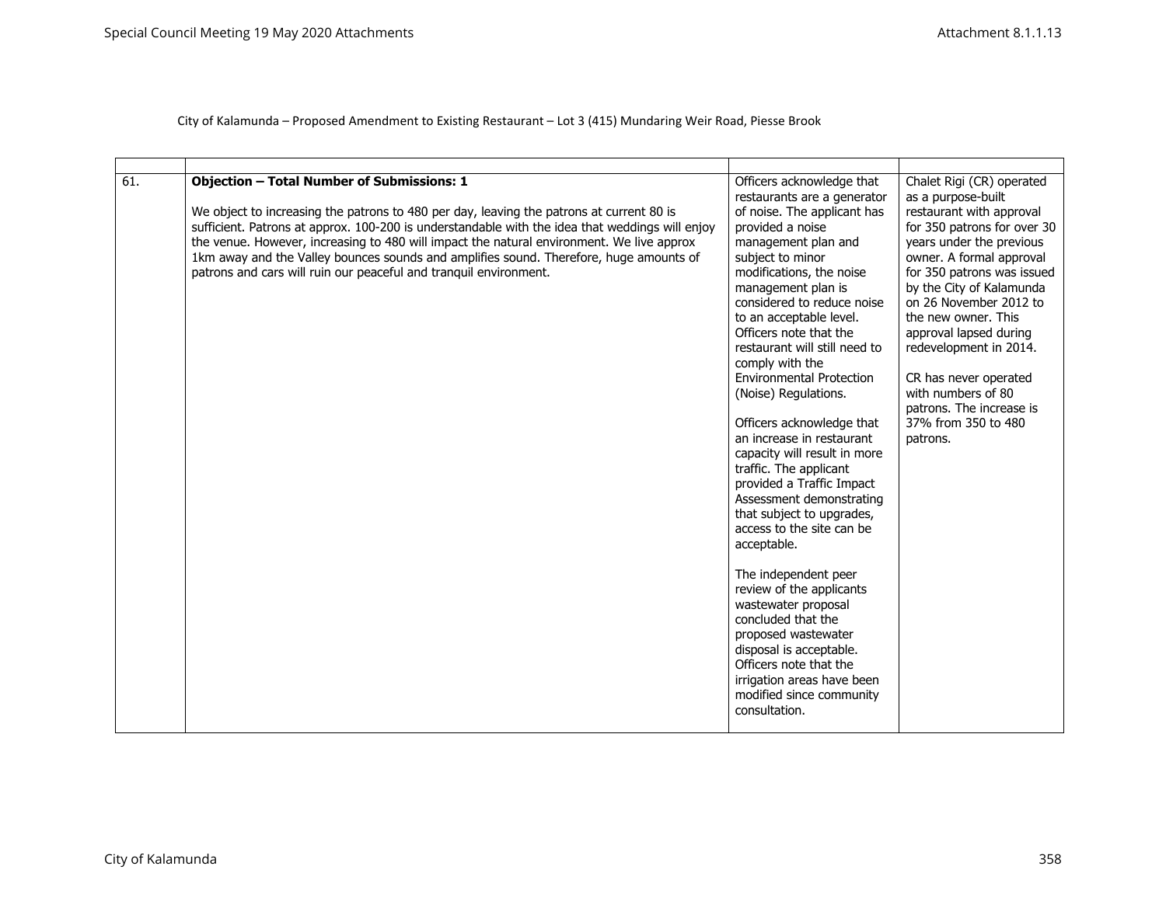| 61. | <b>Objection - Total Number of Submissions: 1</b><br>We object to increasing the patrons to 480 per day, leaving the patrons at current 80 is<br>sufficient. Patrons at approx. 100-200 is understandable with the idea that weddings will enjoy<br>the venue. However, increasing to 480 will impact the natural environment. We live approx<br>1km away and the Valley bounces sounds and amplifies sound. Therefore, huge amounts of<br>patrons and cars will ruin our peaceful and tranquil environment. | Officers acknowledge that<br>restaurants are a generator<br>of noise. The applicant has<br>provided a noise<br>management plan and<br>subject to minor<br>modifications, the noise<br>management plan is<br>considered to reduce noise<br>to an acceptable level.<br>Officers note that the<br>restaurant will still need to<br>comply with the<br><b>Environmental Protection</b><br>(Noise) Regulations.<br>Officers acknowledge that<br>an increase in restaurant<br>capacity will result in more<br>traffic. The applicant<br>provided a Traffic Impact<br>Assessment demonstrating<br>that subject to upgrades,<br>access to the site can be<br>acceptable.<br>The independent peer<br>review of the applicants<br>wastewater proposal<br>concluded that the<br>proposed wastewater<br>disposal is acceptable.<br>Officers note that the<br>irrigation areas have been<br>modified since community<br>consultation. | Chalet Rigi (CR) operated<br>as a purpose-built<br>restaurant with approval<br>for 350 patrons for over 30<br>years under the previous<br>owner. A formal approval<br>for 350 patrons was issued<br>by the City of Kalamunda<br>on 26 November 2012 to<br>the new owner. This<br>approval lapsed during<br>redevelopment in 2014.<br>CR has never operated<br>with numbers of 80<br>patrons. The increase is<br>37% from 350 to 480<br>patrons. |
|-----|--------------------------------------------------------------------------------------------------------------------------------------------------------------------------------------------------------------------------------------------------------------------------------------------------------------------------------------------------------------------------------------------------------------------------------------------------------------------------------------------------------------|--------------------------------------------------------------------------------------------------------------------------------------------------------------------------------------------------------------------------------------------------------------------------------------------------------------------------------------------------------------------------------------------------------------------------------------------------------------------------------------------------------------------------------------------------------------------------------------------------------------------------------------------------------------------------------------------------------------------------------------------------------------------------------------------------------------------------------------------------------------------------------------------------------------------------|-------------------------------------------------------------------------------------------------------------------------------------------------------------------------------------------------------------------------------------------------------------------------------------------------------------------------------------------------------------------------------------------------------------------------------------------------|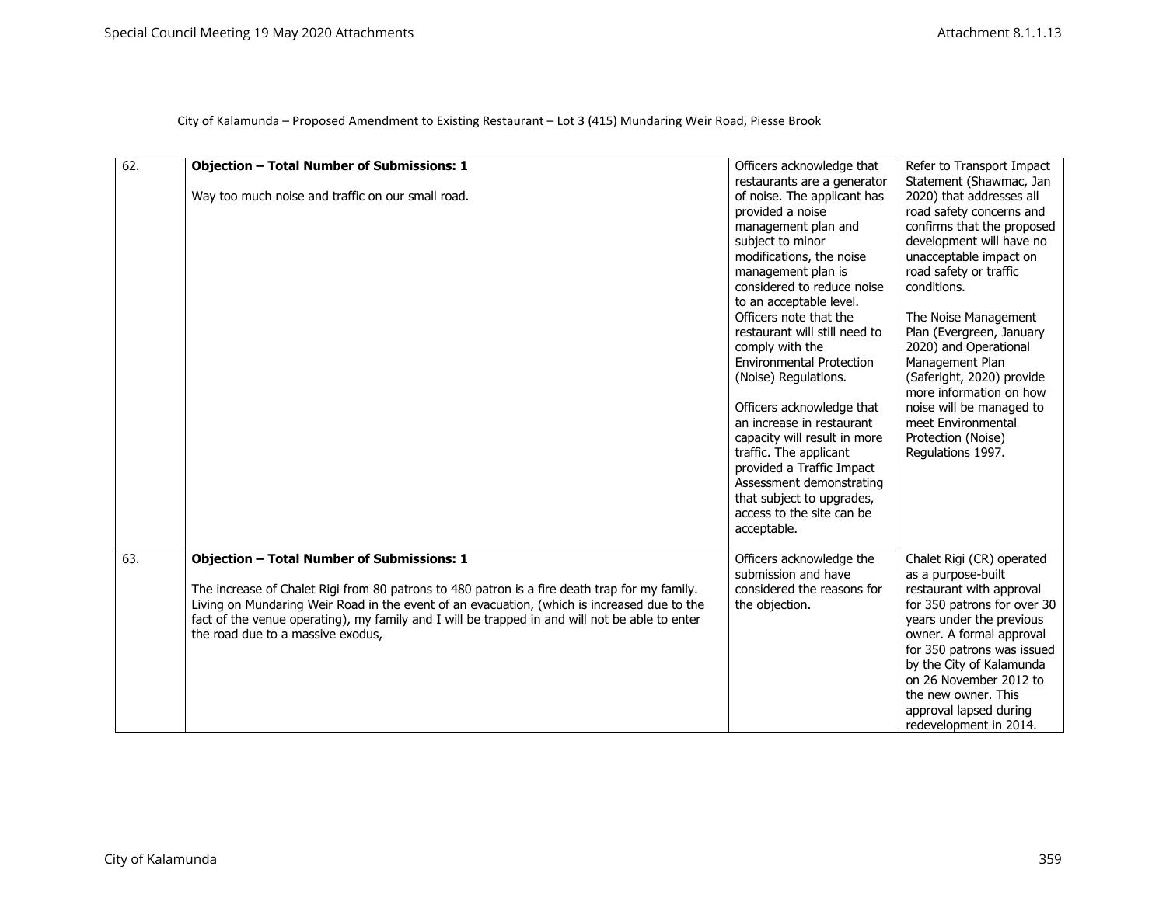| 62. | <b>Objection - Total Number of Submissions: 1</b>                                              | Officers acknowledge that<br>restaurants are a generator | Refer to Transport Impact<br>Statement (Shawmac, Jan   |
|-----|------------------------------------------------------------------------------------------------|----------------------------------------------------------|--------------------------------------------------------|
|     | Way too much noise and traffic on our small road.                                              | of noise. The applicant has                              | 2020) that addresses all                               |
|     |                                                                                                | provided a noise                                         | road safety concerns and                               |
|     |                                                                                                | management plan and                                      | confirms that the proposed                             |
|     |                                                                                                | subject to minor                                         | development will have no                               |
|     |                                                                                                | modifications, the noise                                 | unacceptable impact on                                 |
|     |                                                                                                | management plan is                                       | road safety or traffic                                 |
|     |                                                                                                | considered to reduce noise                               | conditions.                                            |
|     |                                                                                                | to an acceptable level.                                  |                                                        |
|     |                                                                                                | Officers note that the                                   | The Noise Management                                   |
|     |                                                                                                | restaurant will still need to                            | Plan (Evergreen, January                               |
|     |                                                                                                | comply with the                                          | 2020) and Operational                                  |
|     |                                                                                                | <b>Environmental Protection</b>                          | Management Plan                                        |
|     |                                                                                                | (Noise) Regulations.                                     | (Saferight, 2020) provide                              |
|     |                                                                                                |                                                          | more information on how                                |
|     |                                                                                                | Officers acknowledge that                                | noise will be managed to                               |
|     |                                                                                                | an increase in restaurant                                | meet Environmental                                     |
|     |                                                                                                | capacity will result in more                             | Protection (Noise)                                     |
|     |                                                                                                | traffic. The applicant                                   | Regulations 1997.                                      |
|     |                                                                                                | provided a Traffic Impact                                |                                                        |
|     |                                                                                                | Assessment demonstrating<br>that subject to upgrades,    |                                                        |
|     |                                                                                                | access to the site can be                                |                                                        |
|     |                                                                                                | acceptable.                                              |                                                        |
|     |                                                                                                |                                                          |                                                        |
| 63. | <b>Objection - Total Number of Submissions: 1</b>                                              | Officers acknowledge the                                 | Chalet Rigi (CR) operated                              |
|     |                                                                                                | submission and have                                      | as a purpose-built                                     |
|     | The increase of Chalet Rigi from 80 patrons to 480 patron is a fire death trap for my family.  | considered the reasons for                               | restaurant with approval                               |
|     | Living on Mundaring Weir Road in the event of an evacuation, (which is increased due to the    | the objection.                                           | for 350 patrons for over 30                            |
|     | fact of the venue operating), my family and I will be trapped in and will not be able to enter |                                                          | years under the previous                               |
|     | the road due to a massive exodus,                                                              |                                                          | owner. A formal approval                               |
|     |                                                                                                |                                                          | for 350 patrons was issued<br>by the City of Kalamunda |
|     |                                                                                                |                                                          | on 26 November 2012 to                                 |
|     |                                                                                                |                                                          | the new owner. This                                    |
|     |                                                                                                |                                                          | approval lapsed during                                 |
|     |                                                                                                |                                                          | redevelopment in 2014.                                 |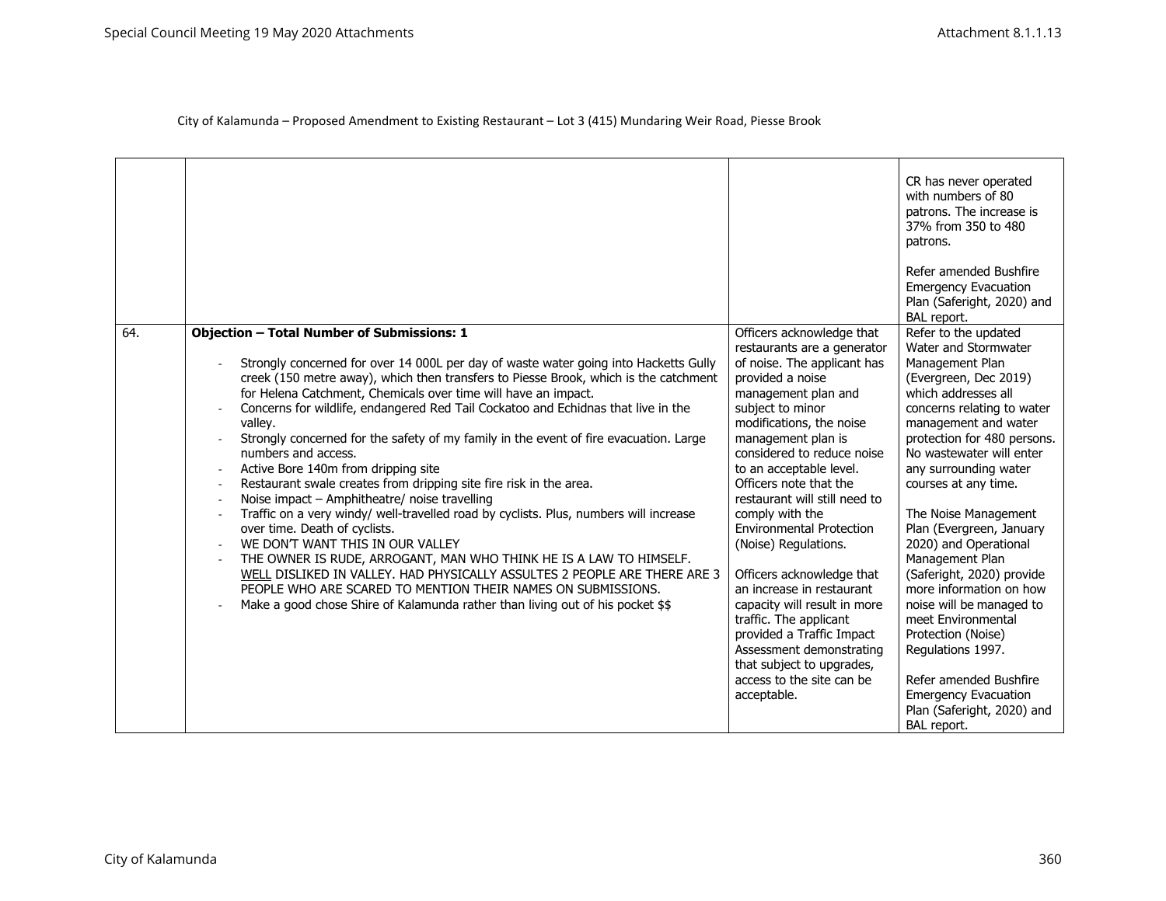|     |                                                                                                                                                                                                                                                                                                                                                                                                                                                                                                                                                                                                                                                                                                                                                                                                                                                                                                                                                                                                                                                                                                                                                                                  |                                                                                                                                                                                                                                                                                                                                                                                                                                                                                                                                                                                                                                                                  | CR has never operated<br>with numbers of 80<br>patrons. The increase is<br>37% from 350 to 480<br>patrons.                                                                                                                                                                                                                                                                                                                                                                                                                                                                                      |
|-----|----------------------------------------------------------------------------------------------------------------------------------------------------------------------------------------------------------------------------------------------------------------------------------------------------------------------------------------------------------------------------------------------------------------------------------------------------------------------------------------------------------------------------------------------------------------------------------------------------------------------------------------------------------------------------------------------------------------------------------------------------------------------------------------------------------------------------------------------------------------------------------------------------------------------------------------------------------------------------------------------------------------------------------------------------------------------------------------------------------------------------------------------------------------------------------|------------------------------------------------------------------------------------------------------------------------------------------------------------------------------------------------------------------------------------------------------------------------------------------------------------------------------------------------------------------------------------------------------------------------------------------------------------------------------------------------------------------------------------------------------------------------------------------------------------------------------------------------------------------|-------------------------------------------------------------------------------------------------------------------------------------------------------------------------------------------------------------------------------------------------------------------------------------------------------------------------------------------------------------------------------------------------------------------------------------------------------------------------------------------------------------------------------------------------------------------------------------------------|
|     |                                                                                                                                                                                                                                                                                                                                                                                                                                                                                                                                                                                                                                                                                                                                                                                                                                                                                                                                                                                                                                                                                                                                                                                  |                                                                                                                                                                                                                                                                                                                                                                                                                                                                                                                                                                                                                                                                  | Refer amended Bushfire<br><b>Emergency Evacuation</b><br>Plan (Saferight, 2020) and<br>BAL report.                                                                                                                                                                                                                                                                                                                                                                                                                                                                                              |
| 64. | <b>Objection - Total Number of Submissions: 1</b><br>Strongly concerned for over 14 000L per day of waste water going into Hacketts Gully<br>creek (150 metre away), which then transfers to Piesse Brook, which is the catchment<br>for Helena Catchment, Chemicals over time will have an impact.<br>Concerns for wildlife, endangered Red Tail Cockatoo and Echidnas that live in the<br>valley.<br>Strongly concerned for the safety of my family in the event of fire evacuation. Large<br>numbers and access.<br>Active Bore 140m from dripping site<br>Restaurant swale creates from dripping site fire risk in the area.<br>$\overline{\phantom{a}}$<br>Noise impact - Amphitheatre/ noise travelling<br>Traffic on a very windy/ well-travelled road by cyclists. Plus, numbers will increase<br>over time. Death of cyclists.<br>WE DON'T WANT THIS IN OUR VALLEY<br>THE OWNER IS RUDE, ARROGANT, MAN WHO THINK HE IS A LAW TO HIMSELF.<br>WELL DISLIKED IN VALLEY. HAD PHYSICALLY ASSULTES 2 PEOPLE ARE THERE ARE 3<br>PEOPLE WHO ARE SCARED TO MENTION THEIR NAMES ON SUBMISSIONS.<br>Make a good chose Shire of Kalamunda rather than living out of his pocket \$\$ | Officers acknowledge that<br>restaurants are a generator<br>of noise. The applicant has<br>provided a noise<br>management plan and<br>subject to minor<br>modifications, the noise<br>management plan is<br>considered to reduce noise<br>to an acceptable level.<br>Officers note that the<br>restaurant will still need to<br>comply with the<br><b>Environmental Protection</b><br>(Noise) Regulations.<br>Officers acknowledge that<br>an increase in restaurant<br>capacity will result in more<br>traffic. The applicant<br>provided a Traffic Impact<br>Assessment demonstrating<br>that subject to upgrades,<br>access to the site can be<br>acceptable. | Refer to the updated<br>Water and Stormwater<br>Management Plan<br>(Evergreen, Dec 2019)<br>which addresses all<br>concerns relating to water<br>management and water<br>protection for 480 persons.<br>No wastewater will enter<br>any surrounding water<br>courses at any time.<br>The Noise Management<br>Plan (Evergreen, January<br>2020) and Operational<br>Management Plan<br>(Saferight, 2020) provide<br>more information on how<br>noise will be managed to<br>meet Environmental<br>Protection (Noise)<br>Regulations 1997.<br>Refer amended Bushfire<br><b>Emergency Evacuation</b> |
|     |                                                                                                                                                                                                                                                                                                                                                                                                                                                                                                                                                                                                                                                                                                                                                                                                                                                                                                                                                                                                                                                                                                                                                                                  |                                                                                                                                                                                                                                                                                                                                                                                                                                                                                                                                                                                                                                                                  | Plan (Saferight, 2020) and<br>BAL report.                                                                                                                                                                                                                                                                                                                                                                                                                                                                                                                                                       |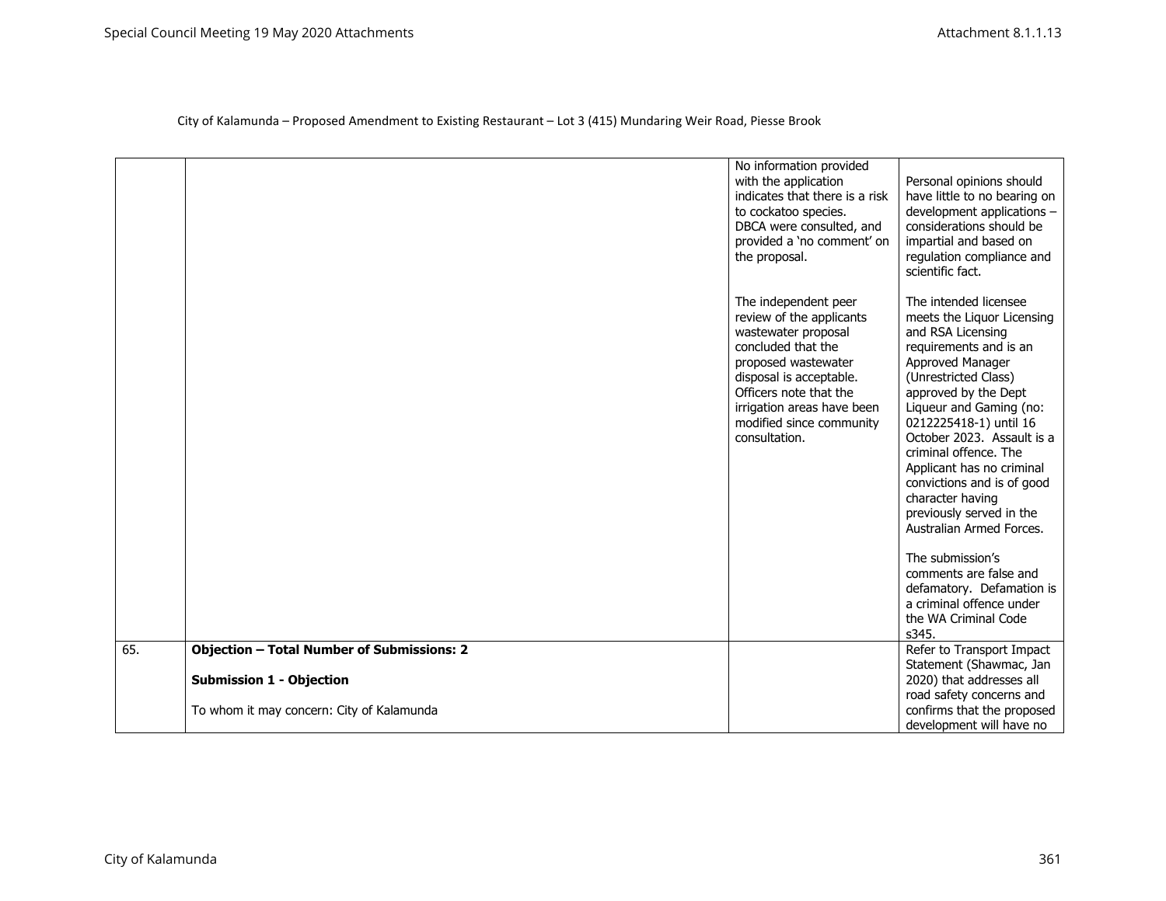|     |                                                   | No information provided<br>with the application<br>indicates that there is a risk<br>to cockatoo species.<br>DBCA were consulted, and<br>provided a 'no comment' on<br>the proposal.                                                                 | Personal opinions should<br>have little to no bearing on<br>development applications -<br>considerations should be<br>impartial and based on<br>regulation compliance and<br>scientific fact.                                                                                                                                                                                                                             |
|-----|---------------------------------------------------|------------------------------------------------------------------------------------------------------------------------------------------------------------------------------------------------------------------------------------------------------|---------------------------------------------------------------------------------------------------------------------------------------------------------------------------------------------------------------------------------------------------------------------------------------------------------------------------------------------------------------------------------------------------------------------------|
|     |                                                   | The independent peer<br>review of the applicants<br>wastewater proposal<br>concluded that the<br>proposed wastewater<br>disposal is acceptable.<br>Officers note that the<br>irrigation areas have been<br>modified since community<br>consultation. | The intended licensee<br>meets the Liquor Licensing<br>and RSA Licensing<br>requirements and is an<br>Approved Manager<br>(Unrestricted Class)<br>approved by the Dept<br>Liqueur and Gaming (no:<br>0212225418-1) until 16<br>October 2023. Assault is a<br>criminal offence. The<br>Applicant has no criminal<br>convictions and is of good<br>character having<br>previously served in the<br>Australian Armed Forces. |
|     |                                                   |                                                                                                                                                                                                                                                      | The submission's<br>comments are false and<br>defamatory. Defamation is<br>a criminal offence under<br>the WA Criminal Code<br>s345.                                                                                                                                                                                                                                                                                      |
| 65. | <b>Objection - Total Number of Submissions: 2</b> |                                                                                                                                                                                                                                                      | Refer to Transport Impact<br>Statement (Shawmac, Jan                                                                                                                                                                                                                                                                                                                                                                      |
|     | <b>Submission 1 - Objection</b>                   |                                                                                                                                                                                                                                                      | 2020) that addresses all                                                                                                                                                                                                                                                                                                                                                                                                  |
|     | To whom it may concern: City of Kalamunda         |                                                                                                                                                                                                                                                      | road safety concerns and<br>confirms that the proposed<br>development will have no                                                                                                                                                                                                                                                                                                                                        |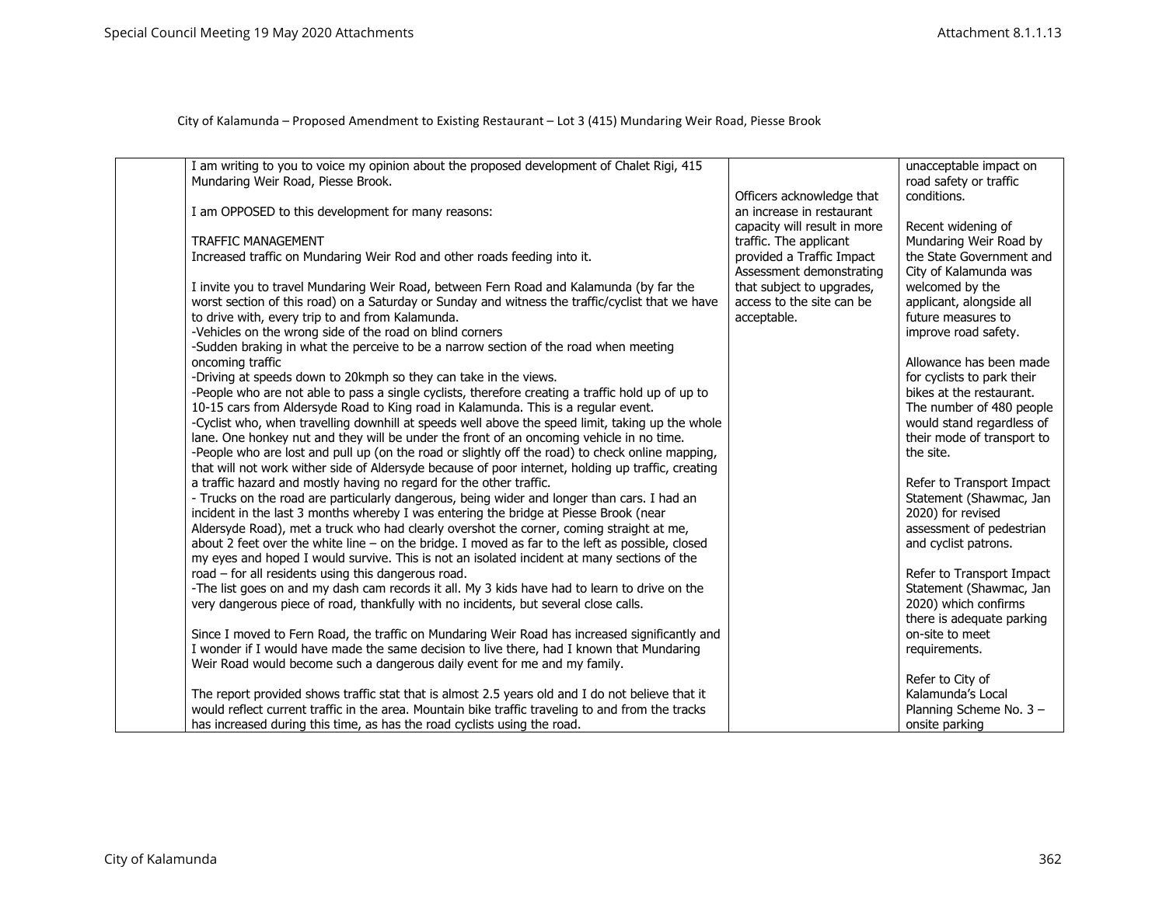| I am writing to you to voice my opinion about the proposed development of Chalet Rigi, 415         |                              | unacceptable impact on     |
|----------------------------------------------------------------------------------------------------|------------------------------|----------------------------|
| Mundaring Weir Road, Piesse Brook.                                                                 |                              | road safety or traffic     |
|                                                                                                    | Officers acknowledge that    | conditions.                |
| I am OPPOSED to this development for many reasons:                                                 | an increase in restaurant    |                            |
|                                                                                                    | capacity will result in more | Recent widening of         |
| TRAFFIC MANAGEMENT                                                                                 | traffic. The applicant       | Mundaring Weir Road by     |
| Increased traffic on Mundaring Weir Rod and other roads feeding into it.                           | provided a Traffic Impact    | the State Government and   |
|                                                                                                    | Assessment demonstrating     | City of Kalamunda was      |
| I invite you to travel Mundaring Weir Road, between Fern Road and Kalamunda (by far the            | that subject to upgrades,    | welcomed by the            |
| worst section of this road) on a Saturday or Sunday and witness the traffic/cyclist that we have   | access to the site can be    | applicant, alongside all   |
| to drive with, every trip to and from Kalamunda.                                                   | acceptable.                  | future measures to         |
| -Vehicles on the wrong side of the road on blind corners                                           |                              | improve road safety.       |
| -Sudden braking in what the perceive to be a narrow section of the road when meeting               |                              |                            |
| oncoming traffic                                                                                   |                              | Allowance has been made    |
| -Driving at speeds down to 20kmph so they can take in the views.                                   |                              | for cyclists to park their |
| -People who are not able to pass a single cyclists, therefore creating a traffic hold up of up to  |                              | bikes at the restaurant.   |
| 10-15 cars from Aldersyde Road to King road in Kalamunda. This is a regular event.                 |                              | The number of 480 people   |
| -Cyclist who, when travelling downhill at speeds well above the speed limit, taking up the whole   |                              | would stand regardless of  |
| lane. One honkey nut and they will be under the front of an oncoming vehicle in no time.           |                              | their mode of transport to |
| -People who are lost and pull up (on the road or slightly off the road) to check online mapping,   |                              | the site.                  |
| that will not work wither side of Aldersyde because of poor internet, holding up traffic, creating |                              |                            |
| a traffic hazard and mostly having no regard for the other traffic.                                |                              | Refer to Transport Impact  |
| - Trucks on the road are particularly dangerous, being wider and longer than cars. I had an        |                              | Statement (Shawmac, Jan    |
| incident in the last 3 months whereby I was entering the bridge at Piesse Brook (near              |                              | 2020) for revised          |
| Aldersyde Road), met a truck who had clearly overshot the corner, coming straight at me,           |                              | assessment of pedestrian   |
| about 2 feet over the white line $-$ on the bridge. I moved as far to the left as possible, closed |                              | and cyclist patrons.       |
| my eyes and hoped I would survive. This is not an isolated incident at many sections of the        |                              |                            |
| road - for all residents using this dangerous road.                                                |                              | Refer to Transport Impact  |
| -The list goes on and my dash cam records it all. My 3 kids have had to learn to drive on the      |                              | Statement (Shawmac, Jan    |
| very dangerous piece of road, thankfully with no incidents, but several close calls.               |                              | 2020) which confirms       |
|                                                                                                    |                              | there is adequate parking  |
| Since I moved to Fern Road, the traffic on Mundaring Weir Road has increased significantly and     |                              | on-site to meet            |
| I wonder if I would have made the same decision to live there, had I known that Mundaring          |                              | requirements.              |
| Weir Road would become such a dangerous daily event for me and my family.                          |                              |                            |
|                                                                                                    |                              | Refer to City of           |
| The report provided shows traffic stat that is almost 2.5 years old and I do not believe that it   |                              | Kalamunda's Local          |
| would reflect current traffic in the area. Mountain bike traffic traveling to and from the tracks  |                              | Planning Scheme No. 3 -    |
| has increased during this time, as has the road cyclists using the road.                           |                              | onsite parking             |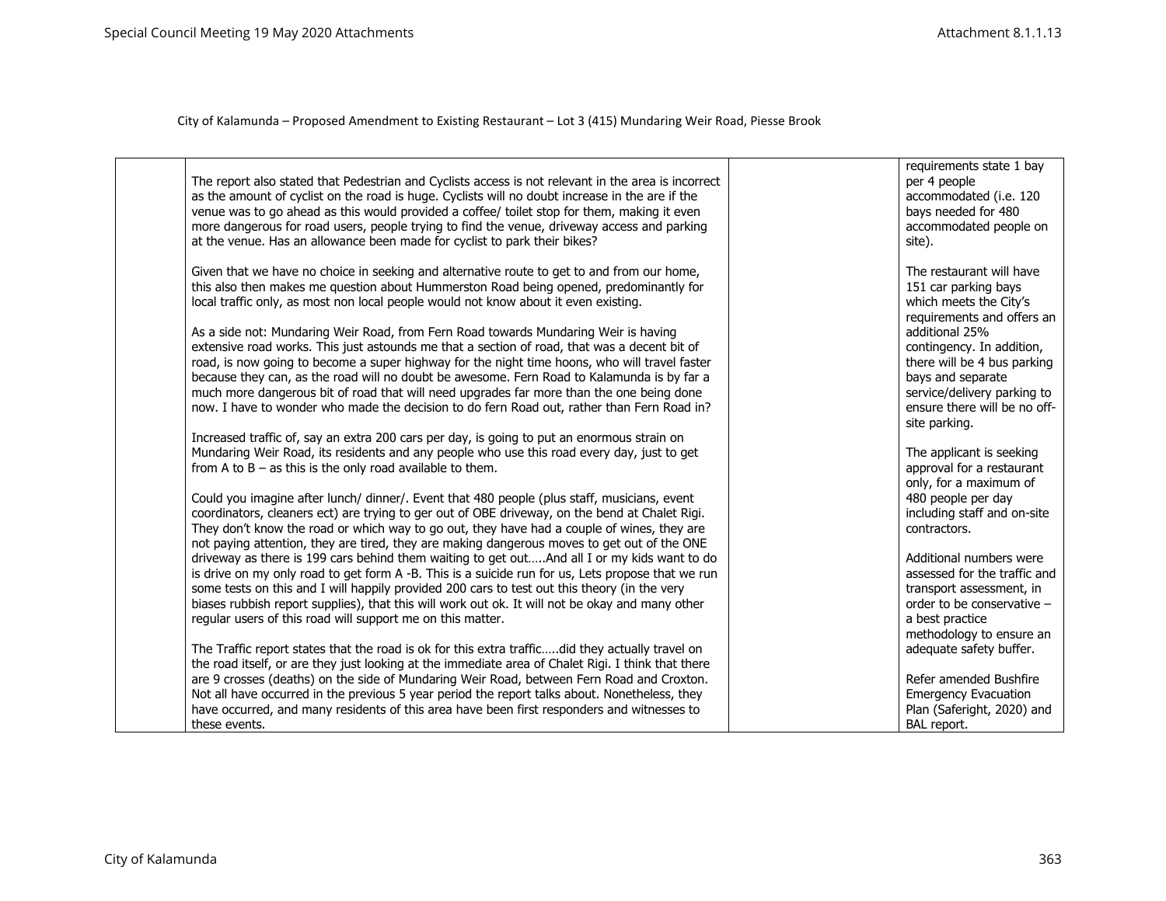|  | The report also stated that Pedestrian and Cyclists access is not relevant in the area is incorrect<br>as the amount of cyclist on the road is huge. Cyclists will no doubt increase in the are if the<br>venue was to go ahead as this would provided a coffee/ toilet stop for them, making it even<br>more dangerous for road users, people trying to find the venue, driveway access and parking<br>at the venue. Has an allowance been made for cyclist to park their bikes?                                                                                            | requirements state 1 bay<br>per 4 people<br>accommodated (i.e. 120<br>bays needed for 480<br>accommodated people on<br>site).                                                   |
|--|------------------------------------------------------------------------------------------------------------------------------------------------------------------------------------------------------------------------------------------------------------------------------------------------------------------------------------------------------------------------------------------------------------------------------------------------------------------------------------------------------------------------------------------------------------------------------|---------------------------------------------------------------------------------------------------------------------------------------------------------------------------------|
|  | Given that we have no choice in seeking and alternative route to get to and from our home,<br>this also then makes me question about Hummerston Road being opened, predominantly for<br>local traffic only, as most non local people would not know about it even existing.                                                                                                                                                                                                                                                                                                  | The restaurant will have<br>151 car parking bays<br>which meets the City's<br>requirements and offers an                                                                        |
|  | As a side not: Mundaring Weir Road, from Fern Road towards Mundaring Weir is having<br>extensive road works. This just astounds me that a section of road, that was a decent bit of<br>road, is now going to become a super highway for the night time hoons, who will travel faster<br>because they can, as the road will no doubt be awesome. Fern Road to Kalamunda is by far a<br>much more dangerous bit of road that will need upgrades far more than the one being done<br>now. I have to wonder who made the decision to do fern Road out, rather than Fern Road in? | additional 25%<br>contingency. In addition,<br>there will be 4 bus parking<br>bays and separate<br>service/delivery parking to<br>ensure there will be no off-<br>site parking. |
|  | Increased traffic of, say an extra 200 cars per day, is going to put an enormous strain on<br>Mundaring Weir Road, its residents and any people who use this road every day, just to get<br>from A to $B - as$ this is the only road available to them.                                                                                                                                                                                                                                                                                                                      | The applicant is seeking<br>approval for a restaurant                                                                                                                           |
|  | Could you imagine after lunch/ dinner/. Event that 480 people (plus staff, musicians, event<br>coordinators, cleaners ect) are trying to ger out of OBE driveway, on the bend at Chalet Rigi.<br>They don't know the road or which way to go out, they have had a couple of wines, they are<br>not paying attention, they are tired, they are making dangerous moves to get out of the ONE                                                                                                                                                                                   | only, for a maximum of<br>480 people per day<br>including staff and on-site<br>contractors.                                                                                     |
|  | driveway as there is 199 cars behind them waiting to get outAnd all I or my kids want to do<br>is drive on my only road to get form A -B. This is a suicide run for us, Lets propose that we run<br>some tests on this and I will happily provided 200 cars to test out this theory (in the very<br>biases rubbish report supplies), that this will work out ok. It will not be okay and many other<br>regular users of this road will support me on this matter.                                                                                                            | Additional numbers were<br>assessed for the traffic and<br>transport assessment, in<br>order to be conservative -<br>a best practice<br>methodology to ensure an                |
|  | The Traffic report states that the road is ok for this extra trafficdid they actually travel on<br>the road itself, or are they just looking at the immediate area of Chalet Rigi. I think that there<br>are 9 crosses (deaths) on the side of Mundaring Weir Road, between Fern Road and Croxton.<br>Not all have occurred in the previous 5 year period the report talks about. Nonetheless, they                                                                                                                                                                          | adequate safety buffer.<br>Refer amended Bushfire<br><b>Emergency Evacuation</b>                                                                                                |
|  | have occurred, and many residents of this area have been first responders and witnesses to<br>these events.                                                                                                                                                                                                                                                                                                                                                                                                                                                                  | Plan (Saferight, 2020) and<br>BAL report.                                                                                                                                       |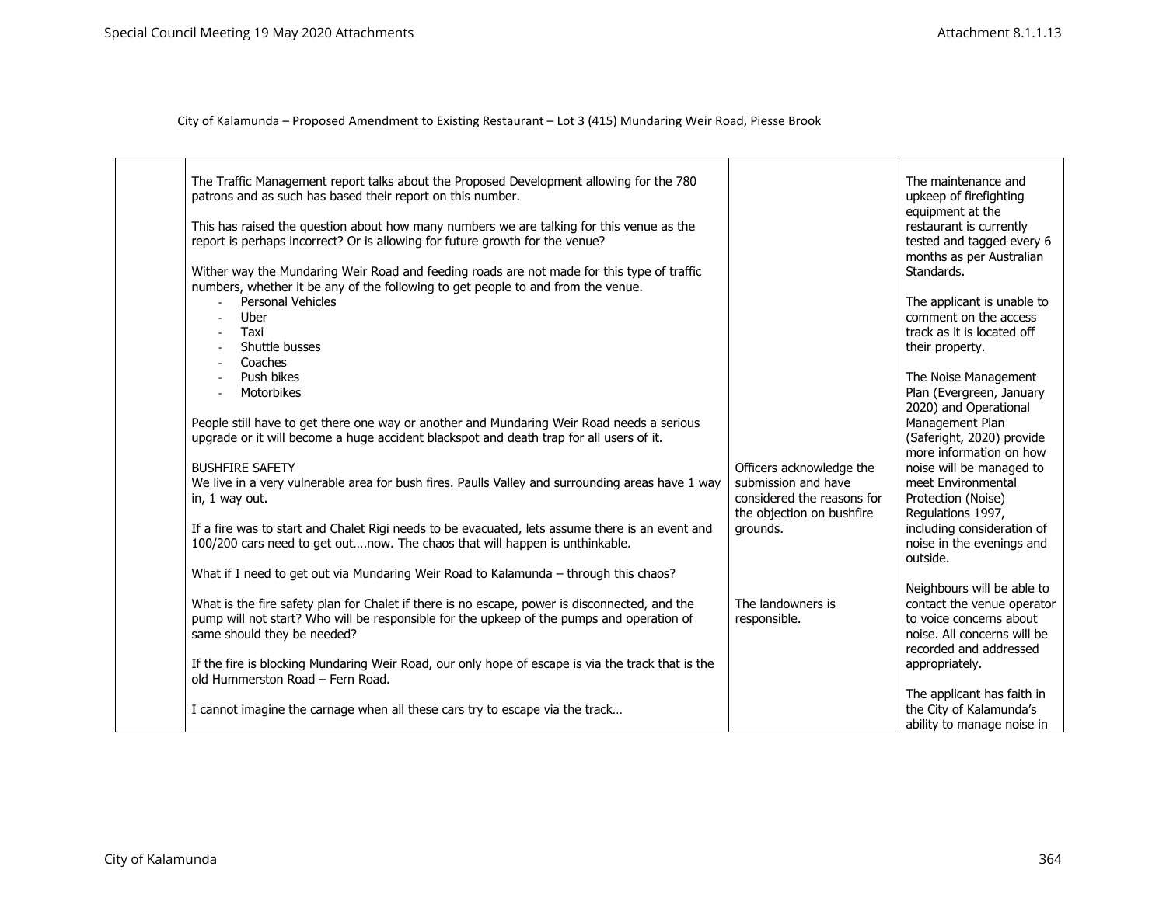| The Traffic Management report talks about the Proposed Development allowing for the 780<br>patrons and as such has based their report on this number.<br>This has raised the question about how many numbers we are talking for this venue as the<br>report is perhaps incorrect? Or is allowing for future growth for the venue? |                                                                                                            | The maintenance and<br>upkeep of firefighting<br>equipment at the<br>restaurant is currently<br>tested and tagged every 6<br>months as per Australian |
|-----------------------------------------------------------------------------------------------------------------------------------------------------------------------------------------------------------------------------------------------------------------------------------------------------------------------------------|------------------------------------------------------------------------------------------------------------|-------------------------------------------------------------------------------------------------------------------------------------------------------|
| Wither way the Mundaring Weir Road and feeding roads are not made for this type of traffic<br>numbers, whether it be any of the following to get people to and from the venue.                                                                                                                                                    |                                                                                                            | Standards.                                                                                                                                            |
| Personal Vehicles<br>$\overline{a}$<br>Uber<br>Taxi<br>$\blacksquare$<br>Shuttle busses<br>Coaches<br>$\overline{\phantom{a}}$                                                                                                                                                                                                    |                                                                                                            | The applicant is unable to<br>comment on the access<br>track as it is located off<br>their property.                                                  |
| Push bikes<br>Motorbikes                                                                                                                                                                                                                                                                                                          |                                                                                                            | The Noise Management<br>Plan (Evergreen, January<br>2020) and Operational                                                                             |
| People still have to get there one way or another and Mundaring Weir Road needs a serious<br>upgrade or it will become a huge accident blackspot and death trap for all users of it.                                                                                                                                              |                                                                                                            | Management Plan<br>(Saferight, 2020) provide<br>more information on how                                                                               |
| <b>BUSHFIRE SAFETY</b><br>We live in a very vulnerable area for bush fires. Paulls Valley and surrounding areas have 1 way<br>in, 1 way out.                                                                                                                                                                                      | Officers acknowledge the<br>submission and have<br>considered the reasons for<br>the objection on bushfire | noise will be managed to<br>meet Environmental<br>Protection (Noise)<br>Regulations 1997,                                                             |
| If a fire was to start and Chalet Rigi needs to be evacuated, lets assume there is an event and<br>100/200 cars need to get outnow. The chaos that will happen is unthinkable.                                                                                                                                                    | grounds.                                                                                                   | including consideration of<br>noise in the evenings and<br>outside.                                                                                   |
| What if I need to get out via Mundaring Weir Road to Kalamunda - through this chaos?                                                                                                                                                                                                                                              |                                                                                                            | Neighbours will be able to                                                                                                                            |
| What is the fire safety plan for Chalet if there is no escape, power is disconnected, and the<br>pump will not start? Who will be responsible for the upkeep of the pumps and operation of<br>same should they be needed?                                                                                                         | The landowners is<br>responsible.                                                                          | contact the venue operator<br>to voice concerns about<br>noise. All concerns will be<br>recorded and addressed                                        |
| If the fire is blocking Mundaring Weir Road, our only hope of escape is via the track that is the<br>old Hummerston Road - Fern Road.                                                                                                                                                                                             |                                                                                                            | appropriately.                                                                                                                                        |
| I cannot imagine the carnage when all these cars try to escape via the track                                                                                                                                                                                                                                                      |                                                                                                            | The applicant has faith in<br>the City of Kalamunda's<br>ability to manage noise in                                                                   |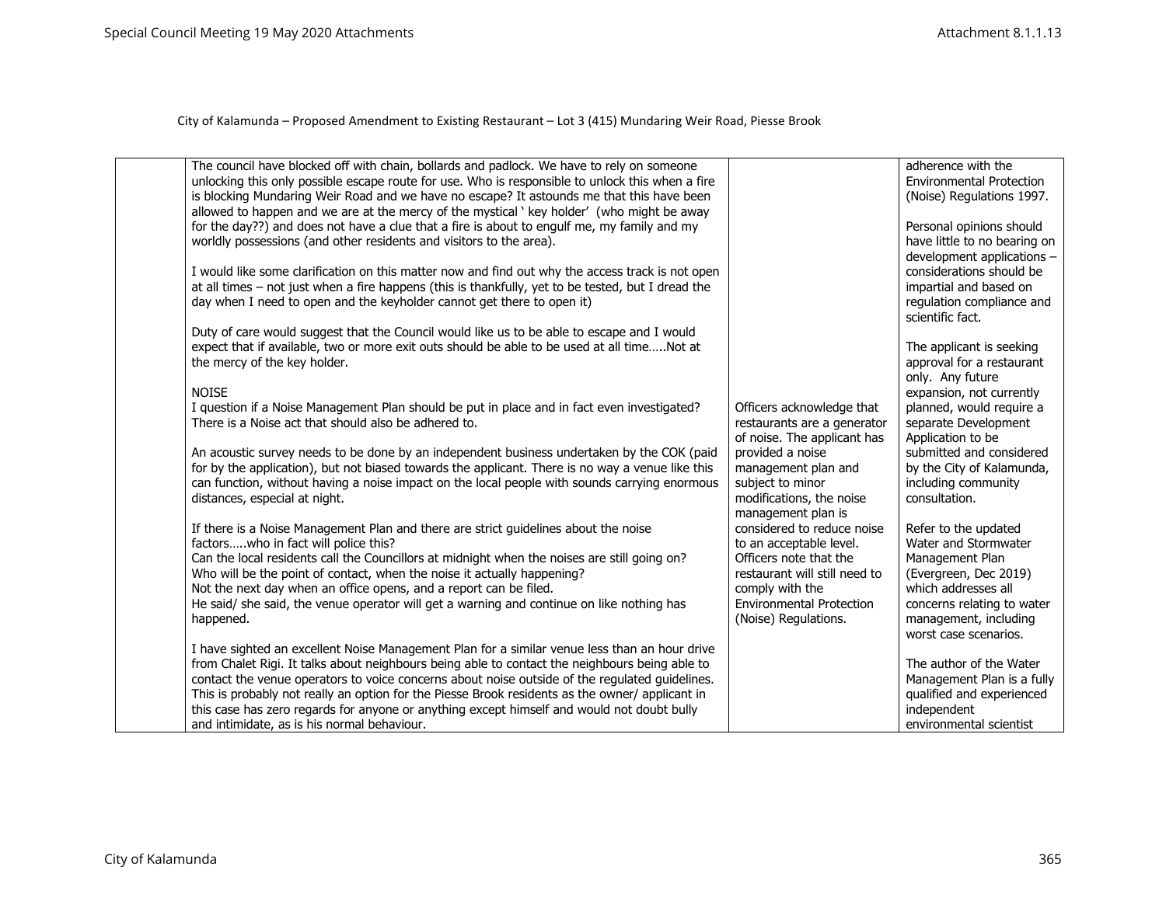| The council have blocked off with chain, bollards and padlock. We have to rely on someone<br>unlocking this only possible escape route for use. Who is responsible to unlock this when a fire |                                                       | adherence with the<br><b>Environmental Protection</b>      |
|-----------------------------------------------------------------------------------------------------------------------------------------------------------------------------------------------|-------------------------------------------------------|------------------------------------------------------------|
| is blocking Mundaring Weir Road and we have no escape? It astounds me that this have been                                                                                                     |                                                       | (Noise) Regulations 1997.                                  |
| allowed to happen and we are at the mercy of the mystical ' key holder' (who might be away                                                                                                    |                                                       |                                                            |
| for the day??) and does not have a clue that a fire is about to engulf me, my family and my                                                                                                   |                                                       | Personal opinions should                                   |
| worldly possessions (and other residents and visitors to the area).                                                                                                                           |                                                       | have little to no bearing on<br>development applications - |
| I would like some clarification on this matter now and find out why the access track is not open                                                                                              |                                                       | considerations should be                                   |
| at all times - not just when a fire happens (this is thankfully, yet to be tested, but I dread the                                                                                            |                                                       | impartial and based on                                     |
| day when I need to open and the keyholder cannot get there to open it)                                                                                                                        |                                                       | regulation compliance and                                  |
|                                                                                                                                                                                               |                                                       | scientific fact.                                           |
| Duty of care would suggest that the Council would like us to be able to escape and I would                                                                                                    |                                                       |                                                            |
| expect that if available, two or more exit outs should be able to be used at all timeNot at<br>the mercy of the key holder.                                                                   |                                                       | The applicant is seeking<br>approval for a restaurant      |
|                                                                                                                                                                                               |                                                       | only. Any future                                           |
| <b>NOISE</b>                                                                                                                                                                                  |                                                       | expansion, not currently                                   |
| I question if a Noise Management Plan should be put in place and in fact even investigated?                                                                                                   | Officers acknowledge that                             | planned, would require a                                   |
| There is a Noise act that should also be adhered to.                                                                                                                                          | restaurants are a generator                           | separate Development                                       |
| An acoustic survey needs to be done by an independent business undertaken by the COK (paid                                                                                                    | of noise. The applicant has<br>provided a noise       | Application to be<br>submitted and considered              |
| for by the application), but not biased towards the applicant. There is no way a venue like this                                                                                              | management plan and                                   | by the City of Kalamunda,                                  |
| can function, without having a noise impact on the local people with sounds carrying enormous                                                                                                 | subject to minor                                      | including community                                        |
| distances, especial at night.                                                                                                                                                                 | modifications, the noise                              | consultation.                                              |
|                                                                                                                                                                                               | management plan is                                    |                                                            |
| If there is a Noise Management Plan and there are strict guidelines about the noise<br>factorswho in fact will police this?                                                                   | considered to reduce noise<br>to an acceptable level. | Refer to the updated<br>Water and Stormwater               |
| Can the local residents call the Councillors at midnight when the noises are still going on?                                                                                                  | Officers note that the                                | Management Plan                                            |
| Who will be the point of contact, when the noise it actually happening?                                                                                                                       | restaurant will still need to                         | (Evergreen, Dec 2019)                                      |
| Not the next day when an office opens, and a report can be filed.                                                                                                                             | comply with the                                       | which addresses all                                        |
| He said/ she said, the venue operator will get a warning and continue on like nothing has                                                                                                     | <b>Environmental Protection</b>                       | concerns relating to water                                 |
| happened.                                                                                                                                                                                     | (Noise) Regulations.                                  | management, including                                      |
| I have sighted an excellent Noise Management Plan for a similar venue less than an hour drive                                                                                                 |                                                       | worst case scenarios.                                      |
| from Chalet Rigi. It talks about neighbours being able to contact the neighbours being able to                                                                                                |                                                       | The author of the Water                                    |
| contact the venue operators to voice concerns about noise outside of the regulated guidelines.                                                                                                |                                                       | Management Plan is a fully                                 |
| This is probably not really an option for the Piesse Brook residents as the owner/ applicant in                                                                                               |                                                       | qualified and experienced                                  |
| this case has zero regards for anyone or anything except himself and would not doubt bully                                                                                                    |                                                       | independent                                                |
| and intimidate, as is his normal behaviour.                                                                                                                                                   |                                                       | environmental scientist                                    |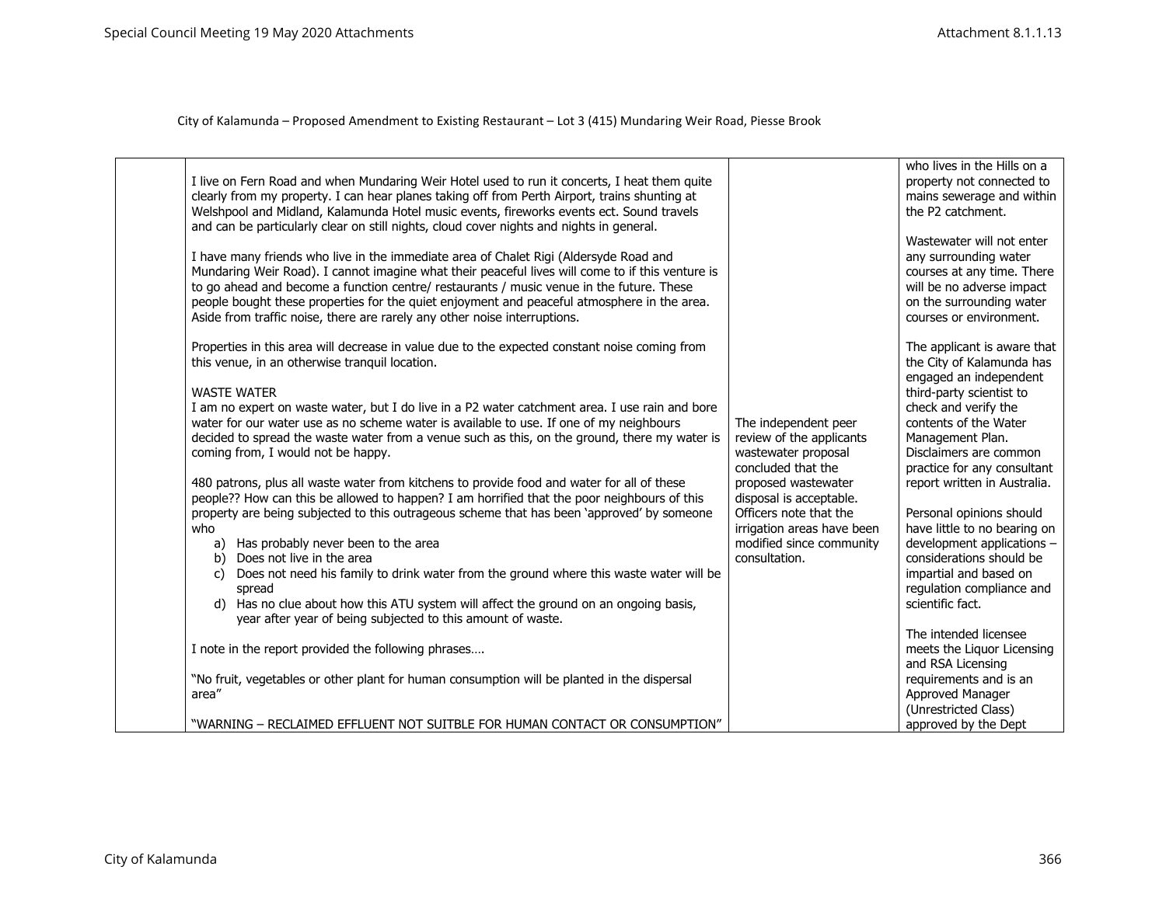| I live on Fern Road and when Mundaring Weir Hotel used to run it concerts, I heat them quite<br>clearly from my property. I can hear planes taking off from Perth Airport, trains shunting at<br>Welshpool and Midland, Kalamunda Hotel music events, fireworks events ect. Sound travels<br>and can be particularly clear on still nights, cloud cover nights and nights in general.<br>I have many friends who live in the immediate area of Chalet Rigi (Aldersyde Road and<br>Mundaring Weir Road). I cannot imagine what their peaceful lives will come to if this venture is<br>to go ahead and become a function centre/ restaurants / music venue in the future. These<br>people bought these properties for the quiet enjoyment and peaceful atmosphere in the area.<br>Aside from traffic noise, there are rarely any other noise interruptions.                                                                                                                                                                                                                                                                                                                                                                                                                                                                                                                                              |                                                                                                                                                                                                                                                      | who lives in the Hills on a<br>property not connected to<br>mains sewerage and within<br>the P2 catchment.<br>Wastewater will not enter<br>any surrounding water<br>courses at any time. There<br>will be no adverse impact<br>on the surrounding water<br>courses or environment.                                                                                                                                                                                                                                                                                                                                                                      |
|---------------------------------------------------------------------------------------------------------------------------------------------------------------------------------------------------------------------------------------------------------------------------------------------------------------------------------------------------------------------------------------------------------------------------------------------------------------------------------------------------------------------------------------------------------------------------------------------------------------------------------------------------------------------------------------------------------------------------------------------------------------------------------------------------------------------------------------------------------------------------------------------------------------------------------------------------------------------------------------------------------------------------------------------------------------------------------------------------------------------------------------------------------------------------------------------------------------------------------------------------------------------------------------------------------------------------------------------------------------------------------------------------------|------------------------------------------------------------------------------------------------------------------------------------------------------------------------------------------------------------------------------------------------------|---------------------------------------------------------------------------------------------------------------------------------------------------------------------------------------------------------------------------------------------------------------------------------------------------------------------------------------------------------------------------------------------------------------------------------------------------------------------------------------------------------------------------------------------------------------------------------------------------------------------------------------------------------|
| Properties in this area will decrease in value due to the expected constant noise coming from<br>this venue, in an otherwise tranquil location.<br><b>WASTE WATER</b><br>I am no expert on waste water, but I do live in a P2 water catchment area. I use rain and bore<br>water for our water use as no scheme water is available to use. If one of my neighbours<br>decided to spread the waste water from a venue such as this, on the ground, there my water is<br>coming from, I would not be happy.<br>480 patrons, plus all waste water from kitchens to provide food and water for all of these<br>people?? How can this be allowed to happen? I am horrified that the poor neighbours of this<br>property are being subjected to this outrageous scheme that has been 'approved' by someone<br>who<br>a) Has probably never been to the area<br>b) Does not live in the area<br>Does not need his family to drink water from the ground where this waste water will be<br>C)<br>spread<br>Has no clue about how this ATU system will affect the ground on an ongoing basis,<br>d)<br>year after year of being subjected to this amount of waste.<br>I note in the report provided the following phrases<br>"No fruit, vegetables or other plant for human consumption will be planted in the dispersal<br>area"<br>"WARNING - RECLAIMED EFFLUENT NOT SUITBLE FOR HUMAN CONTACT OR CONSUMPTION" | The independent peer<br>review of the applicants<br>wastewater proposal<br>concluded that the<br>proposed wastewater<br>disposal is acceptable.<br>Officers note that the<br>irrigation areas have been<br>modified since community<br>consultation. | The applicant is aware that<br>the City of Kalamunda has<br>engaged an independent<br>third-party scientist to<br>check and verify the<br>contents of the Water<br>Management Plan.<br>Disclaimers are common<br>practice for any consultant<br>report written in Australia.<br>Personal opinions should<br>have little to no bearing on<br>development applications -<br>considerations should be<br>impartial and based on<br>regulation compliance and<br>scientific fact.<br>The intended licensee<br>meets the Liquor Licensing<br>and RSA Licensing<br>requirements and is an<br>Approved Manager<br>(Unrestricted Class)<br>approved by the Dept |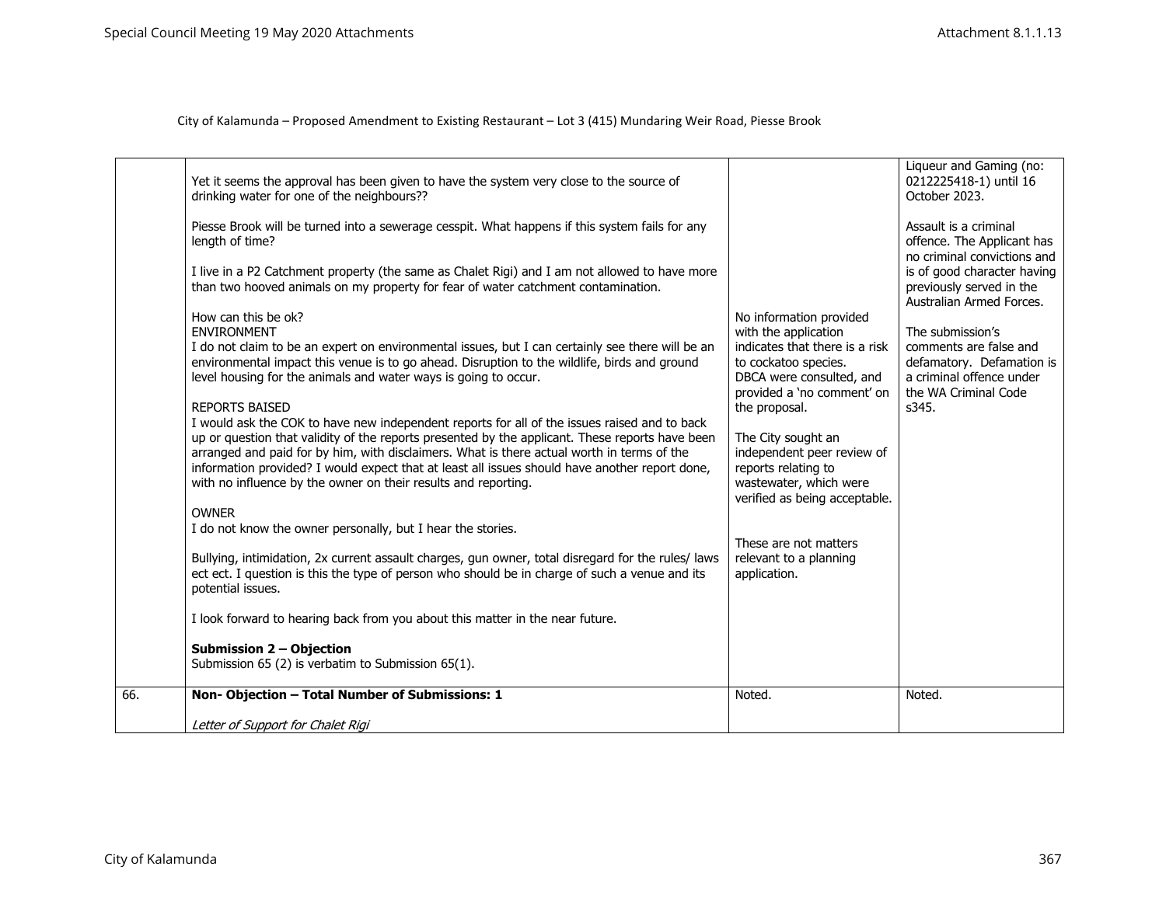|     | Yet it seems the approval has been given to have the system very close to the source of<br>drinking water for one of the neighbours??                                                                                                                                                                                                                                                                                                                             |                                                                                                                                    | Liqueur and Gaming (no:<br>0212225418-1) until 16<br>October 2023.                                      |
|-----|-------------------------------------------------------------------------------------------------------------------------------------------------------------------------------------------------------------------------------------------------------------------------------------------------------------------------------------------------------------------------------------------------------------------------------------------------------------------|------------------------------------------------------------------------------------------------------------------------------------|---------------------------------------------------------------------------------------------------------|
|     | Piesse Brook will be turned into a sewerage cesspit. What happens if this system fails for any<br>length of time?                                                                                                                                                                                                                                                                                                                                                 |                                                                                                                                    | Assault is a criminal<br>offence. The Applicant has<br>no criminal convictions and                      |
|     | I live in a P2 Catchment property (the same as Chalet Rigi) and I am not allowed to have more<br>than two hooved animals on my property for fear of water catchment contamination.                                                                                                                                                                                                                                                                                |                                                                                                                                    | is of good character having<br>previously served in the<br>Australian Armed Forces.                     |
|     | How can this be ok?<br><b>ENVIRONMENT</b>                                                                                                                                                                                                                                                                                                                                                                                                                         | No information provided<br>with the application                                                                                    | The submission's                                                                                        |
|     | I do not claim to be an expert on environmental issues, but I can certainly see there will be an<br>environmental impact this venue is to go ahead. Disruption to the wildlife, birds and ground<br>level housing for the animals and water ways is going to occur.                                                                                                                                                                                               | indicates that there is a risk<br>to cockatoo species.<br>DBCA were consulted, and<br>provided a 'no comment' on                   | comments are false and<br>defamatory. Defamation is<br>a criminal offence under<br>the WA Criminal Code |
|     | <b>REPORTS BAISED</b>                                                                                                                                                                                                                                                                                                                                                                                                                                             | the proposal.                                                                                                                      | s345.                                                                                                   |
|     | I would ask the COK to have new independent reports for all of the issues raised and to back<br>up or question that validity of the reports presented by the applicant. These reports have been<br>arranged and paid for by him, with disclaimers. What is there actual worth in terms of the<br>information provided? I would expect that at least all issues should have another report done,<br>with no influence by the owner on their results and reporting. | The City sought an<br>independent peer review of<br>reports relating to<br>wastewater, which were<br>verified as being acceptable. |                                                                                                         |
|     | <b>OWNER</b>                                                                                                                                                                                                                                                                                                                                                                                                                                                      |                                                                                                                                    |                                                                                                         |
|     | I do not know the owner personally, but I hear the stories.                                                                                                                                                                                                                                                                                                                                                                                                       |                                                                                                                                    |                                                                                                         |
|     | Bullying, intimidation, 2x current assault charges, gun owner, total disregard for the rules/ laws<br>ect ect. I question is this the type of person who should be in charge of such a venue and its<br>potential issues.                                                                                                                                                                                                                                         | These are not matters<br>relevant to a planning<br>application.                                                                    |                                                                                                         |
|     | I look forward to hearing back from you about this matter in the near future.                                                                                                                                                                                                                                                                                                                                                                                     |                                                                                                                                    |                                                                                                         |
|     | <b>Submission 2 - Objection</b><br>Submission 65 (2) is verbatim to Submission 65(1).                                                                                                                                                                                                                                                                                                                                                                             |                                                                                                                                    |                                                                                                         |
| 66. | Non-Objection - Total Number of Submissions: 1                                                                                                                                                                                                                                                                                                                                                                                                                    | Noted.                                                                                                                             | Noted.                                                                                                  |
|     | Letter of Support for Chalet Rigi                                                                                                                                                                                                                                                                                                                                                                                                                                 |                                                                                                                                    |                                                                                                         |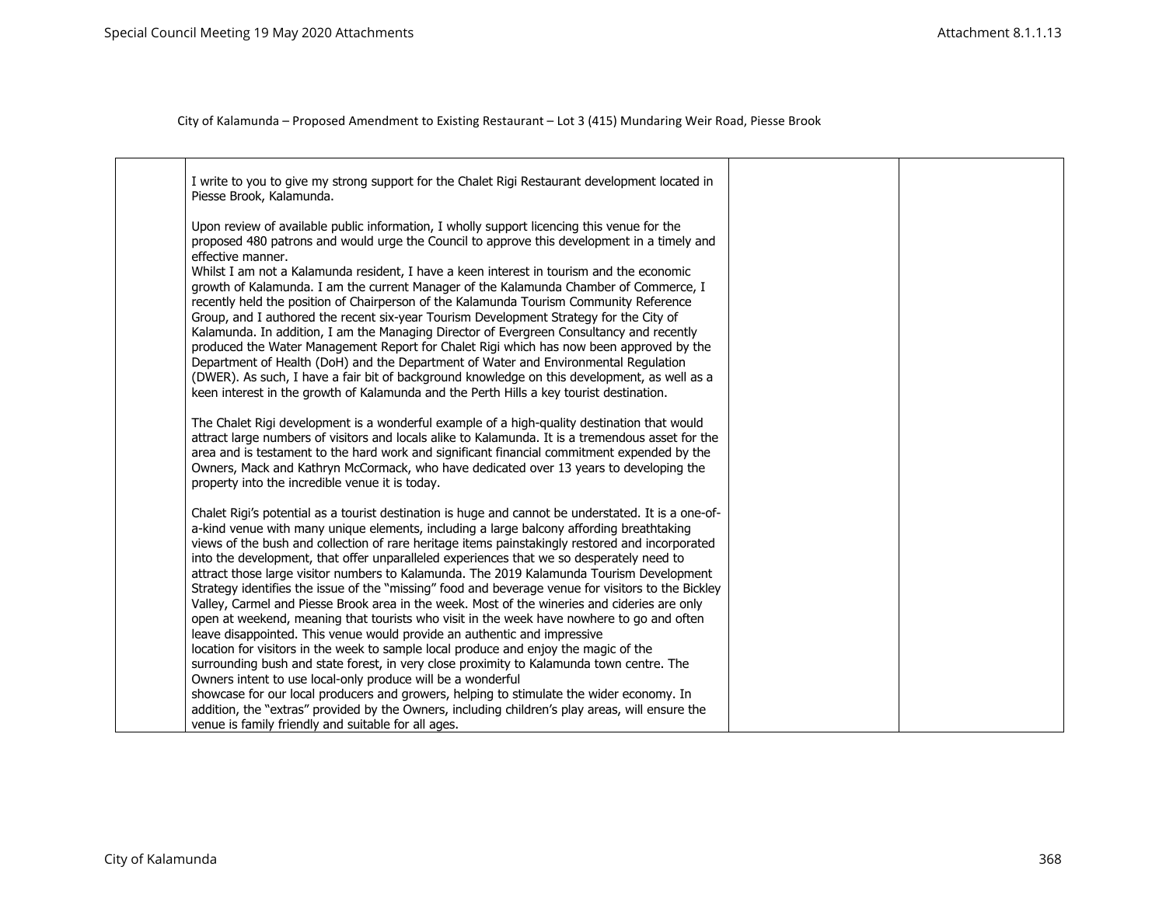| I write to you to give my strong support for the Chalet Rigi Restaurant development located in<br>Piesse Brook, Kalamunda.                                                                                                                                                                                                                                                                                                                                                                                                                                                                                                                                                                                                                                                                                                                                                                                                                                                                                                                                                                                                                                                                                               |  |
|--------------------------------------------------------------------------------------------------------------------------------------------------------------------------------------------------------------------------------------------------------------------------------------------------------------------------------------------------------------------------------------------------------------------------------------------------------------------------------------------------------------------------------------------------------------------------------------------------------------------------------------------------------------------------------------------------------------------------------------------------------------------------------------------------------------------------------------------------------------------------------------------------------------------------------------------------------------------------------------------------------------------------------------------------------------------------------------------------------------------------------------------------------------------------------------------------------------------------|--|
| Upon review of available public information, I wholly support licencing this venue for the<br>proposed 480 patrons and would urge the Council to approve this development in a timely and<br>effective manner.<br>Whilst I am not a Kalamunda resident, I have a keen interest in tourism and the economic<br>growth of Kalamunda. I am the current Manager of the Kalamunda Chamber of Commerce, I<br>recently held the position of Chairperson of the Kalamunda Tourism Community Reference<br>Group, and I authored the recent six-year Tourism Development Strategy for the City of<br>Kalamunda. In addition, I am the Managing Director of Evergreen Consultancy and recently<br>produced the Water Management Report for Chalet Rigi which has now been approved by the<br>Department of Health (DoH) and the Department of Water and Environmental Regulation<br>(DWER). As such, I have a fair bit of background knowledge on this development, as well as a<br>keen interest in the growth of Kalamunda and the Perth Hills a key tourist destination.                                                                                                                                                         |  |
| The Chalet Rigi development is a wonderful example of a high-quality destination that would<br>attract large numbers of visitors and locals alike to Kalamunda. It is a tremendous asset for the<br>area and is testament to the hard work and significant financial commitment expended by the<br>Owners, Mack and Kathryn McCormack, who have dedicated over 13 years to developing the<br>property into the incredible venue it is today.                                                                                                                                                                                                                                                                                                                                                                                                                                                                                                                                                                                                                                                                                                                                                                             |  |
| Chalet Rigi's potential as a tourist destination is huge and cannot be understated. It is a one-of-<br>a-kind venue with many unique elements, including a large balcony affording breathtaking<br>views of the bush and collection of rare heritage items painstakingly restored and incorporated<br>into the development, that offer unparalleled experiences that we so desperately need to<br>attract those large visitor numbers to Kalamunda. The 2019 Kalamunda Tourism Development<br>Strategy identifies the issue of the "missing" food and beverage venue for visitors to the Bickley<br>Valley, Carmel and Piesse Brook area in the week. Most of the wineries and cideries are only<br>open at weekend, meaning that tourists who visit in the week have nowhere to go and often<br>leave disappointed. This venue would provide an authentic and impressive<br>location for visitors in the week to sample local produce and enjoy the magic of the<br>surrounding bush and state forest, in very close proximity to Kalamunda town centre. The<br>Owners intent to use local-only produce will be a wonderful<br>showcase for our local producers and growers, helping to stimulate the wider economy. In |  |
| addition, the "extras" provided by the Owners, including children's play areas, will ensure the<br>venue is family friendly and suitable for all ages.                                                                                                                                                                                                                                                                                                                                                                                                                                                                                                                                                                                                                                                                                                                                                                                                                                                                                                                                                                                                                                                                   |  |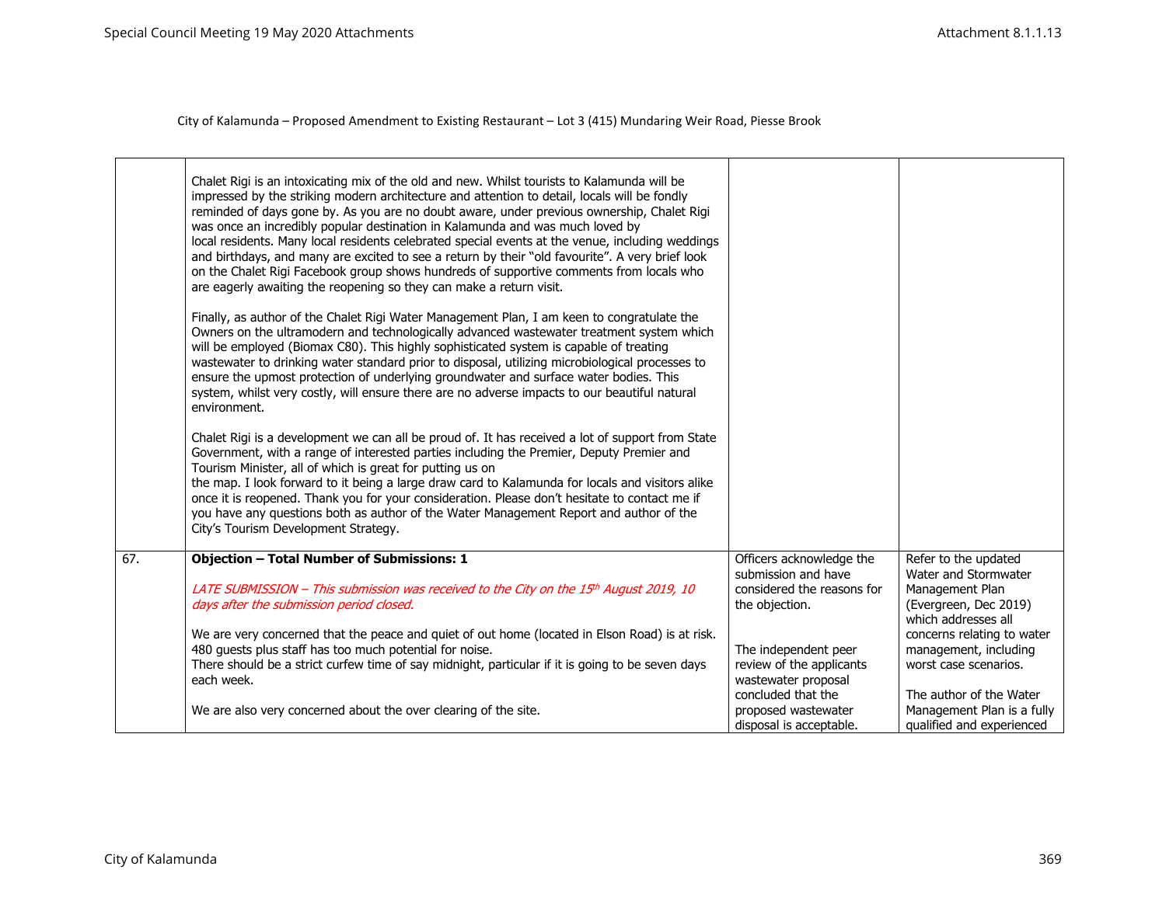|     | Chalet Rigi is an intoxicating mix of the old and new. Whilst tourists to Kalamunda will be<br>impressed by the striking modern architecture and attention to detail, locals will be fondly<br>reminded of days gone by. As you are no doubt aware, under previous ownership, Chalet Rigi<br>was once an incredibly popular destination in Kalamunda and was much loved by<br>local residents. Many local residents celebrated special events at the venue, including weddings<br>and birthdays, and many are excited to see a return by their "old favourite". A very brief look<br>on the Chalet Rigi Facebook group shows hundreds of supportive comments from locals who<br>are eagerly awaiting the reopening so they can make a return visit. |                                                                         |                                                                                    |
|-----|-----------------------------------------------------------------------------------------------------------------------------------------------------------------------------------------------------------------------------------------------------------------------------------------------------------------------------------------------------------------------------------------------------------------------------------------------------------------------------------------------------------------------------------------------------------------------------------------------------------------------------------------------------------------------------------------------------------------------------------------------------|-------------------------------------------------------------------------|------------------------------------------------------------------------------------|
|     | Finally, as author of the Chalet Rigi Water Management Plan, I am keen to congratulate the<br>Owners on the ultramodern and technologically advanced wastewater treatment system which<br>will be employed (Biomax C80). This highly sophisticated system is capable of treating<br>wastewater to drinking water standard prior to disposal, utilizing microbiological processes to<br>ensure the upmost protection of underlying groundwater and surface water bodies. This<br>system, whilst very costly, will ensure there are no adverse impacts to our beautiful natural<br>environment.                                                                                                                                                       |                                                                         |                                                                                    |
|     | Chalet Rigi is a development we can all be proud of. It has received a lot of support from State<br>Government, with a range of interested parties including the Premier, Deputy Premier and<br>Tourism Minister, all of which is great for putting us on<br>the map. I look forward to it being a large draw card to Kalamunda for locals and visitors alike<br>once it is reopened. Thank you for your consideration. Please don't hesitate to contact me if<br>you have any questions both as author of the Water Management Report and author of the<br>City's Tourism Development Strategy.                                                                                                                                                    |                                                                         |                                                                                    |
| 67. | <b>Objection - Total Number of Submissions: 1</b>                                                                                                                                                                                                                                                                                                                                                                                                                                                                                                                                                                                                                                                                                                   | Officers acknowledge the<br>submission and have                         | Refer to the updated<br>Water and Stormwater                                       |
|     | LATE SUBMISSION - This submission was received to the City on the 15th August 2019, 10<br>days after the submission period closed.                                                                                                                                                                                                                                                                                                                                                                                                                                                                                                                                                                                                                  | considered the reasons for<br>the objection.                            | Management Plan<br>(Evergreen, Dec 2019)<br>which addresses all                    |
|     | We are very concerned that the peace and quiet of out home (located in Elson Road) is at risk.<br>480 quests plus staff has too much potential for noise.<br>There should be a strict curfew time of say midnight, particular if it is going to be seven days<br>each week.                                                                                                                                                                                                                                                                                                                                                                                                                                                                         | The independent peer<br>review of the applicants<br>wastewater proposal | concerns relating to water<br>management, including<br>worst case scenarios.       |
|     | We are also very concerned about the over clearing of the site.                                                                                                                                                                                                                                                                                                                                                                                                                                                                                                                                                                                                                                                                                     | concluded that the<br>proposed wastewater<br>disposal is acceptable.    | The author of the Water<br>Management Plan is a fully<br>qualified and experienced |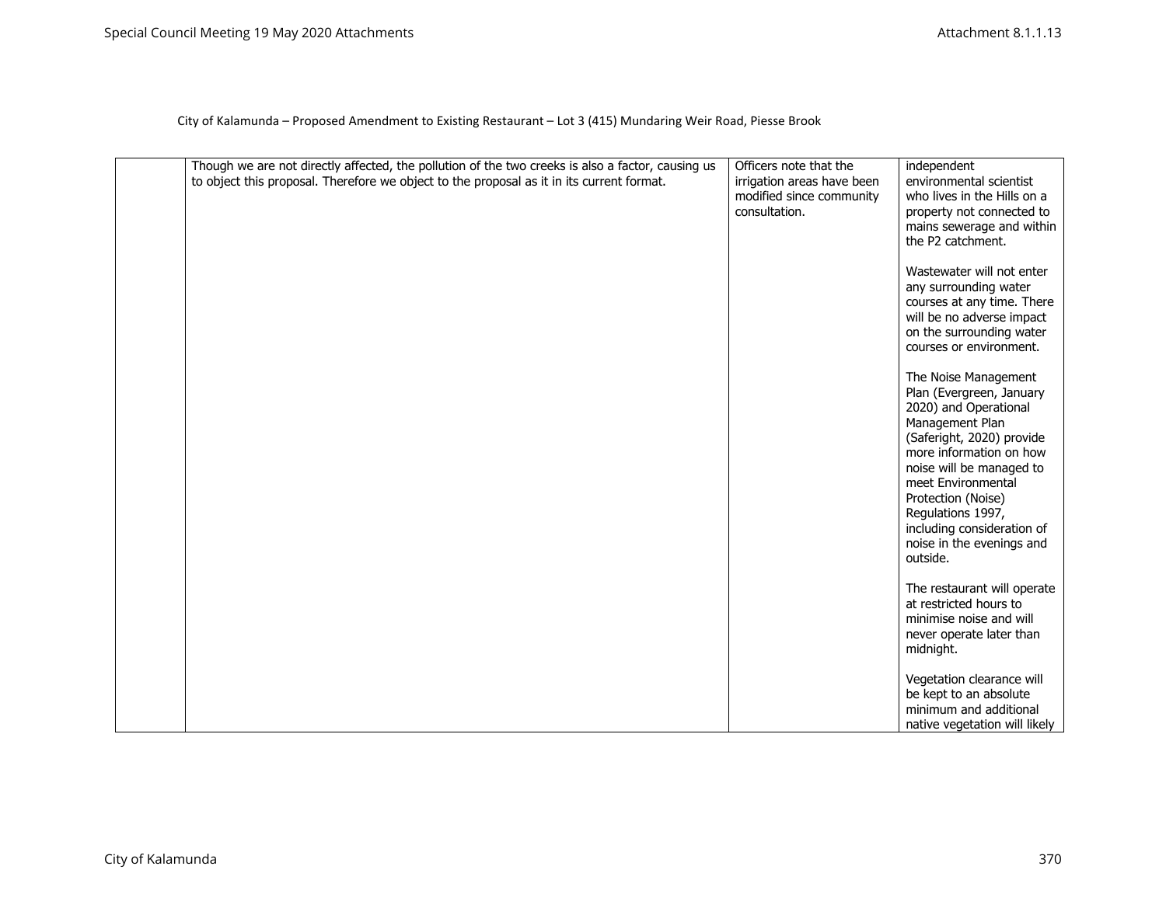| Though we are not directly affected, the pollution of the two creeks is also a factor, causing us<br>to object this proposal. Therefore we object to the proposal as it in its current format. | Officers note that the<br>irrigation areas have been<br>modified since community<br>consultation. | independent<br>environmental scientist<br>who lives in the Hills on a<br>property not connected to<br>mains sewerage and within<br>the P2 catchment.                                                                                                                                                                     |
|------------------------------------------------------------------------------------------------------------------------------------------------------------------------------------------------|---------------------------------------------------------------------------------------------------|--------------------------------------------------------------------------------------------------------------------------------------------------------------------------------------------------------------------------------------------------------------------------------------------------------------------------|
|                                                                                                                                                                                                |                                                                                                   | Wastewater will not enter<br>any surrounding water<br>courses at any time. There<br>will be no adverse impact<br>on the surrounding water<br>courses or environment.                                                                                                                                                     |
|                                                                                                                                                                                                |                                                                                                   | The Noise Management<br>Plan (Evergreen, January<br>2020) and Operational<br>Management Plan<br>(Saferight, 2020) provide<br>more information on how<br>noise will be managed to<br>meet Environmental<br>Protection (Noise)<br>Regulations 1997,<br>including consideration of<br>noise in the evenings and<br>outside. |
|                                                                                                                                                                                                |                                                                                                   | The restaurant will operate<br>at restricted hours to<br>minimise noise and will<br>never operate later than<br>midnight.                                                                                                                                                                                                |
|                                                                                                                                                                                                |                                                                                                   | Vegetation clearance will<br>be kept to an absolute<br>minimum and additional<br>native vegetation will likely                                                                                                                                                                                                           |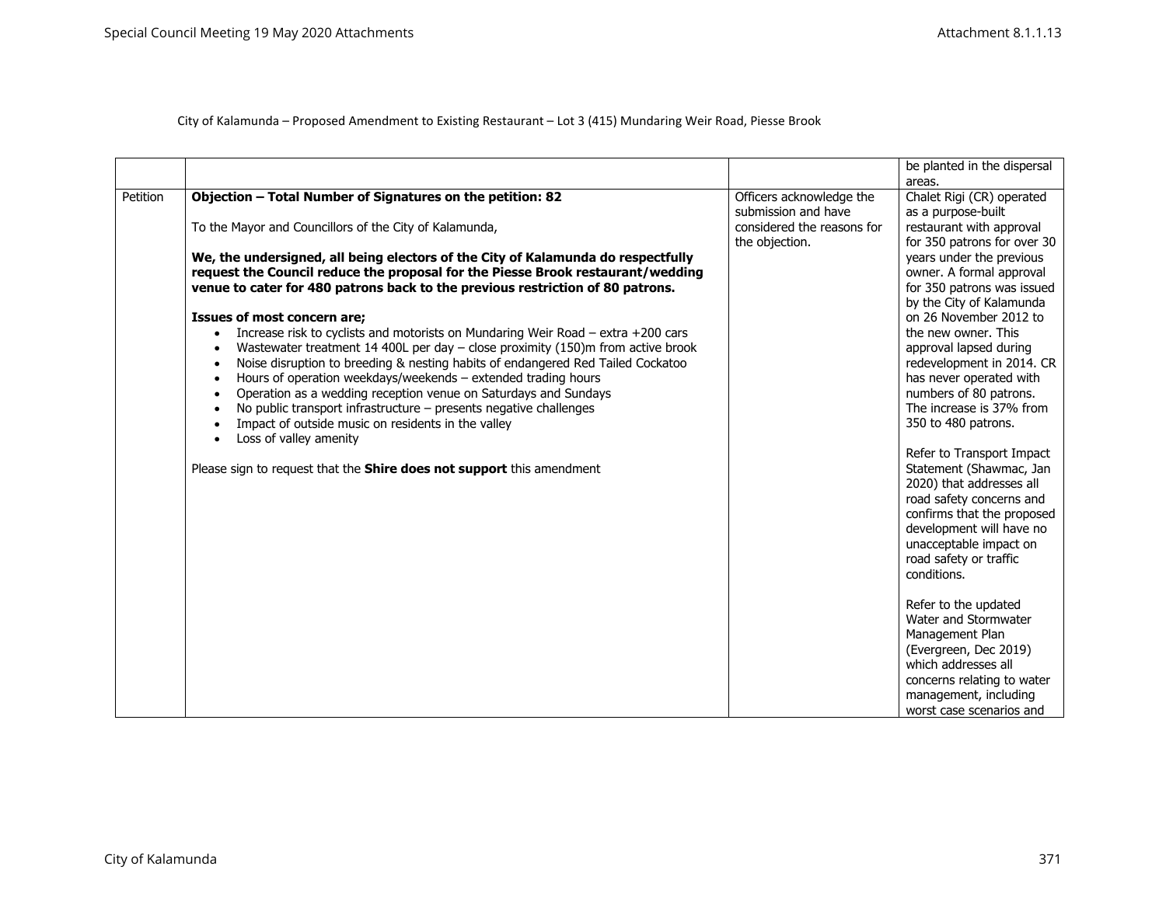City of Kalamunda – Proposed Amendment to Existing Restaurant – Lot 3 (415) Mundaring Weir Road, Piesse Brook

|          |                                                                                               |                            | be planted in the dispersal |
|----------|-----------------------------------------------------------------------------------------------|----------------------------|-----------------------------|
|          |                                                                                               |                            | areas.                      |
|          |                                                                                               |                            |                             |
| Petition | Objection - Total Number of Signatures on the petition: 82                                    | Officers acknowledge the   | Chalet Rigi (CR) operated   |
|          |                                                                                               | submission and have        | as a purpose-built          |
|          | To the Mayor and Councillors of the City of Kalamunda,                                        | considered the reasons for | restaurant with approval    |
|          |                                                                                               | the objection.             | for 350 patrons for over 30 |
|          | We, the undersigned, all being electors of the City of Kalamunda do respectfully              |                            | years under the previous    |
|          | request the Council reduce the proposal for the Piesse Brook restaurant/wedding               |                            | owner. A formal approval    |
|          | venue to cater for 480 patrons back to the previous restriction of 80 patrons.                |                            | for 350 patrons was issued  |
|          |                                                                                               |                            | by the City of Kalamunda    |
|          | <b>Issues of most concern are;</b>                                                            |                            | on 26 November 2012 to      |
|          | Increase risk to cyclists and motorists on Mundaring Weir Road - extra +200 cars<br>$\bullet$ |                            | the new owner. This         |
|          | Wastewater treatment 14 400L per day $-$ close proximity (150)m from active brook             |                            | approval lapsed during      |
|          | Noise disruption to breeding & nesting habits of endangered Red Tailed Cockatoo               |                            | redevelopment in 2014. CR   |
|          | Hours of operation weekdays/weekends - extended trading hours                                 |                            | has never operated with     |
|          | Operation as a wedding reception venue on Saturdays and Sundays<br>$\bullet$                  |                            | numbers of 80 patrons.      |
|          | No public transport infrastructure - presents negative challenges                             |                            | The increase is 37% from    |
|          | Impact of outside music on residents in the valley                                            |                            | 350 to 480 patrons.         |
|          | Loss of valley amenity<br>$\bullet$                                                           |                            |                             |
|          |                                                                                               |                            | Refer to Transport Impact   |
|          | Please sign to request that the <b>Shire does not support</b> this amendment                  |                            | Statement (Shawmac, Jan     |
|          |                                                                                               |                            | 2020) that addresses all    |
|          |                                                                                               |                            | road safety concerns and    |
|          |                                                                                               |                            | confirms that the proposed  |
|          |                                                                                               |                            | development will have no    |
|          |                                                                                               |                            |                             |
|          |                                                                                               |                            | unacceptable impact on      |
|          |                                                                                               |                            | road safety or traffic      |
|          |                                                                                               |                            | conditions.                 |
|          |                                                                                               |                            |                             |
|          |                                                                                               |                            | Refer to the updated        |
|          |                                                                                               |                            | Water and Stormwater        |
|          |                                                                                               |                            | Management Plan             |
|          |                                                                                               |                            | (Evergreen, Dec 2019)       |
|          |                                                                                               |                            | which addresses all         |
|          |                                                                                               |                            | concerns relating to water  |
|          |                                                                                               |                            | management, including       |
|          |                                                                                               |                            | worst case scenarios and    |